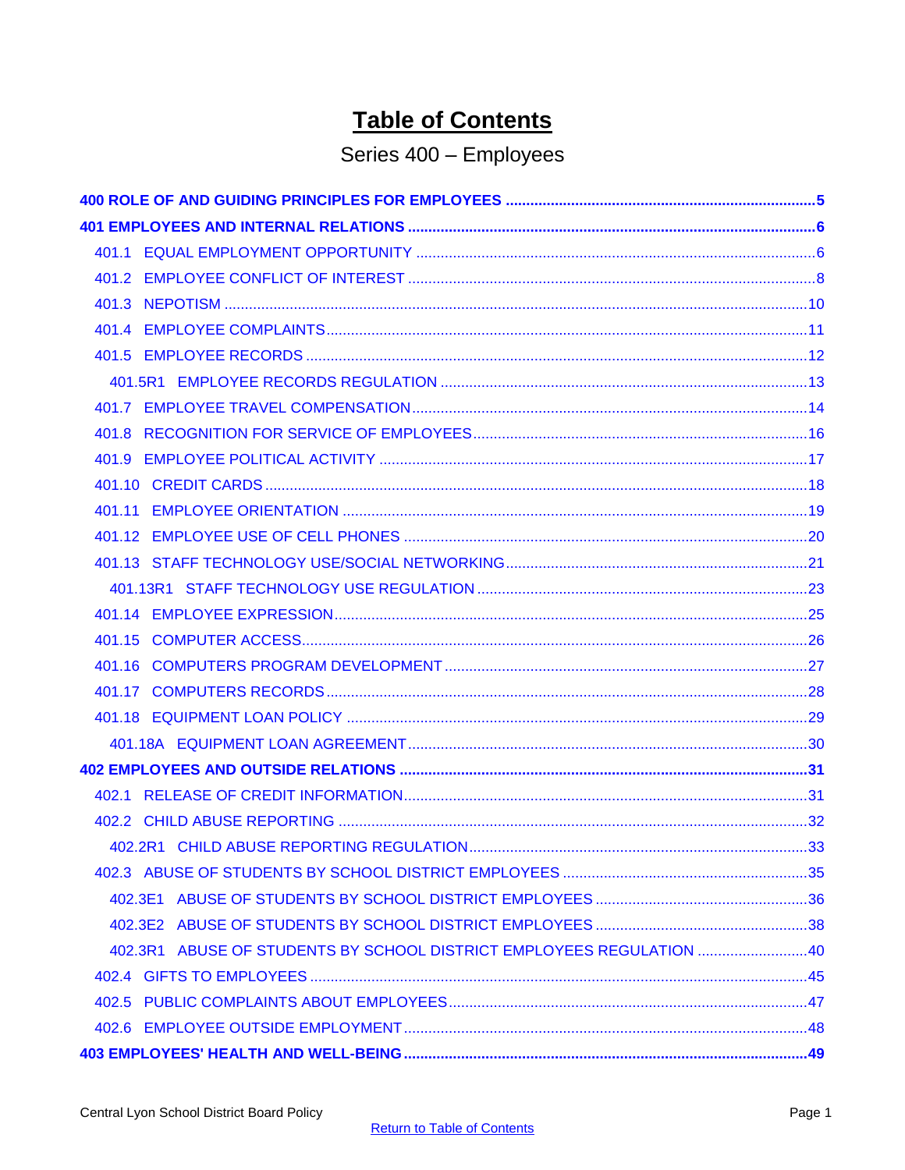# **Table of Contents**

# Series 400 - Employees

<span id="page-0-0"></span>

| 402.3R1 ABUSE OF STUDENTS BY SCHOOL DISTRICT EMPLOYEES REGULATION 40 |  |
|----------------------------------------------------------------------|--|
|                                                                      |  |
|                                                                      |  |
|                                                                      |  |
|                                                                      |  |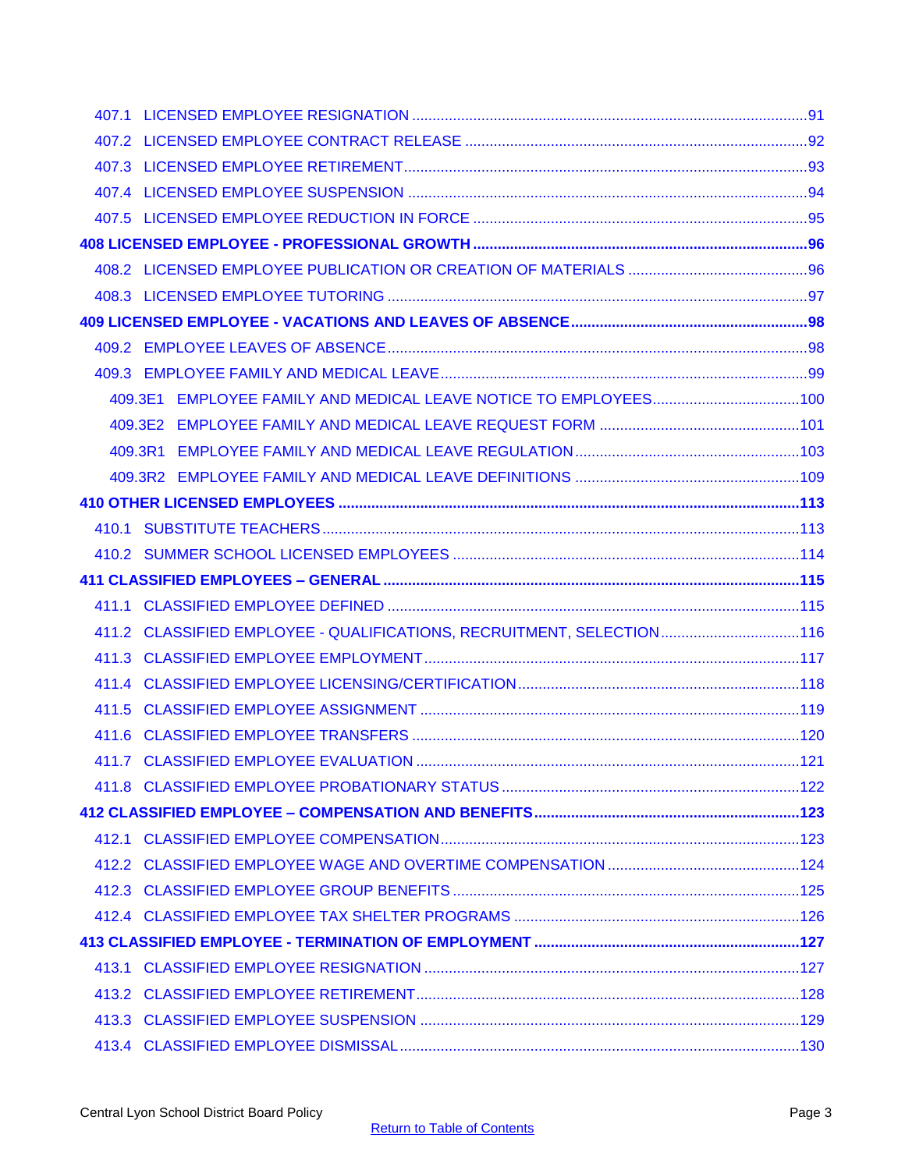| 411.2 CLASSIFIED EMPLOYEE - QUALIFICATIONS, RECRUITMENT, SELECTION116 |  |
|-----------------------------------------------------------------------|--|
|                                                                       |  |
|                                                                       |  |
|                                                                       |  |
|                                                                       |  |
|                                                                       |  |
|                                                                       |  |
|                                                                       |  |
|                                                                       |  |
|                                                                       |  |
|                                                                       |  |
|                                                                       |  |
|                                                                       |  |
|                                                                       |  |
|                                                                       |  |
|                                                                       |  |
|                                                                       |  |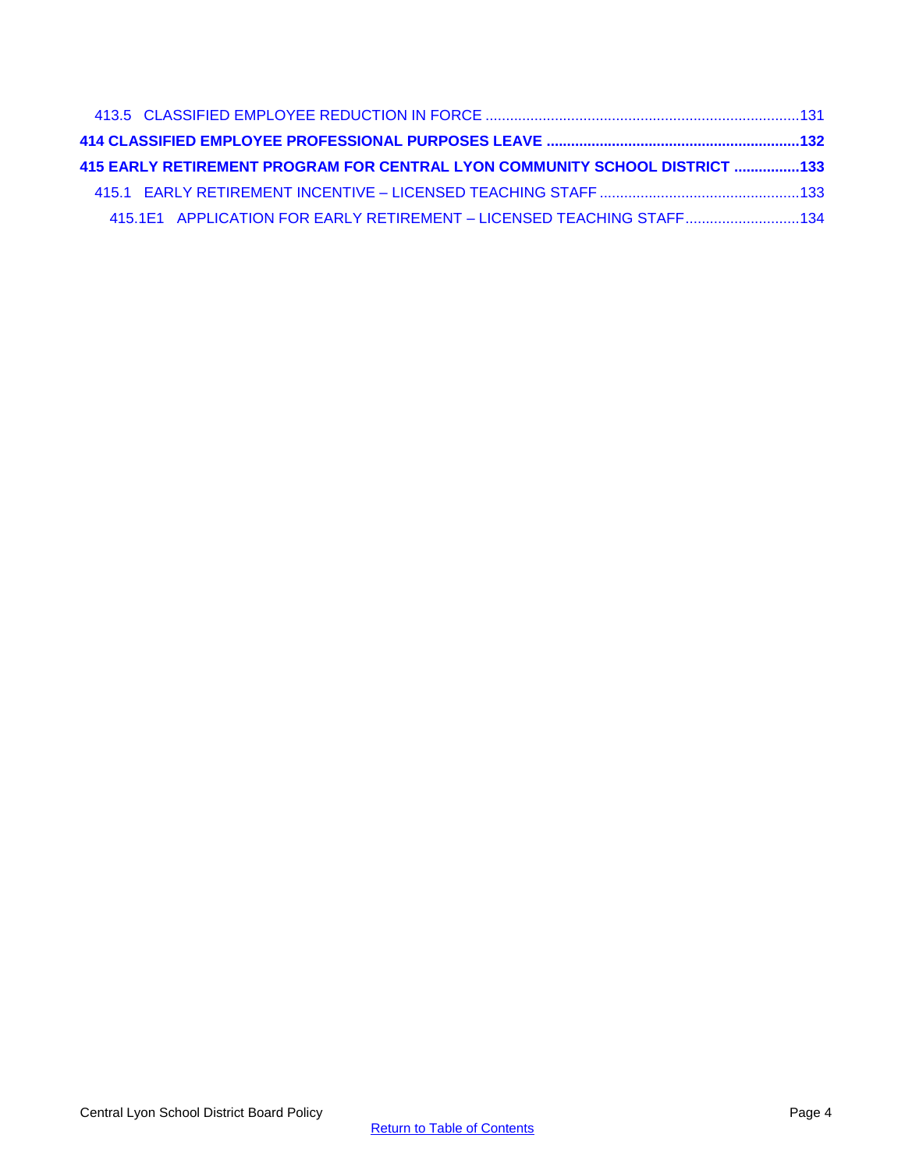| 415 EARLY RETIREMENT PROGRAM FOR CENTRAL LYON COMMUNITY SCHOOL DISTRICT 133 |  |
|-----------------------------------------------------------------------------|--|
|                                                                             |  |
| 415.1E1 APPLICATION FOR EARLY RETIREMENT - LICENSED TEACHING STAFF 134      |  |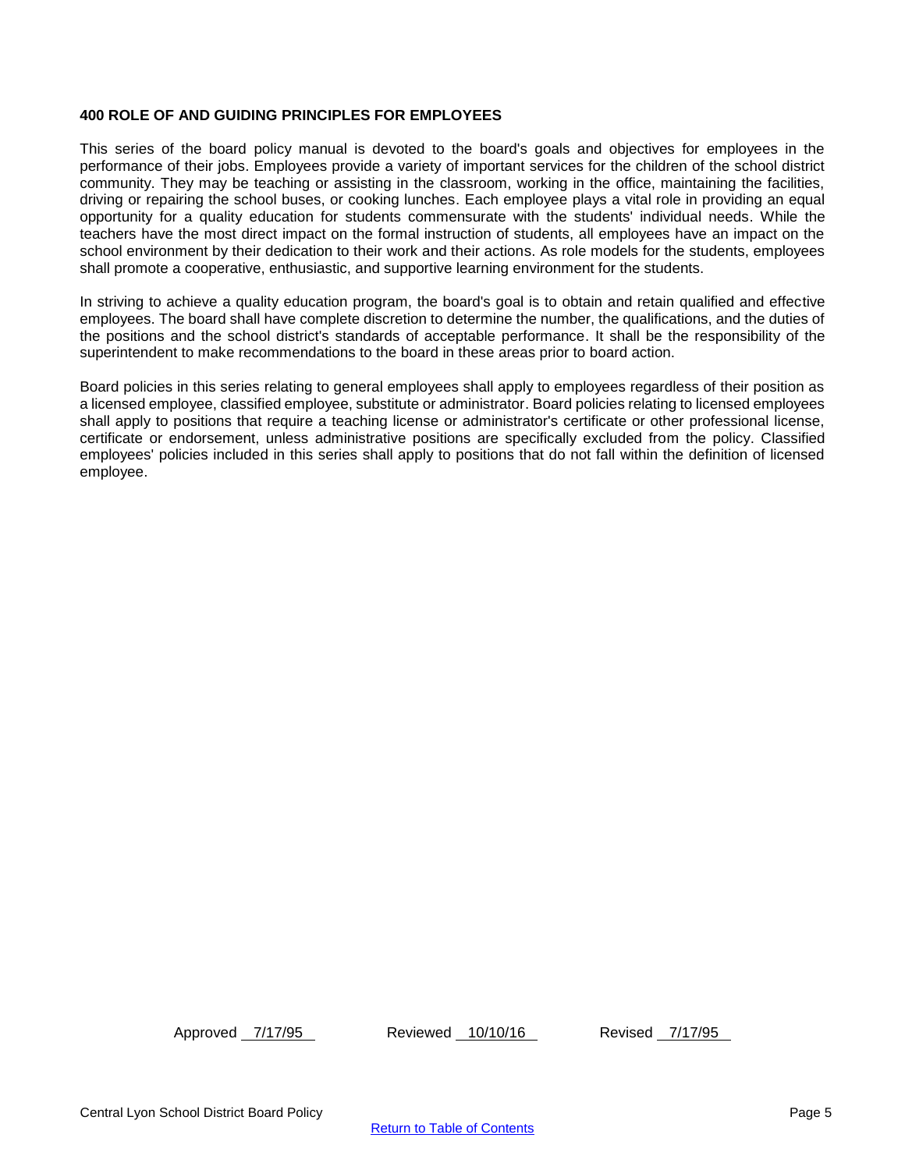## <span id="page-4-0"></span>**400 ROLE OF AND GUIDING PRINCIPLES FOR EMPLOYEES**

This series of the board policy manual is devoted to the board's goals and objectives for employees in the performance of their jobs. Employees provide a variety of important services for the children of the school district community. They may be teaching or assisting in the classroom, working in the office, maintaining the facilities, driving or repairing the school buses, or cooking lunches. Each employee plays a vital role in providing an equal opportunity for a quality education for students commensurate with the students' individual needs. While the teachers have the most direct impact on the formal instruction of students, all employees have an impact on the school environment by their dedication to their work and their actions. As role models for the students, employees shall promote a cooperative, enthusiastic, and supportive learning environment for the students.

In striving to achieve a quality education program, the board's goal is to obtain and retain qualified and effective employees. The board shall have complete discretion to determine the number, the qualifications, and the duties of the positions and the school district's standards of acceptable performance. It shall be the responsibility of the superintendent to make recommendations to the board in these areas prior to board action.

Board policies in this series relating to general employees shall apply to employees regardless of their position as a licensed employee, classified employee, substitute or administrator. Board policies relating to licensed employees shall apply to positions that require a teaching license or administrator's certificate or other professional license, certificate or endorsement, unless administrative positions are specifically excluded from the policy. Classified employees' policies included in this series shall apply to positions that do not fall within the definition of licensed employee.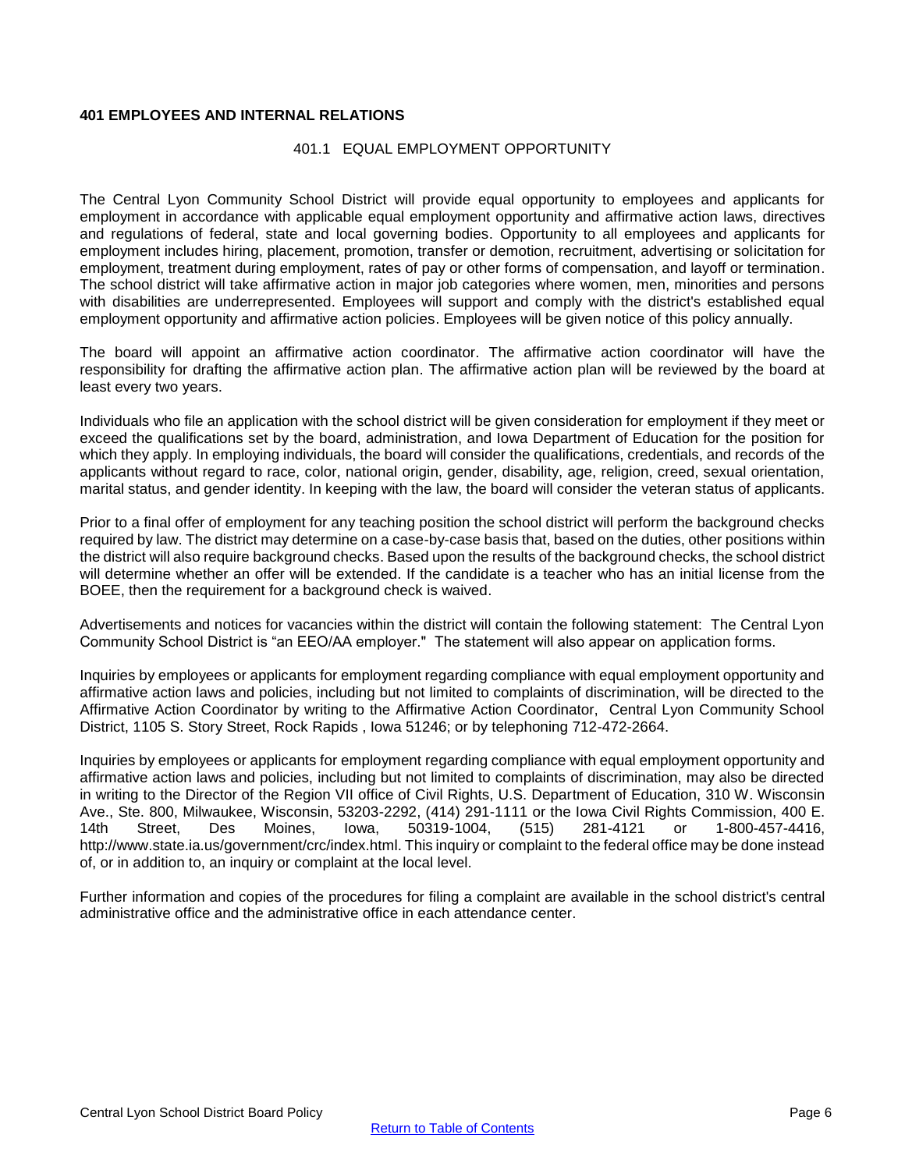## <span id="page-5-1"></span><span id="page-5-0"></span>**401 EMPLOYEES AND INTERNAL RELATIONS**

#### 401.1 EQUAL EMPLOYMENT OPPORTUNITY

The Central Lyon Community School District will provide equal opportunity to employees and applicants for employment in accordance with applicable equal employment opportunity and affirmative action laws, directives and regulations of federal, state and local governing bodies. Opportunity to all employees and applicants for employment includes hiring, placement, promotion, transfer or demotion, recruitment, advertising or solicitation for employment, treatment during employment, rates of pay or other forms of compensation, and layoff or termination. The school district will take affirmative action in major job categories where women, men, minorities and persons with disabilities are underrepresented. Employees will support and comply with the district's established equal employment opportunity and affirmative action policies. Employees will be given notice of this policy annually.

The board will appoint an affirmative action coordinator. The affirmative action coordinator will have the responsibility for drafting the affirmative action plan. The affirmative action plan will be reviewed by the board at least every two years.

Individuals who file an application with the school district will be given consideration for employment if they meet or exceed the qualifications set by the board, administration, and Iowa Department of Education for the position for which they apply. In employing individuals, the board will consider the qualifications, credentials, and records of the applicants without regard to race, color, national origin, gender, disability, age, religion, creed, sexual orientation, marital status, and gender identity. In keeping with the law, the board will consider the veteran status of applicants.

Prior to a final offer of employment for any teaching position the school district will perform the background checks required by law. The district may determine on a case-by-case basis that, based on the duties, other positions within the district will also require background checks. Based upon the results of the background checks, the school district will determine whether an offer will be extended. If the candidate is a teacher who has an initial license from the BOEE, then the requirement for a background check is waived.

Advertisements and notices for vacancies within the district will contain the following statement: The Central Lyon Community School District is "an EEO/AA employer." The statement will also appear on application forms.

Inquiries by employees or applicants for employment regarding compliance with equal employment opportunity and affirmative action laws and policies, including but not limited to complaints of discrimination, will be directed to the Affirmative Action Coordinator by writing to the Affirmative Action Coordinator, Central Lyon Community School District, 1105 S. Story Street, Rock Rapids , Iowa 51246; or by telephoning 712-472-2664.

Inquiries by employees or applicants for employment regarding compliance with equal employment opportunity and affirmative action laws and policies, including but not limited to complaints of discrimination, may also be directed in writing to the Director of the Region VII office of Civil Rights, U.S. Department of Education, 310 W. Wisconsin Ave., Ste. 800, Milwaukee, Wisconsin, 53203-2292, (414) 291-1111 or the Iowa Civil Rights Commission, 400 E. 14th Street, Des Moines, Iowa, 50319-1004, (515) 281-4121 or 1-800-457-4416, http://www.state.ia.us/government/crc/index.html. This inquiry or complaint to the federal office may be done instead of, or in addition to, an inquiry or complaint at the local level.

Further information and copies of the procedures for filing a complaint are available in the school district's central administrative office and the administrative office in each attendance center.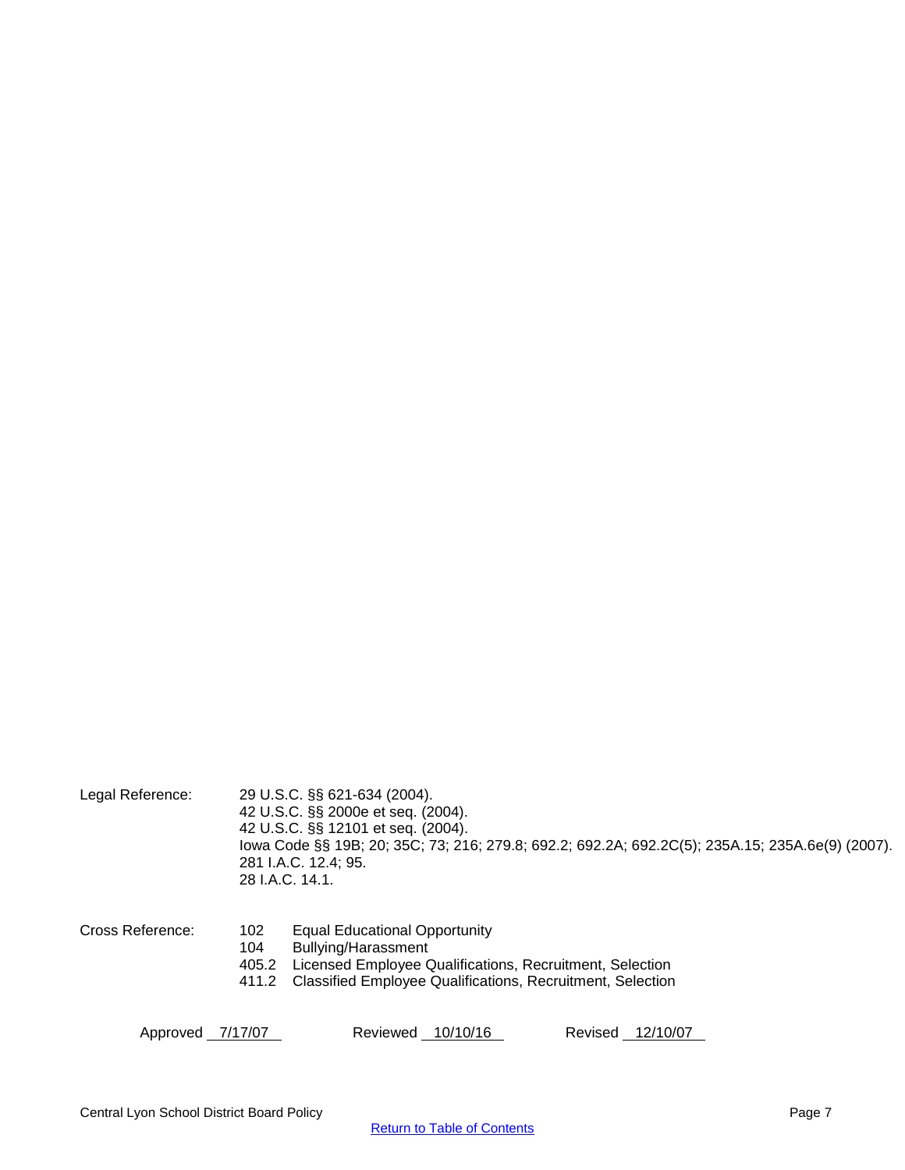| Legal Reference: |                              | 29 U.S.C. §§ 621-634 (2004).<br>42 U.S.C. §§ 2000e et seq. (2004).<br>42 U.S.C. §§ 12101 et seq. (2004).<br>lowa Code §§ 19B; 20; 35C; 73; 216; 279.8; 692.2; 692.2A; 692.2C(5); 235A.15; 235A.6e(9) (2007).<br>281 I.A.C. 12.4; 95.<br>28 I.A.C. 14.1. |
|------------------|------------------------------|---------------------------------------------------------------------------------------------------------------------------------------------------------------------------------------------------------------------------------------------------------|
| Cross Reference: | 102<br>104<br>405.2<br>411.2 | <b>Equal Educational Opportunity</b><br>Bullying/Harassment<br>Licensed Employee Qualifications, Recruitment, Selection<br>Classified Employee Qualifications, Recruitment, Selection                                                                   |
| Approved 7/17/07 |                              | Reviewed 10/10/16<br>Revised 12/10/07                                                                                                                                                                                                                   |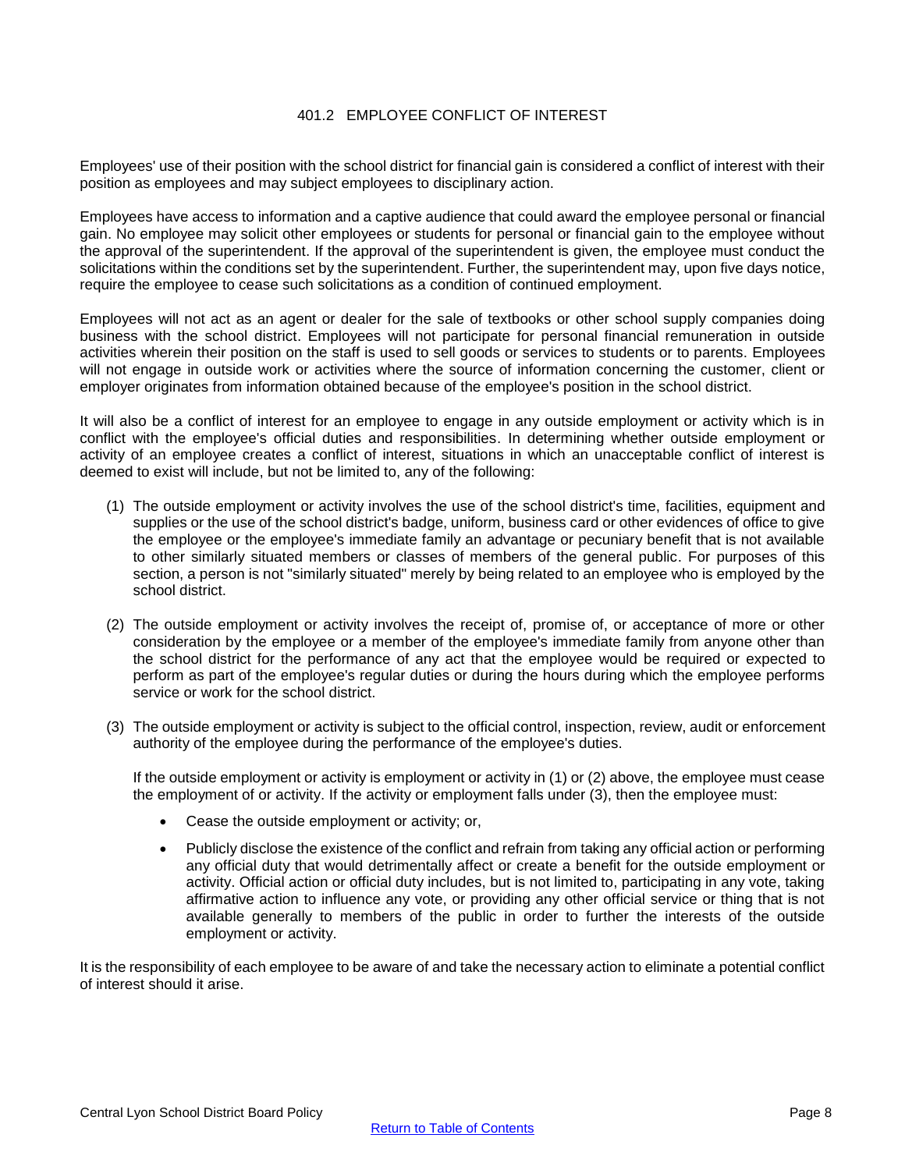# 401.2 EMPLOYEE CONFLICT OF INTEREST

<span id="page-7-0"></span>Employees' use of their position with the school district for financial gain is considered a conflict of interest with their position as employees and may subject employees to disciplinary action.

Employees have access to information and a captive audience that could award the employee personal or financial gain. No employee may solicit other employees or students for personal or financial gain to the employee without the approval of the superintendent. If the approval of the superintendent is given, the employee must conduct the solicitations within the conditions set by the superintendent. Further, the superintendent may, upon five days notice, require the employee to cease such solicitations as a condition of continued employment.

Employees will not act as an agent or dealer for the sale of textbooks or other school supply companies doing business with the school district. Employees will not participate for personal financial remuneration in outside activities wherein their position on the staff is used to sell goods or services to students or to parents. Employees will not engage in outside work or activities where the source of information concerning the customer, client or employer originates from information obtained because of the employee's position in the school district.

It will also be a conflict of interest for an employee to engage in any outside employment or activity which is in conflict with the employee's official duties and responsibilities. In determining whether outside employment or activity of an employee creates a conflict of interest, situations in which an unacceptable conflict of interest is deemed to exist will include, but not be limited to, any of the following:

- (1) The outside employment or activity involves the use of the school district's time, facilities, equipment and supplies or the use of the school district's badge, uniform, business card or other evidences of office to give the employee or the employee's immediate family an advantage or pecuniary benefit that is not available to other similarly situated members or classes of members of the general public. For purposes of this section, a person is not "similarly situated" merely by being related to an employee who is employed by the school district.
- (2) The outside employment or activity involves the receipt of, promise of, or acceptance of more or other consideration by the employee or a member of the employee's immediate family from anyone other than the school district for the performance of any act that the employee would be required or expected to perform as part of the employee's regular duties or during the hours during which the employee performs service or work for the school district.
- (3) The outside employment or activity is subject to the official control, inspection, review, audit or enforcement authority of the employee during the performance of the employee's duties.

If the outside employment or activity is employment or activity in (1) or (2) above, the employee must cease the employment of or activity. If the activity or employment falls under (3), then the employee must:

- Cease the outside employment or activity; or,
- Publicly disclose the existence of the conflict and refrain from taking any official action or performing any official duty that would detrimentally affect or create a benefit for the outside employment or activity. Official action or official duty includes, but is not limited to, participating in any vote, taking affirmative action to influence any vote, or providing any other official service or thing that is not available generally to members of the public in order to further the interests of the outside employment or activity.

It is the responsibility of each employee to be aware of and take the necessary action to eliminate a potential conflict of interest should it arise.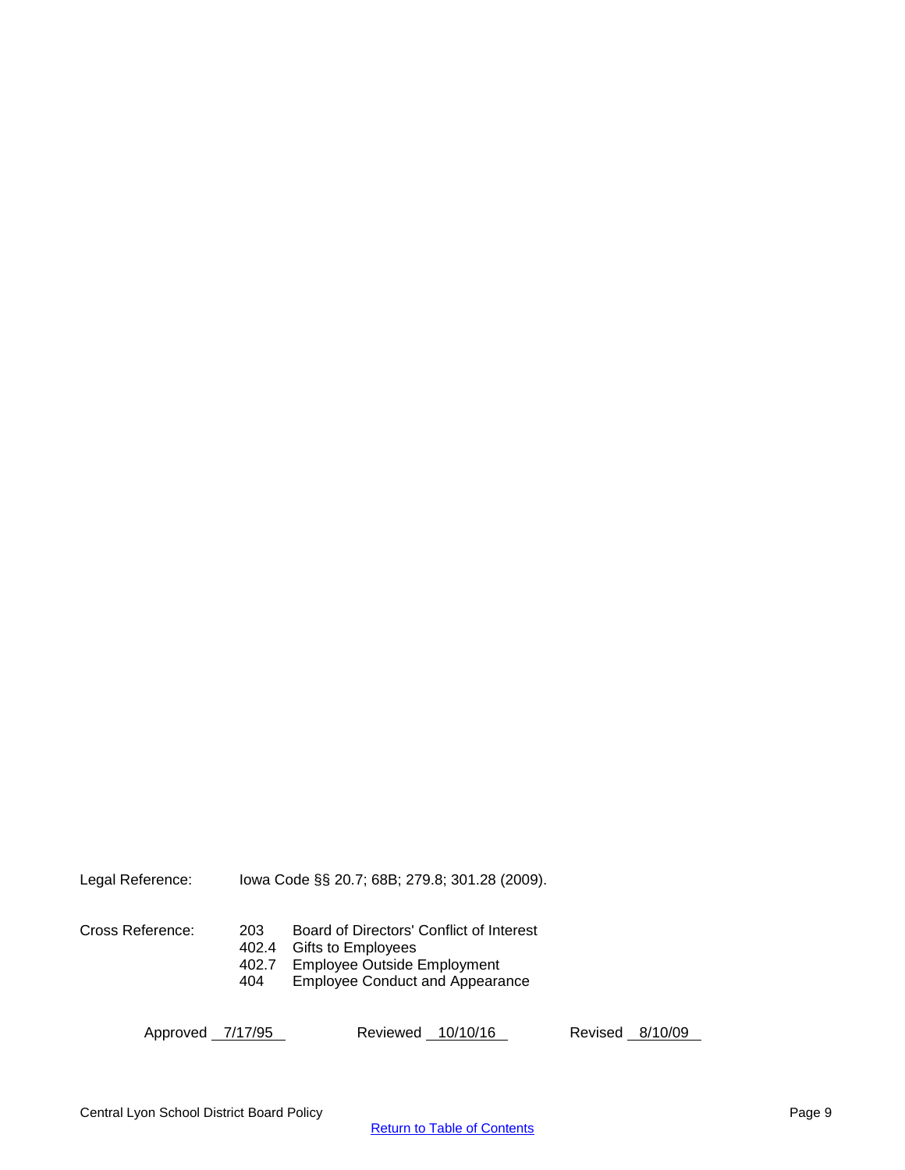Legal Reference: Iowa Code §§ 20.7; 68B; 279.8; 301.28 (2009).

- Cross Reference: 203 Board of Directors' Conflict of Interest
	- 402.4 Gifts to Employees
	- 402.7 Employee Outside Employment
	- 404 Employee Conduct and Appearance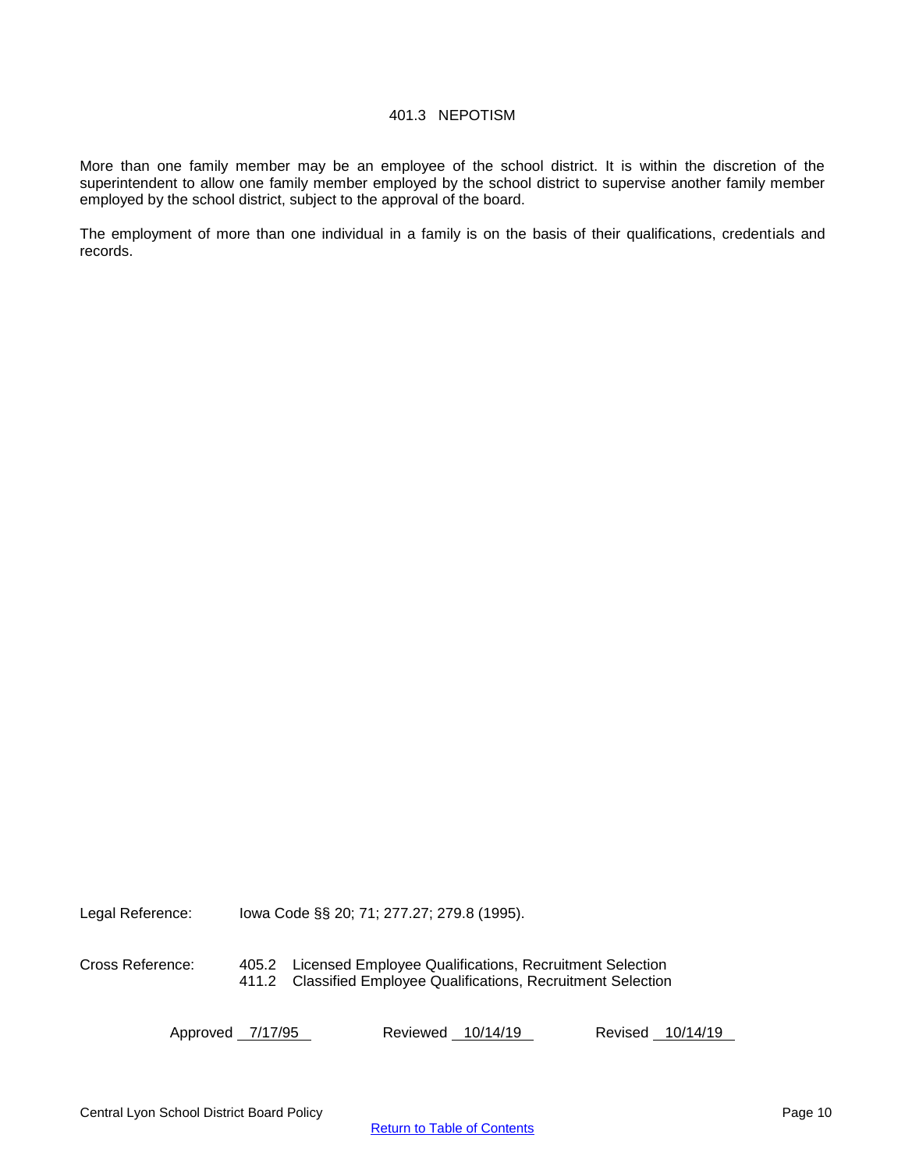## 401.3 NEPOTISM

<span id="page-9-0"></span>More than one family member may be an employee of the school district. It is within the discretion of the superintendent to allow one family member employed by the school district to supervise another family member employed by the school district, subject to the approval of the board.

The employment of more than one individual in a family is on the basis of their qualifications, credentials and records.

Legal Reference: Iowa Code §§ 20; 71; 277.27; 279.8 (1995).

Cross Reference: 405.2 Licensed Employee Qualifications, Recruitment Selection 411.2 Classified Employee Qualifications, Recruitment Selection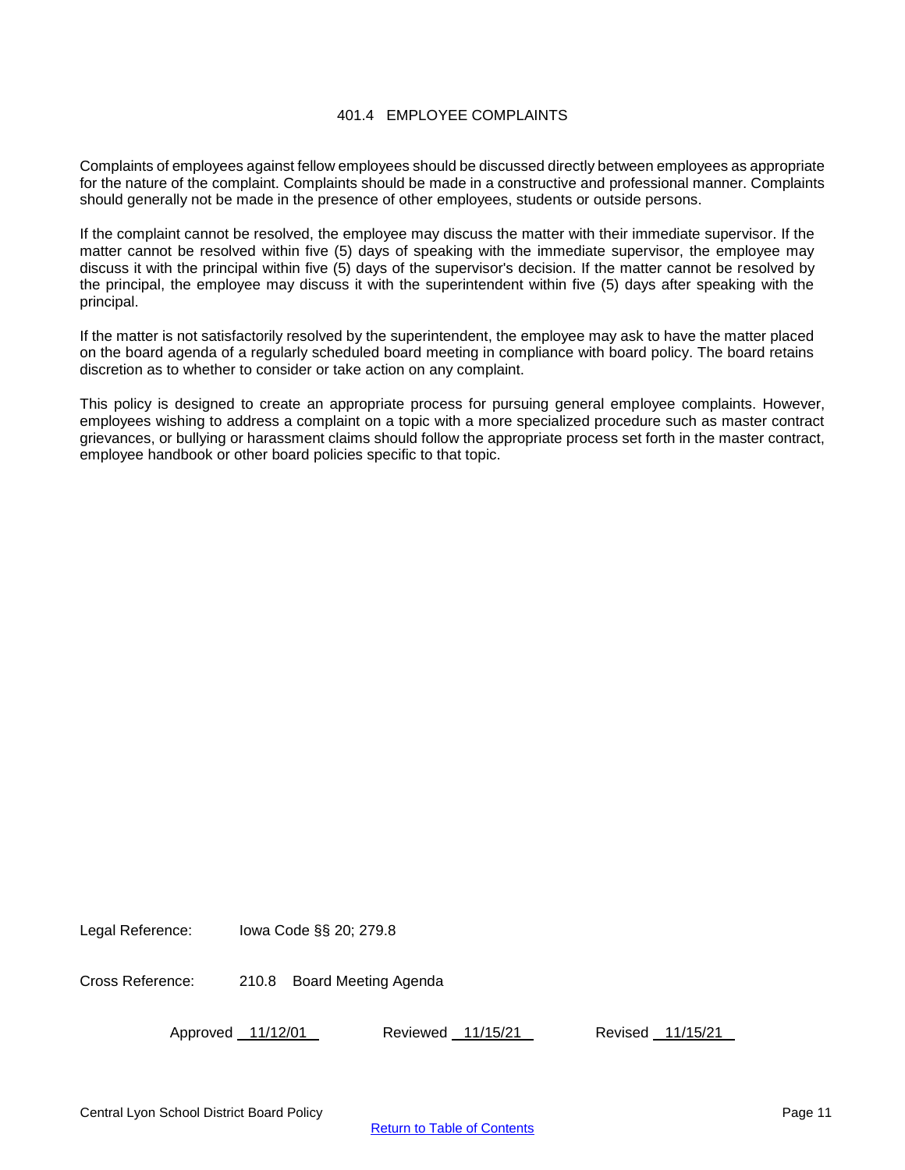## 401.4 EMPLOYEE COMPLAINTS

<span id="page-10-0"></span>Complaints of employees against fellow employees should be discussed directly between employees as appropriate for the nature of the complaint. Complaints should be made in a constructive and professional manner. Complaints should generally not be made in the presence of other employees, students or outside persons.

If the complaint cannot be resolved, the employee may discuss the matter with their immediate supervisor. If the matter cannot be resolved within five (5) days of speaking with the immediate supervisor, the employee may discuss it with the principal within five (5) days of the supervisor's decision. If the matter cannot be resolved by the principal, the employee may discuss it with the superintendent within five (5) days after speaking with the principal.

If the matter is not satisfactorily resolved by the superintendent, the employee may ask to have the matter placed on the board agenda of a regularly scheduled board meeting in compliance with board policy. The board retains discretion as to whether to consider or take action on any complaint.

This policy is designed to create an appropriate process for pursuing general employee complaints. However, employees wishing to address a complaint on a topic with a more specialized procedure such as master contract grievances, or bullying or harassment claims should follow the appropriate process set forth in the master contract, employee handbook or other board policies specific to that topic.

Legal Reference: Iowa Code §§ 20; 279.8

Cross Reference: 210.8 Board Meeting Agenda

Approved 11/12/01 Reviewed 11/15/21 Revised 11/15/21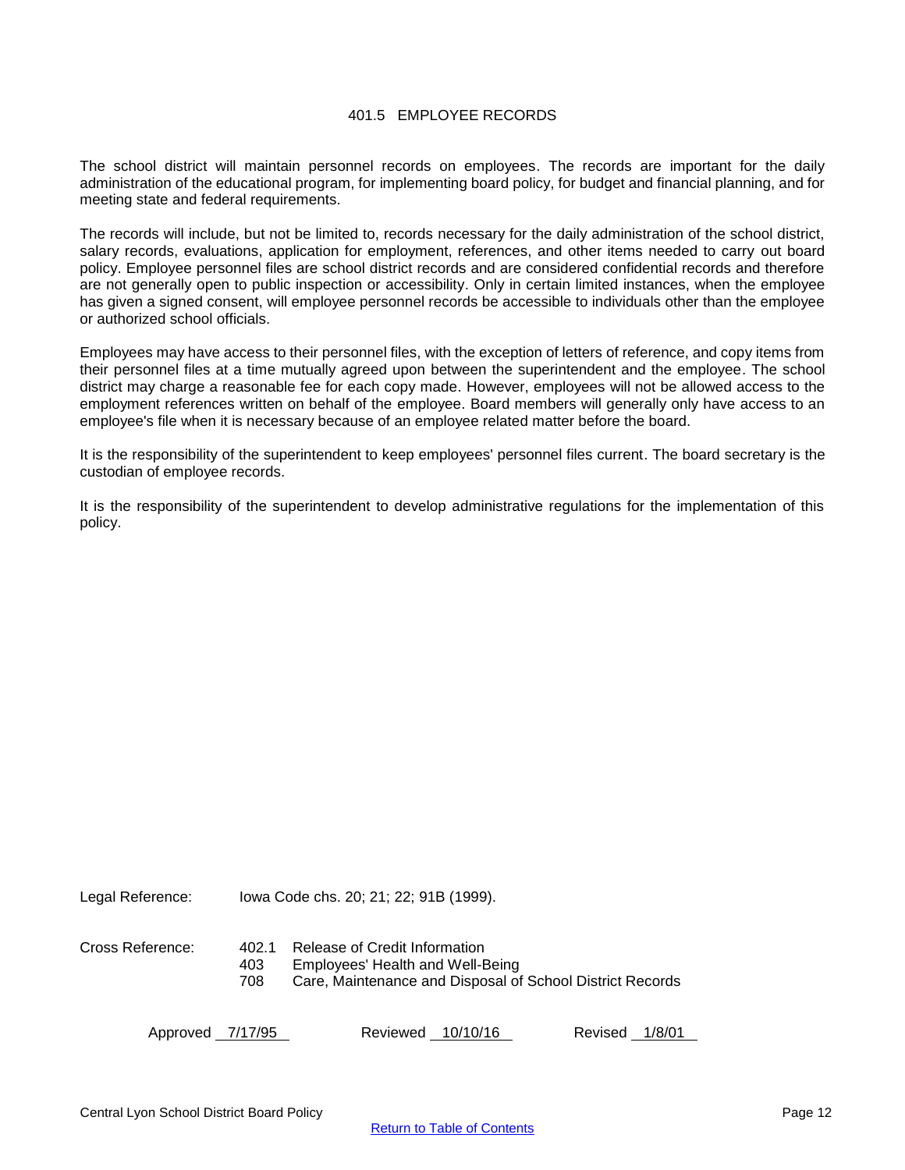# 401.5 EMPLOYEE RECORDS

<span id="page-11-0"></span>The school district will maintain personnel records on employees. The records are important for the daily administration of the educational program, for implementing board policy, for budget and financial planning, and for meeting state and federal requirements.

The records will include, but not be limited to, records necessary for the daily administration of the school district, salary records, evaluations, application for employment, references, and other items needed to carry out board policy. Employee personnel files are school district records and are considered confidential records and therefore are not generally open to public inspection or accessibility. Only in certain limited instances, when the employee has given a signed consent, will employee personnel records be accessible to individuals other than the employee or authorized school officials.

Employees may have access to their personnel files, with the exception of letters of reference, and copy items from their personnel files at a time mutually agreed upon between the superintendent and the employee. The school district may charge a reasonable fee for each copy made. However, employees will not be allowed access to the employment references written on behalf of the employee. Board members will generally only have access to an employee's file when it is necessary because of an employee related matter before the board.

It is the responsibility of the superintendent to keep employees' personnel files current. The board secretary is the custodian of employee records.

It is the responsibility of the superintendent to develop administrative regulations for the implementation of this policy.

Legal Reference: Iowa Code chs. 20; 21; 22; 91B (1999).

Cross Reference: 402.1 Release of Credit Information

- 403 Employees' Health and Well-Being
	- 708 Care, Maintenance and Disposal of School District Records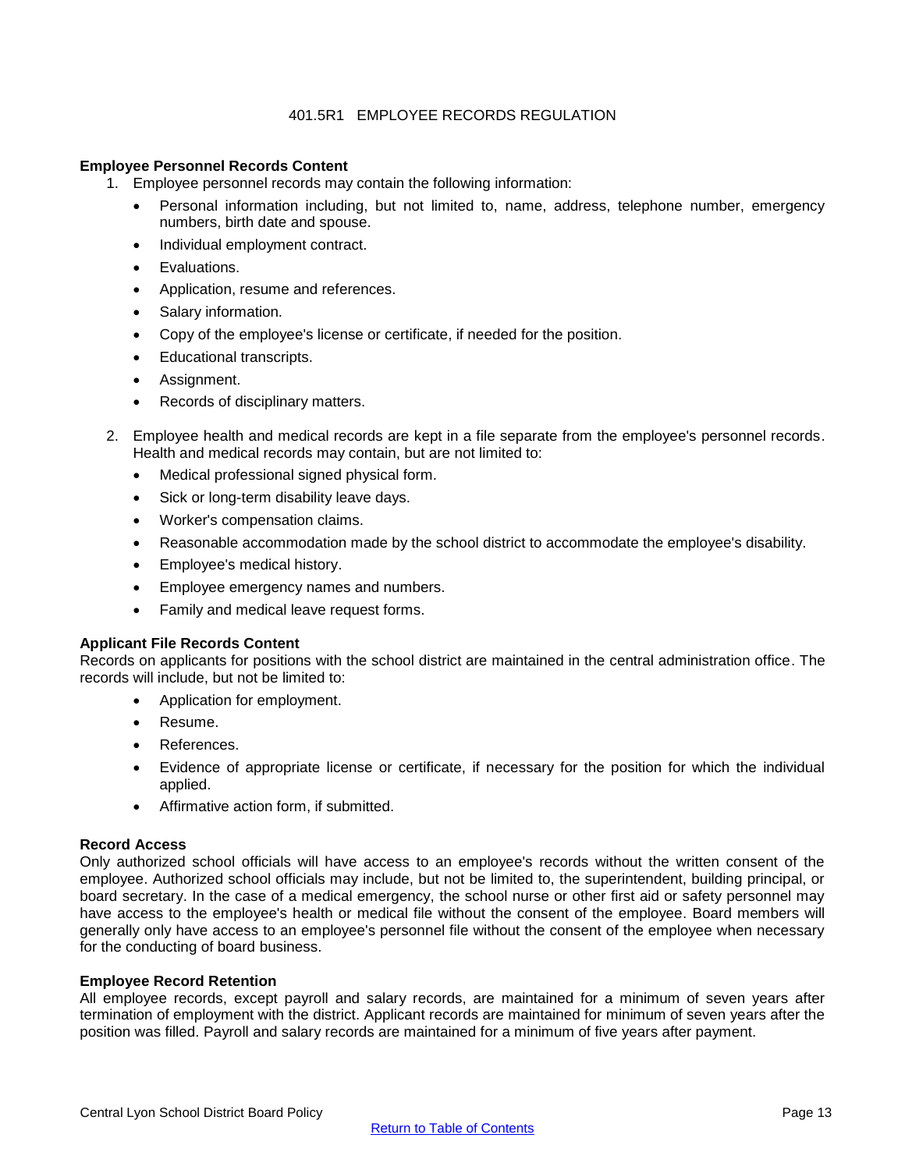# 401.5R1 EMPLOYEE RECORDS REGULATION

## <span id="page-12-0"></span>**Employee Personnel Records Content**

- 1. Employee personnel records may contain the following information:
	- Personal information including, but not limited to, name, address, telephone number, emergency numbers, birth date and spouse.
	- Individual employment contract.
	- Evaluations.
	- Application, resume and references.
	- Salary information.
	- Copy of the employee's license or certificate, if needed for the position.
	- Educational transcripts.
	- Assignment.
	- Records of disciplinary matters.
- 2. Employee health and medical records are kept in a file separate from the employee's personnel records. Health and medical records may contain, but are not limited to:
	- Medical professional signed physical form.
	- Sick or long-term disability leave days.
	- Worker's compensation claims.
	- Reasonable accommodation made by the school district to accommodate the employee's disability.
	- Employee's medical history.
	- Employee emergency names and numbers.
	- Family and medical leave request forms.

## **Applicant File Records Content**

Records on applicants for positions with the school district are maintained in the central administration office. The records will include, but not be limited to:

- Application for employment.
- Resume.
- References.
- Evidence of appropriate license or certificate, if necessary for the position for which the individual applied.
- Affirmative action form, if submitted.

## **Record Access**

Only authorized school officials will have access to an employee's records without the written consent of the employee. Authorized school officials may include, but not be limited to, the superintendent, building principal, or board secretary. In the case of a medical emergency, the school nurse or other first aid or safety personnel may have access to the employee's health or medical file without the consent of the employee. Board members will generally only have access to an employee's personnel file without the consent of the employee when necessary for the conducting of board business.

## **Employee Record Retention**

All employee records, except payroll and salary records, are maintained for a minimum of seven years after termination of employment with the district. Applicant records are maintained for minimum of seven years after the position was filled. Payroll and salary records are maintained for a minimum of five years after payment.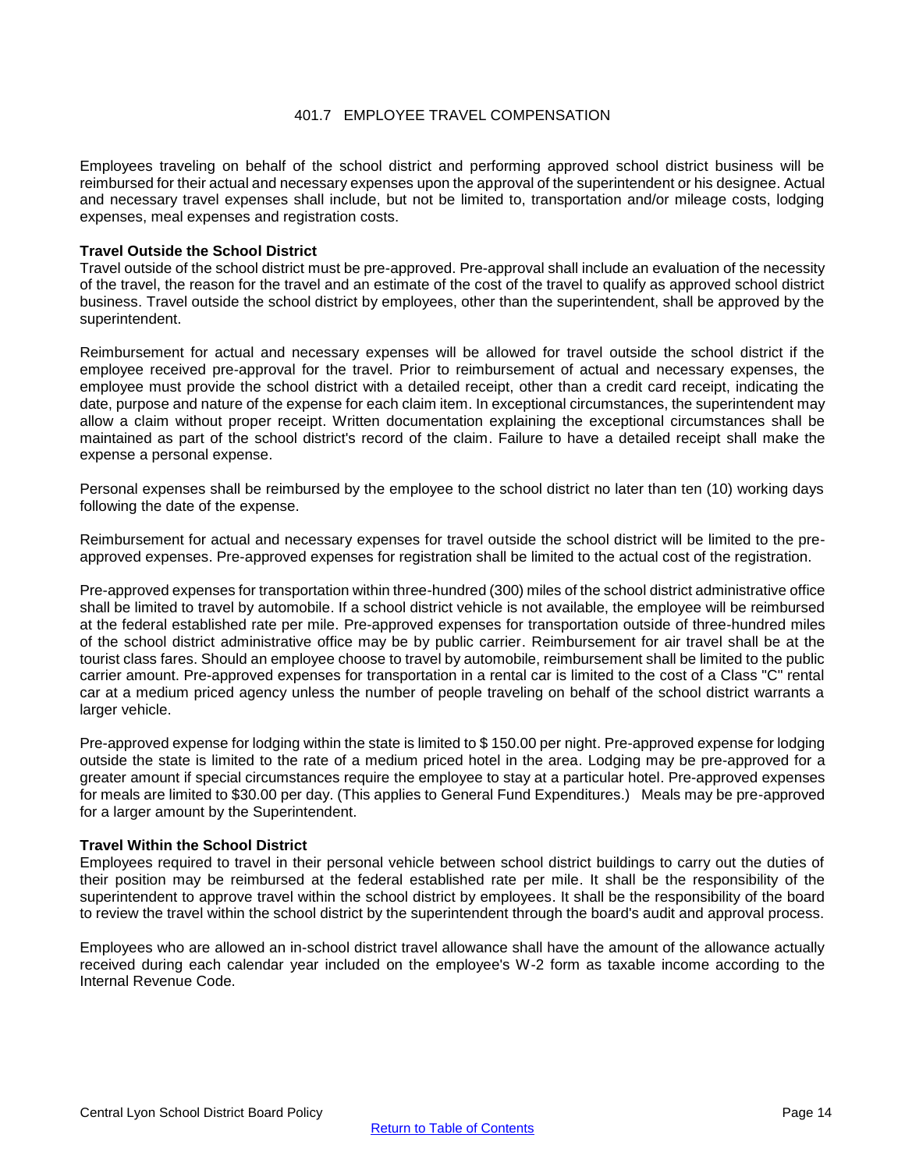## 401.7 EMPLOYEE TRAVEL COMPENSATION

<span id="page-13-0"></span>Employees traveling on behalf of the school district and performing approved school district business will be reimbursed for their actual and necessary expenses upon the approval of the superintendent or his designee. Actual and necessary travel expenses shall include, but not be limited to, transportation and/or mileage costs, lodging expenses, meal expenses and registration costs.

#### **Travel Outside the School District**

Travel outside of the school district must be pre-approved. Pre-approval shall include an evaluation of the necessity of the travel, the reason for the travel and an estimate of the cost of the travel to qualify as approved school district business. Travel outside the school district by employees, other than the superintendent, shall be approved by the superintendent.

Reimbursement for actual and necessary expenses will be allowed for travel outside the school district if the employee received pre-approval for the travel. Prior to reimbursement of actual and necessary expenses, the employee must provide the school district with a detailed receipt, other than a credit card receipt, indicating the date, purpose and nature of the expense for each claim item. In exceptional circumstances, the superintendent may allow a claim without proper receipt. Written documentation explaining the exceptional circumstances shall be maintained as part of the school district's record of the claim. Failure to have a detailed receipt shall make the expense a personal expense.

Personal expenses shall be reimbursed by the employee to the school district no later than ten (10) working days following the date of the expense.

Reimbursement for actual and necessary expenses for travel outside the school district will be limited to the preapproved expenses. Pre-approved expenses for registration shall be limited to the actual cost of the registration.

Pre-approved expenses for transportation within three-hundred (300) miles of the school district administrative office shall be limited to travel by automobile. If a school district vehicle is not available, the employee will be reimbursed at the federal established rate per mile. Pre-approved expenses for transportation outside of three-hundred miles of the school district administrative office may be by public carrier. Reimbursement for air travel shall be at the tourist class fares. Should an employee choose to travel by automobile, reimbursement shall be limited to the public carrier amount. Pre-approved expenses for transportation in a rental car is limited to the cost of a Class "C" rental car at a medium priced agency unless the number of people traveling on behalf of the school district warrants a larger vehicle.

Pre-approved expense for lodging within the state is limited to \$ 150.00 per night. Pre-approved expense for lodging outside the state is limited to the rate of a medium priced hotel in the area. Lodging may be pre-approved for a greater amount if special circumstances require the employee to stay at a particular hotel. Pre-approved expenses for meals are limited to \$30.00 per day. (This applies to General Fund Expenditures.) Meals may be pre-approved for a larger amount by the Superintendent.

## **Travel Within the School District**

Employees required to travel in their personal vehicle between school district buildings to carry out the duties of their position may be reimbursed at the federal established rate per mile. It shall be the responsibility of the superintendent to approve travel within the school district by employees. It shall be the responsibility of the board to review the travel within the school district by the superintendent through the board's audit and approval process.

Employees who are allowed an in-school district travel allowance shall have the amount of the allowance actually received during each calendar year included on the employee's W-2 form as taxable income according to the Internal Revenue Code.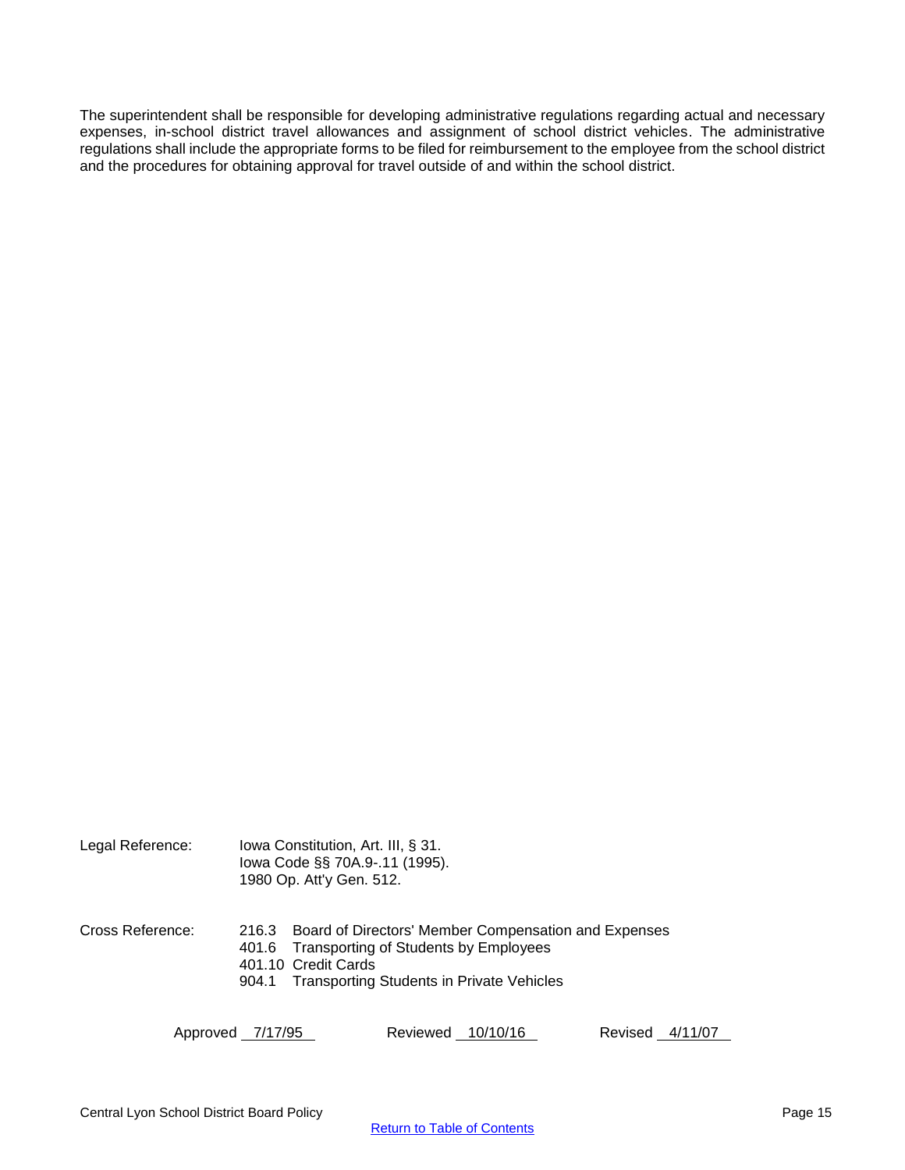The superintendent shall be responsible for developing administrative regulations regarding actual and necessary expenses, in-school district travel allowances and assignment of school district vehicles. The administrative regulations shall include the appropriate forms to be filed for reimbursement to the employee from the school district and the procedures for obtaining approval for travel outside of and within the school district.

| Legal Reference: | lowa Constitution, Art. III, § 31.<br>lowa Code §§ 70A.9-.11 (1995).<br>1980 Op. Att'y Gen. 512.                                                                                              |
|------------------|-----------------------------------------------------------------------------------------------------------------------------------------------------------------------------------------------|
| Cross Reference: | 216.3 Board of Directors' Member Compensation and Expenses<br>401.6 Transporting of Students by Employees<br>401.10 Credit Cards<br><b>Transporting Students in Private Vehicles</b><br>904.1 |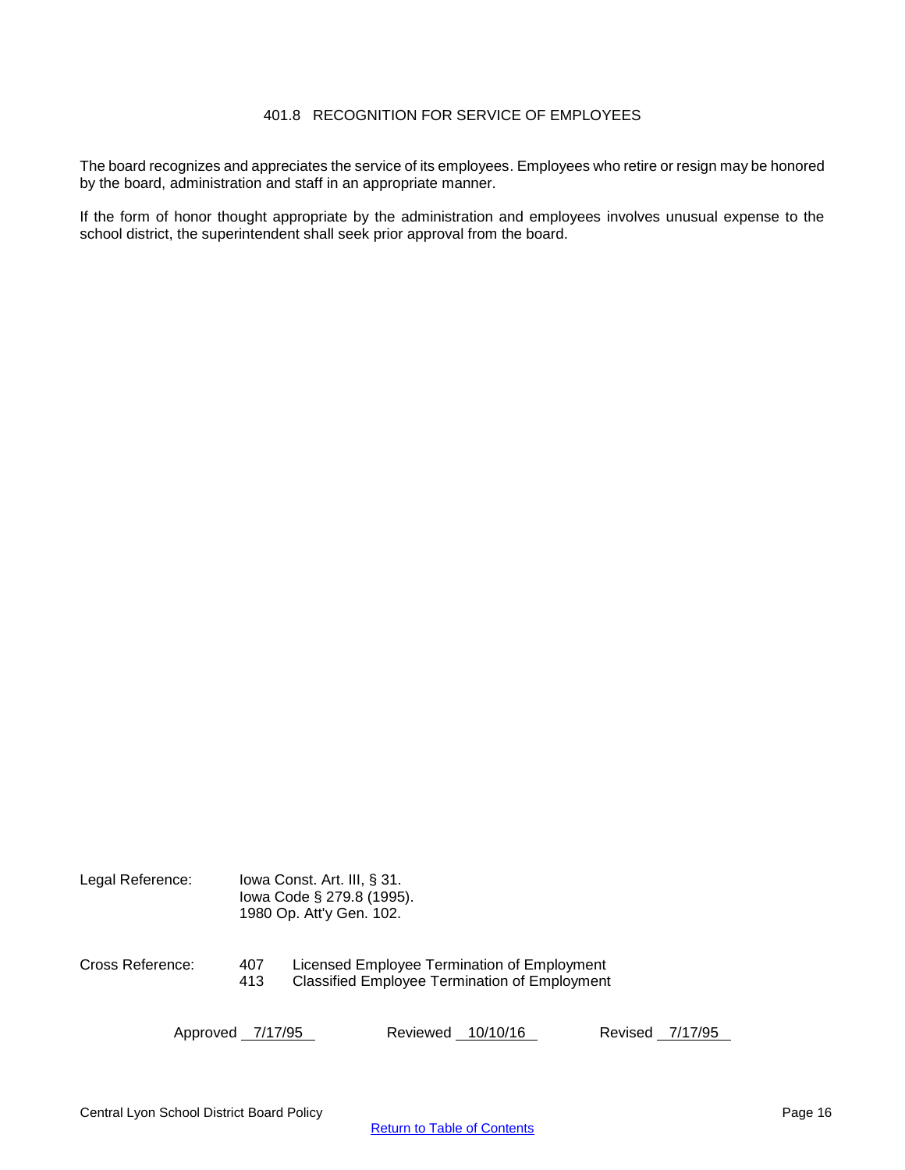<span id="page-15-0"></span>The board recognizes and appreciates the service of its employees. Employees who retire or resign may be honored by the board, administration and staff in an appropriate manner.

If the form of honor thought appropriate by the administration and employees involves unusual expense to the school district, the superintendent shall seek prior approval from the board.

| Legal Reference: |            | lowa Const. Art. III, § 31.<br>lowa Code § 279.8 (1995).<br>1980 Op. Att'y Gen. 102. |          |                                                                                                     |         |         |
|------------------|------------|--------------------------------------------------------------------------------------|----------|-----------------------------------------------------------------------------------------------------|---------|---------|
| Cross Reference: | 407<br>413 |                                                                                      |          | Licensed Employee Termination of Employment<br><b>Classified Employee Termination of Employment</b> |         |         |
| Approved         | 7/17/95    |                                                                                      | Reviewed | 10/10/16                                                                                            | Revised | 7/17/95 |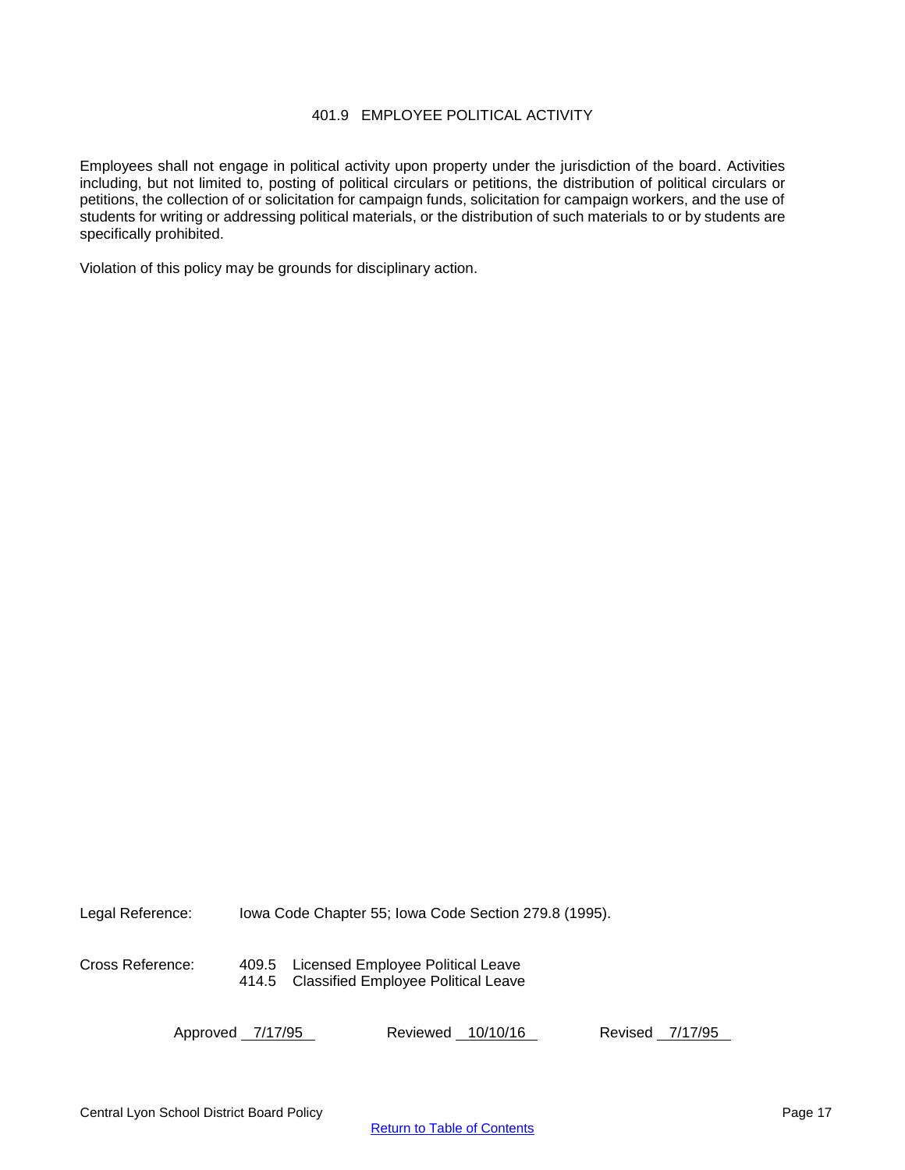## 401.9 EMPLOYEE POLITICAL ACTIVITY

<span id="page-16-0"></span>Employees shall not engage in political activity upon property under the jurisdiction of the board. Activities including, but not limited to, posting of political circulars or petitions, the distribution of political circulars or petitions, the collection of or solicitation for campaign funds, solicitation for campaign workers, and the use of students for writing or addressing political materials, or the distribution of such materials to or by students are specifically prohibited.

Violation of this policy may be grounds for disciplinary action.

|  | Iowa Code Chapter 55; Iowa Code Section 279.8 (1995). |
|--|-------------------------------------------------------|

Cross Reference: 409.5 Licensed Employee Political Leave 414.5 Classified Employee Political Leave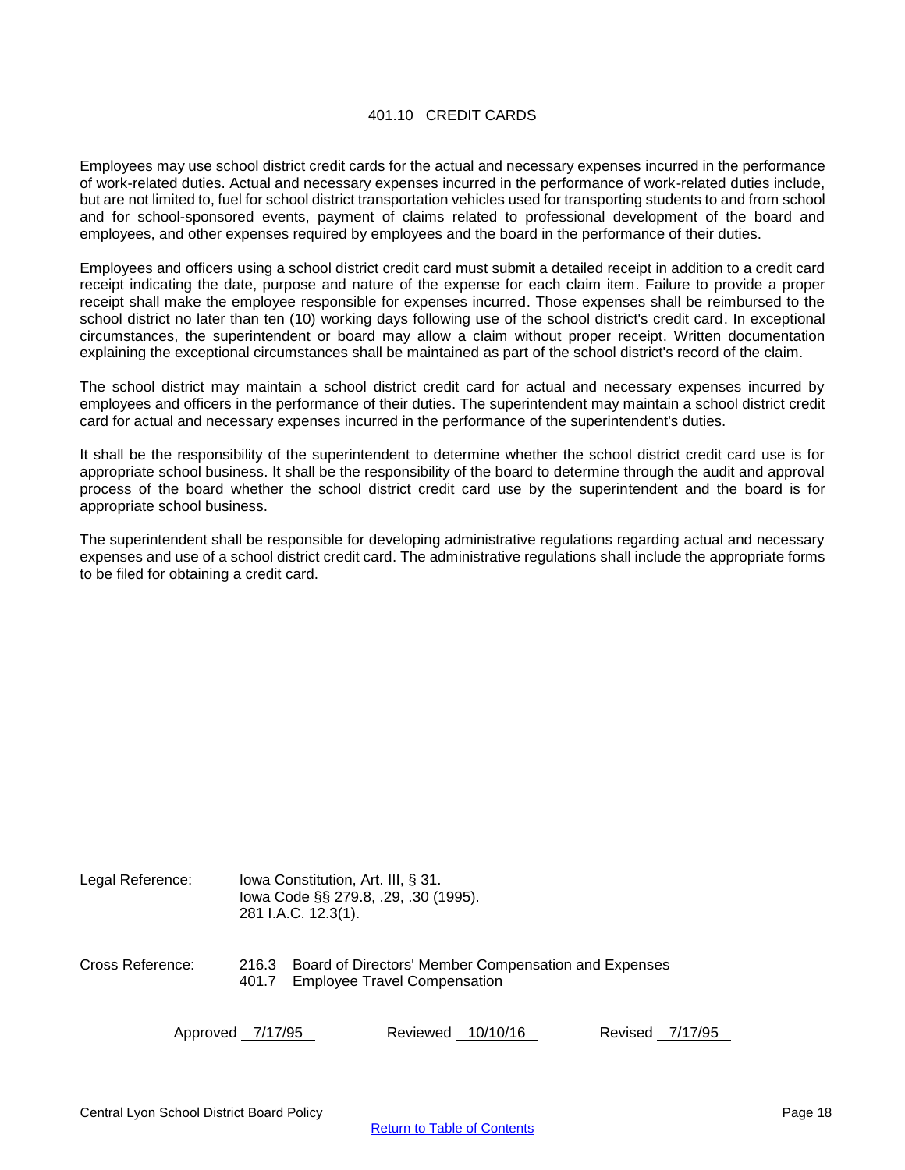## 401.10 CREDIT CARDS

<span id="page-17-0"></span>Employees may use school district credit cards for the actual and necessary expenses incurred in the performance of work-related duties. Actual and necessary expenses incurred in the performance of work-related duties include, but are not limited to, fuel for school district transportation vehicles used for transporting students to and from school and for school-sponsored events, payment of claims related to professional development of the board and employees, and other expenses required by employees and the board in the performance of their duties.

Employees and officers using a school district credit card must submit a detailed receipt in addition to a credit card receipt indicating the date, purpose and nature of the expense for each claim item. Failure to provide a proper receipt shall make the employee responsible for expenses incurred. Those expenses shall be reimbursed to the school district no later than ten (10) working days following use of the school district's credit card. In exceptional circumstances, the superintendent or board may allow a claim without proper receipt. Written documentation explaining the exceptional circumstances shall be maintained as part of the school district's record of the claim.

The school district may maintain a school district credit card for actual and necessary expenses incurred by employees and officers in the performance of their duties. The superintendent may maintain a school district credit card for actual and necessary expenses incurred in the performance of the superintendent's duties.

It shall be the responsibility of the superintendent to determine whether the school district credit card use is for appropriate school business. It shall be the responsibility of the board to determine through the audit and approval process of the board whether the school district credit card use by the superintendent and the board is for appropriate school business.

The superintendent shall be responsible for developing administrative regulations regarding actual and necessary expenses and use of a school district credit card. The administrative regulations shall include the appropriate forms to be filed for obtaining a credit card.

| Legal Reference: |                  | lowa Constitution, Art. III, § 31.<br>lowa Code §§ 279.8, .29, .30 (1995).<br>281 I.A.C. 12.3(1). |  |                                     |          |                                                      |         |
|------------------|------------------|---------------------------------------------------------------------------------------------------|--|-------------------------------------|----------|------------------------------------------------------|---------|
| Cross Reference: | 216.3<br>401.7   |                                                                                                   |  | <b>Employee Travel Compensation</b> |          | Board of Directors' Member Compensation and Expenses |         |
|                  | Approved 7/17/95 |                                                                                                   |  | Reviewed                            | 10/10/16 | Revised                                              | 7/17/95 |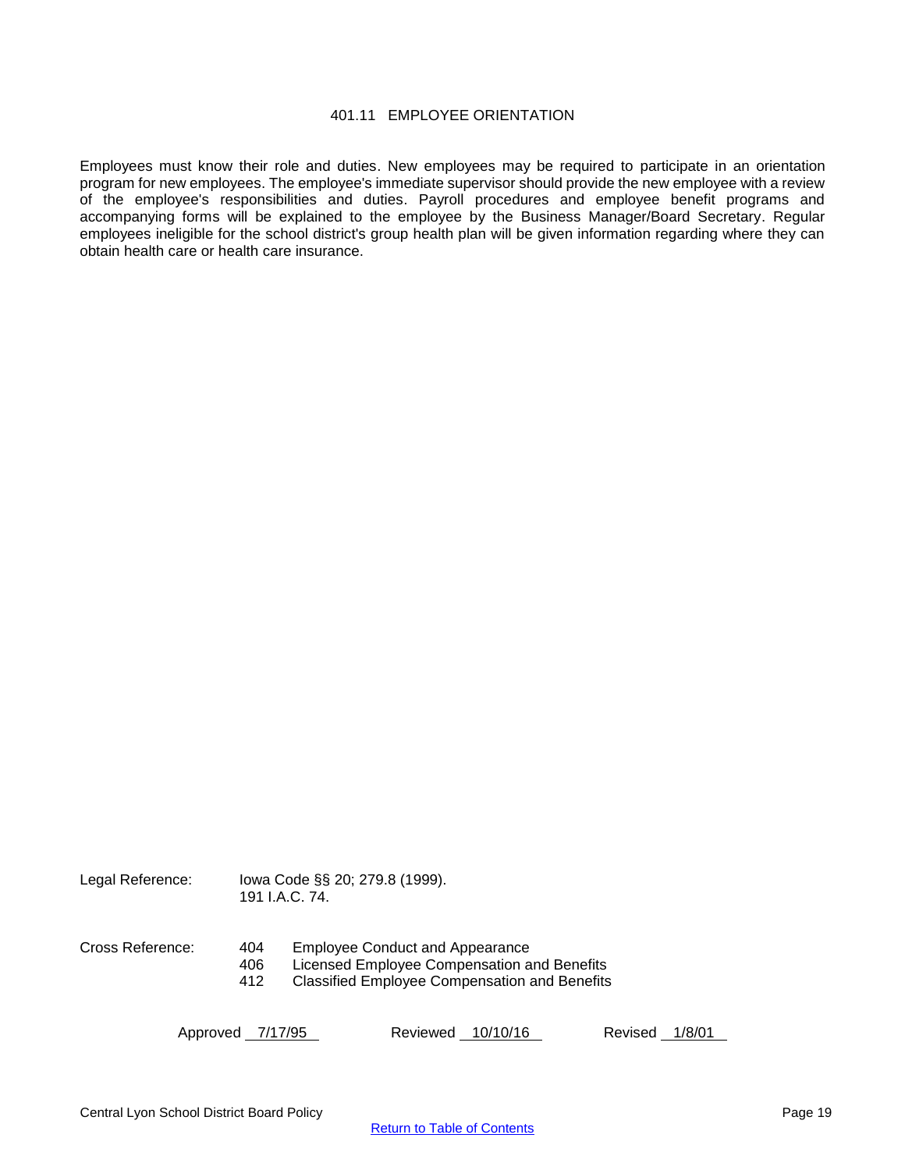# 401.11 EMPLOYEE ORIENTATION

<span id="page-18-0"></span>Employees must know their role and duties. New employees may be required to participate in an orientation program for new employees. The employee's immediate supervisor should provide the new employee with a review of the employee's responsibilities and duties. Payroll procedures and employee benefit programs and accompanying forms will be explained to the employee by the Business Manager/Board Secretary. Regular employees ineligible for the school district's group health plan will be given information regarding where they can obtain health care or health care insurance.

| Legal Reference: |                   | 191 I.A.C. 74. | lowa Code §§ 20; 279.8 (1999).                                                                                                                |          |         |        |
|------------------|-------------------|----------------|-----------------------------------------------------------------------------------------------------------------------------------------------|----------|---------|--------|
| Cross Reference: | 404<br>406<br>412 |                | <b>Employee Conduct and Appearance</b><br>Licensed Employee Compensation and Benefits<br><b>Classified Employee Compensation and Benefits</b> |          |         |        |
|                  | Approved 7/17/95  |                | Reviewed                                                                                                                                      | 10/10/16 | Revised | 1/8/01 |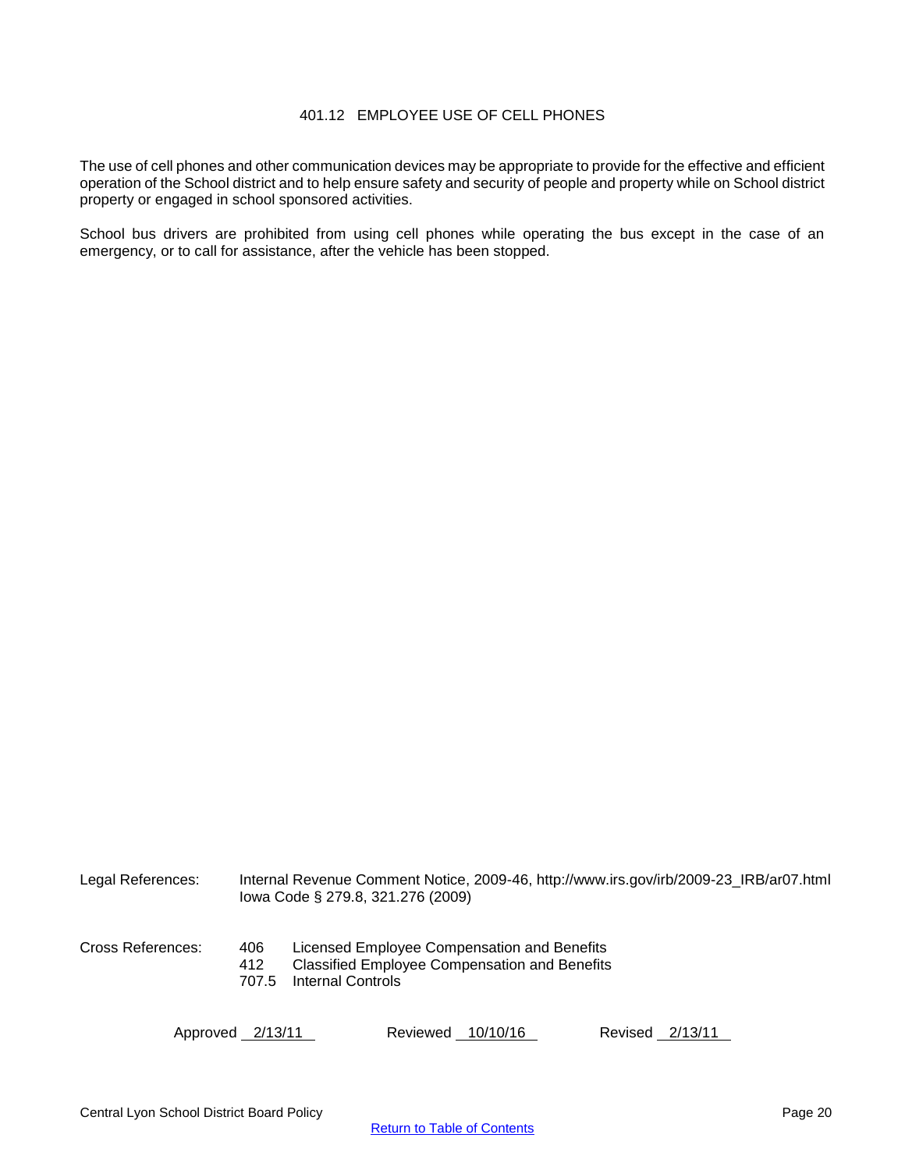# 401.12 EMPLOYEE USE OF CELL PHONES

<span id="page-19-0"></span>The use of cell phones and other communication devices may be appropriate to provide for the effective and efficient operation of the School district and to help ensure safety and security of people and property while on School district property or engaged in school sponsored activities.

School bus drivers are prohibited from using cell phones while operating the bus except in the case of an emergency, or to call for assistance, after the vehicle has been stopped.

| Legal References: | Internal Revenue Comment Notice, 2009-46, http://www.irs.gov/irb/2009-23_IRB/ar07.html<br>lowa Code § 279.8, 321.276 (2009) |                                                                                                                                 |  |  |  |
|-------------------|-----------------------------------------------------------------------------------------------------------------------------|---------------------------------------------------------------------------------------------------------------------------------|--|--|--|
| Cross References: | 406<br>412<br>707.5                                                                                                         | Licensed Employee Compensation and Benefits<br><b>Classified Employee Compensation and Benefits</b><br><b>Internal Controls</b> |  |  |  |
| Approved          | 2/13/11                                                                                                                     | 10/10/16<br>Reviewed<br>2/13/11<br>Revised                                                                                      |  |  |  |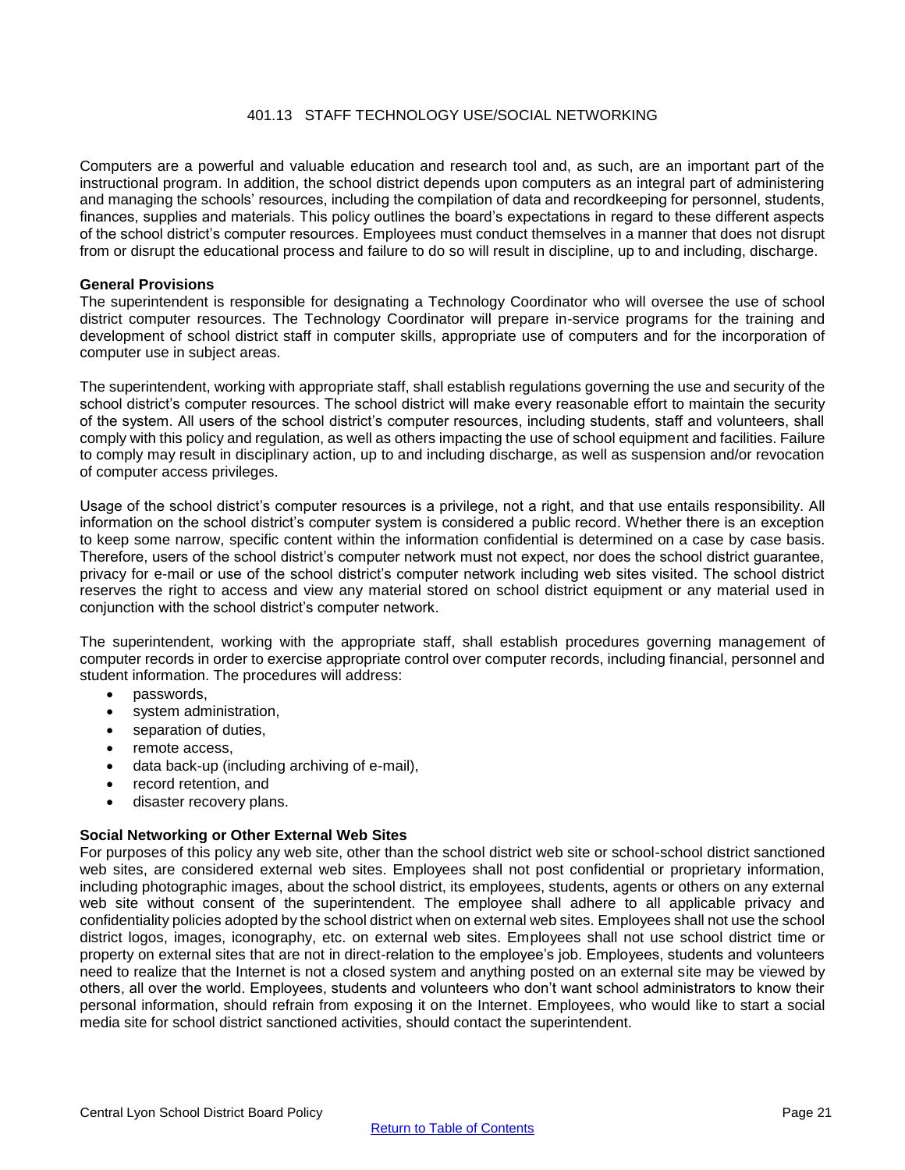## 401.13 STAFF TECHNOLOGY USE/SOCIAL NETWORKING

<span id="page-20-0"></span>Computers are a powerful and valuable education and research tool and, as such, are an important part of the instructional program. In addition, the school district depends upon computers as an integral part of administering and managing the schools' resources, including the compilation of data and recordkeeping for personnel, students, finances, supplies and materials. This policy outlines the board's expectations in regard to these different aspects of the school district's computer resources. Employees must conduct themselves in a manner that does not disrupt from or disrupt the educational process and failure to do so will result in discipline, up to and including, discharge.

#### **General Provisions**

The superintendent is responsible for designating a Technology Coordinator who will oversee the use of school district computer resources. The Technology Coordinator will prepare in-service programs for the training and development of school district staff in computer skills, appropriate use of computers and for the incorporation of computer use in subject areas.

The superintendent, working with appropriate staff, shall establish regulations governing the use and security of the school district's computer resources. The school district will make every reasonable effort to maintain the security of the system. All users of the school district's computer resources, including students, staff and volunteers, shall comply with this policy and regulation, as well as others impacting the use of school equipment and facilities. Failure to comply may result in disciplinary action, up to and including discharge, as well as suspension and/or revocation of computer access privileges.

Usage of the school district's computer resources is a privilege, not a right, and that use entails responsibility. All information on the school district's computer system is considered a public record. Whether there is an exception to keep some narrow, specific content within the information confidential is determined on a case by case basis. Therefore, users of the school district's computer network must not expect, nor does the school district guarantee, privacy for e-mail or use of the school district's computer network including web sites visited. The school district reserves the right to access and view any material stored on school district equipment or any material used in conjunction with the school district's computer network.

The superintendent, working with the appropriate staff, shall establish procedures governing management of computer records in order to exercise appropriate control over computer records, including financial, personnel and student information. The procedures will address:

- passwords,
- system administration,
- separation of duties,
- remote access,
- data back-up (including archiving of e-mail),
- record retention, and
- disaster recovery plans.

## **Social Networking or Other External Web Sites**

For purposes of this policy any web site, other than the school district web site or school-school district sanctioned web sites, are considered external web sites. Employees shall not post confidential or proprietary information, including photographic images, about the school district, its employees, students, agents or others on any external web site without consent of the superintendent. The employee shall adhere to all applicable privacy and confidentiality policies adopted by the school district when on external web sites. Employees shall not use the school district logos, images, iconography, etc. on external web sites. Employees shall not use school district time or property on external sites that are not in direct-relation to the employee's job. Employees, students and volunteers need to realize that the Internet is not a closed system and anything posted on an external site may be viewed by others, all over the world. Employees, students and volunteers who don't want school administrators to know their personal information, should refrain from exposing it on the Internet. Employees, who would like to start a social media site for school district sanctioned activities, should contact the superintendent.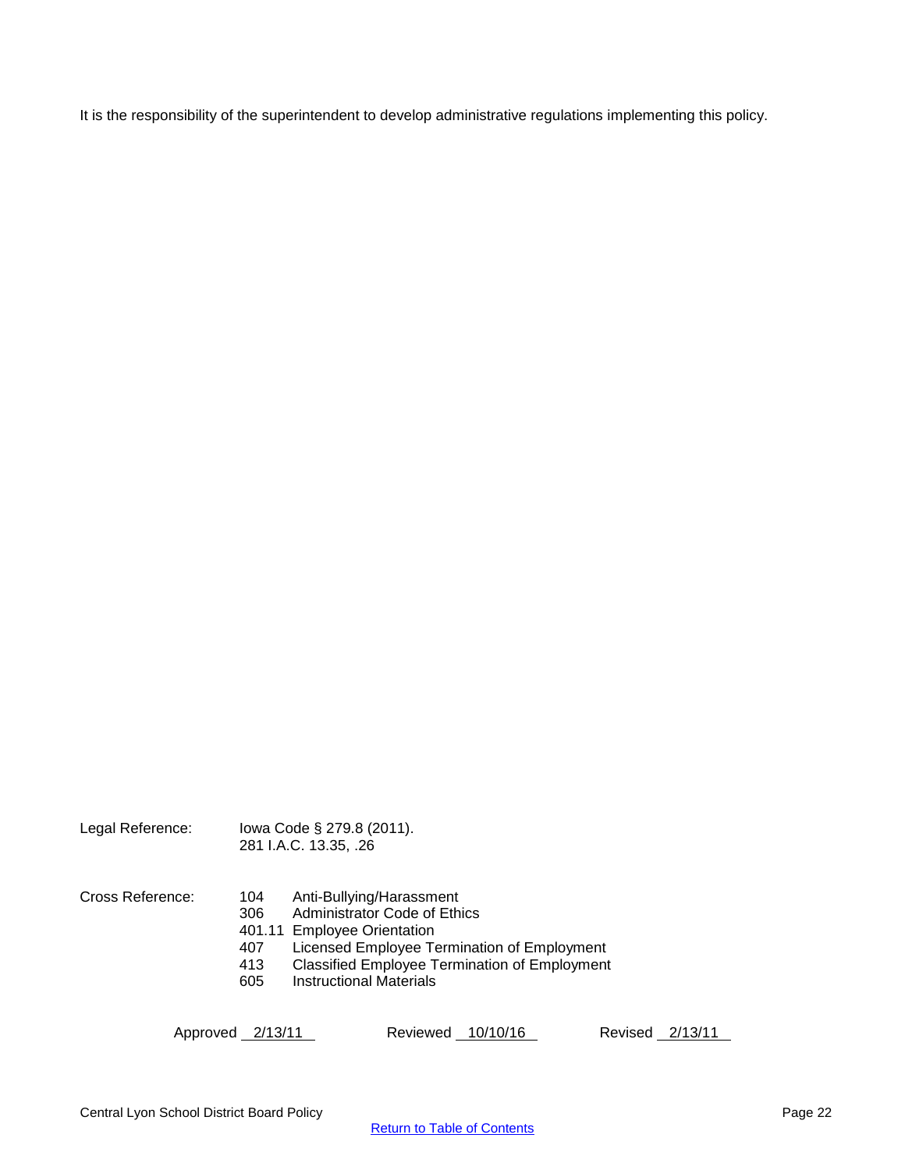It is the responsibility of the superintendent to develop administrative regulations implementing this policy.

Legal Reference: Iowa Code § 279.8 (2011). 281 I.A.C. 13.35, .26

- Cross Reference: 104 Anti-Bullying/Harassment
	- 306 Administrator Code of Ethics
	- 401.11 Employee Orientation
	- 407 Licensed Employee Termination of Employment
	- 413 Classified Employee Termination of Employment
	- 605 Instructional Materials

Approved 2/13/11 Reviewed 10/10/16 Revised 2/13/11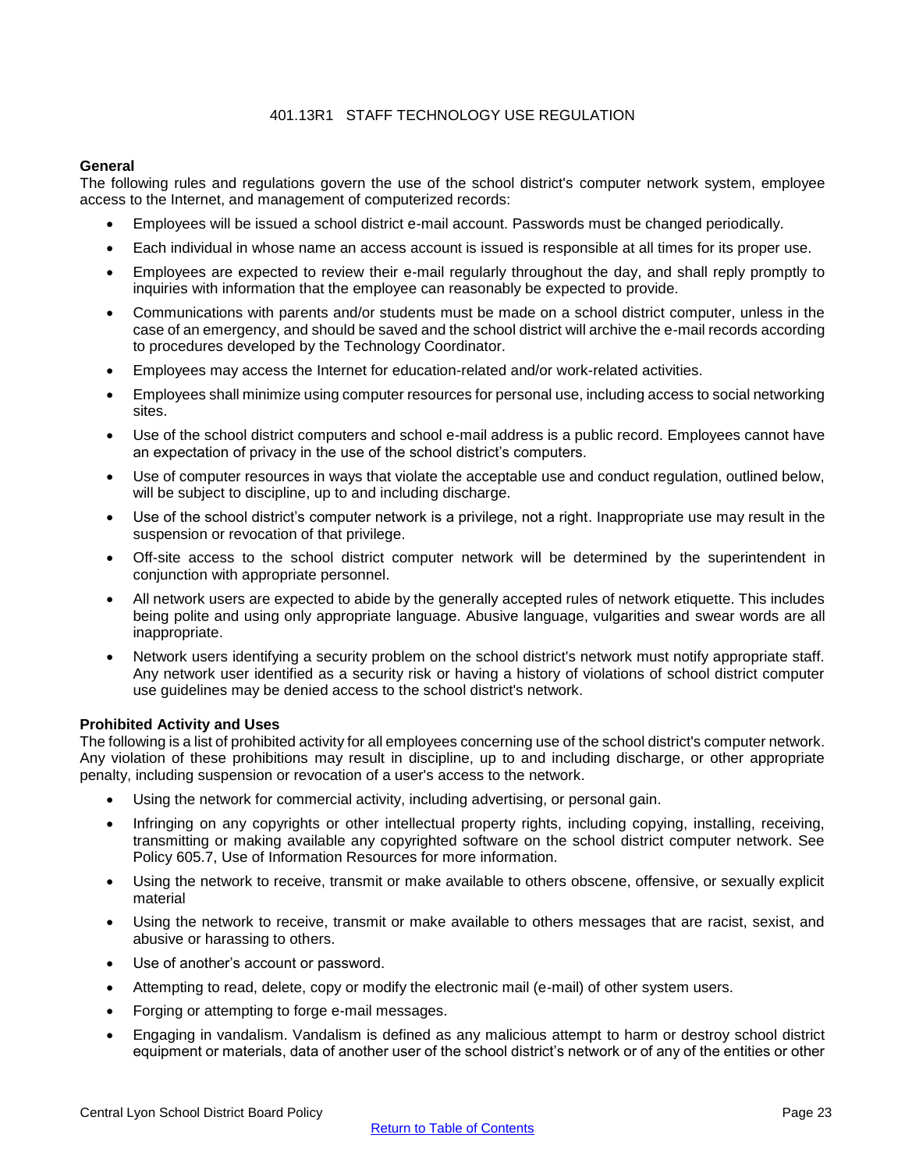# 401.13R1 STAFF TECHNOLOGY USE REGULATION

## <span id="page-22-0"></span>**General**

The following rules and regulations govern the use of the school district's computer network system, employee access to the Internet, and management of computerized records:

- Employees will be issued a school district e-mail account. Passwords must be changed periodically.
- Each individual in whose name an access account is issued is responsible at all times for its proper use.
- Employees are expected to review their e-mail regularly throughout the day, and shall reply promptly to inquiries with information that the employee can reasonably be expected to provide.
- Communications with parents and/or students must be made on a school district computer, unless in the case of an emergency, and should be saved and the school district will archive the e-mail records according to procedures developed by the Technology Coordinator.
- Employees may access the Internet for education-related and/or work-related activities.
- Employees shall minimize using computer resources for personal use, including access to social networking sites.
- Use of the school district computers and school e-mail address is a public record. Employees cannot have an expectation of privacy in the use of the school district's computers.
- Use of computer resources in ways that violate the acceptable use and conduct regulation, outlined below, will be subject to discipline, up to and including discharge.
- Use of the school district's computer network is a privilege, not a right. Inappropriate use may result in the suspension or revocation of that privilege.
- Off-site access to the school district computer network will be determined by the superintendent in conjunction with appropriate personnel.
- All network users are expected to abide by the generally accepted rules of network etiquette. This includes being polite and using only appropriate language. Abusive language, vulgarities and swear words are all inappropriate.
- Network users identifying a security problem on the school district's network must notify appropriate staff. Any network user identified as a security risk or having a history of violations of school district computer use guidelines may be denied access to the school district's network.

## **Prohibited Activity and Uses**

The following is a list of prohibited activity for all employees concerning use of the school district's computer network. Any violation of these prohibitions may result in discipline, up to and including discharge, or other appropriate penalty, including suspension or revocation of a user's access to the network.

- Using the network for commercial activity, including advertising, or personal gain.
- Infringing on any copyrights or other intellectual property rights, including copying, installing, receiving, transmitting or making available any copyrighted software on the school district computer network. See Policy 605.7, Use of Information Resources for more information.
- Using the network to receive, transmit or make available to others obscene, offensive, or sexually explicit material
- Using the network to receive, transmit or make available to others messages that are racist, sexist, and abusive or harassing to others.
- Use of another's account or password.
- Attempting to read, delete, copy or modify the electronic mail (e-mail) of other system users.
- Forging or attempting to forge e-mail messages.
- Engaging in vandalism. Vandalism is defined as any malicious attempt to harm or destroy school district equipment or materials, data of another user of the school district's network or of any of the entities or other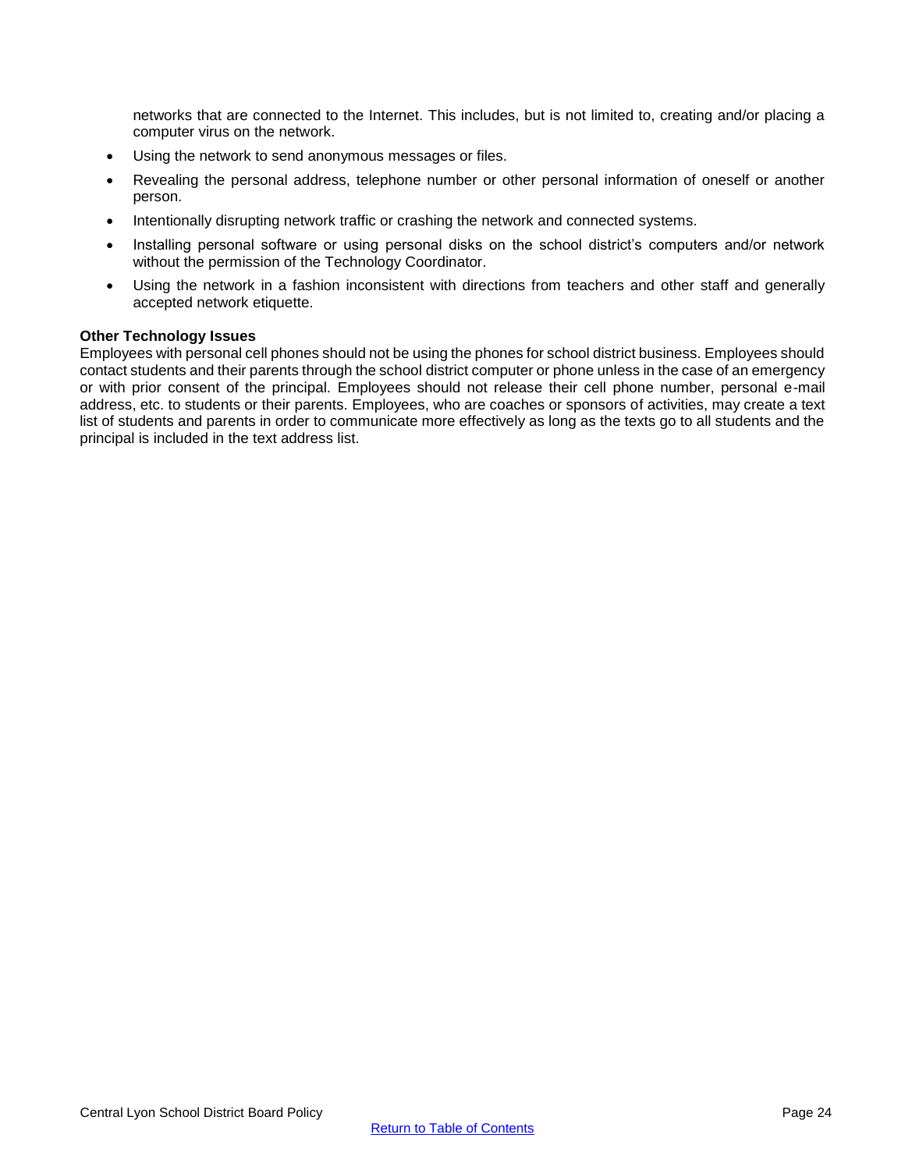networks that are connected to the Internet. This includes, but is not limited to, creating and/or placing a computer virus on the network.

- Using the network to send anonymous messages or files.
- Revealing the personal address, telephone number or other personal information of oneself or another person.
- Intentionally disrupting network traffic or crashing the network and connected systems.
- Installing personal software or using personal disks on the school district's computers and/or network without the permission of the Technology Coordinator.
- Using the network in a fashion inconsistent with directions from teachers and other staff and generally accepted network etiquette.

## **Other Technology Issues**

Employees with personal cell phones should not be using the phones for school district business. Employees should contact students and their parents through the school district computer or phone unless in the case of an emergency or with prior consent of the principal. Employees should not release their cell phone number, personal e-mail address, etc. to students or their parents. Employees, who are coaches or sponsors of activities, may create a text list of students and parents in order to communicate more effectively as long as the texts go to all students and the principal is included in the text address list.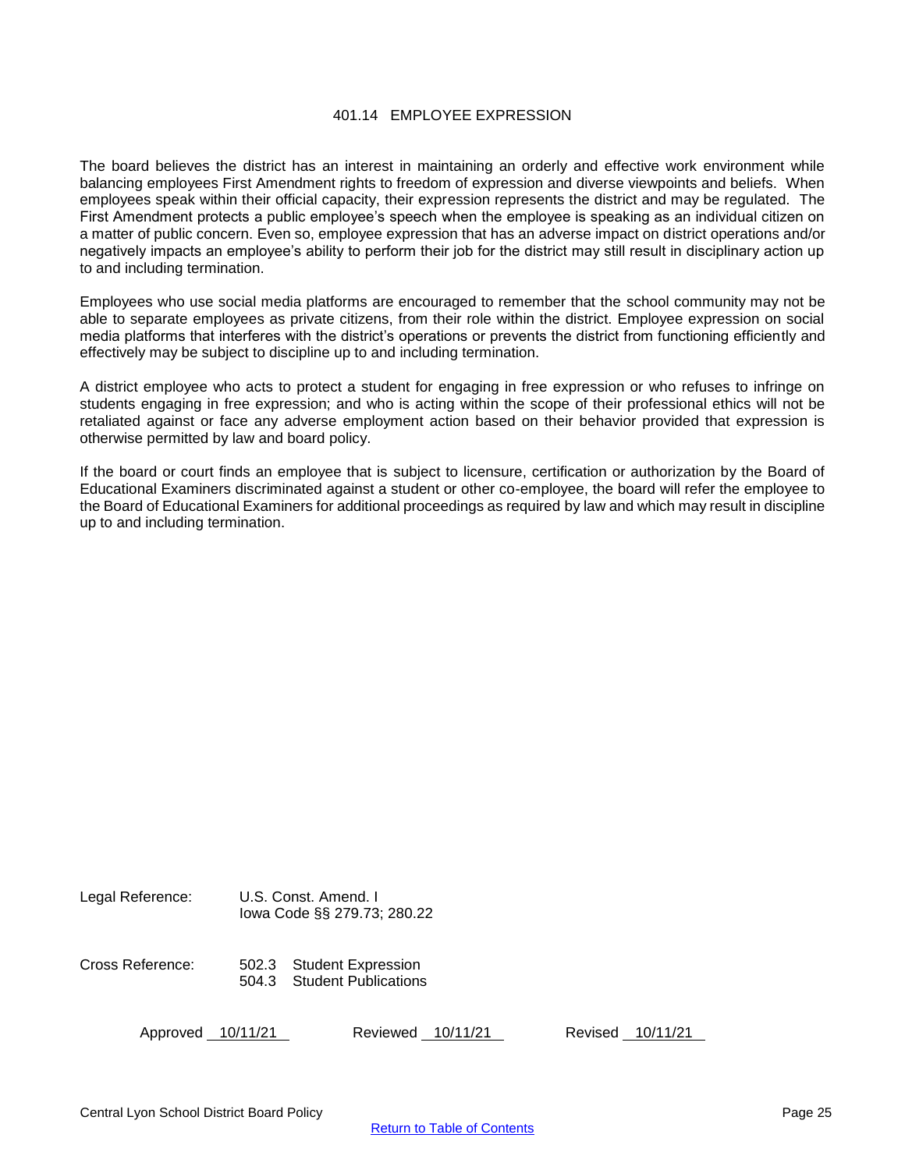## 401.14 EMPLOYEE EXPRESSION

<span id="page-24-0"></span>The board believes the district has an interest in maintaining an orderly and effective work environment while balancing employees First Amendment rights to freedom of expression and diverse viewpoints and beliefs. When employees speak within their official capacity, their expression represents the district and may be regulated. The First Amendment protects a public employee's speech when the employee is speaking as an individual citizen on a matter of public concern. Even so, employee expression that has an adverse impact on district operations and/or negatively impacts an employee's ability to perform their job for the district may still result in disciplinary action up to and including termination.

Employees who use social media platforms are encouraged to remember that the school community may not be able to separate employees as private citizens, from their role within the district. Employee expression on social media platforms that interferes with the district's operations or prevents the district from functioning efficiently and effectively may be subject to discipline up to and including termination.

A district employee who acts to protect a student for engaging in free expression or who refuses to infringe on students engaging in free expression; and who is acting within the scope of their professional ethics will not be retaliated against or face any adverse employment action based on their behavior provided that expression is otherwise permitted by law and board policy.

If the board or court finds an employee that is subject to licensure, certification or authorization by the Board of Educational Examiners discriminated against a student or other co-employee, the board will refer the employee to the Board of Educational Examiners for additional proceedings as required by law and which may result in discipline up to and including termination.

Legal Reference: U.S. Const. Amend. I Iowa Code §§ 279.73; 280.22 Cross Reference: 502.3 Student Expression 504.3 Student Publications

Approved 10/11/21 Reviewed 10/11/21 Revised 10/11/21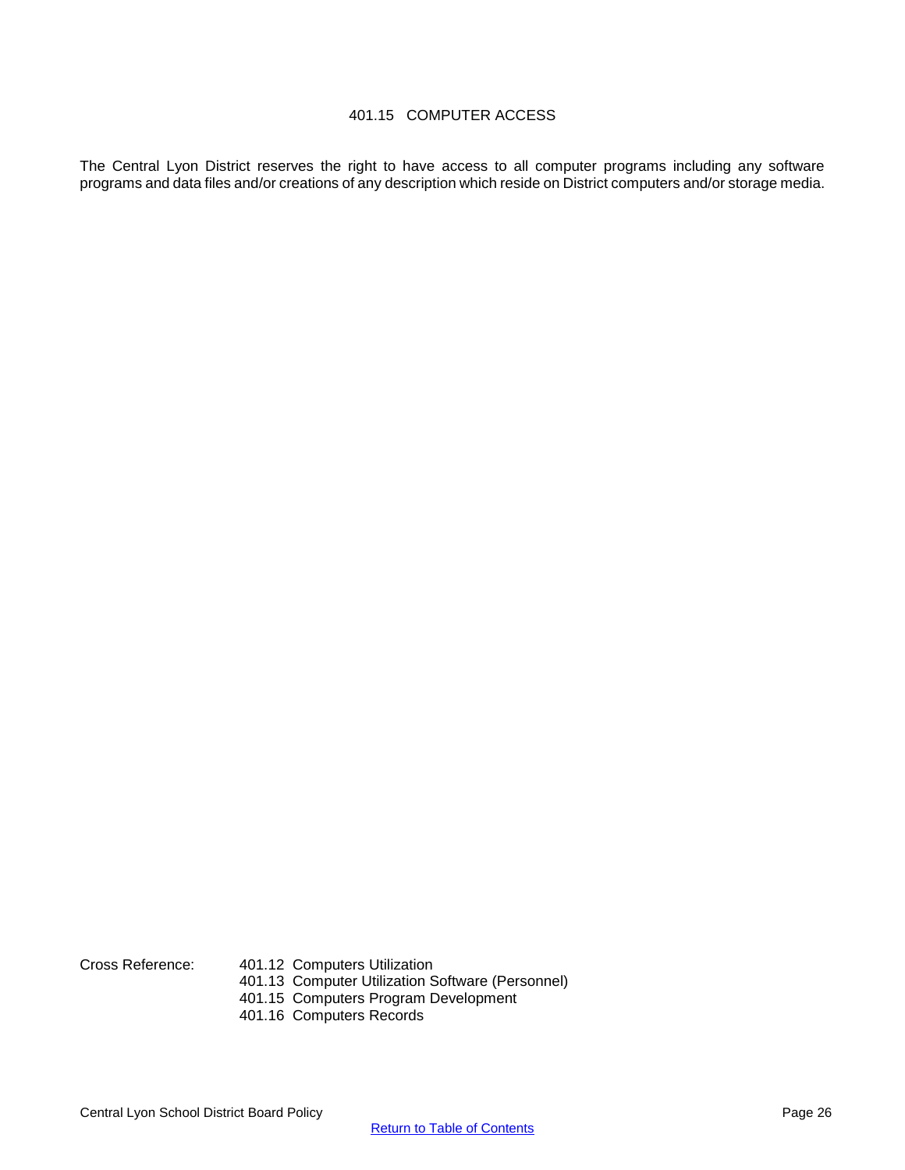# 401.15 COMPUTER ACCESS

<span id="page-25-0"></span>The Central Lyon District reserves the right to have access to all computer programs including any software programs and data files and/or creations of any description which reside on District computers and/or storage media.

Cross Reference: 401.12 Computers Utilization 401.13 Computer Utilization Software (Personnel) 401.15 Computers Program Development 401.16 Computers Records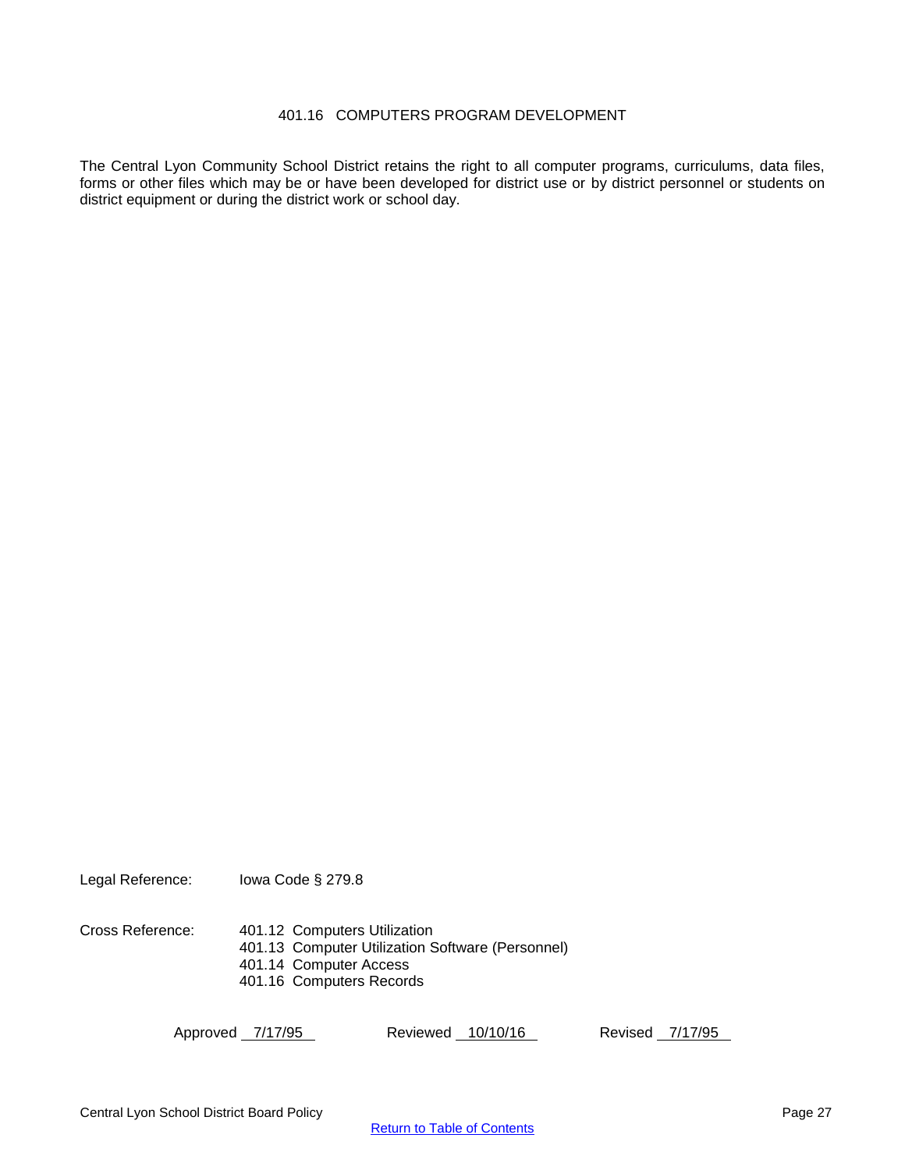## 401.16 COMPUTERS PROGRAM DEVELOPMENT

<span id="page-26-0"></span>The Central Lyon Community School District retains the right to all computer programs, curriculums, data files, forms or other files which may be or have been developed for district use or by district personnel or students on district equipment or during the district work or school day.

Legal Reference: Iowa Code § 279.8

Cross Reference: 401.12 Computers Utilization 401.13 Computer Utilization Software (Personnel) 401.14 Computer Access 401.16 Computers Records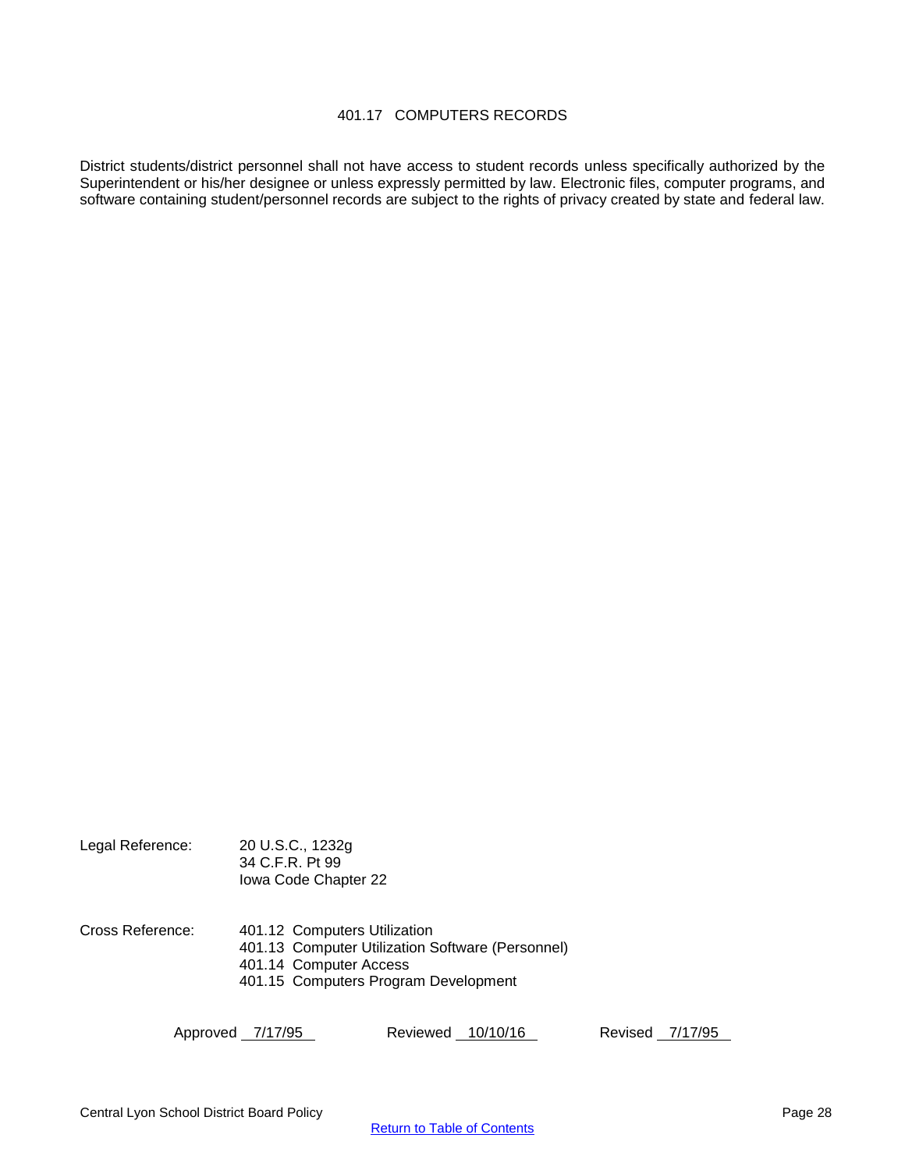# 401.17 COMPUTERS RECORDS

<span id="page-27-0"></span>District students/district personnel shall not have access to student records unless specifically authorized by the Superintendent or his/her designee or unless expressly permitted by law. Electronic files, computer programs, and software containing student/personnel records are subject to the rights of privacy created by state and federal law.

| Legal Reference: | 20 U.S.C., 1232g<br>34 C.F.R. Pt 99<br>Iowa Code Chapter 22                                                                                        |
|------------------|----------------------------------------------------------------------------------------------------------------------------------------------------|
| Cross Reference: | 401.12 Computers Utilization<br>401.13 Computer Utilization Software (Personnel)<br>401.14 Computer Access<br>401.15 Computers Program Development |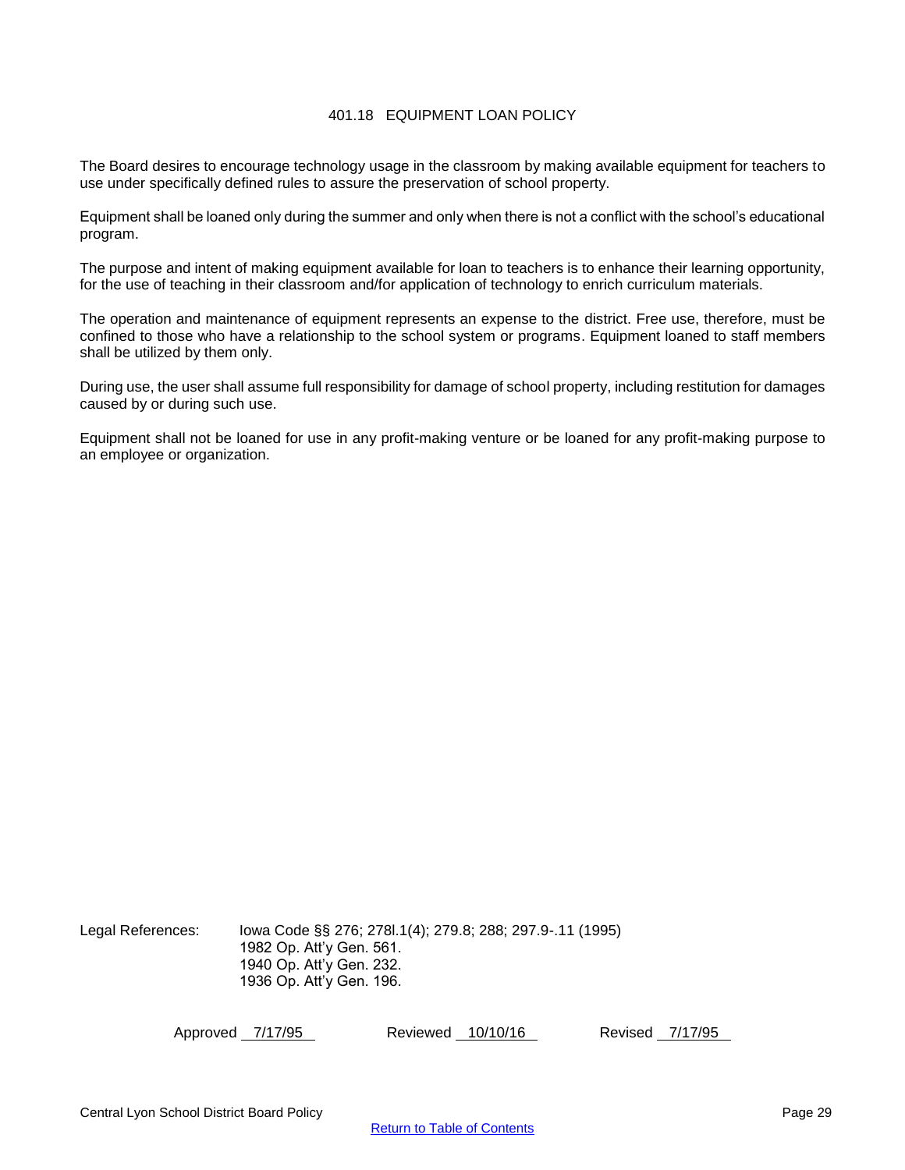## 401.18 EQUIPMENT LOAN POLICY

<span id="page-28-0"></span>The Board desires to encourage technology usage in the classroom by making available equipment for teachers to use under specifically defined rules to assure the preservation of school property.

Equipment shall be loaned only during the summer and only when there is not a conflict with the school's educational program.

The purpose and intent of making equipment available for loan to teachers is to enhance their learning opportunity, for the use of teaching in their classroom and/for application of technology to enrich curriculum materials.

The operation and maintenance of equipment represents an expense to the district. Free use, therefore, must be confined to those who have a relationship to the school system or programs. Equipment loaned to staff members shall be utilized by them only.

During use, the user shall assume full responsibility for damage of school property, including restitution for damages caused by or during such use.

Equipment shall not be loaned for use in any profit-making venture or be loaned for any profit-making purpose to an employee or organization.

Legal References: Iowa Code §§ 276; 278l.1(4); 279.8; 288; 297.9-.11 (1995) 1982 Op. Att'y Gen. 561. 1940 Op. Att'y Gen. 232. 1936 Op. Att'y Gen. 196.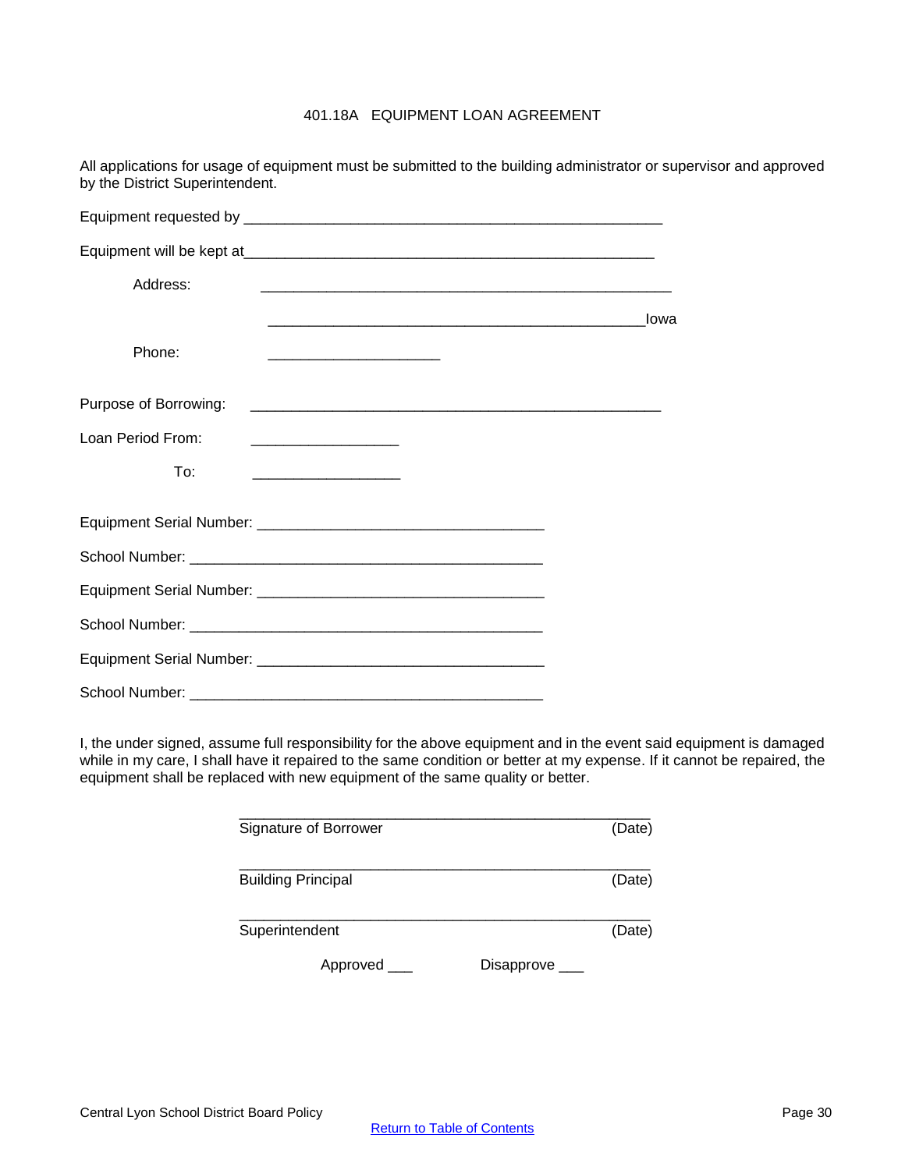# 401.18A EQUIPMENT LOAN AGREEMENT

<span id="page-29-0"></span>

| All applications for usage of equipment must be submitted to the building administrator or supervisor and approved<br>by the District Superintendent. |  |
|-------------------------------------------------------------------------------------------------------------------------------------------------------|--|
| Equipment requested by                                                                                                                                |  |

| Address:              |                                                                                                                      |      |
|-----------------------|----------------------------------------------------------------------------------------------------------------------|------|
|                       |                                                                                                                      | Iowa |
| Phone:                |                                                                                                                      |      |
|                       |                                                                                                                      |      |
| Purpose of Borrowing: |                                                                                                                      |      |
| Loan Period From:     | <u> 1989 - Johann Barn, mars eta inperiodo eta inperiodo eta inperiodo eta inperiodo eta inperiodo eta inperiodo</u> |      |
| To:                   |                                                                                                                      |      |
|                       |                                                                                                                      |      |
|                       |                                                                                                                      |      |
|                       |                                                                                                                      |      |
|                       |                                                                                                                      |      |
|                       |                                                                                                                      |      |
|                       |                                                                                                                      |      |
|                       |                                                                                                                      |      |

I, the under signed, assume full responsibility for the above equipment and in the event said equipment is damaged while in my care, I shall have it repaired to the same condition or better at my expense. If it cannot be repaired, the equipment shall be replaced with new equipment of the same quality or better.

| Signature of Borrower     | (Date)     |
|---------------------------|------------|
| <b>Building Principal</b> | (Date)     |
| Superintendent            | (Date)     |
| Approved                  | Disapprove |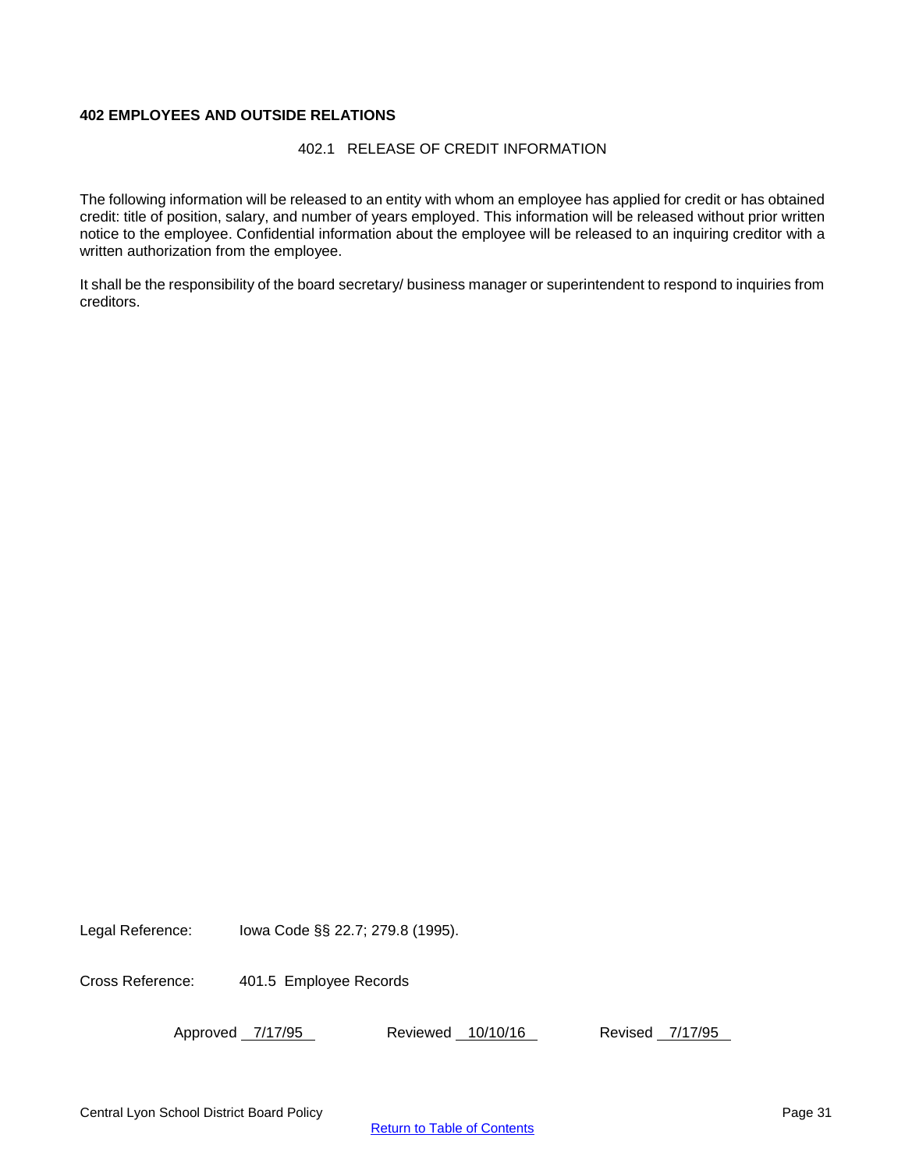## <span id="page-30-1"></span><span id="page-30-0"></span>**402 EMPLOYEES AND OUTSIDE RELATIONS**

402.1 RELEASE OF CREDIT INFORMATION

The following information will be released to an entity with whom an employee has applied for credit or has obtained credit: title of position, salary, and number of years employed. This information will be released without prior written notice to the employee. Confidential information about the employee will be released to an inquiring creditor with a written authorization from the employee.

It shall be the responsibility of the board secretary/ business manager or superintendent to respond to inquiries from creditors.

Legal Reference: Iowa Code §§ 22.7; 279.8 (1995).

Cross Reference: 401.5 Employee Records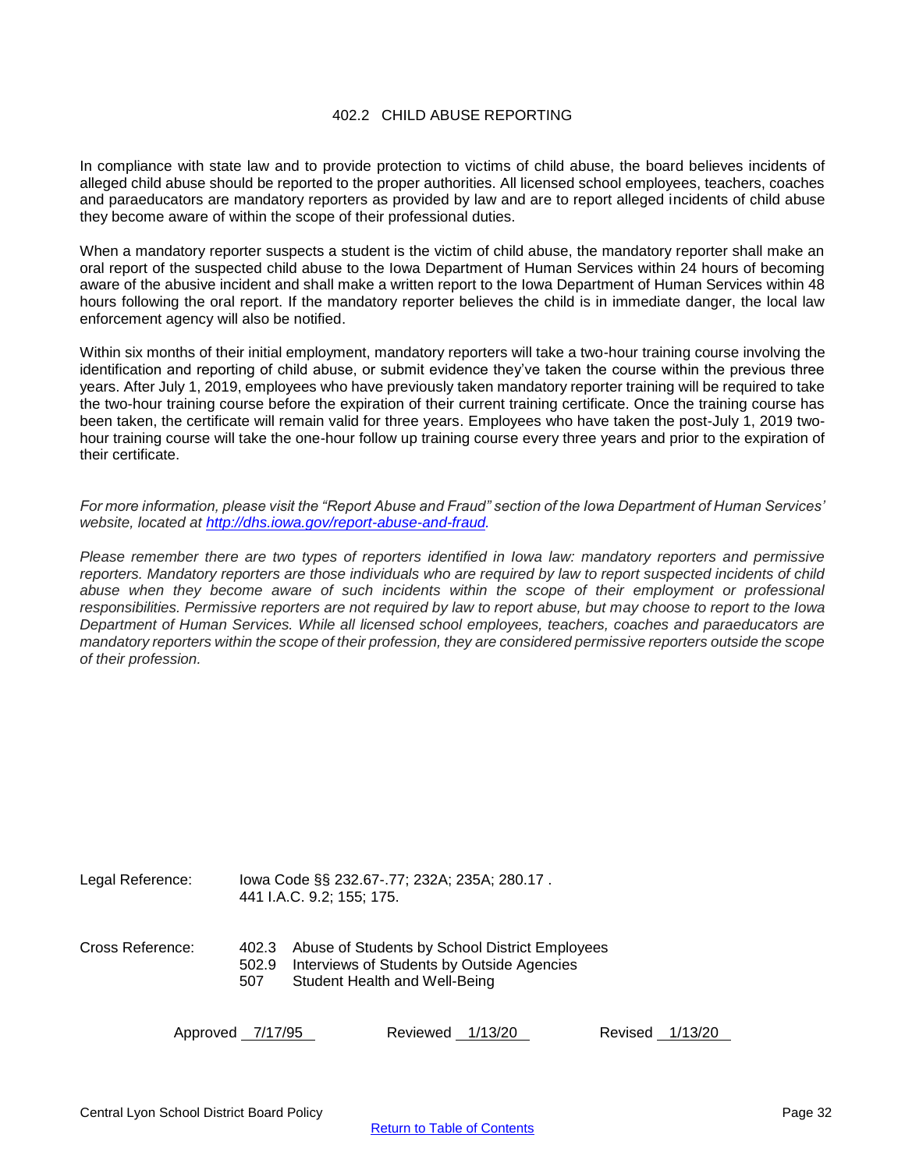## 402.2 CHILD ABUSE REPORTING

<span id="page-31-0"></span>In compliance with state law and to provide protection to victims of child abuse, the board believes incidents of alleged child abuse should be reported to the proper authorities. All licensed school employees, teachers, coaches and paraeducators are mandatory reporters as provided by law and are to report alleged incidents of child abuse they become aware of within the scope of their professional duties.

When a mandatory reporter suspects a student is the victim of child abuse, the mandatory reporter shall make an oral report of the suspected child abuse to the Iowa Department of Human Services within 24 hours of becoming aware of the abusive incident and shall make a written report to the Iowa Department of Human Services within 48 hours following the oral report. If the mandatory reporter believes the child is in immediate danger, the local law enforcement agency will also be notified.

Within six months of their initial employment, mandatory reporters will take a two-hour training course involving the identification and reporting of child abuse, or submit evidence they've taken the course within the previous three years. After July 1, 2019, employees who have previously taken mandatory reporter training will be required to take the two-hour training course before the expiration of their current training certificate. Once the training course has been taken, the certificate will remain valid for three years. Employees who have taken the post-July 1, 2019 twohour training course will take the one-hour follow up training course every three years and prior to the expiration of their certificate.

*For more information, please visit the "Report Abuse and Fraud" section of the Iowa Department of Human Services' website, located at [http://dhs.iowa.gov/report-abuse-and-fraud.](http://dhs.iowa.gov/report-abuse-and-fraud)* 

*Please remember there are two types of reporters identified in Iowa law: mandatory reporters and permissive reporters. Mandatory reporters are those individuals who are required by law to report suspected incidents of child abuse when they become aware of such incidents within the scope of their employment or professional responsibilities. Permissive reporters are not required by law to report abuse, but may choose to report to the Iowa Department of Human Services. While all licensed school employees, teachers, coaches and paraeducators are mandatory reporters within the scope of their profession, they are considered permissive reporters outside the scope of their profession.* 

| Legal Reference: | lowa Code §§ 232.67-.77; 232A; 235A; 280.17. |
|------------------|----------------------------------------------|
|                  | 441 I.A.C. 9.2; 155; 175.                    |

Cross Reference: 402.3 Abuse of Students by School District Employees

- 502.9 Interviews of Students by Outside Agencies
- 507 Student Health and Well-Being

| Approved 7/17/95 | Reviewed 1/13/20 | Revised 1/13/20 |
|------------------|------------------|-----------------|
|------------------|------------------|-----------------|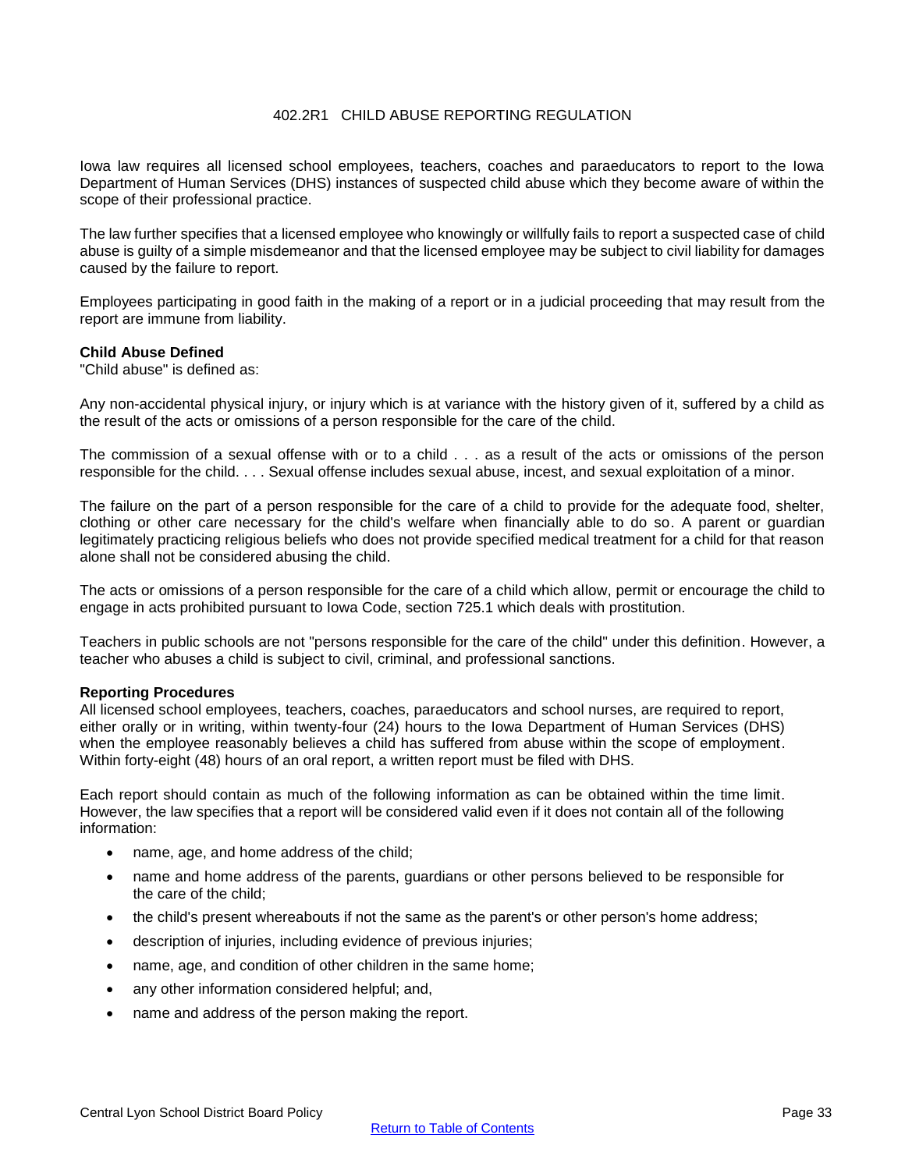## 402.2R1 CHILD ABUSE REPORTING REGULATION

<span id="page-32-0"></span>Iowa law requires all licensed school employees, teachers, coaches and paraeducators to report to the Iowa Department of Human Services (DHS) instances of suspected child abuse which they become aware of within the scope of their professional practice.

The law further specifies that a licensed employee who knowingly or willfully fails to report a suspected case of child abuse is guilty of a simple misdemeanor and that the licensed employee may be subject to civil liability for damages caused by the failure to report.

Employees participating in good faith in the making of a report or in a judicial proceeding that may result from the report are immune from liability.

#### **Child Abuse Defined**

"Child abuse" is defined as:

Any non-accidental physical injury, or injury which is at variance with the history given of it, suffered by a child as the result of the acts or omissions of a person responsible for the care of the child.

The commission of a sexual offense with or to a child . . . as a result of the acts or omissions of the person responsible for the child. . . . Sexual offense includes sexual abuse, incest, and sexual exploitation of a minor.

The failure on the part of a person responsible for the care of a child to provide for the adequate food, shelter, clothing or other care necessary for the child's welfare when financially able to do so. A parent or guardian legitimately practicing religious beliefs who does not provide specified medical treatment for a child for that reason alone shall not be considered abusing the child.

The acts or omissions of a person responsible for the care of a child which allow, permit or encourage the child to engage in acts prohibited pursuant to Iowa Code, section 725.1 which deals with prostitution.

Teachers in public schools are not "persons responsible for the care of the child" under this definition. However, a teacher who abuses a child is subject to civil, criminal, and professional sanctions.

#### **Reporting Procedures**

All licensed school employees, teachers, coaches, paraeducators and school nurses, are required to report, either orally or in writing, within twenty-four (24) hours to the Iowa Department of Human Services (DHS) when the employee reasonably believes a child has suffered from abuse within the scope of employment. Within forty-eight (48) hours of an oral report, a written report must be filed with DHS.

Each report should contain as much of the following information as can be obtained within the time limit. However, the law specifies that a report will be considered valid even if it does not contain all of the following information:

- name, age, and home address of the child;
- name and home address of the parents, guardians or other persons believed to be responsible for the care of the child;
- the child's present whereabouts if not the same as the parent's or other person's home address;
- description of injuries, including evidence of previous injuries;
- name, age, and condition of other children in the same home;
- any other information considered helpful; and,
- hame and address of the person making the report.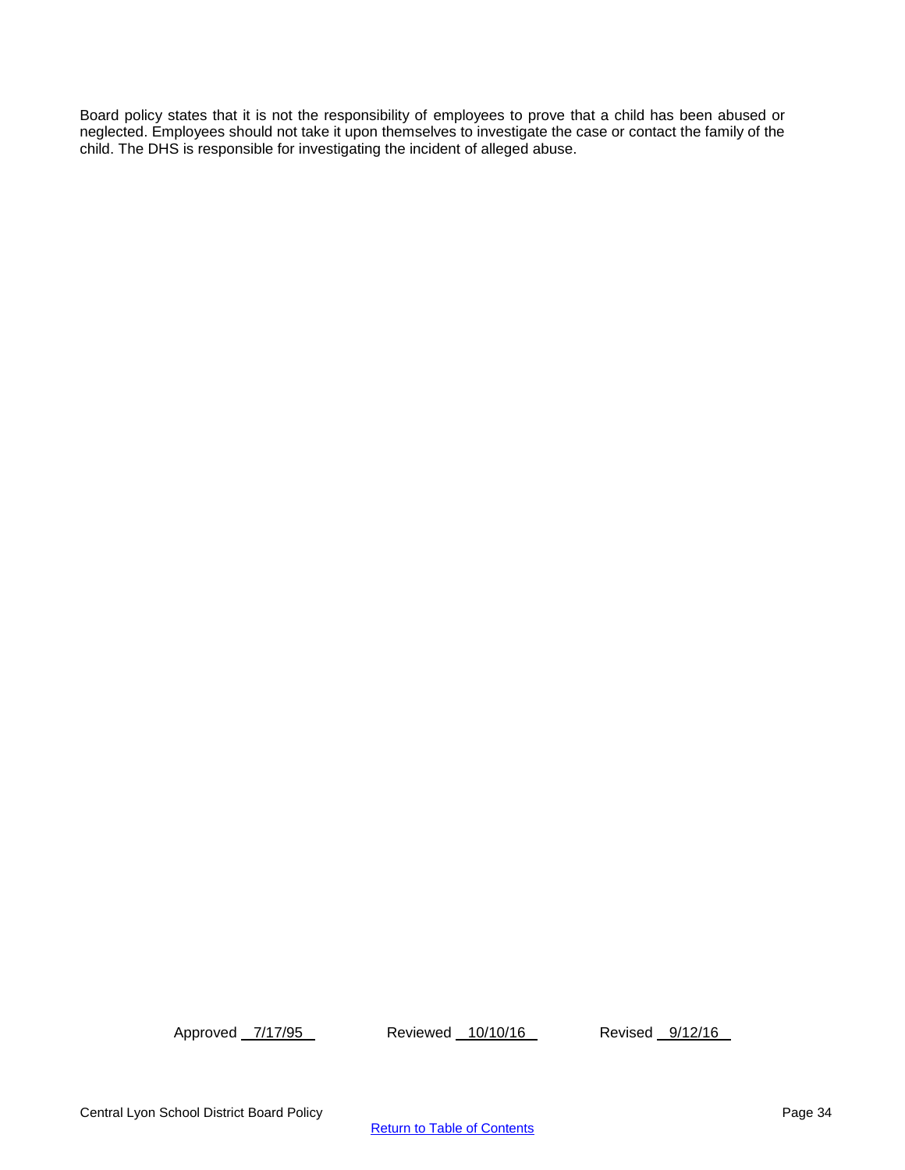Board policy states that it is not the responsibility of employees to prove that a child has been abused or neglected. Employees should not take it upon themselves to investigate the case or contact the family of the child. The DHS is responsible for investigating the incident of alleged abuse.

Approved 7/17/95 Reviewed 10/10/16 Revised 9/12/16

Central Lyon School District Board Policy **Page 34** Page 34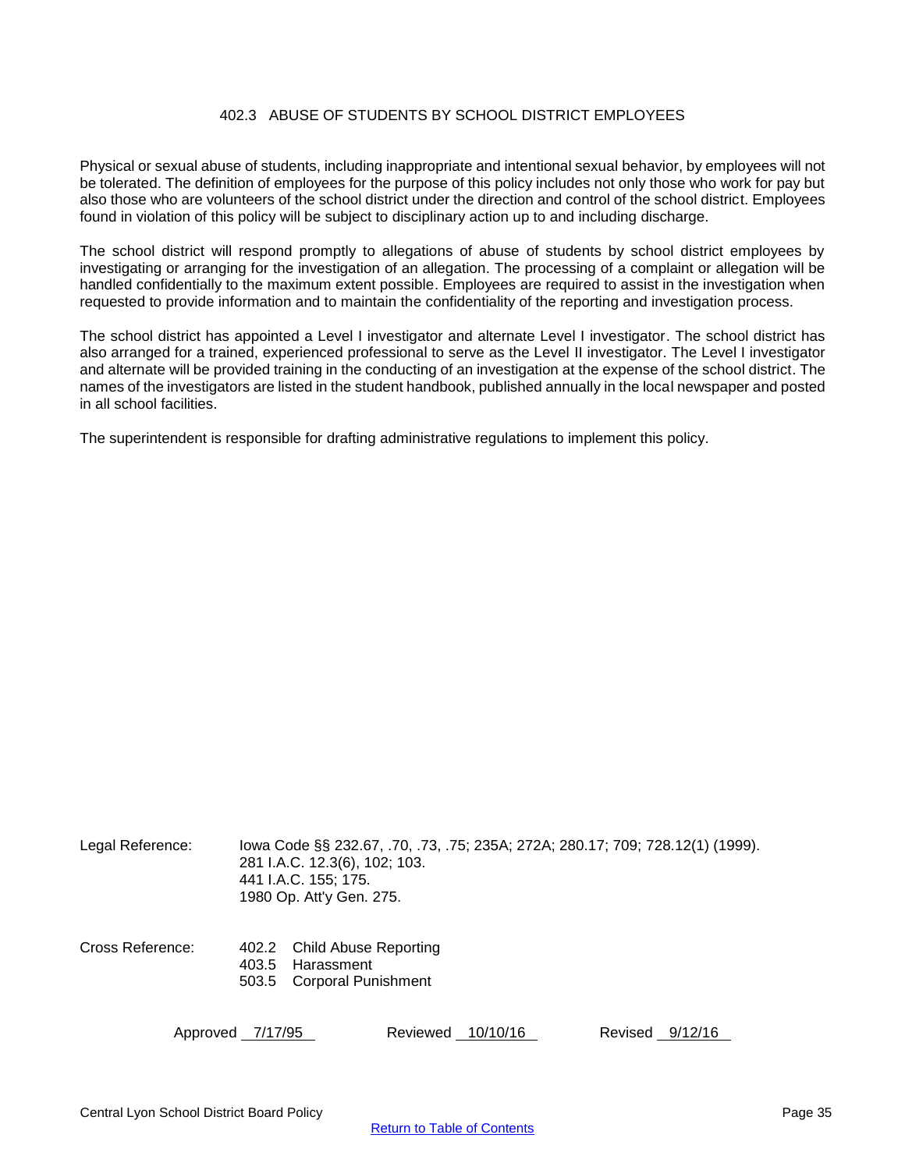# 402.3 ABUSE OF STUDENTS BY SCHOOL DISTRICT EMPLOYEES

<span id="page-34-0"></span>Physical or sexual abuse of students, including inappropriate and intentional sexual behavior, by employees will not be tolerated. The definition of employees for the purpose of this policy includes not only those who work for pay but also those who are volunteers of the school district under the direction and control of the school district. Employees found in violation of this policy will be subject to disciplinary action up to and including discharge.

The school district will respond promptly to allegations of abuse of students by school district employees by investigating or arranging for the investigation of an allegation. The processing of a complaint or allegation will be handled confidentially to the maximum extent possible. Employees are required to assist in the investigation when requested to provide information and to maintain the confidentiality of the reporting and investigation process.

The school district has appointed a Level I investigator and alternate Level I investigator. The school district has also arranged for a trained, experienced professional to serve as the Level II investigator. The Level I investigator and alternate will be provided training in the conducting of an investigation at the expense of the school district. The names of the investigators are listed in the student handbook, published annually in the local newspaper and posted in all school facilities.

The superintendent is responsible for drafting administrative regulations to implement this policy.

| Legal Reference: | lowa Code §§ 232.67, .70, .73, .75; 235A; 272A; 280.17; 709; 728.12(1) (1999).<br>281 I.A.C. 12.3(6), 102; 103.<br>441 I.A.C. 155; 175.<br>1980 Op. Att'y Gen. 275. |                                                                         |          |          |         |         |
|------------------|---------------------------------------------------------------------------------------------------------------------------------------------------------------------|-------------------------------------------------------------------------|----------|----------|---------|---------|
| Cross Reference: | 403.5<br>503.5                                                                                                                                                      | 402.2 Child Abuse Reporting<br>Harassment<br><b>Corporal Punishment</b> |          |          |         |         |
| Approved         | 7/17/95                                                                                                                                                             |                                                                         | Reviewed | 10/10/16 | Revised | 9/12/16 |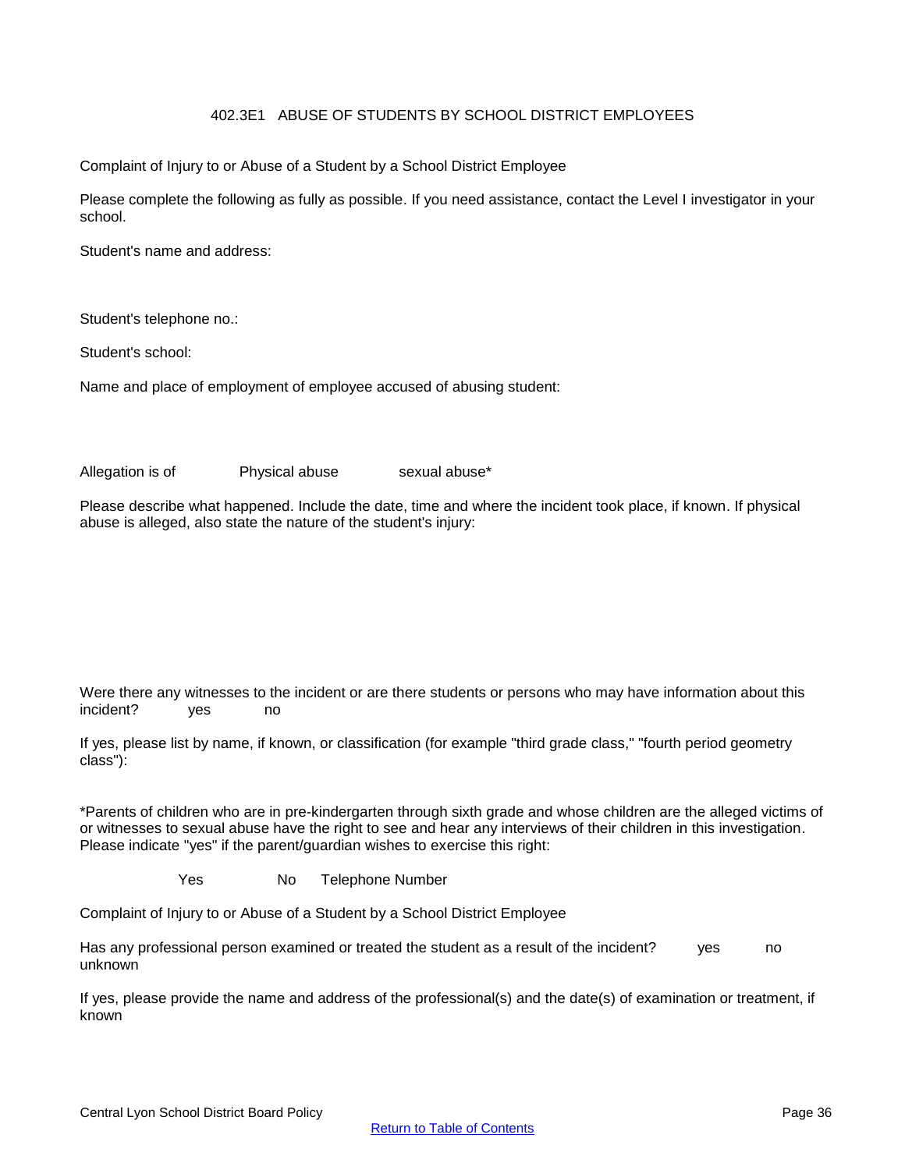# 402.3E1 ABUSE OF STUDENTS BY SCHOOL DISTRICT EMPLOYEES

<span id="page-35-0"></span>Complaint of Injury to or Abuse of a Student by a School District Employee

Please complete the following as fully as possible. If you need assistance, contact the Level I investigator in your school.

Student's name and address:

Student's telephone no.:

Student's school:

Name and place of employment of employee accused of abusing student:

Allegation is of Physical abuse sexual abuse\*

Please describe what happened. Include the date, time and where the incident took place, if known. If physical abuse is alleged, also state the nature of the student's injury:

Were there any witnesses to the incident or are there students or persons who may have information about this incident? yes no

If yes, please list by name, if known, or classification (for example "third grade class," "fourth period geometry class"):

\*Parents of children who are in pre-kindergarten through sixth grade and whose children are the alleged victims of or witnesses to sexual abuse have the right to see and hear any interviews of their children in this investigation. Please indicate "yes" if the parent/guardian wishes to exercise this right:

Yes No Telephone Number

Complaint of Injury to or Abuse of a Student by a School District Employee

Has any professional person examined or treated the student as a result of the incident? yes no unknown

If yes, please provide the name and address of the professional(s) and the date(s) of examination or treatment, if known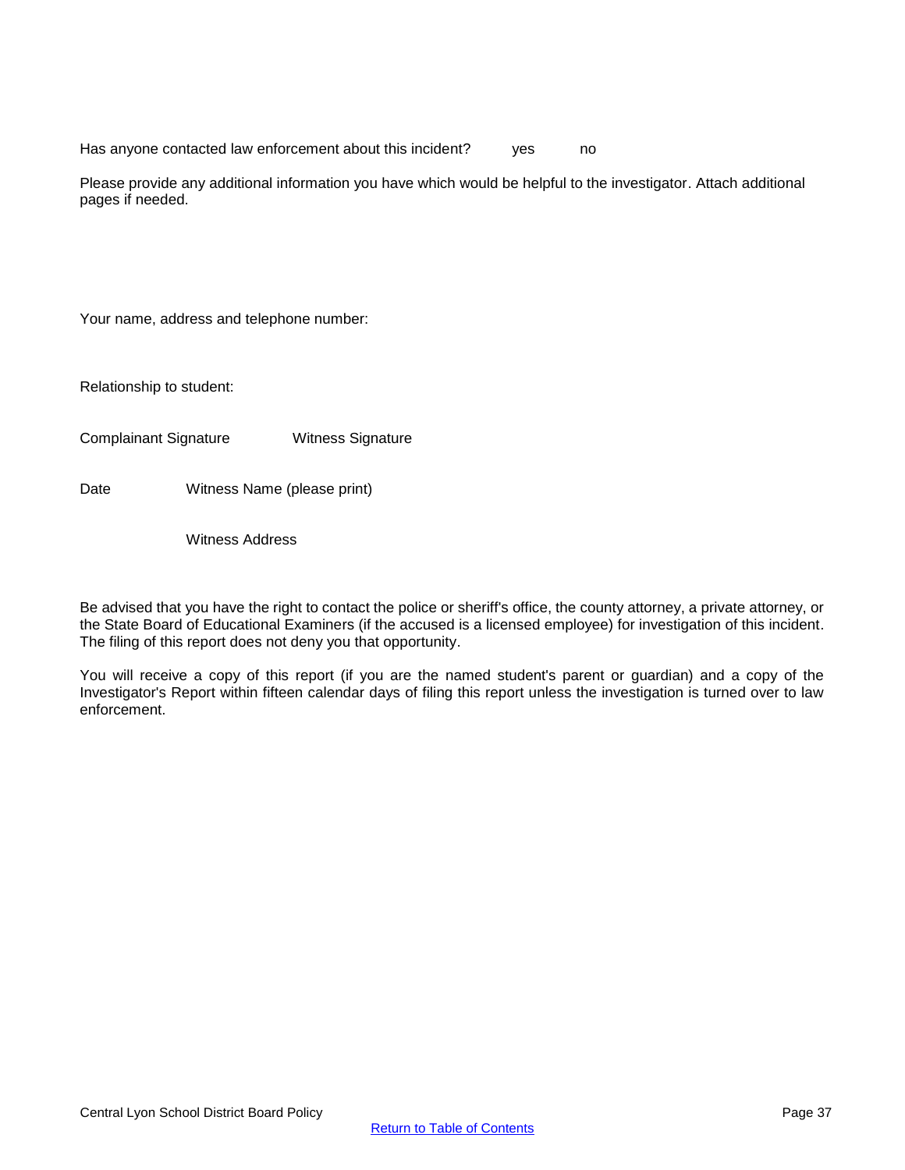Has anyone contacted law enforcement about this incident? yes no

Please provide any additional information you have which would be helpful to the investigator. Attach additional pages if needed.

Your name, address and telephone number:

Relationship to student:

Complainant Signature Witness Signature

Date Witness Name (please print)

Witness Address

Be advised that you have the right to contact the police or sheriff's office, the county attorney, a private attorney, or the State Board of Educational Examiners (if the accused is a licensed employee) for investigation of this incident. The filing of this report does not deny you that opportunity.

You will receive a copy of this report (if you are the named student's parent or guardian) and a copy of the Investigator's Report within fifteen calendar days of filing this report unless the investigation is turned over to law enforcement.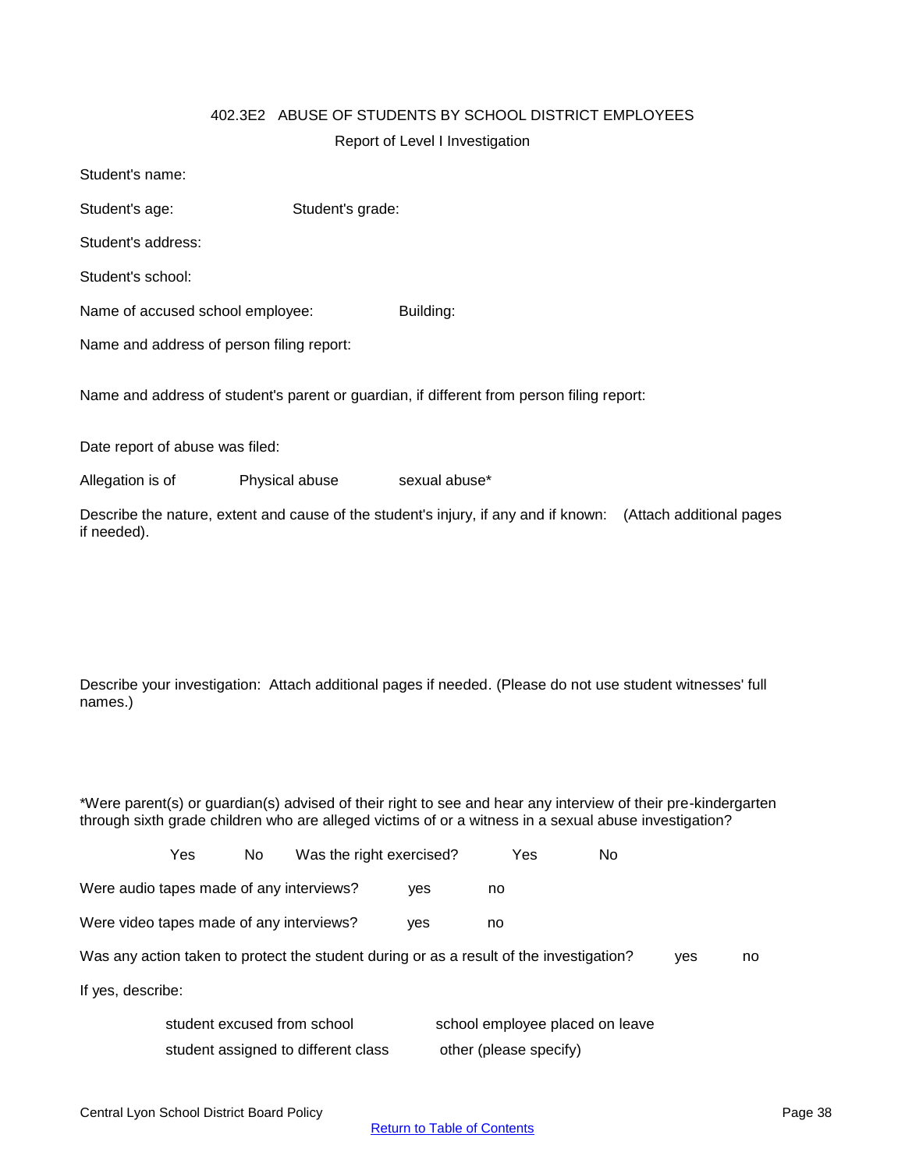# 402.3E2 ABUSE OF STUDENTS BY SCHOOL DISTRICT EMPLOYEES Report of Level I Investigation

Student's name:

Student's age: Student's grade:

Student's address:

Student's school:

Name of accused school employee: Building:

Name and address of person filing report:

Name and address of student's parent or guardian, if different from person filing report:

Date report of abuse was filed:

Allegation is of Physical abuse sexual abuse\*

Describe the nature, extent and cause of the student's injury, if any and if known: (Attach additional pages if needed).

Describe your investigation: Attach additional pages if needed. (Please do not use student witnesses' full names.)

\*Were parent(s) or guardian(s) advised of their right to see and hear any interview of their pre-kindergarten through sixth grade children who are alleged victims of or a witness in a sexual abuse investigation?

|                   | Yes                                      | No | Was the right exercised?            |     | Yes                                                                                     | No                              |     |     |
|-------------------|------------------------------------------|----|-------------------------------------|-----|-----------------------------------------------------------------------------------------|---------------------------------|-----|-----|
|                   | Were audio tapes made of any interviews? |    |                                     | yes | no                                                                                      |                                 |     |     |
|                   | Were video tapes made of any interviews? |    |                                     | yes | no                                                                                      |                                 |     |     |
|                   |                                          |    |                                     |     | Was any action taken to protect the student during or as a result of the investigation? |                                 | yes | no. |
| If yes, describe: |                                          |    |                                     |     |                                                                                         |                                 |     |     |
|                   |                                          |    | student excused from school         |     |                                                                                         | school employee placed on leave |     |     |
|                   |                                          |    | student assigned to different class |     | other (please specify)                                                                  |                                 |     |     |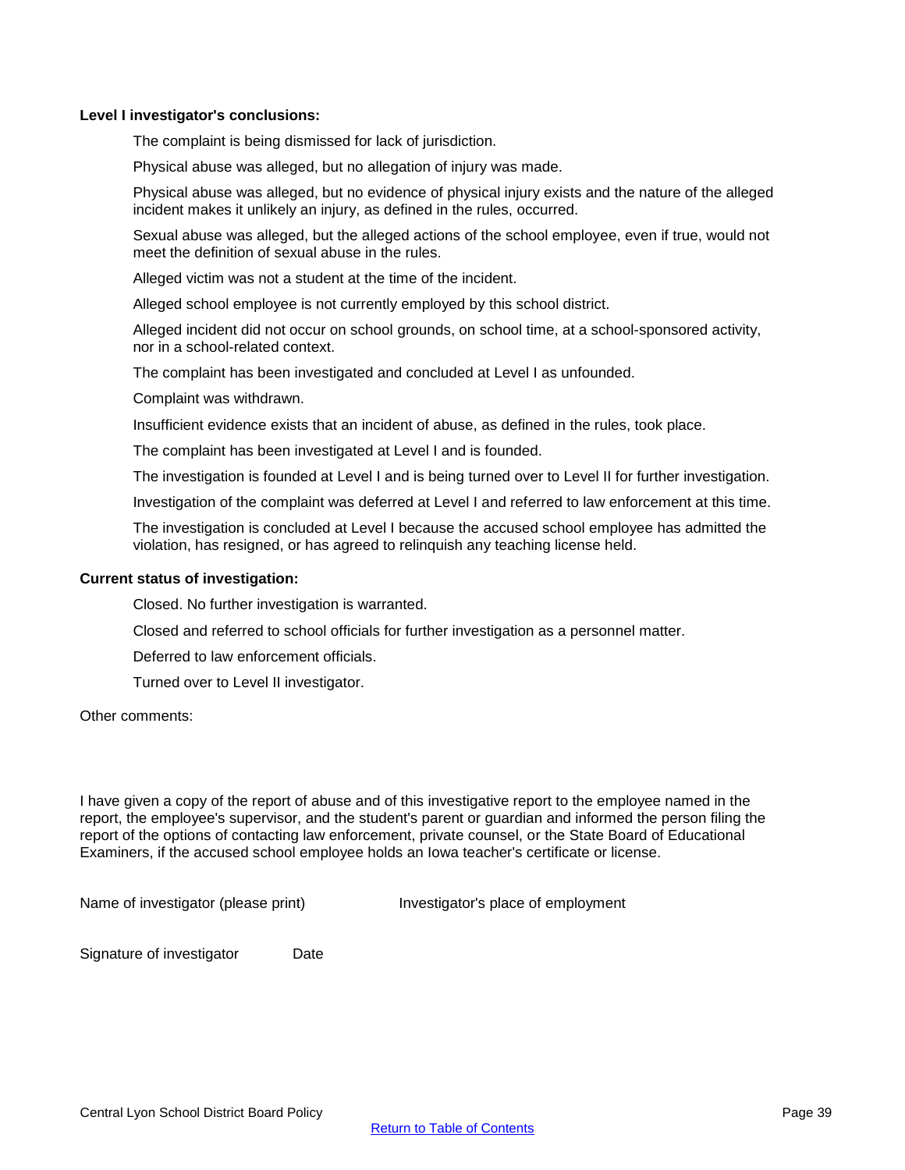### **Level I investigator's conclusions:**

The complaint is being dismissed for lack of jurisdiction.

Physical abuse was alleged, but no allegation of injury was made.

Physical abuse was alleged, but no evidence of physical injury exists and the nature of the alleged incident makes it unlikely an injury, as defined in the rules, occurred.

Sexual abuse was alleged, but the alleged actions of the school employee, even if true, would not meet the definition of sexual abuse in the rules.

Alleged victim was not a student at the time of the incident.

Alleged school employee is not currently employed by this school district.

Alleged incident did not occur on school grounds, on school time, at a school-sponsored activity, nor in a school-related context.

The complaint has been investigated and concluded at Level I as unfounded.

Complaint was withdrawn.

Insufficient evidence exists that an incident of abuse, as defined in the rules, took place.

The complaint has been investigated at Level I and is founded.

The investigation is founded at Level I and is being turned over to Level II for further investigation.

Investigation of the complaint was deferred at Level I and referred to law enforcement at this time.

The investigation is concluded at Level I because the accused school employee has admitted the violation, has resigned, or has agreed to relinquish any teaching license held.

### **Current status of investigation:**

Closed. No further investigation is warranted.

Closed and referred to school officials for further investigation as a personnel matter.

Deferred to law enforcement officials.

Turned over to Level II investigator.

Other comments:

I have given a copy of the report of abuse and of this investigative report to the employee named in the report, the employee's supervisor, and the student's parent or guardian and informed the person filing the report of the options of contacting law enforcement, private counsel, or the State Board of Educational Examiners, if the accused school employee holds an Iowa teacher's certificate or license.

Name of investigator (please print) Investigator's place of employment

Signature of investigator Date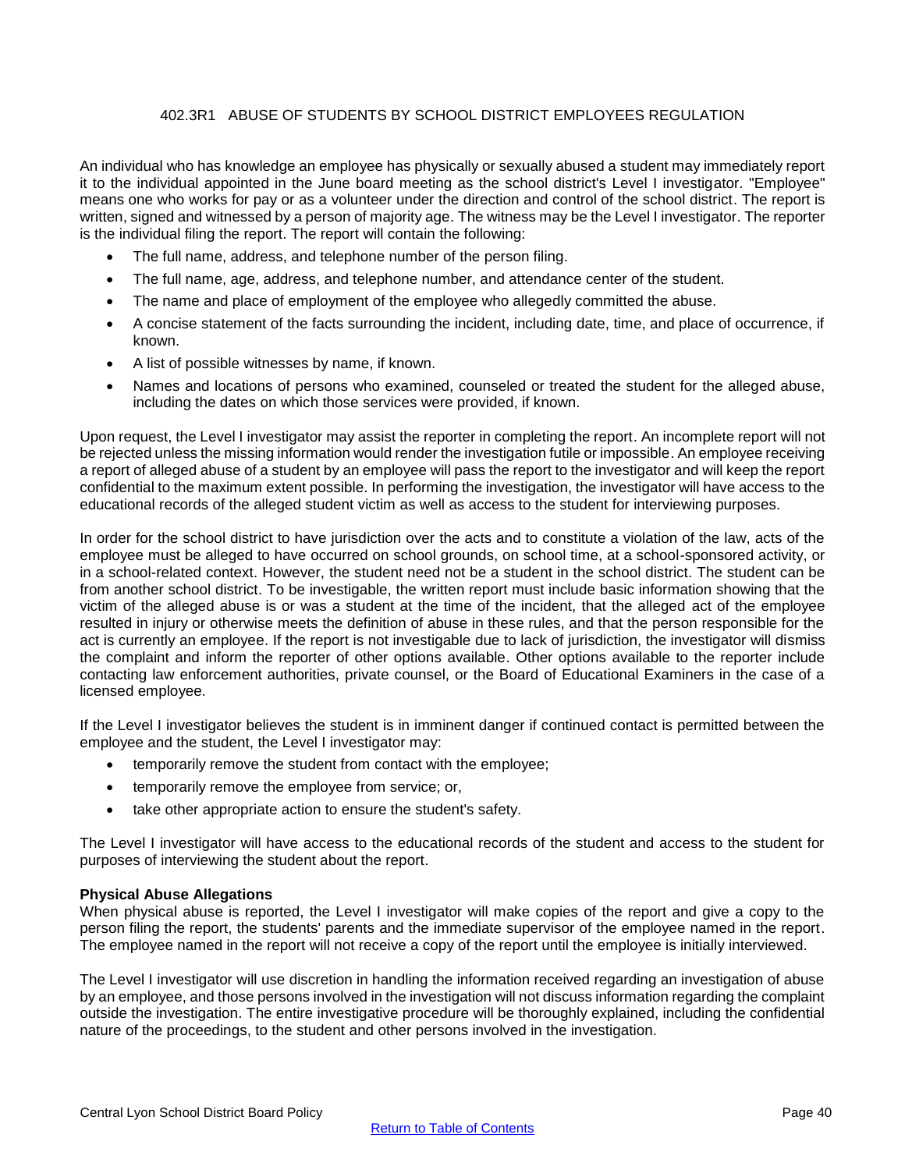# 402.3R1 ABUSE OF STUDENTS BY SCHOOL DISTRICT EMPLOYEES REGULATION

An individual who has knowledge an employee has physically or sexually abused a student may immediately report it to the individual appointed in the June board meeting as the school district's Level I investigator. "Employee" means one who works for pay or as a volunteer under the direction and control of the school district. The report is written, signed and witnessed by a person of majority age. The witness may be the Level I investigator. The reporter is the individual filing the report. The report will contain the following:

- The full name, address, and telephone number of the person filing.
- The full name, age, address, and telephone number, and attendance center of the student.
- The name and place of employment of the employee who allegedly committed the abuse.
- A concise statement of the facts surrounding the incident, including date, time, and place of occurrence, if known.
- A list of possible witnesses by name, if known.
- Names and locations of persons who examined, counseled or treated the student for the alleged abuse, including the dates on which those services were provided, if known.

Upon request, the Level I investigator may assist the reporter in completing the report. An incomplete report will not be rejected unless the missing information would render the investigation futile or impossible. An employee receiving a report of alleged abuse of a student by an employee will pass the report to the investigator and will keep the report confidential to the maximum extent possible. In performing the investigation, the investigator will have access to the educational records of the alleged student victim as well as access to the student for interviewing purposes.

In order for the school district to have jurisdiction over the acts and to constitute a violation of the law, acts of the employee must be alleged to have occurred on school grounds, on school time, at a school-sponsored activity, or in a school-related context. However, the student need not be a student in the school district. The student can be from another school district. To be investigable, the written report must include basic information showing that the victim of the alleged abuse is or was a student at the time of the incident, that the alleged act of the employee resulted in injury or otherwise meets the definition of abuse in these rules, and that the person responsible for the act is currently an employee. If the report is not investigable due to lack of jurisdiction, the investigator will dismiss the complaint and inform the reporter of other options available. Other options available to the reporter include contacting law enforcement authorities, private counsel, or the Board of Educational Examiners in the case of a licensed employee.

If the Level I investigator believes the student is in imminent danger if continued contact is permitted between the employee and the student, the Level I investigator may:

- temporarily remove the student from contact with the employee;
- temporarily remove the employee from service; or,
- take other appropriate action to ensure the student's safety.

The Level I investigator will have access to the educational records of the student and access to the student for purposes of interviewing the student about the report.

### **Physical Abuse Allegations**

When physical abuse is reported, the Level I investigator will make copies of the report and give a copy to the person filing the report, the students' parents and the immediate supervisor of the employee named in the report. The employee named in the report will not receive a copy of the report until the employee is initially interviewed.

The Level I investigator will use discretion in handling the information received regarding an investigation of abuse by an employee, and those persons involved in the investigation will not discuss information regarding the complaint outside the investigation. The entire investigative procedure will be thoroughly explained, including the confidential nature of the proceedings, to the student and other persons involved in the investigation.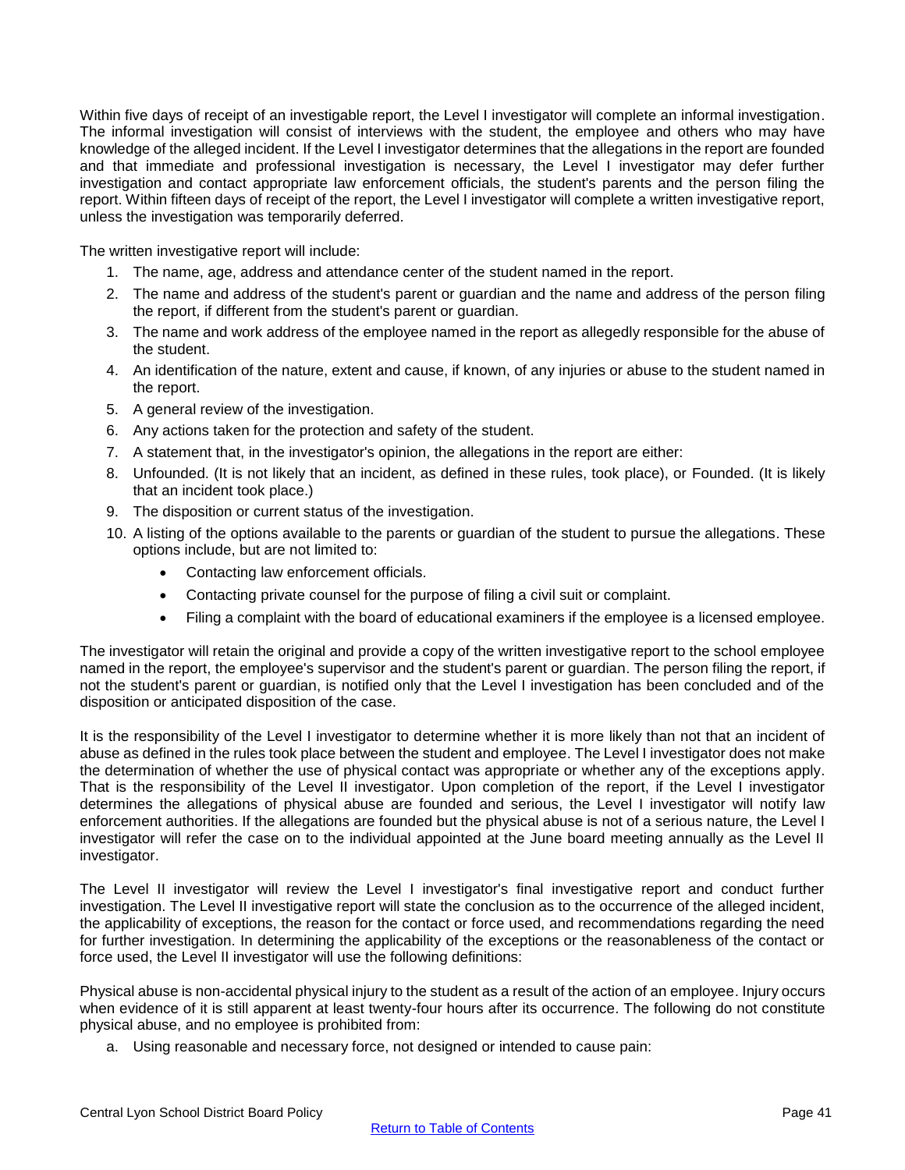Within five days of receipt of an investigable report, the Level I investigator will complete an informal investigation. The informal investigation will consist of interviews with the student, the employee and others who may have knowledge of the alleged incident. If the Level I investigator determines that the allegations in the report are founded and that immediate and professional investigation is necessary, the Level I investigator may defer further investigation and contact appropriate law enforcement officials, the student's parents and the person filing the report. Within fifteen days of receipt of the report, the Level I investigator will complete a written investigative report, unless the investigation was temporarily deferred.

The written investigative report will include:

- 1. The name, age, address and attendance center of the student named in the report.
- 2. The name and address of the student's parent or guardian and the name and address of the person filing the report, if different from the student's parent or guardian.
- 3. The name and work address of the employee named in the report as allegedly responsible for the abuse of the student.
- 4. An identification of the nature, extent and cause, if known, of any injuries or abuse to the student named in the report.
- 5. A general review of the investigation.
- 6. Any actions taken for the protection and safety of the student.
- 7. A statement that, in the investigator's opinion, the allegations in the report are either:
- 8. Unfounded. (It is not likely that an incident, as defined in these rules, took place), or Founded. (It is likely that an incident took place.)
- 9. The disposition or current status of the investigation.
- 10. A listing of the options available to the parents or guardian of the student to pursue the allegations. These options include, but are not limited to:
	- Contacting law enforcement officials.
	- Contacting private counsel for the purpose of filing a civil suit or complaint.
	- Filing a complaint with the board of educational examiners if the employee is a licensed employee.

The investigator will retain the original and provide a copy of the written investigative report to the school employee named in the report, the employee's supervisor and the student's parent or guardian. The person filing the report, if not the student's parent or guardian, is notified only that the Level I investigation has been concluded and of the disposition or anticipated disposition of the case.

It is the responsibility of the Level I investigator to determine whether it is more likely than not that an incident of abuse as defined in the rules took place between the student and employee. The Level I investigator does not make the determination of whether the use of physical contact was appropriate or whether any of the exceptions apply. That is the responsibility of the Level II investigator. Upon completion of the report, if the Level I investigator determines the allegations of physical abuse are founded and serious, the Level I investigator will notify law enforcement authorities. If the allegations are founded but the physical abuse is not of a serious nature, the Level I investigator will refer the case on to the individual appointed at the June board meeting annually as the Level II investigator.

The Level II investigator will review the Level I investigator's final investigative report and conduct further investigation. The Level II investigative report will state the conclusion as to the occurrence of the alleged incident, the applicability of exceptions, the reason for the contact or force used, and recommendations regarding the need for further investigation. In determining the applicability of the exceptions or the reasonableness of the contact or force used, the Level II investigator will use the following definitions:

Physical abuse is non-accidental physical injury to the student as a result of the action of an employee. Injury occurs when evidence of it is still apparent at least twenty-four hours after its occurrence. The following do not constitute physical abuse, and no employee is prohibited from:

a. Using reasonable and necessary force, not designed or intended to cause pain: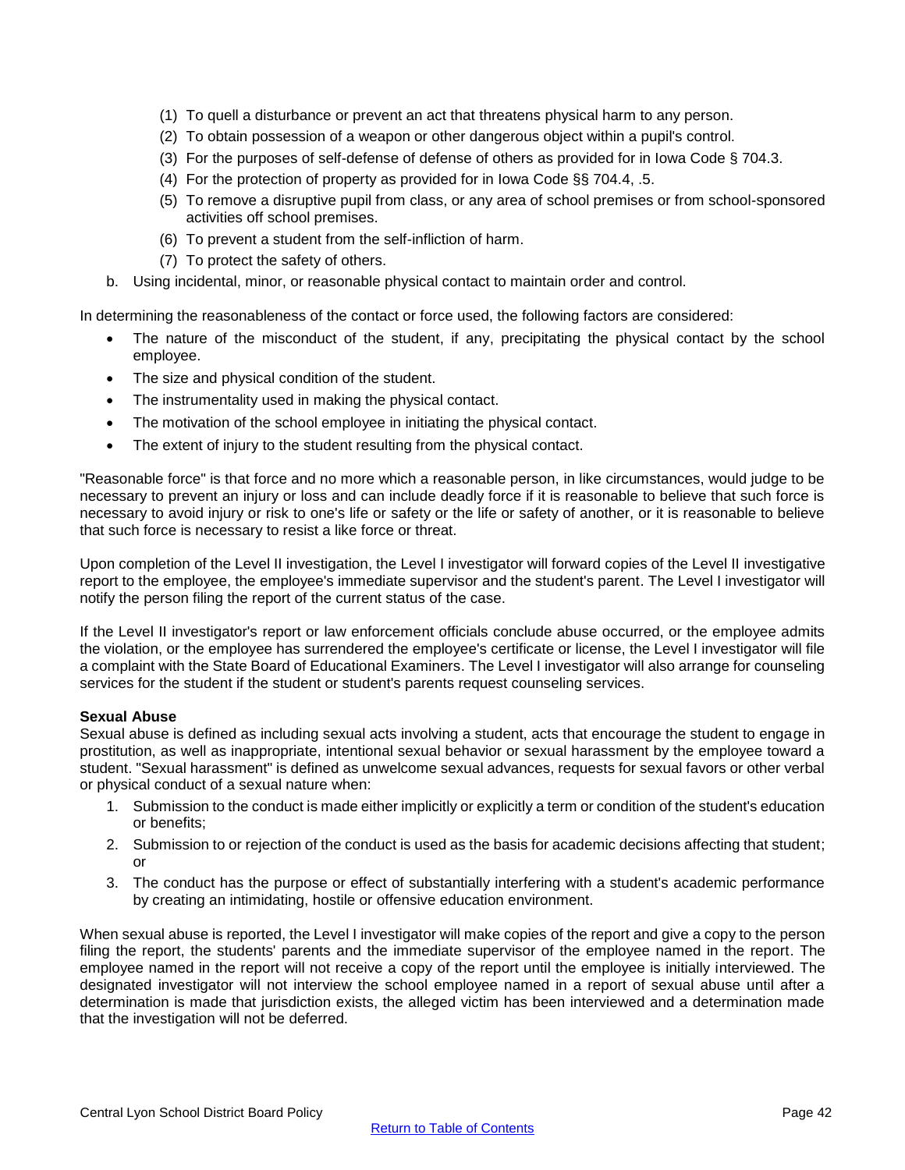- (1) To quell a disturbance or prevent an act that threatens physical harm to any person.
- (2) To obtain possession of a weapon or other dangerous object within a pupil's control.
- (3) For the purposes of self-defense of defense of others as provided for in Iowa Code § 704.3.
- (4) For the protection of property as provided for in Iowa Code §§ 704.4, .5.
- (5) To remove a disruptive pupil from class, or any area of school premises or from school-sponsored activities off school premises.
- (6) To prevent a student from the self-infliction of harm.
- (7) To protect the safety of others.
- b. Using incidental, minor, or reasonable physical contact to maintain order and control.

In determining the reasonableness of the contact or force used, the following factors are considered:

- The nature of the misconduct of the student, if any, precipitating the physical contact by the school employee.
- The size and physical condition of the student.
- The instrumentality used in making the physical contact.
- The motivation of the school employee in initiating the physical contact.
- The extent of injury to the student resulting from the physical contact.

"Reasonable force" is that force and no more which a reasonable person, in like circumstances, would judge to be necessary to prevent an injury or loss and can include deadly force if it is reasonable to believe that such force is necessary to avoid injury or risk to one's life or safety or the life or safety of another, or it is reasonable to believe that such force is necessary to resist a like force or threat.

Upon completion of the Level II investigation, the Level I investigator will forward copies of the Level II investigative report to the employee, the employee's immediate supervisor and the student's parent. The Level I investigator will notify the person filing the report of the current status of the case.

If the Level II investigator's report or law enforcement officials conclude abuse occurred, or the employee admits the violation, or the employee has surrendered the employee's certificate or license, the Level I investigator will file a complaint with the State Board of Educational Examiners. The Level I investigator will also arrange for counseling services for the student if the student or student's parents request counseling services.

### **Sexual Abuse**

Sexual abuse is defined as including sexual acts involving a student, acts that encourage the student to engage in prostitution, as well as inappropriate, intentional sexual behavior or sexual harassment by the employee toward a student. "Sexual harassment" is defined as unwelcome sexual advances, requests for sexual favors or other verbal or physical conduct of a sexual nature when:

- 1. Submission to the conduct is made either implicitly or explicitly a term or condition of the student's education or benefits;
- 2. Submission to or rejection of the conduct is used as the basis for academic decisions affecting that student; or
- 3. The conduct has the purpose or effect of substantially interfering with a student's academic performance by creating an intimidating, hostile or offensive education environment.

When sexual abuse is reported, the Level I investigator will make copies of the report and give a copy to the person filing the report, the students' parents and the immediate supervisor of the employee named in the report. The employee named in the report will not receive a copy of the report until the employee is initially interviewed. The designated investigator will not interview the school employee named in a report of sexual abuse until after a determination is made that jurisdiction exists, the alleged victim has been interviewed and a determination made that the investigation will not be deferred.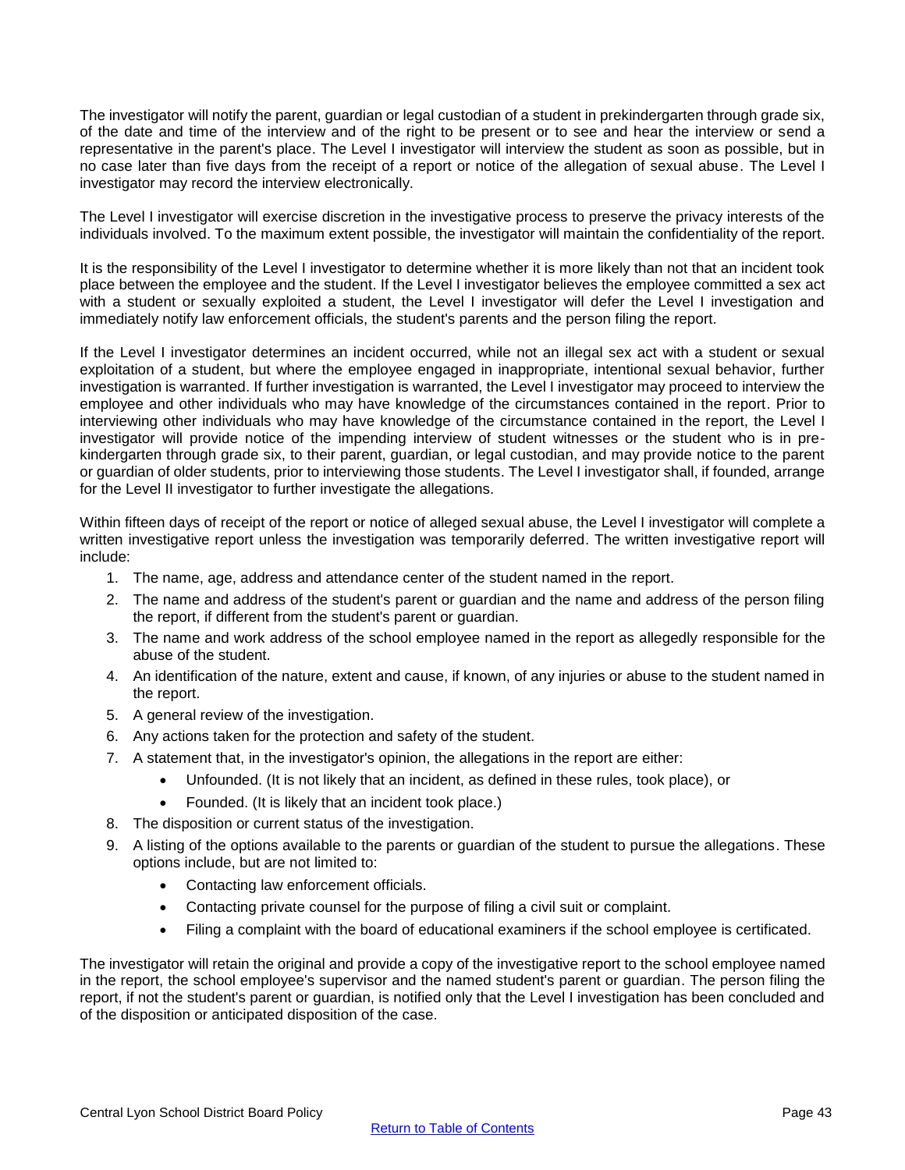The investigator will notify the parent, guardian or legal custodian of a student in prekindergarten through grade six, of the date and time of the interview and of the right to be present or to see and hear the interview or send a representative in the parent's place. The Level I investigator will interview the student as soon as possible, but in no case later than five days from the receipt of a report or notice of the allegation of sexual abuse. The Level I investigator may record the interview electronically.

The Level I investigator will exercise discretion in the investigative process to preserve the privacy interests of the individuals involved. To the maximum extent possible, the investigator will maintain the confidentiality of the report.

It is the responsibility of the Level I investigator to determine whether it is more likely than not that an incident took place between the employee and the student. If the Level I investigator believes the employee committed a sex act with a student or sexually exploited a student, the Level I investigator will defer the Level I investigation and immediately notify law enforcement officials, the student's parents and the person filing the report.

If the Level I investigator determines an incident occurred, while not an illegal sex act with a student or sexual exploitation of a student, but where the employee engaged in inappropriate, intentional sexual behavior, further investigation is warranted. If further investigation is warranted, the Level I investigator may proceed to interview the employee and other individuals who may have knowledge of the circumstances contained in the report. Prior to interviewing other individuals who may have knowledge of the circumstance contained in the report, the Level I investigator will provide notice of the impending interview of student witnesses or the student who is in prekindergarten through grade six, to their parent, guardian, or legal custodian, and may provide notice to the parent or guardian of older students, prior to interviewing those students. The Level I investigator shall, if founded, arrange for the Level II investigator to further investigate the allegations.

Within fifteen days of receipt of the report or notice of alleged sexual abuse, the Level I investigator will complete a written investigative report unless the investigation was temporarily deferred. The written investigative report will include:

- 1. The name, age, address and attendance center of the student named in the report.
- 2. The name and address of the student's parent or guardian and the name and address of the person filing the report, if different from the student's parent or guardian.
- 3. The name and work address of the school employee named in the report as allegedly responsible for the abuse of the student.
- 4. An identification of the nature, extent and cause, if known, of any injuries or abuse to the student named in the report.
- 5. A general review of the investigation.
- 6. Any actions taken for the protection and safety of the student.
- 7. A statement that, in the investigator's opinion, the allegations in the report are either:
	- Unfounded. (It is not likely that an incident, as defined in these rules, took place), or
	- Founded. (It is likely that an incident took place.)
- 8. The disposition or current status of the investigation.
- 9. A listing of the options available to the parents or guardian of the student to pursue the allegations. These options include, but are not limited to:
	- Contacting law enforcement officials.
	- Contacting private counsel for the purpose of filing a civil suit or complaint.
	- Filing a complaint with the board of educational examiners if the school employee is certificated.

The investigator will retain the original and provide a copy of the investigative report to the school employee named in the report, the school employee's supervisor and the named student's parent or guardian. The person filing the report, if not the student's parent or guardian, is notified only that the Level I investigation has been concluded and of the disposition or anticipated disposition of the case.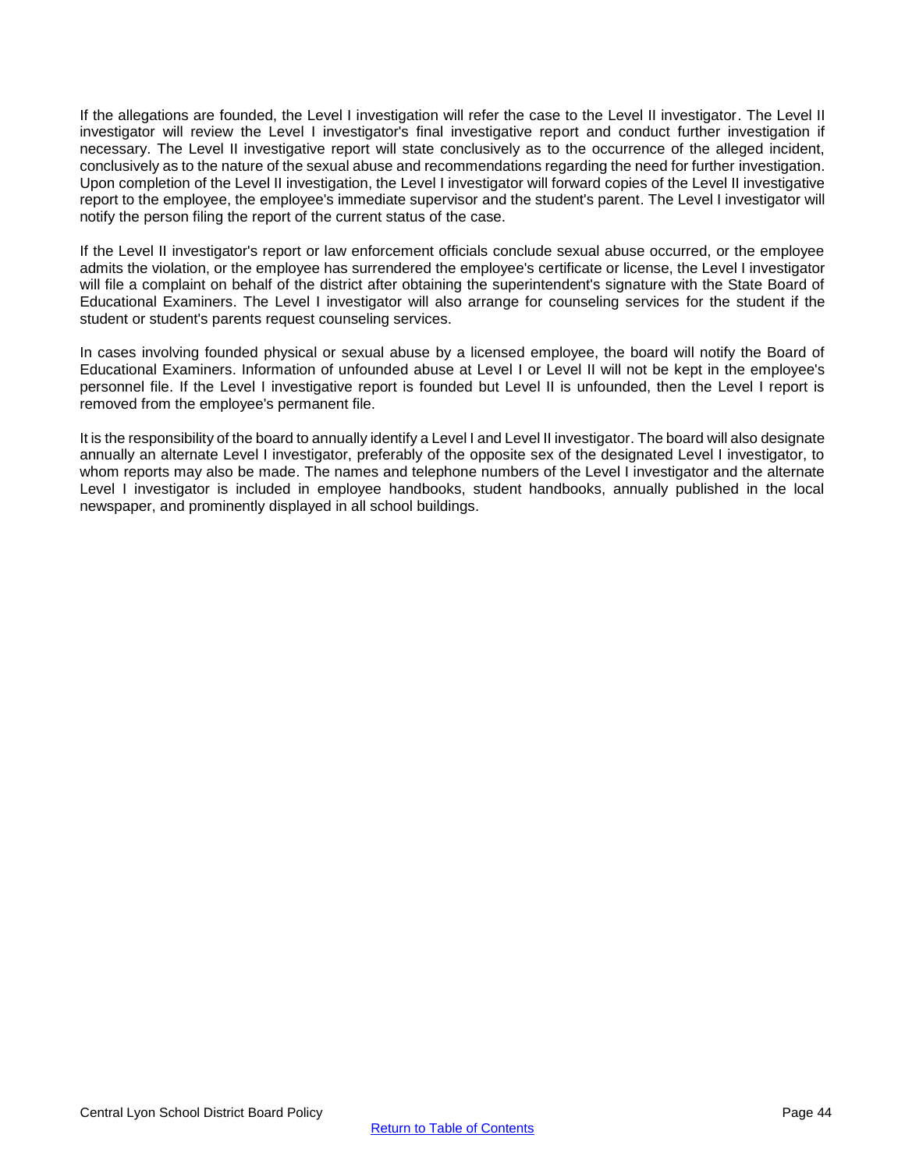If the allegations are founded, the Level I investigation will refer the case to the Level II investigator. The Level II investigator will review the Level I investigator's final investigative report and conduct further investigation if necessary. The Level II investigative report will state conclusively as to the occurrence of the alleged incident, conclusively as to the nature of the sexual abuse and recommendations regarding the need for further investigation. Upon completion of the Level II investigation, the Level I investigator will forward copies of the Level II investigative report to the employee, the employee's immediate supervisor and the student's parent. The Level I investigator will notify the person filing the report of the current status of the case.

If the Level II investigator's report or law enforcement officials conclude sexual abuse occurred, or the employee admits the violation, or the employee has surrendered the employee's certificate or license, the Level I investigator will file a complaint on behalf of the district after obtaining the superintendent's signature with the State Board of Educational Examiners. The Level I investigator will also arrange for counseling services for the student if the student or student's parents request counseling services.

In cases involving founded physical or sexual abuse by a licensed employee, the board will notify the Board of Educational Examiners. Information of unfounded abuse at Level I or Level II will not be kept in the employee's personnel file. If the Level I investigative report is founded but Level II is unfounded, then the Level I report is removed from the employee's permanent file.

It is the responsibility of the board to annually identify a Level I and Level II investigator. The board will also designate annually an alternate Level I investigator, preferably of the opposite sex of the designated Level I investigator, to whom reports may also be made. The names and telephone numbers of the Level I investigator and the alternate Level I investigator is included in employee handbooks, student handbooks, annually published in the local newspaper, and prominently displayed in all school buildings.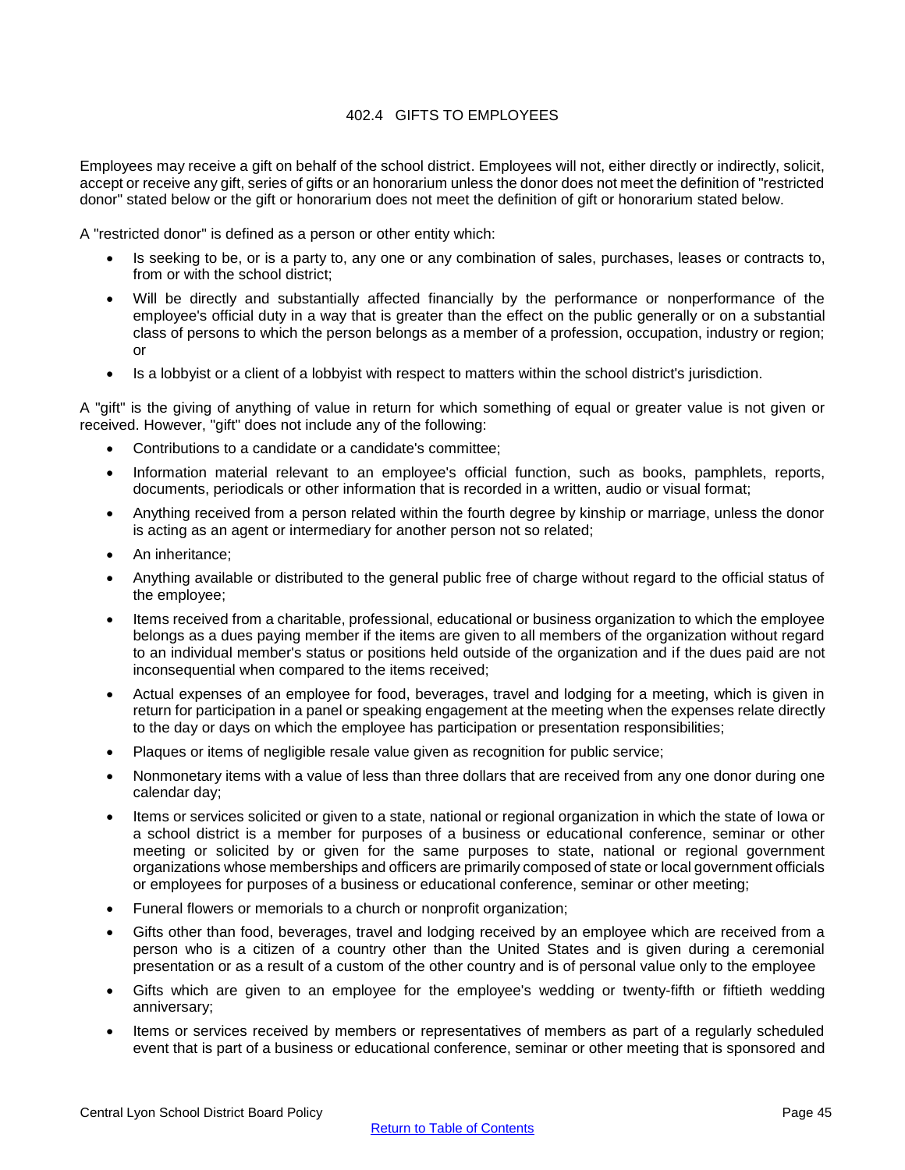# 402.4 GIFTS TO EMPLOYEES

Employees may receive a gift on behalf of the school district. Employees will not, either directly or indirectly, solicit, accept or receive any gift, series of gifts or an honorarium unless the donor does not meet the definition of "restricted donor" stated below or the gift or honorarium does not meet the definition of gift or honorarium stated below.

A "restricted donor" is defined as a person or other entity which:

- Is seeking to be, or is a party to, any one or any combination of sales, purchases, leases or contracts to, from or with the school district;
- Will be directly and substantially affected financially by the performance or nonperformance of the employee's official duty in a way that is greater than the effect on the public generally or on a substantial class of persons to which the person belongs as a member of a profession, occupation, industry or region; or
- Is a lobbyist or a client of a lobbyist with respect to matters within the school district's jurisdiction.

A "gift" is the giving of anything of value in return for which something of equal or greater value is not given or received. However, "gift" does not include any of the following:

- Contributions to a candidate or a candidate's committee;
- Information material relevant to an employee's official function, such as books, pamphlets, reports, documents, periodicals or other information that is recorded in a written, audio or visual format;
- Anything received from a person related within the fourth degree by kinship or marriage, unless the donor is acting as an agent or intermediary for another person not so related;
- An inheritance;
- Anything available or distributed to the general public free of charge without regard to the official status of the employee;
- Items received from a charitable, professional, educational or business organization to which the employee belongs as a dues paying member if the items are given to all members of the organization without regard to an individual member's status or positions held outside of the organization and if the dues paid are not inconsequential when compared to the items received;
- Actual expenses of an employee for food, beverages, travel and lodging for a meeting, which is given in return for participation in a panel or speaking engagement at the meeting when the expenses relate directly to the day or days on which the employee has participation or presentation responsibilities;
- Plaques or items of negligible resale value given as recognition for public service;
- Nonmonetary items with a value of less than three dollars that are received from any one donor during one calendar day;
- Items or services solicited or given to a state, national or regional organization in which the state of Iowa or a school district is a member for purposes of a business or educational conference, seminar or other meeting or solicited by or given for the same purposes to state, national or regional government organizations whose memberships and officers are primarily composed of state or local government officials or employees for purposes of a business or educational conference, seminar or other meeting;
- Funeral flowers or memorials to a church or nonprofit organization;
- Gifts other than food, beverages, travel and lodging received by an employee which are received from a person who is a citizen of a country other than the United States and is given during a ceremonial presentation or as a result of a custom of the other country and is of personal value only to the employee
- Gifts which are given to an employee for the employee's wedding or twenty-fifth or fiftieth wedding anniversary;
- Items or services received by members or representatives of members as part of a regularly scheduled event that is part of a business or educational conference, seminar or other meeting that is sponsored and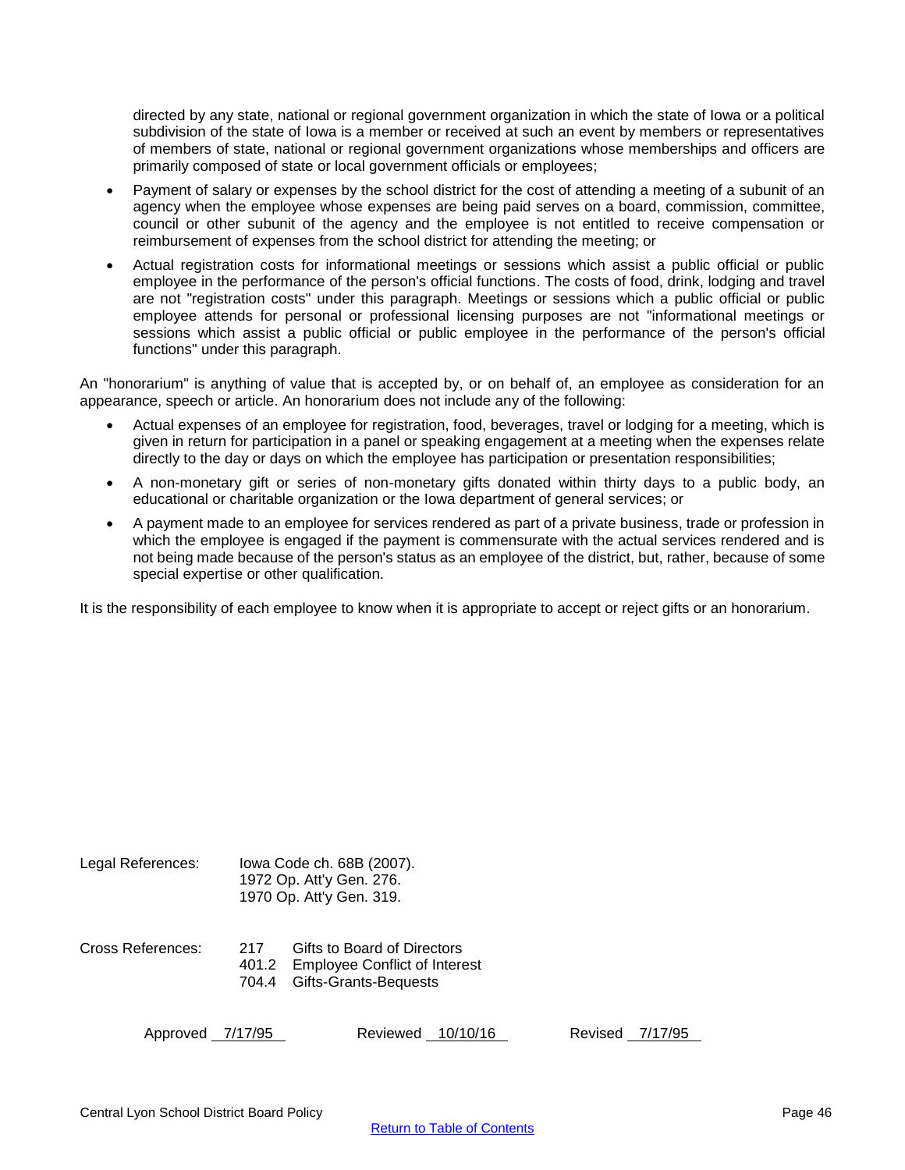directed by any state, national or regional government organization in which the state of Iowa or a political subdivision of the state of Iowa is a member or received at such an event by members or representatives of members of state, national or regional government organizations whose memberships and officers are primarily composed of state or local government officials or employees;

- Payment of salary or expenses by the school district for the cost of attending a meeting of a subunit of an agency when the employee whose expenses are being paid serves on a board, commission, committee, council or other subunit of the agency and the employee is not entitled to receive compensation or reimbursement of expenses from the school district for attending the meeting; or
- Actual registration costs for informational meetings or sessions which assist a public official or public employee in the performance of the person's official functions. The costs of food, drink, lodging and travel are not "registration costs" under this paragraph. Meetings or sessions which a public official or public employee attends for personal or professional licensing purposes are not "informational meetings or sessions which assist a public official or public employee in the performance of the person's official functions" under this paragraph.

An "honorarium" is anything of value that is accepted by, or on behalf of, an employee as consideration for an appearance, speech or article. An honorarium does not include any of the following:

- Actual expenses of an employee for registration, food, beverages, travel or lodging for a meeting, which is given in return for participation in a panel or speaking engagement at a meeting when the expenses relate directly to the day or days on which the employee has participation or presentation responsibilities;
- A non-monetary gift or series of non-monetary gifts donated within thirty days to a public body, an educational or charitable organization or the Iowa department of general services; or
- A payment made to an employee for services rendered as part of a private business, trade or profession in which the employee is engaged if the payment is commensurate with the actual services rendered and is not being made because of the person's status as an employee of the district, but, rather, because of some special expertise or other qualification.

It is the responsibility of each employee to know when it is appropriate to accept or reject gifts or an honorarium.

| Legal References: | lowa Code ch. 68B (2007).<br>1972 Op. Att'y Gen. 276.<br>1970 Op. Att'y Gen. 319.                           |  |
|-------------------|-------------------------------------------------------------------------------------------------------------|--|
| Cross References: | Gifts to Board of Directors<br>217<br>401.2 Employee Conflict of Interest<br>Gifts-Grants-Bequests<br>704.4 |  |

Approved 7/17/95 Reviewed 10/10/16 Revised 7/17/95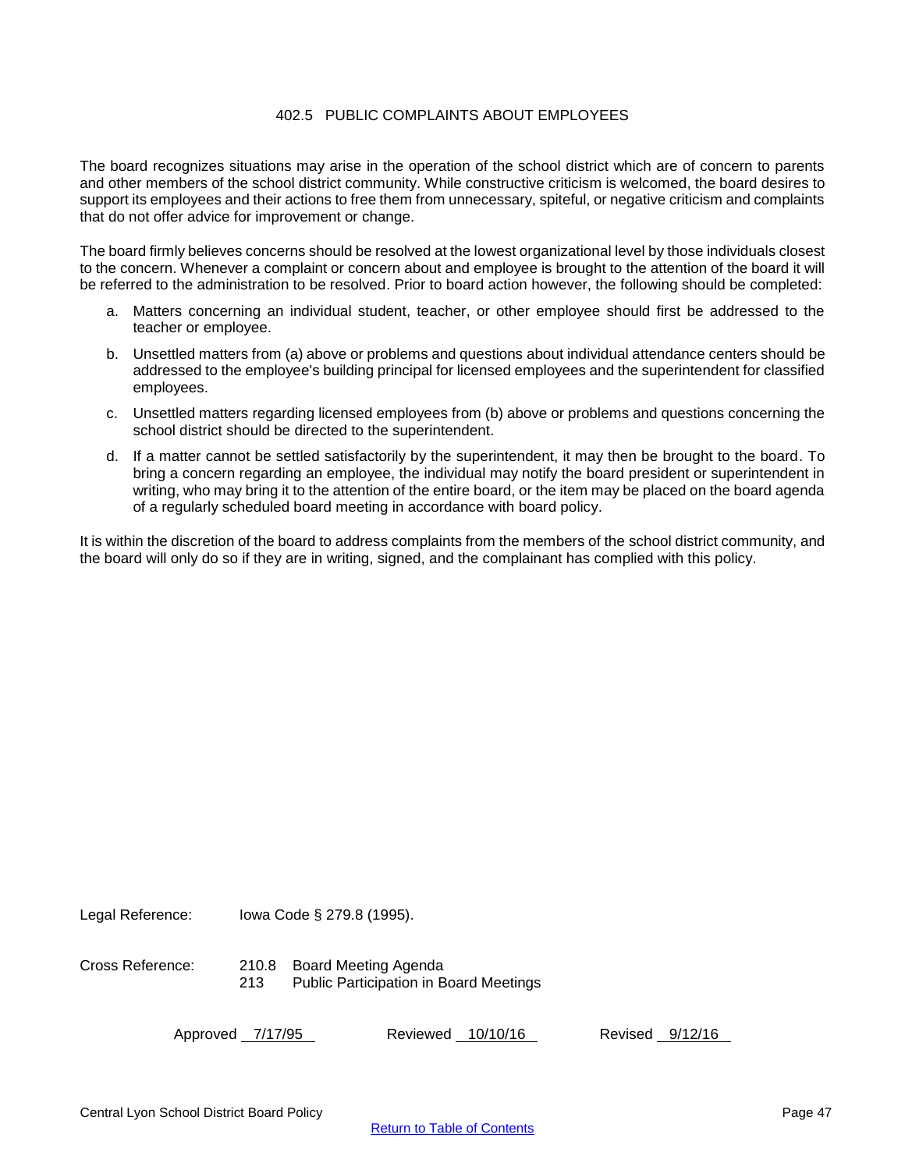# 402.5 PUBLIC COMPLAINTS ABOUT EMPLOYEES

The board recognizes situations may arise in the operation of the school district which are of concern to parents and other members of the school district community. While constructive criticism is welcomed, the board desires to support its employees and their actions to free them from unnecessary, spiteful, or negative criticism and complaints that do not offer advice for improvement or change.

The board firmly believes concerns should be resolved at the lowest organizational level by those individuals closest to the concern. Whenever a complaint or concern about and employee is brought to the attention of the board it will be referred to the administration to be resolved. Prior to board action however, the following should be completed:

- a. Matters concerning an individual student, teacher, or other employee should first be addressed to the teacher or employee.
- b. Unsettled matters from (a) above or problems and questions about individual attendance centers should be addressed to the employee's building principal for licensed employees and the superintendent for classified employees.
- c. Unsettled matters regarding licensed employees from (b) above or problems and questions concerning the school district should be directed to the superintendent.
- d. If a matter cannot be settled satisfactorily by the superintendent, it may then be brought to the board. To bring a concern regarding an employee, the individual may notify the board president or superintendent in writing, who may bring it to the attention of the entire board, or the item may be placed on the board agenda of a regularly scheduled board meeting in accordance with board policy.

It is within the discretion of the board to address complaints from the members of the school district community, and the board will only do so if they are in writing, signed, and the complainant has complied with this policy.

Legal Reference: Iowa Code § 279.8 (1995).

Cross Reference: 210.8 Board Meeting Agenda 213 Public Participation in Board Meetings

Approved 7/17/95 Reviewed 10/10/16 Revised 9/12/16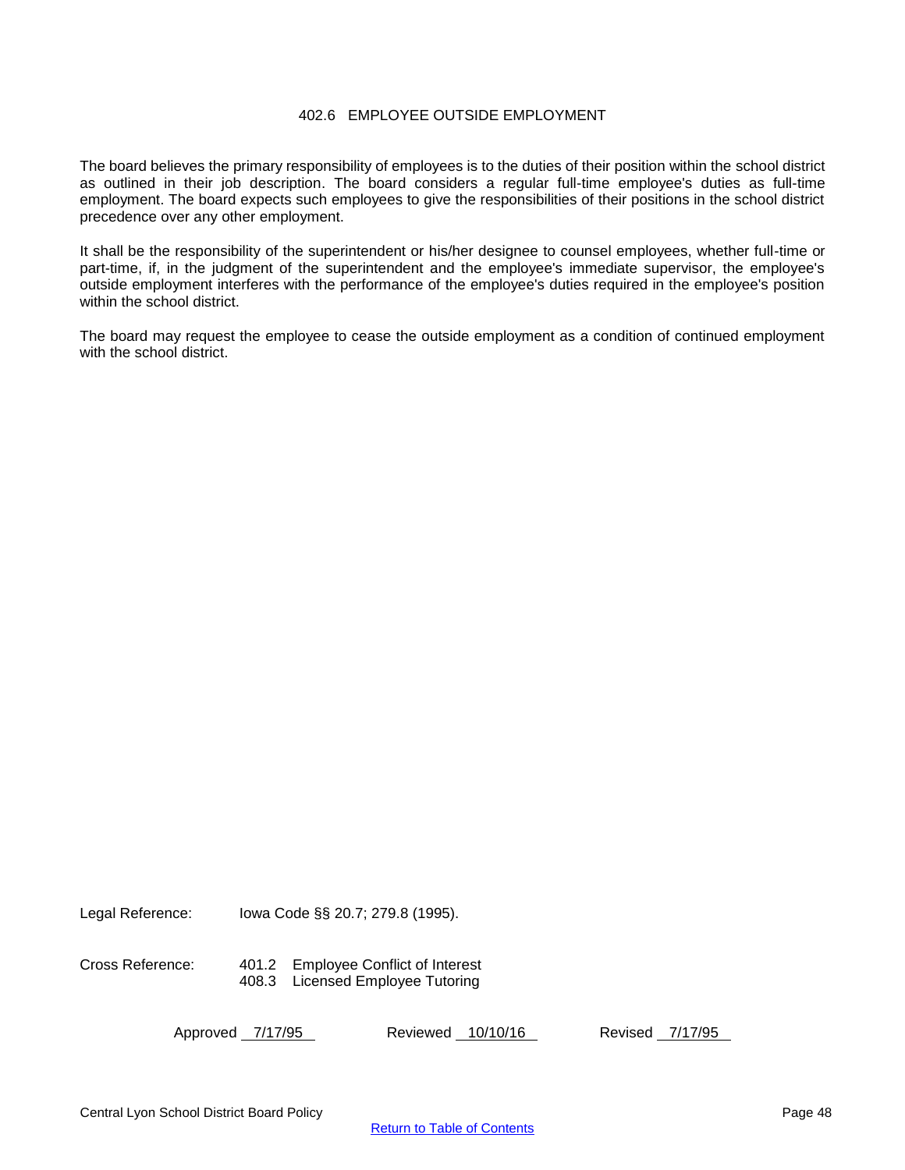### 402.6 EMPLOYEE OUTSIDE EMPLOYMENT

The board believes the primary responsibility of employees is to the duties of their position within the school district as outlined in their job description. The board considers a regular full-time employee's duties as full-time employment. The board expects such employees to give the responsibilities of their positions in the school district precedence over any other employment.

It shall be the responsibility of the superintendent or his/her designee to counsel employees, whether full-time or part-time, if, in the judgment of the superintendent and the employee's immediate supervisor, the employee's outside employment interferes with the performance of the employee's duties required in the employee's position within the school district.

The board may request the employee to cease the outside employment as a condition of continued employment with the school district.

Legal Reference: Iowa Code §§ 20.7; 279.8 (1995).

Cross Reference: 401.2 Employee Conflict of Interest 408.3 Licensed Employee Tutoring

Approved 7/17/95 Reviewed 10/10/16 Revised 7/17/95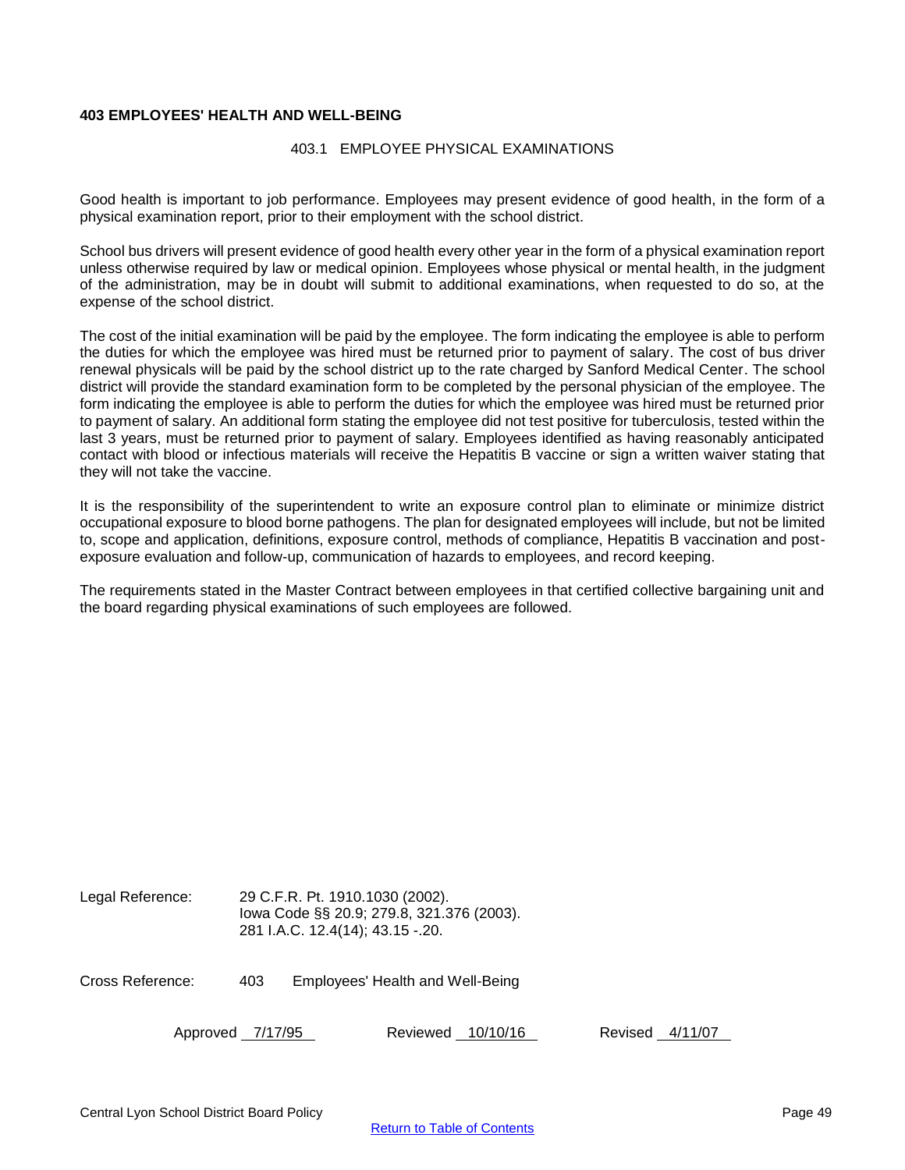# **403 EMPLOYEES' HEALTH AND WELL-BEING**

#### 403.1 EMPLOYEE PHYSICAL EXAMINATIONS

Good health is important to job performance. Employees may present evidence of good health, in the form of a physical examination report, prior to their employment with the school district.

School bus drivers will present evidence of good health every other year in the form of a physical examination report unless otherwise required by law or medical opinion. Employees whose physical or mental health, in the judgment of the administration, may be in doubt will submit to additional examinations, when requested to do so, at the expense of the school district.

The cost of the initial examination will be paid by the employee. The form indicating the employee is able to perform the duties for which the employee was hired must be returned prior to payment of salary. The cost of bus driver renewal physicals will be paid by the school district up to the rate charged by Sanford Medical Center. The school district will provide the standard examination form to be completed by the personal physician of the employee. The form indicating the employee is able to perform the duties for which the employee was hired must be returned prior to payment of salary. An additional form stating the employee did not test positive for tuberculosis, tested within the last 3 years, must be returned prior to payment of salary. Employees identified as having reasonably anticipated contact with blood or infectious materials will receive the Hepatitis B vaccine or sign a written waiver stating that they will not take the vaccine.

It is the responsibility of the superintendent to write an exposure control plan to eliminate or minimize district occupational exposure to blood borne pathogens. The plan for designated employees will include, but not be limited to, scope and application, definitions, exposure control, methods of compliance, Hepatitis B vaccination and postexposure evaluation and follow-up, communication of hazards to employees, and record keeping.

The requirements stated in the Master Contract between employees in that certified collective bargaining unit and the board regarding physical examinations of such employees are followed.

| Legal Reference: | 29 C.F.R. Pt. 1910.1030 (2002).           |
|------------------|-------------------------------------------|
|                  | lowa Code §§ 20.9; 279.8, 321.376 (2003). |
|                  | 281 I.A.C. 12.4(14); 43.15 -.20.          |

Cross Reference: 403 Employees' Health and Well-Being

Approved 7/17/95 Reviewed 10/10/16 Revised 4/11/07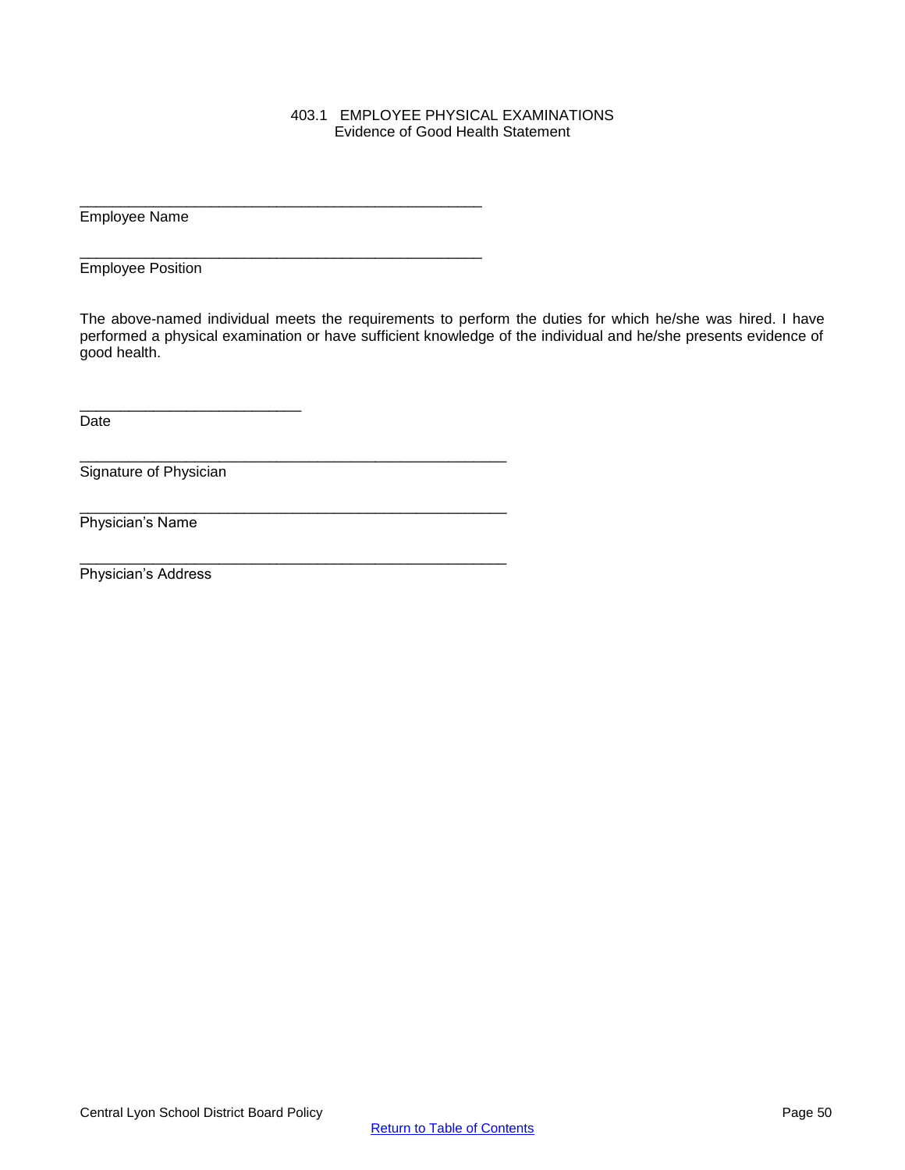# 403.1 EMPLOYEE PHYSICAL EXAMINATIONS Evidence of Good Health Statement

Employee Name

\_\_\_\_\_\_\_\_\_\_\_\_\_\_\_\_\_\_\_\_\_\_\_\_\_\_\_\_\_\_\_\_\_\_\_\_\_\_\_\_\_\_\_\_\_\_\_\_\_

\_\_\_\_\_\_\_\_\_\_\_\_\_\_\_\_\_\_\_\_\_\_\_\_\_\_\_\_\_\_\_\_\_\_\_\_\_\_\_\_\_\_\_\_\_\_\_\_\_

\_\_\_\_\_\_\_\_\_\_\_\_\_\_\_\_\_\_\_\_\_\_\_\_\_\_\_\_\_\_\_\_\_\_\_\_\_\_\_\_\_\_\_\_\_\_\_\_\_\_\_\_

\_\_\_\_\_\_\_\_\_\_\_\_\_\_\_\_\_\_\_\_\_\_\_\_\_\_\_\_\_\_\_\_\_\_\_\_\_\_\_\_\_\_\_\_\_\_\_\_\_\_\_\_

\_\_\_\_\_\_\_\_\_\_\_\_\_\_\_\_\_\_\_\_\_\_\_\_\_\_\_\_\_\_\_\_\_\_\_\_\_\_\_\_\_\_\_\_\_\_\_\_\_\_\_\_

Employee Position

The above-named individual meets the requirements to perform the duties for which he/she was hired. I have performed a physical examination or have sufficient knowledge of the individual and he/she presents evidence of good health.

Date

Signature of Physician

\_\_\_\_\_\_\_\_\_\_\_\_\_\_\_\_\_\_\_\_\_\_\_\_\_\_\_

Physician's Name

Physician's Address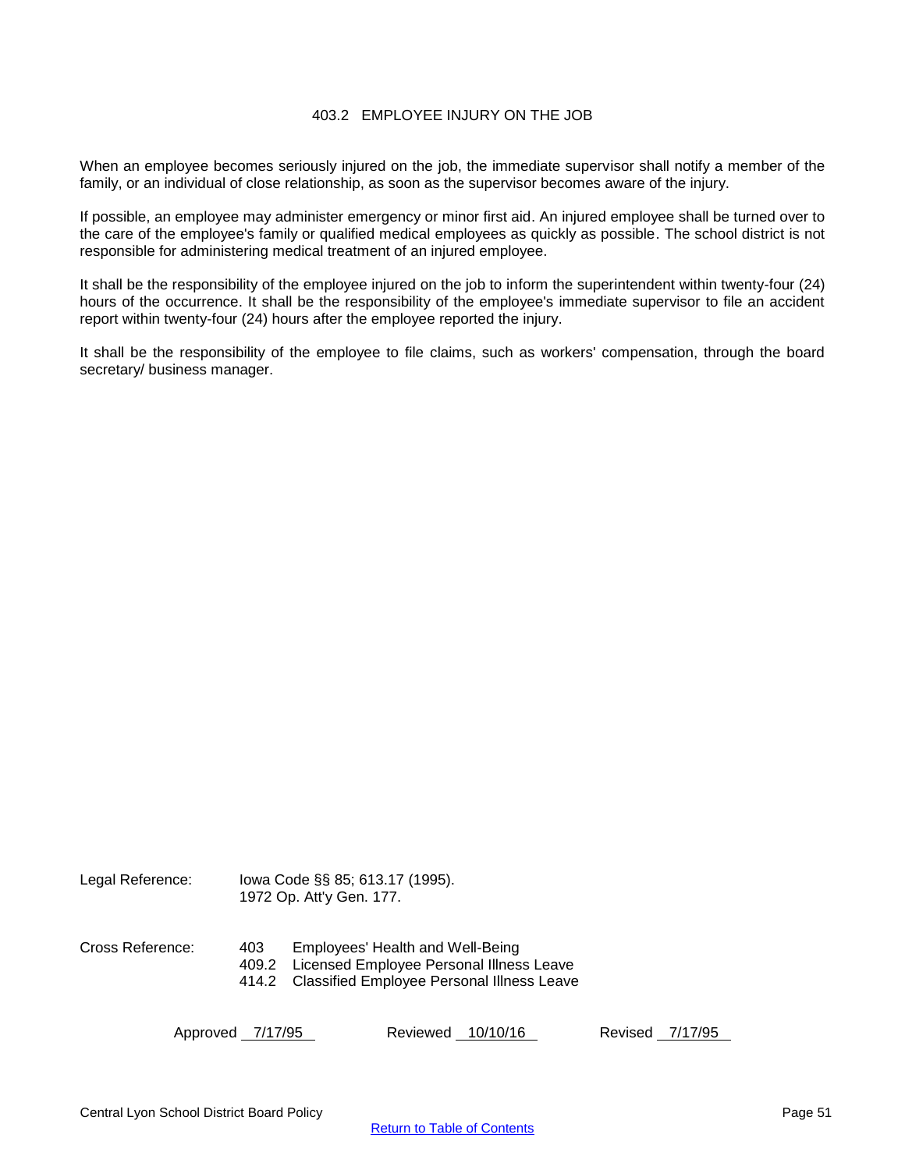### 403.2 EMPLOYEE INJURY ON THE JOB

When an employee becomes seriously injured on the job, the immediate supervisor shall notify a member of the family, or an individual of close relationship, as soon as the supervisor becomes aware of the injury.

If possible, an employee may administer emergency or minor first aid. An injured employee shall be turned over to the care of the employee's family or qualified medical employees as quickly as possible. The school district is not responsible for administering medical treatment of an injured employee.

It shall be the responsibility of the employee injured on the job to inform the superintendent within twenty-four (24) hours of the occurrence. It shall be the responsibility of the employee's immediate supervisor to file an accident report within twenty-four (24) hours after the employee reported the injury.

It shall be the responsibility of the employee to file claims, such as workers' compensation, through the board secretary/ business manager.

| Legal Reference: |                       |  | lowa Code §§ 85; 613.17 (1995).<br>1972 Op. Att'y Gen. 177.                                                                |         |         |
|------------------|-----------------------|--|----------------------------------------------------------------------------------------------------------------------------|---------|---------|
| Cross Reference: | 403<br>409.2<br>414.2 |  | Employees' Health and Well-Being<br>Licensed Employee Personal Illness Leave<br>Classified Employee Personal Illness Leave |         |         |
| Approved         | 7/17/95               |  | Reviewed<br>10/10/16                                                                                                       | Revised | 7/17/95 |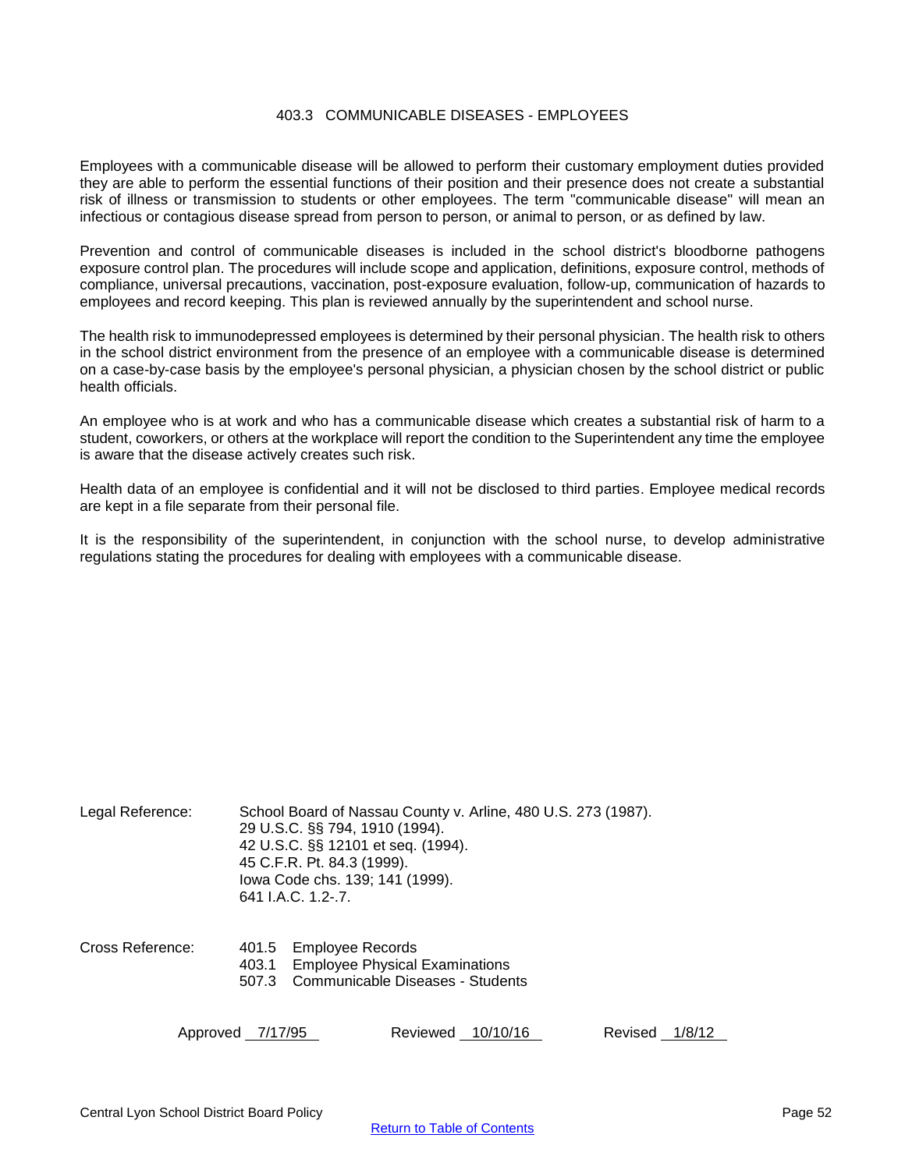# 403.3 COMMUNICABLE DISEASES - EMPLOYEES

Employees with a communicable disease will be allowed to perform their customary employment duties provided they are able to perform the essential functions of their position and their presence does not create a substantial risk of illness or transmission to students or other employees. The term "communicable disease" will mean an infectious or contagious disease spread from person to person, or animal to person, or as defined by law.

Prevention and control of communicable diseases is included in the school district's bloodborne pathogens exposure control plan. The procedures will include scope and application, definitions, exposure control, methods of compliance, universal precautions, vaccination, post-exposure evaluation, follow-up, communication of hazards to employees and record keeping. This plan is reviewed annually by the superintendent and school nurse.

The health risk to immunodepressed employees is determined by their personal physician. The health risk to others in the school district environment from the presence of an employee with a communicable disease is determined on a case-by-case basis by the employee's personal physician, a physician chosen by the school district or public health officials.

An employee who is at work and who has a communicable disease which creates a substantial risk of harm to a student, coworkers, or others at the workplace will report the condition to the Superintendent any time the employee is aware that the disease actively creates such risk.

Health data of an employee is confidential and it will not be disclosed to third parties. Employee medical records are kept in a file separate from their personal file.

It is the responsibility of the superintendent, in conjunction with the school nurse, to develop administrative regulations stating the procedures for dealing with employees with a communicable disease.

| Legal Reference: |       | School Board of Nassau County v. Arline, 480 U.S. 273 (1987).<br>29 U.S.C. §§ 794, 1910 (1994).<br>42 U.S.C. §§ 12101 et seq. (1994).<br>45 C.F.R. Pt. 84.3 (1999).<br>lowa Code chs. 139; 141 (1999).<br>641 I.A.C. 1.2-.7. |  |  |  |  |
|------------------|-------|------------------------------------------------------------------------------------------------------------------------------------------------------------------------------------------------------------------------------|--|--|--|--|
| Cross Reference: | 507.3 | 401.5 Employee Records<br>403.1 Employee Physical Examinations<br>Communicable Diseases - Students                                                                                                                           |  |  |  |  |

| Approved 7/17/95 | Reviewed 10/10/16 | Revised 1/8/12 |  |
|------------------|-------------------|----------------|--|
|                  |                   |                |  |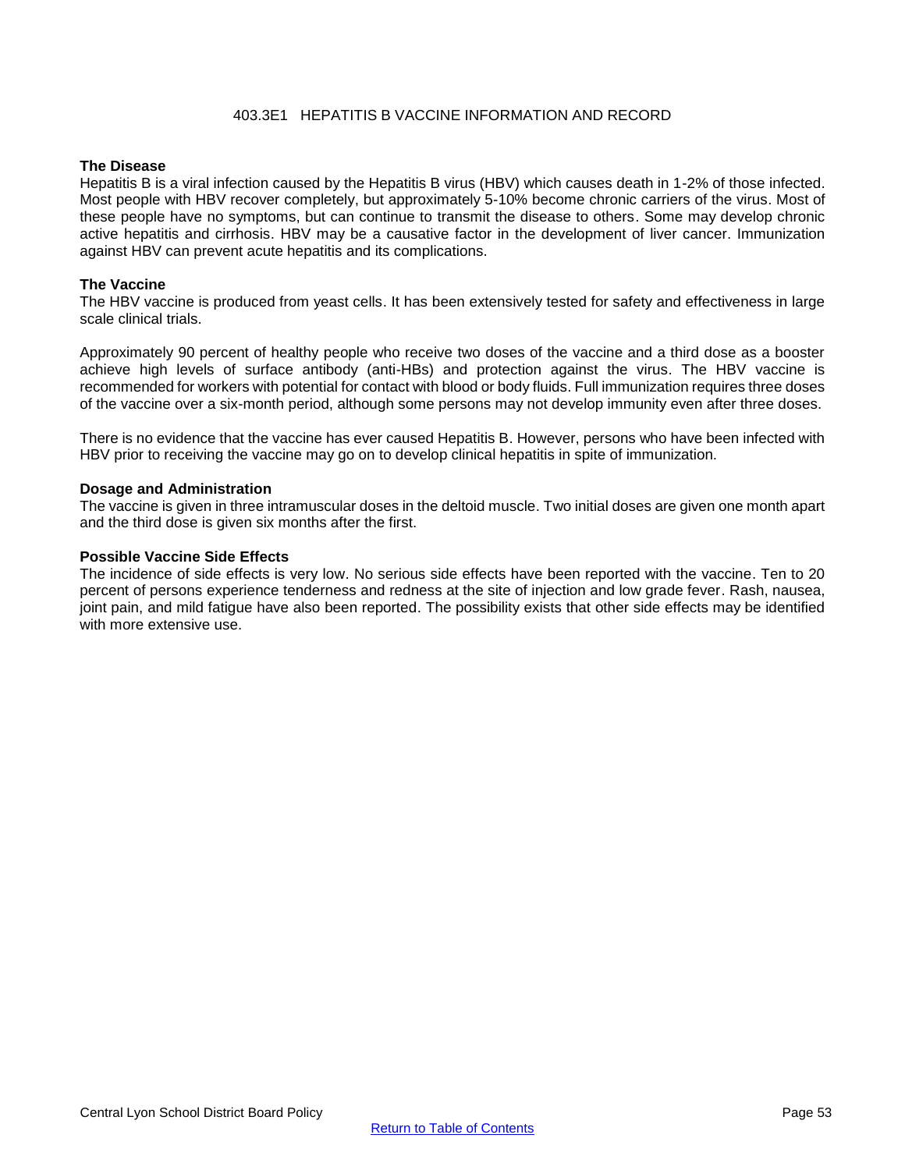# 403.3E1 HEPATITIS B VACCINE INFORMATION AND RECORD

### **The Disease**

Hepatitis B is a viral infection caused by the Hepatitis B virus (HBV) which causes death in 1-2% of those infected. Most people with HBV recover completely, but approximately 5-10% become chronic carriers of the virus. Most of these people have no symptoms, but can continue to transmit the disease to others. Some may develop chronic active hepatitis and cirrhosis. HBV may be a causative factor in the development of liver cancer. Immunization against HBV can prevent acute hepatitis and its complications.

### **The Vaccine**

The HBV vaccine is produced from yeast cells. It has been extensively tested for safety and effectiveness in large scale clinical trials.

Approximately 90 percent of healthy people who receive two doses of the vaccine and a third dose as a booster achieve high levels of surface antibody (anti-HBs) and protection against the virus. The HBV vaccine is recommended for workers with potential for contact with blood or body fluids. Full immunization requires three doses of the vaccine over a six-month period, although some persons may not develop immunity even after three doses.

There is no evidence that the vaccine has ever caused Hepatitis B. However, persons who have been infected with HBV prior to receiving the vaccine may go on to develop clinical hepatitis in spite of immunization.

#### **Dosage and Administration**

The vaccine is given in three intramuscular doses in the deltoid muscle. Two initial doses are given one month apart and the third dose is given six months after the first.

#### **Possible Vaccine Side Effects**

The incidence of side effects is very low. No serious side effects have been reported with the vaccine. Ten to 20 percent of persons experience tenderness and redness at the site of injection and low grade fever. Rash, nausea, joint pain, and mild fatigue have also been reported. The possibility exists that other side effects may be identified with more extensive use.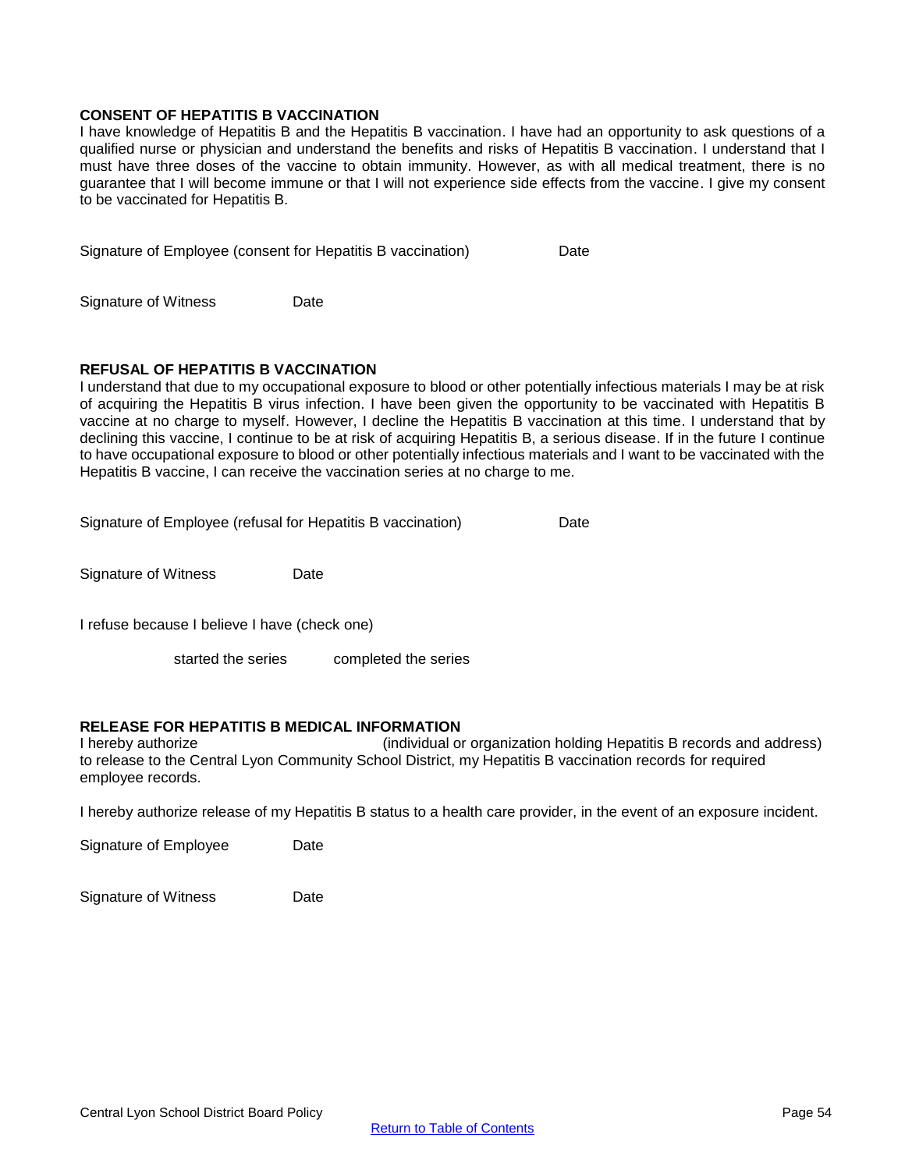### **CONSENT OF HEPATITIS B VACCINATION**

I have knowledge of Hepatitis B and the Hepatitis B vaccination. I have had an opportunity to ask questions of a qualified nurse or physician and understand the benefits and risks of Hepatitis B vaccination. I understand that I must have three doses of the vaccine to obtain immunity. However, as with all medical treatment, there is no guarantee that I will become immune or that I will not experience side effects from the vaccine. I give my consent to be vaccinated for Hepatitis B.

Signature of Employee (consent for Hepatitis B vaccination) Date

Signature of Witness **Date** 

#### **REFUSAL OF HEPATITIS B VACCINATION**

I understand that due to my occupational exposure to blood or other potentially infectious materials I may be at risk of acquiring the Hepatitis B virus infection. I have been given the opportunity to be vaccinated with Hepatitis B vaccine at no charge to myself. However, I decline the Hepatitis B vaccination at this time. I understand that by declining this vaccine, I continue to be at risk of acquiring Hepatitis B, a serious disease. If in the future I continue to have occupational exposure to blood or other potentially infectious materials and I want to be vaccinated with the Hepatitis B vaccine, I can receive the vaccination series at no charge to me.

Signature of Employee (refusal for Hepatitis B vaccination) Date

Signature of Witness **Date** 

I refuse because I believe I have (check one)

started the series completed the series

### **RELEASE FOR HEPATITIS B MEDICAL INFORMATION**

I hereby authorize (individual or organization holding Hepatitis B records and address) to release to the Central Lyon Community School District, my Hepatitis B vaccination records for required employee records.

I hereby authorize release of my Hepatitis B status to a health care provider, in the event of an exposure incident.

Signature of Employee Date

Signature of Witness **Date**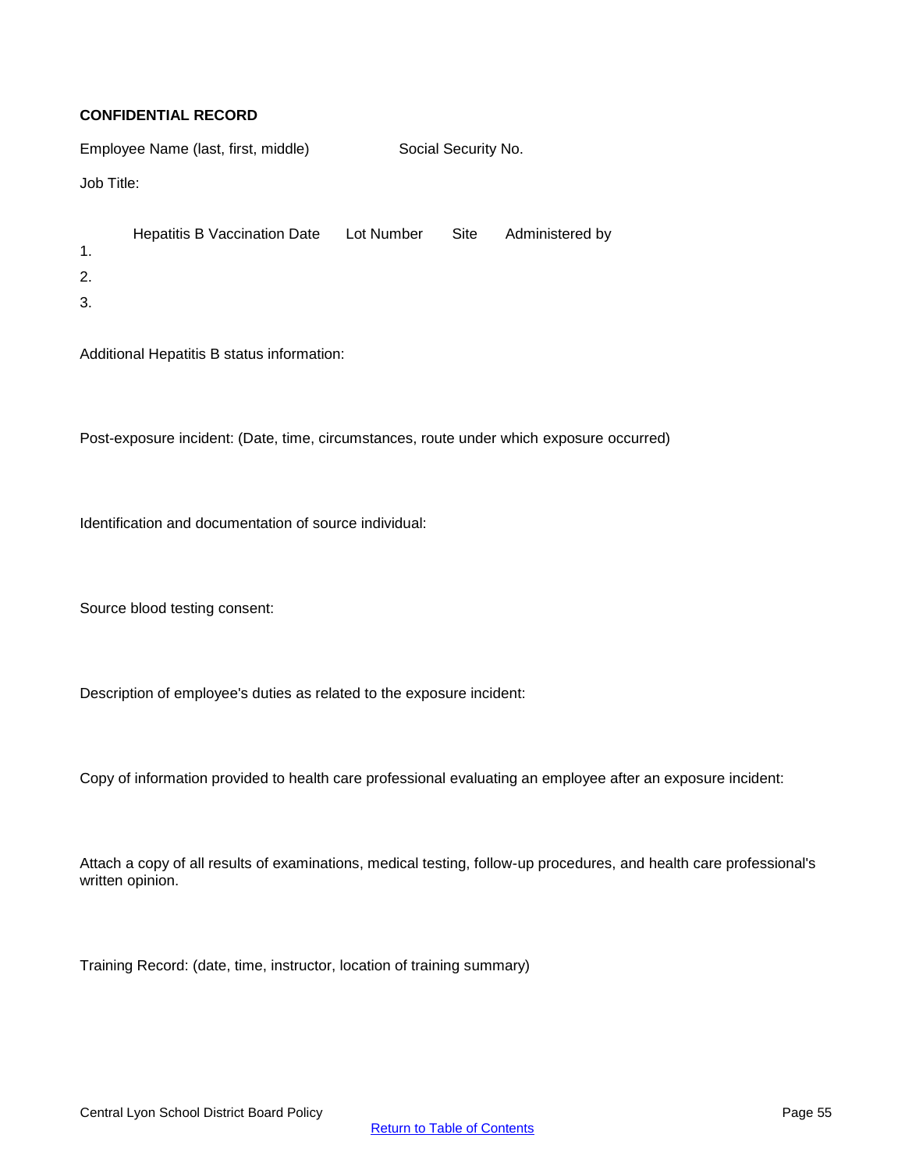# **CONFIDENTIAL RECORD**

| Employee Name (last, first, middle) | Social Security No. |
|-------------------------------------|---------------------|
| Job Title: .                        |                     |

Hepatitis B Vaccination Date Lot Number Site Administered by 1. 2. 3.

Additional Hepatitis B status information:

Post-exposure incident: (Date, time, circumstances, route under which exposure occurred)

Identification and documentation of source individual:

Source blood testing consent:

Description of employee's duties as related to the exposure incident:

Copy of information provided to health care professional evaluating an employee after an exposure incident:

Attach a copy of all results of examinations, medical testing, follow-up procedures, and health care professional's written opinion.

Training Record: (date, time, instructor, location of training summary)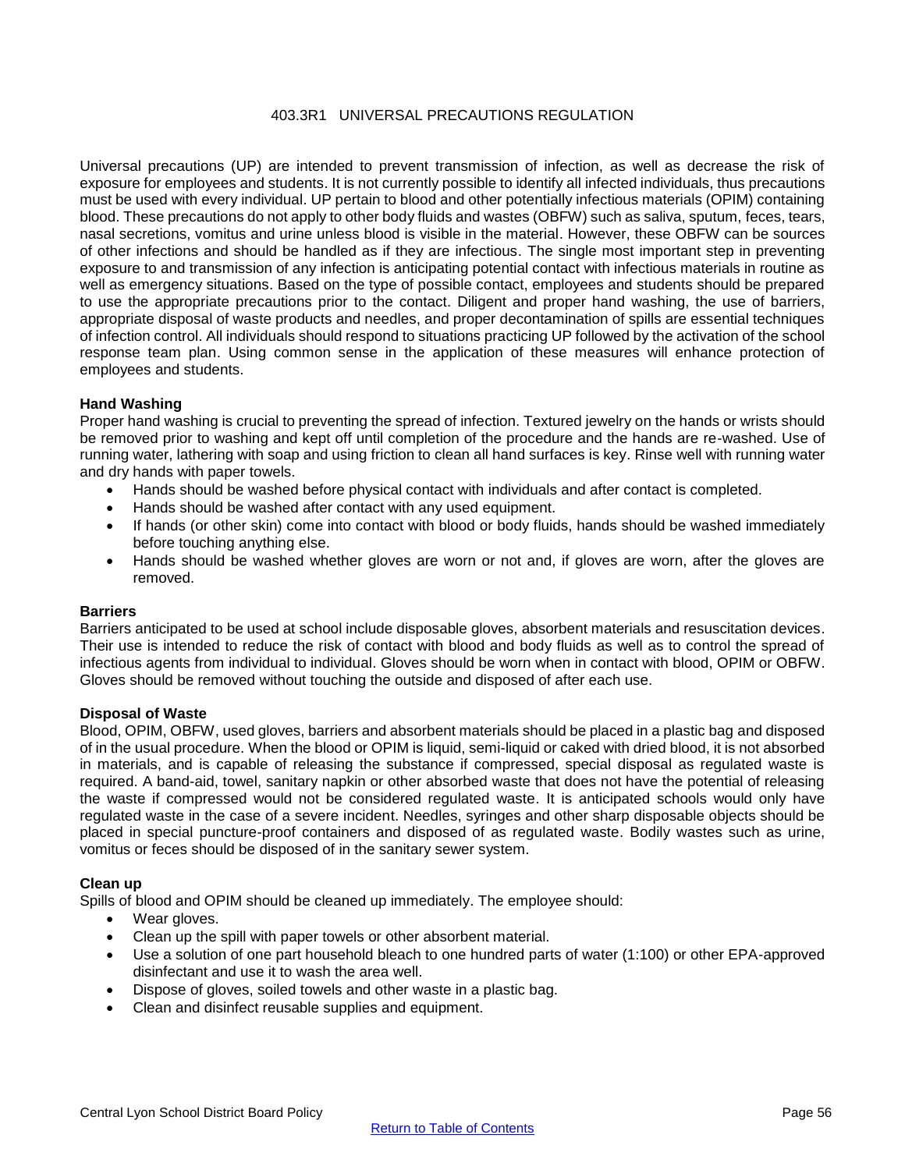# 403.3R1 UNIVERSAL PRECAUTIONS REGULATION

Universal precautions (UP) are intended to prevent transmission of infection, as well as decrease the risk of exposure for employees and students. It is not currently possible to identify all infected individuals, thus precautions must be used with every individual. UP pertain to blood and other potentially infectious materials (OPIM) containing blood. These precautions do not apply to other body fluids and wastes (OBFW) such as saliva, sputum, feces, tears, nasal secretions, vomitus and urine unless blood is visible in the material. However, these OBFW can be sources of other infections and should be handled as if they are infectious. The single most important step in preventing exposure to and transmission of any infection is anticipating potential contact with infectious materials in routine as well as emergency situations. Based on the type of possible contact, employees and students should be prepared to use the appropriate precautions prior to the contact. Diligent and proper hand washing, the use of barriers, appropriate disposal of waste products and needles, and proper decontamination of spills are essential techniques of infection control. All individuals should respond to situations practicing UP followed by the activation of the school response team plan. Using common sense in the application of these measures will enhance protection of employees and students.

### **Hand Washing**

Proper hand washing is crucial to preventing the spread of infection. Textured jewelry on the hands or wrists should be removed prior to washing and kept off until completion of the procedure and the hands are re-washed. Use of running water, lathering with soap and using friction to clean all hand surfaces is key. Rinse well with running water and dry hands with paper towels.

- Hands should be washed before physical contact with individuals and after contact is completed.
- Hands should be washed after contact with any used equipment.
- If hands (or other skin) come into contact with blood or body fluids, hands should be washed immediately before touching anything else.
- Hands should be washed whether gloves are worn or not and, if gloves are worn, after the gloves are removed.

#### **Barriers**

Barriers anticipated to be used at school include disposable gloves, absorbent materials and resuscitation devices. Their use is intended to reduce the risk of contact with blood and body fluids as well as to control the spread of infectious agents from individual to individual. Gloves should be worn when in contact with blood, OPIM or OBFW. Gloves should be removed without touching the outside and disposed of after each use.

#### **Disposal of Waste**

Blood, OPIM, OBFW, used gloves, barriers and absorbent materials should be placed in a plastic bag and disposed of in the usual procedure. When the blood or OPIM is liquid, semi-liquid or caked with dried blood, it is not absorbed in materials, and is capable of releasing the substance if compressed, special disposal as regulated waste is required. A band-aid, towel, sanitary napkin or other absorbed waste that does not have the potential of releasing the waste if compressed would not be considered regulated waste. It is anticipated schools would only have regulated waste in the case of a severe incident. Needles, syringes and other sharp disposable objects should be placed in special puncture-proof containers and disposed of as regulated waste. Bodily wastes such as urine, vomitus or feces should be disposed of in the sanitary sewer system.

#### **Clean up**

Spills of blood and OPIM should be cleaned up immediately. The employee should:

- Wear gloves.
- Clean up the spill with paper towels or other absorbent material.
- Use a solution of one part household bleach to one hundred parts of water (1:100) or other EPA-approved disinfectant and use it to wash the area well.
- Dispose of gloves, soiled towels and other waste in a plastic bag.
- Clean and disinfect reusable supplies and equipment.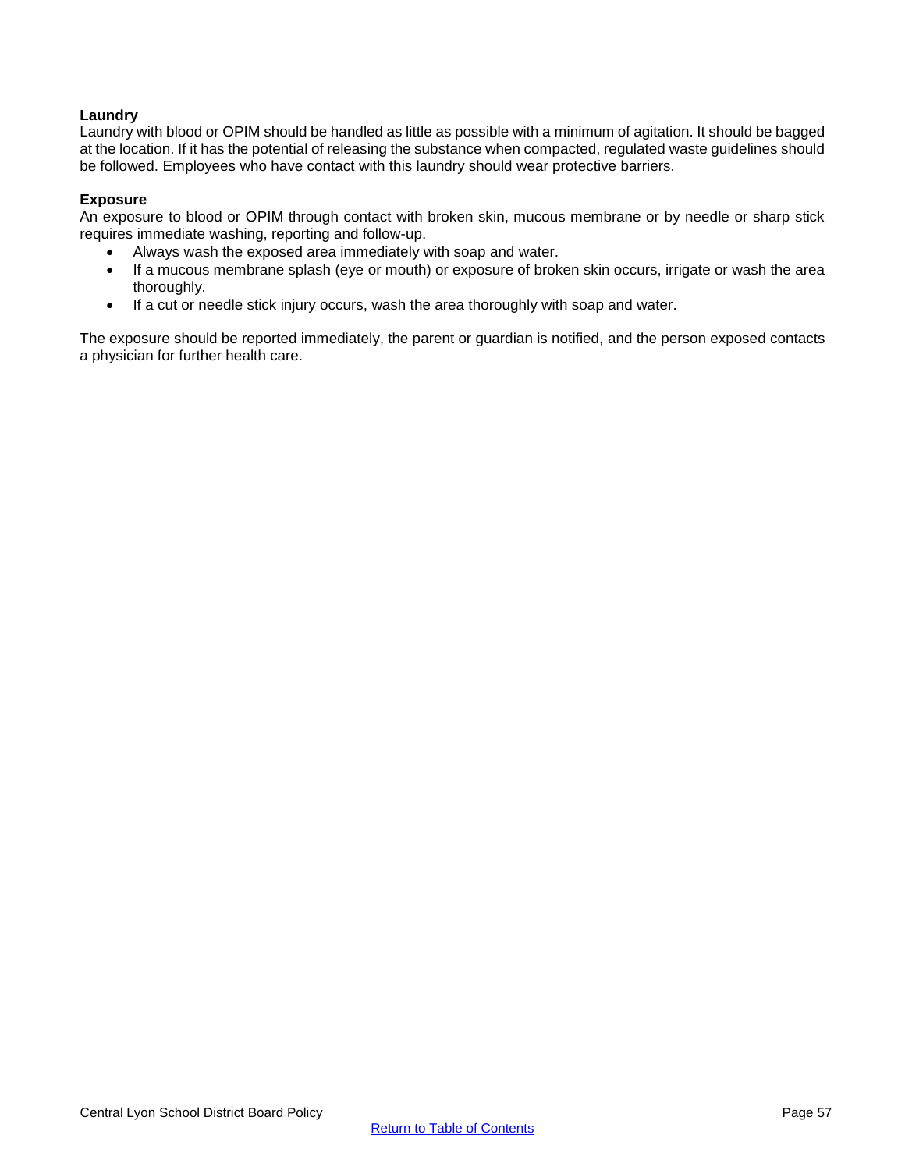# **Laundry**

Laundry with blood or OPIM should be handled as little as possible with a minimum of agitation. It should be bagged at the location. If it has the potential of releasing the substance when compacted, regulated waste guidelines should be followed. Employees who have contact with this laundry should wear protective barriers.

# **Exposure**

An exposure to blood or OPIM through contact with broken skin, mucous membrane or by needle or sharp stick requires immediate washing, reporting and follow-up.

- Always wash the exposed area immediately with soap and water.
- If a mucous membrane splash (eye or mouth) or exposure of broken skin occurs, irrigate or wash the area thoroughly.
- If a cut or needle stick injury occurs, wash the area thoroughly with soap and water.

The exposure should be reported immediately, the parent or guardian is notified, and the person exposed contacts a physician for further health care.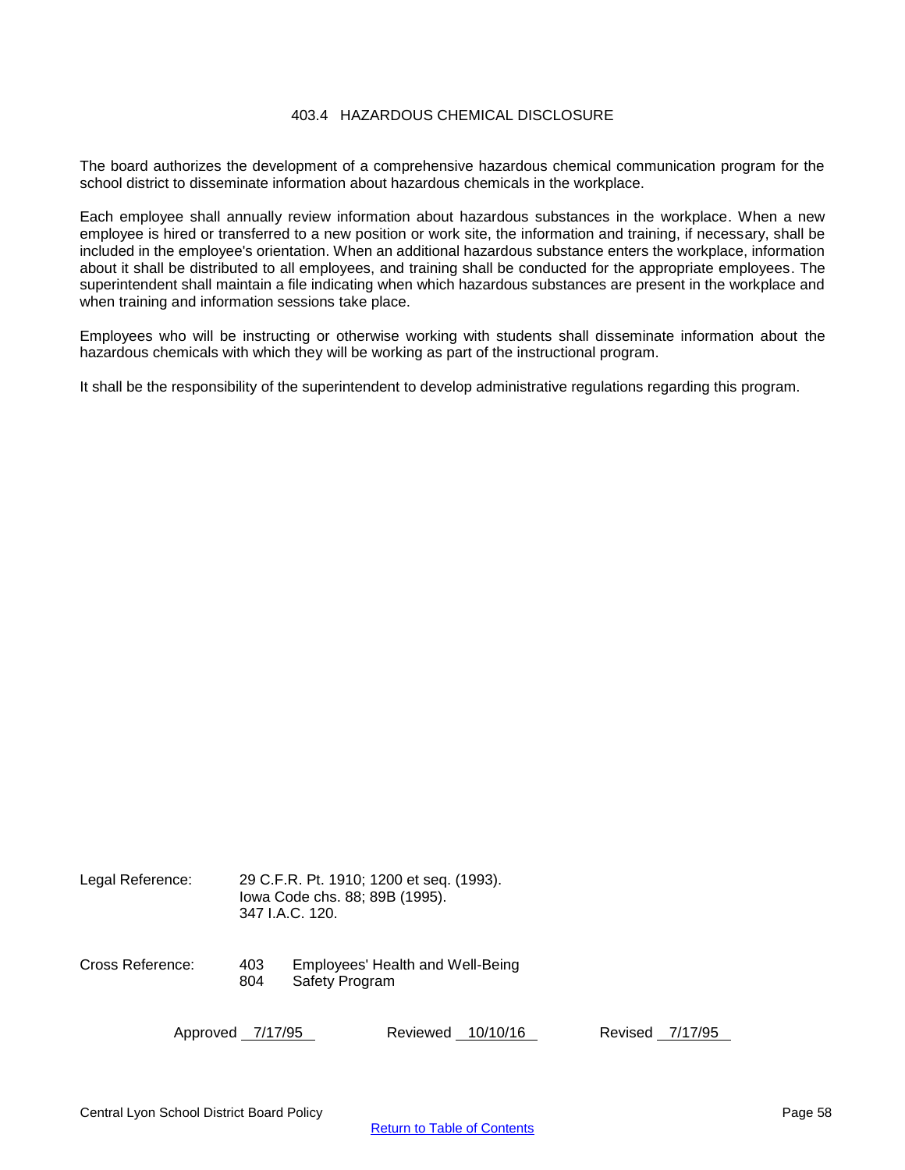# 403.4 HAZARDOUS CHEMICAL DISCLOSURE

The board authorizes the development of a comprehensive hazardous chemical communication program for the school district to disseminate information about hazardous chemicals in the workplace.

Each employee shall annually review information about hazardous substances in the workplace. When a new employee is hired or transferred to a new position or work site, the information and training, if necessary, shall be included in the employee's orientation. When an additional hazardous substance enters the workplace, information about it shall be distributed to all employees, and training shall be conducted for the appropriate employees. The superintendent shall maintain a file indicating when which hazardous substances are present in the workplace and when training and information sessions take place.

Employees who will be instructing or otherwise working with students shall disseminate information about the hazardous chemicals with which they will be working as part of the instructional program.

It shall be the responsibility of the superintendent to develop administrative regulations regarding this program.

| Legal Reference: |            | 29 C.F.R. Pt. 1910; 1200 et seq. (1993).<br>lowa Code chs. 88; 89B (1995).<br>347 J.A.C. 120. |                                  |          |         |         |  |
|------------------|------------|-----------------------------------------------------------------------------------------------|----------------------------------|----------|---------|---------|--|
| Cross Reference: | 403<br>804 | Safety Program                                                                                | Employees' Health and Well-Being |          |         |         |  |
| Approved         | 7/17/95    |                                                                                               | Reviewed                         | 10/10/16 | Revised | 7/17/95 |  |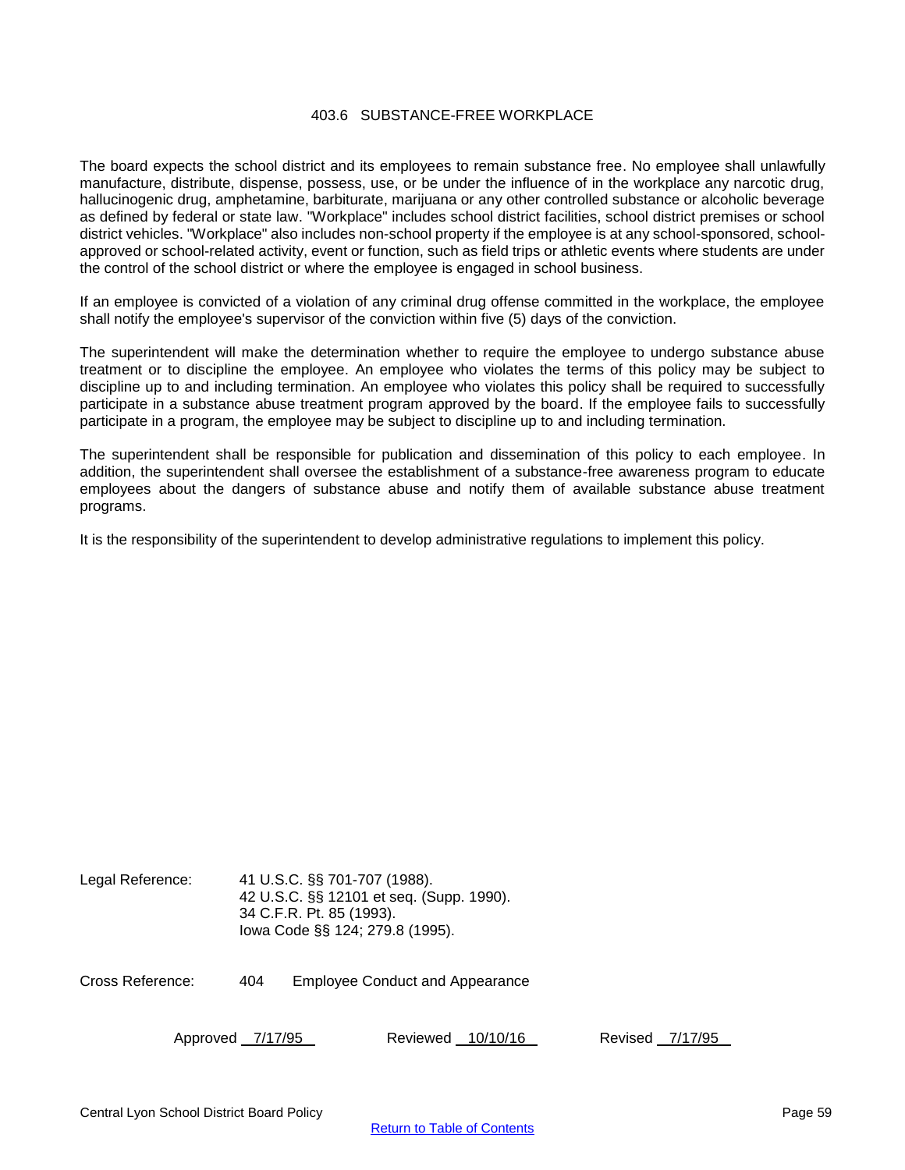# 403.6 SUBSTANCE-FREE WORKPLACE

The board expects the school district and its employees to remain substance free. No employee shall unlawfully manufacture, distribute, dispense, possess, use, or be under the influence of in the workplace any narcotic drug, hallucinogenic drug, amphetamine, barbiturate, marijuana or any other controlled substance or alcoholic beverage as defined by federal or state law. "Workplace" includes school district facilities, school district premises or school district vehicles. "Workplace" also includes non-school property if the employee is at any school-sponsored, schoolapproved or school-related activity, event or function, such as field trips or athletic events where students are under the control of the school district or where the employee is engaged in school business.

If an employee is convicted of a violation of any criminal drug offense committed in the workplace, the employee shall notify the employee's supervisor of the conviction within five (5) days of the conviction.

The superintendent will make the determination whether to require the employee to undergo substance abuse treatment or to discipline the employee. An employee who violates the terms of this policy may be subject to discipline up to and including termination. An employee who violates this policy shall be required to successfully participate in a substance abuse treatment program approved by the board. If the employee fails to successfully participate in a program, the employee may be subject to discipline up to and including termination.

The superintendent shall be responsible for publication and dissemination of this policy to each employee. In addition, the superintendent shall oversee the establishment of a substance-free awareness program to educate employees about the dangers of substance abuse and notify them of available substance abuse treatment programs.

It is the responsibility of the superintendent to develop administrative regulations to implement this policy.

| Legal Reference: |                  | 41 U.S.C. §§ 701-707 (1988).<br>42 U.S.C. §§ 12101 et seq. (Supp. 1990).<br>34 C.F.R. Pt. 85 (1993).<br>lowa Code §§ 124; 279.8 (1995). |                                        |                   |         |         |  |
|------------------|------------------|-----------------------------------------------------------------------------------------------------------------------------------------|----------------------------------------|-------------------|---------|---------|--|
| Cross Reference: | 404              |                                                                                                                                         | <b>Employee Conduct and Appearance</b> |                   |         |         |  |
|                  | Approved 7/17/95 |                                                                                                                                         |                                        | Reviewed 10/10/16 | Revised | 7/17/95 |  |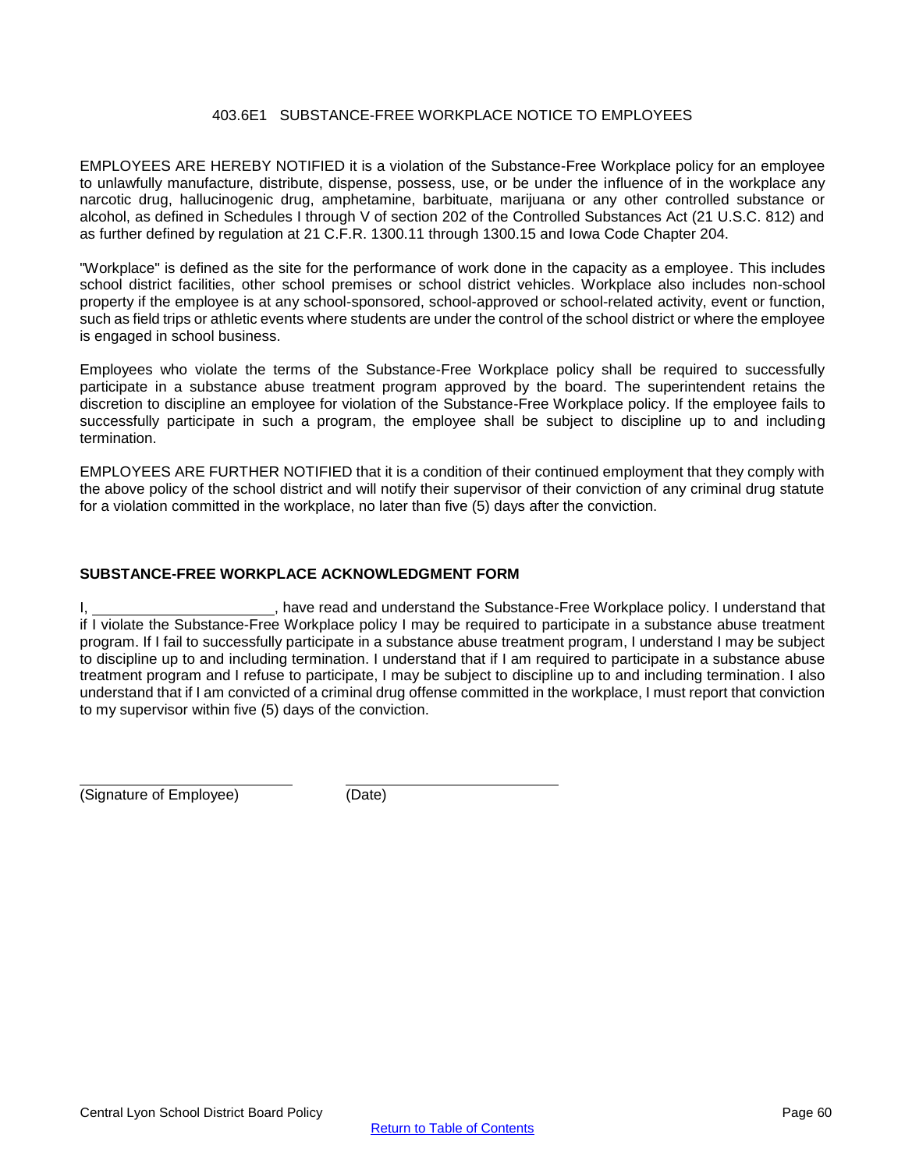# 403.6E1 SUBSTANCE-FREE WORKPLACE NOTICE TO EMPLOYEES

EMPLOYEES ARE HEREBY NOTIFIED it is a violation of the Substance-Free Workplace policy for an employee to unlawfully manufacture, distribute, dispense, possess, use, or be under the influence of in the workplace any narcotic drug, hallucinogenic drug, amphetamine, barbituate, marijuana or any other controlled substance or alcohol, as defined in Schedules I through V of section 202 of the Controlled Substances Act (21 U.S.C. 812) and as further defined by regulation at 21 C.F.R. 1300.11 through 1300.15 and Iowa Code Chapter 204.

"Workplace" is defined as the site for the performance of work done in the capacity as a employee. This includes school district facilities, other school premises or school district vehicles. Workplace also includes non-school property if the employee is at any school-sponsored, school-approved or school-related activity, event or function, such as field trips or athletic events where students are under the control of the school district or where the employee is engaged in school business.

Employees who violate the terms of the Substance-Free Workplace policy shall be required to successfully participate in a substance abuse treatment program approved by the board. The superintendent retains the discretion to discipline an employee for violation of the Substance-Free Workplace policy. If the employee fails to successfully participate in such a program, the employee shall be subject to discipline up to and including termination.

EMPLOYEES ARE FURTHER NOTIFIED that it is a condition of their continued employment that they comply with the above policy of the school district and will notify their supervisor of their conviction of any criminal drug statute for a violation committed in the workplace, no later than five (5) days after the conviction.

# **SUBSTANCE-FREE WORKPLACE ACKNOWLEDGMENT FORM**

I, 1. All that the Substance-Free Workplace policy. I understand that is not even be very statement of that if I violate the Substance-Free Workplace policy I may be required to participate in a substance abuse treatment program. If I fail to successfully participate in a substance abuse treatment program, I understand I may be subject to discipline up to and including termination. I understand that if I am required to participate in a substance abuse treatment program and I refuse to participate, I may be subject to discipline up to and including termination. I also understand that if I am convicted of a criminal drug offense committed in the workplace, I must report that conviction to my supervisor within five (5) days of the conviction.

(Signature of Employee) (Date)

 $\overline{a}$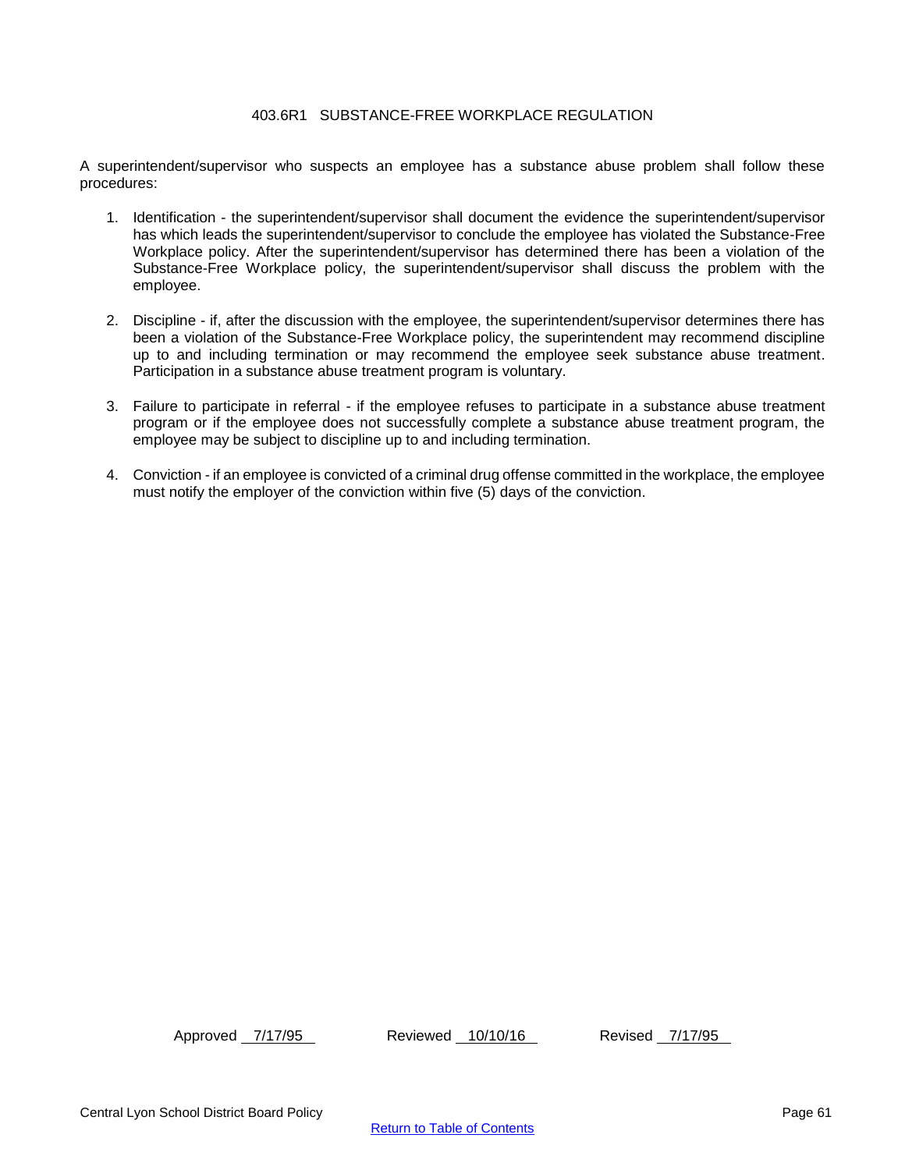# 403.6R1 SUBSTANCE-FREE WORKPLACE REGULATION

A superintendent/supervisor who suspects an employee has a substance abuse problem shall follow these procedures:

- 1. Identification the superintendent/supervisor shall document the evidence the superintendent/supervisor has which leads the superintendent/supervisor to conclude the employee has violated the Substance-Free Workplace policy. After the superintendent/supervisor has determined there has been a violation of the Substance-Free Workplace policy, the superintendent/supervisor shall discuss the problem with the employee.
- 2. Discipline if, after the discussion with the employee, the superintendent/supervisor determines there has been a violation of the Substance-Free Workplace policy, the superintendent may recommend discipline up to and including termination or may recommend the employee seek substance abuse treatment. Participation in a substance abuse treatment program is voluntary.
- 3. Failure to participate in referral if the employee refuses to participate in a substance abuse treatment program or if the employee does not successfully complete a substance abuse treatment program, the employee may be subject to discipline up to and including termination.
- 4. Conviction if an employee is convicted of a criminal drug offense committed in the workplace, the employee must notify the employer of the conviction within five (5) days of the conviction.

Approved 7/17/95 Reviewed 10/10/16 Revised 7/17/95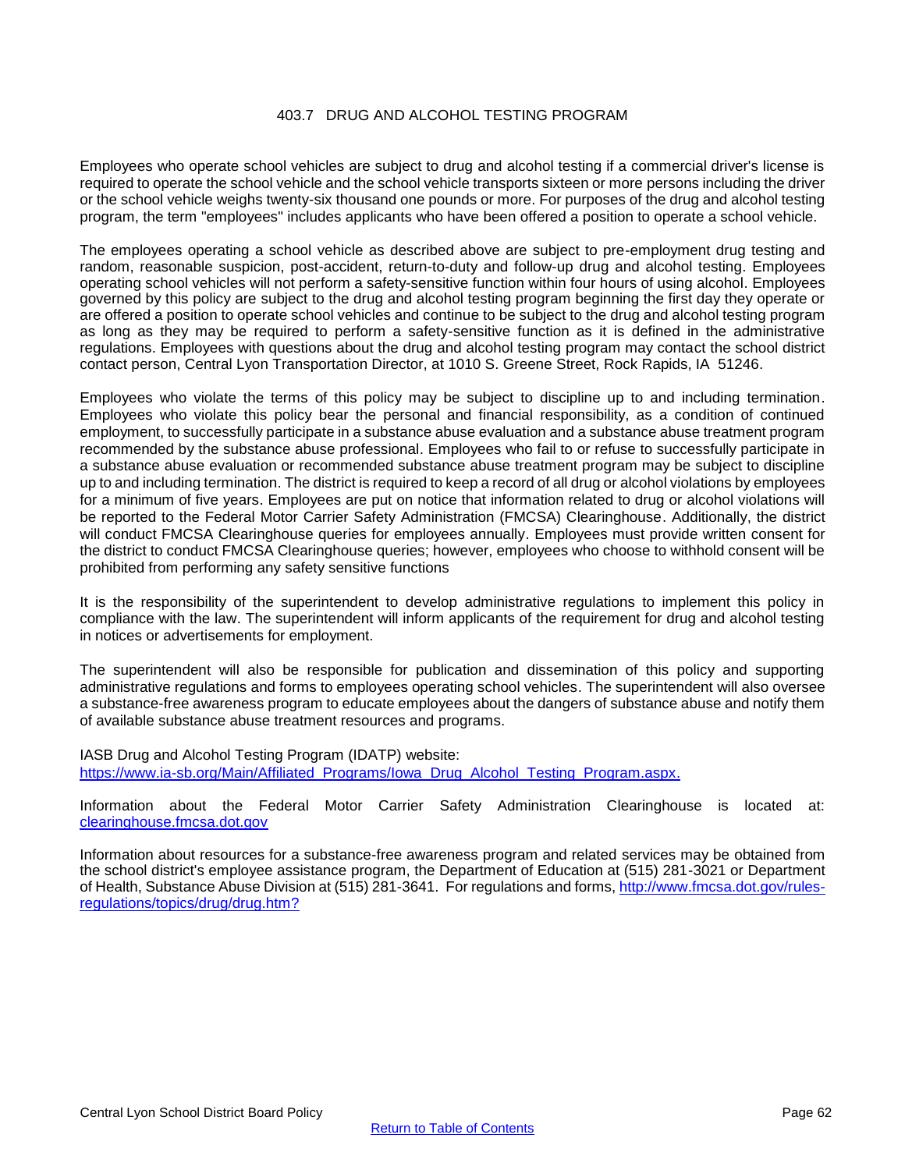# 403.7 DRUG AND ALCOHOL TESTING PROGRAM

Employees who operate school vehicles are subject to drug and alcohol testing if a commercial driver's license is required to operate the school vehicle and the school vehicle transports sixteen or more persons including the driver or the school vehicle weighs twenty-six thousand one pounds or more. For purposes of the drug and alcohol testing program, the term "employees" includes applicants who have been offered a position to operate a school vehicle.

The employees operating a school vehicle as described above are subject to pre-employment drug testing and random, reasonable suspicion, post-accident, return-to-duty and follow-up drug and alcohol testing. Employees operating school vehicles will not perform a safety-sensitive function within four hours of using alcohol. Employees governed by this policy are subject to the drug and alcohol testing program beginning the first day they operate or are offered a position to operate school vehicles and continue to be subject to the drug and alcohol testing program as long as they may be required to perform a safety-sensitive function as it is defined in the administrative regulations. Employees with questions about the drug and alcohol testing program may contact the school district contact person, Central Lyon Transportation Director, at 1010 S. Greene Street, Rock Rapids, IA 51246.

Employees who violate the terms of this policy may be subject to discipline up to and including termination. Employees who violate this policy bear the personal and financial responsibility, as a condition of continued employment, to successfully participate in a substance abuse evaluation and a substance abuse treatment program recommended by the substance abuse professional. Employees who fail to or refuse to successfully participate in a substance abuse evaluation or recommended substance abuse treatment program may be subject to discipline up to and including termination. The district is required to keep a record of all drug or alcohol violations by employees for a minimum of five years. Employees are put on notice that information related to drug or alcohol violations will be reported to the Federal Motor Carrier Safety Administration (FMCSA) Clearinghouse. Additionally, the district will conduct FMCSA Clearinghouse queries for employees annually. Employees must provide written consent for the district to conduct FMCSA Clearinghouse queries; however, employees who choose to withhold consent will be prohibited from performing any safety sensitive functions

It is the responsibility of the superintendent to develop administrative regulations to implement this policy in compliance with the law. The superintendent will inform applicants of the requirement for drug and alcohol testing in notices or advertisements for employment.

The superintendent will also be responsible for publication and dissemination of this policy and supporting administrative regulations and forms to employees operating school vehicles. The superintendent will also oversee a substance-free awareness program to educate employees about the dangers of substance abuse and notify them of available substance abuse treatment resources and programs.

IASB Drug and Alcohol Testing Program (IDATP) website: [https://www.ia-sb.org/Main/Affiliated\\_Programs/Iowa\\_Drug\\_Alcohol\\_Testing\\_Program.aspx.](https://www.ia-sb.org/Main/Affiliated_Programs/Iowa_Drug_Alcohol_Testing_Program.aspx)

Information about the Federal Motor Carrier Safety Administration Clearinghouse is located at: [clearinghouse.fmcsa.dot.gov](https://clearinghouse.fmcsa.dot.gov/)

Information about resources for a substance-free awareness program and related services may be obtained from the school district's employee assistance program, the Department of Education at (515) 281-3021 or Department of Health, Substance Abuse Division at (515) 281-3641. For regulations and forms, [http://www.fmcsa.dot.gov/rules](http://www.fmcsa.dot.gov/rules-regulations/topics/drug/drug.htm)[regulations/topics/drug/drug.htm?](http://www.fmcsa.dot.gov/rules-regulations/topics/drug/drug.htm)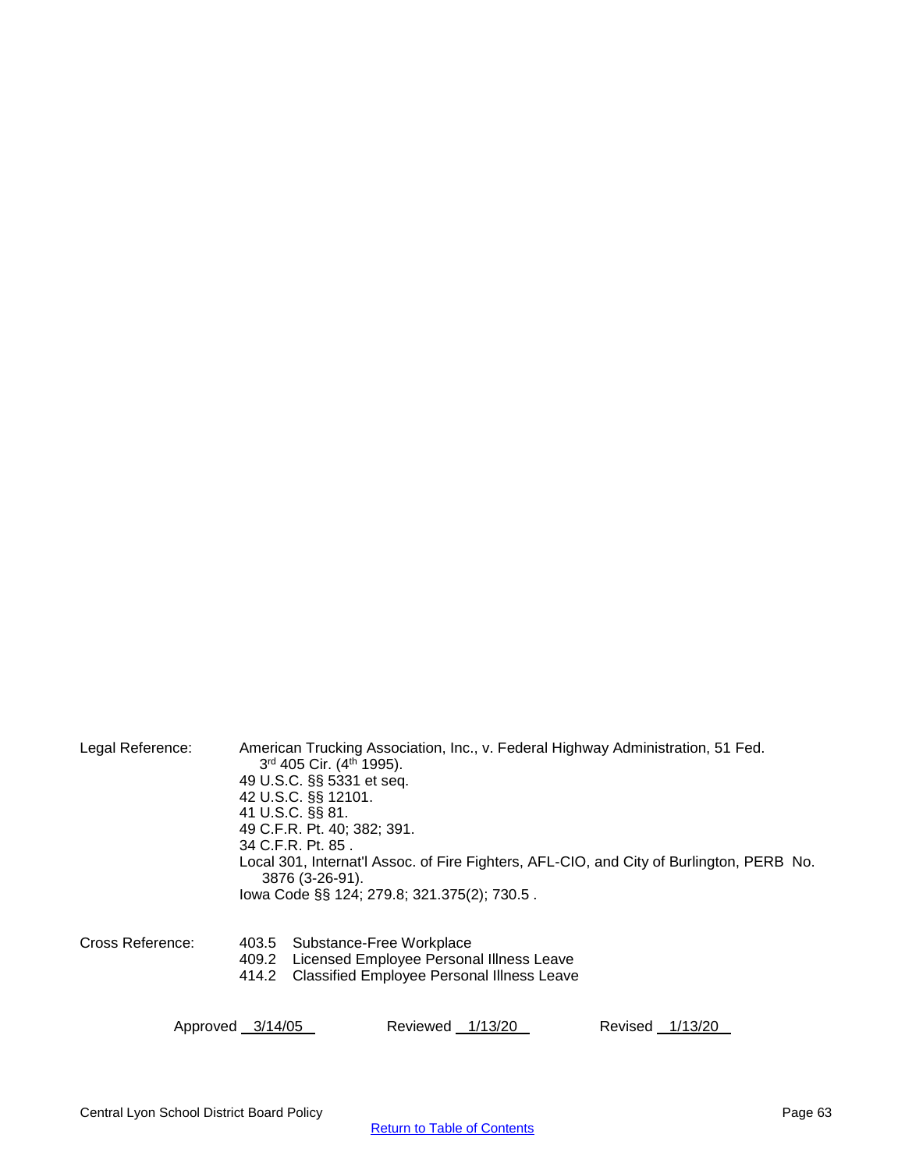| Legal Reference: |                         | American Trucking Association, Inc., v. Federal Highway Administration, 51 Fed.<br>3rd 405 Cir. (4th 1995).<br>49 U.S.C. §§ 5331 et seq.<br>42 U.S.C. §§ 12101.<br>41 U.S.C. §§ 81.<br>49 C.F.R. Pt. 40; 382; 391.<br>34 C.F.R. Pt. 85.<br>Local 301, Internat'l Assoc. of Fire Fighters, AFL-CIO, and City of Burlington, PERB No.<br>3876 (3-26-91).<br>lowa Code §§ 124; 279.8; 321.375(2); 730.5. |
|------------------|-------------------------|-------------------------------------------------------------------------------------------------------------------------------------------------------------------------------------------------------------------------------------------------------------------------------------------------------------------------------------------------------------------------------------------------------|
| Cross Reference: | 403.5<br>409.2<br>414.2 | Substance-Free Workplace<br>Licensed Employee Personal Illness Leave<br><b>Classified Employee Personal Illness Leave</b>                                                                                                                                                                                                                                                                             |
| Approved 3/14/05 |                         | Reviewed 1/13/20<br>1/13/20<br>Revised                                                                                                                                                                                                                                                                                                                                                                |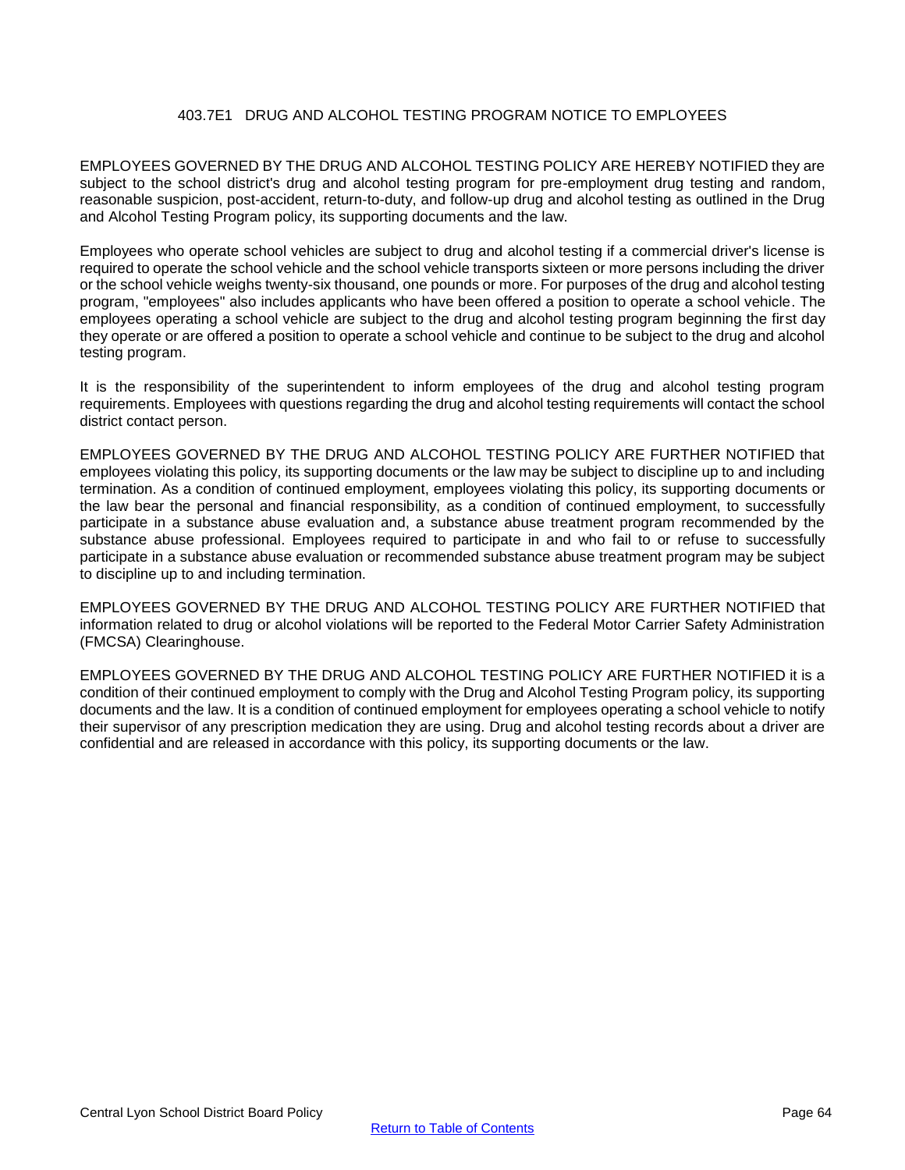# 403.7E1 DRUG AND ALCOHOL TESTING PROGRAM NOTICE TO EMPLOYEES

EMPLOYEES GOVERNED BY THE DRUG AND ALCOHOL TESTING POLICY ARE HEREBY NOTIFIED they are subject to the school district's drug and alcohol testing program for pre-employment drug testing and random, reasonable suspicion, post-accident, return-to-duty, and follow-up drug and alcohol testing as outlined in the Drug and Alcohol Testing Program policy, its supporting documents and the law.

Employees who operate school vehicles are subject to drug and alcohol testing if a commercial driver's license is required to operate the school vehicle and the school vehicle transports sixteen or more persons including the driver or the school vehicle weighs twenty-six thousand, one pounds or more. For purposes of the drug and alcohol testing program, "employees" also includes applicants who have been offered a position to operate a school vehicle. The employees operating a school vehicle are subject to the drug and alcohol testing program beginning the first day they operate or are offered a position to operate a school vehicle and continue to be subject to the drug and alcohol testing program.

It is the responsibility of the superintendent to inform employees of the drug and alcohol testing program requirements. Employees with questions regarding the drug and alcohol testing requirements will contact the school district contact person.

EMPLOYEES GOVERNED BY THE DRUG AND ALCOHOL TESTING POLICY ARE FURTHER NOTIFIED that employees violating this policy, its supporting documents or the law may be subject to discipline up to and including termination. As a condition of continued employment, employees violating this policy, its supporting documents or the law bear the personal and financial responsibility, as a condition of continued employment, to successfully participate in a substance abuse evaluation and, a substance abuse treatment program recommended by the substance abuse professional. Employees required to participate in and who fail to or refuse to successfully participate in a substance abuse evaluation or recommended substance abuse treatment program may be subject to discipline up to and including termination.

EMPLOYEES GOVERNED BY THE DRUG AND ALCOHOL TESTING POLICY ARE FURTHER NOTIFIED that information related to drug or alcohol violations will be reported to the Federal Motor Carrier Safety Administration (FMCSA) Clearinghouse.

EMPLOYEES GOVERNED BY THE DRUG AND ALCOHOL TESTING POLICY ARE FURTHER NOTIFIED it is a condition of their continued employment to comply with the Drug and Alcohol Testing Program policy, its supporting documents and the law. It is a condition of continued employment for employees operating a school vehicle to notify their supervisor of any prescription medication they are using. Drug and alcohol testing records about a driver are confidential and are released in accordance with this policy, its supporting documents or the law.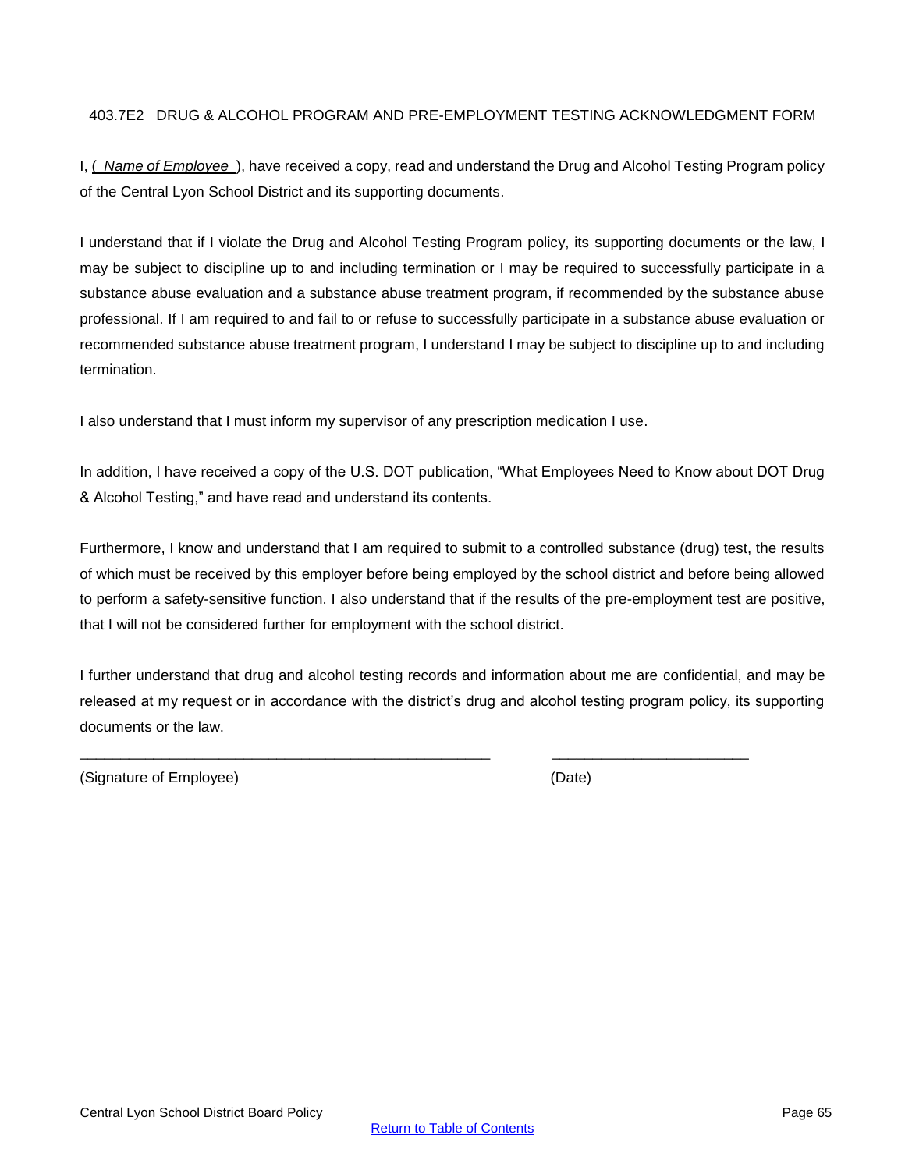# 403.7E2 DRUG & ALCOHOL PROGRAM AND PRE-EMPLOYMENT TESTING ACKNOWLEDGMENT FORM

I, ( *Name of Employee* ), have received a copy, read and understand the Drug and Alcohol Testing Program policy of the Central Lyon School District and its supporting documents.

I understand that if I violate the Drug and Alcohol Testing Program policy, its supporting documents or the law, I may be subject to discipline up to and including termination or I may be required to successfully participate in a substance abuse evaluation and a substance abuse treatment program, if recommended by the substance abuse professional. If I am required to and fail to or refuse to successfully participate in a substance abuse evaluation or recommended substance abuse treatment program, I understand I may be subject to discipline up to and including termination.

I also understand that I must inform my supervisor of any prescription medication I use.

In addition, I have received a copy of the U.S. DOT publication, "What Employees Need to Know about DOT Drug & Alcohol Testing," and have read and understand its contents.

Furthermore, I know and understand that I am required to submit to a controlled substance (drug) test, the results of which must be received by this employer before being employed by the school district and before being allowed to perform a safety-sensitive function. I also understand that if the results of the pre-employment test are positive, that I will not be considered further for employment with the school district.

I further understand that drug and alcohol testing records and information about me are confidential, and may be released at my request or in accordance with the district's drug and alcohol testing program policy, its supporting documents or the law.

\_\_\_\_\_\_\_\_\_\_\_\_\_\_\_\_\_\_\_\_\_\_\_\_\_\_\_\_\_\_\_\_\_\_\_\_\_\_\_\_\_\_\_\_\_\_\_\_\_\_ \_\_\_\_\_\_\_\_\_\_\_\_\_\_\_\_\_\_\_\_\_\_\_\_

(Signature of Employee) (Date)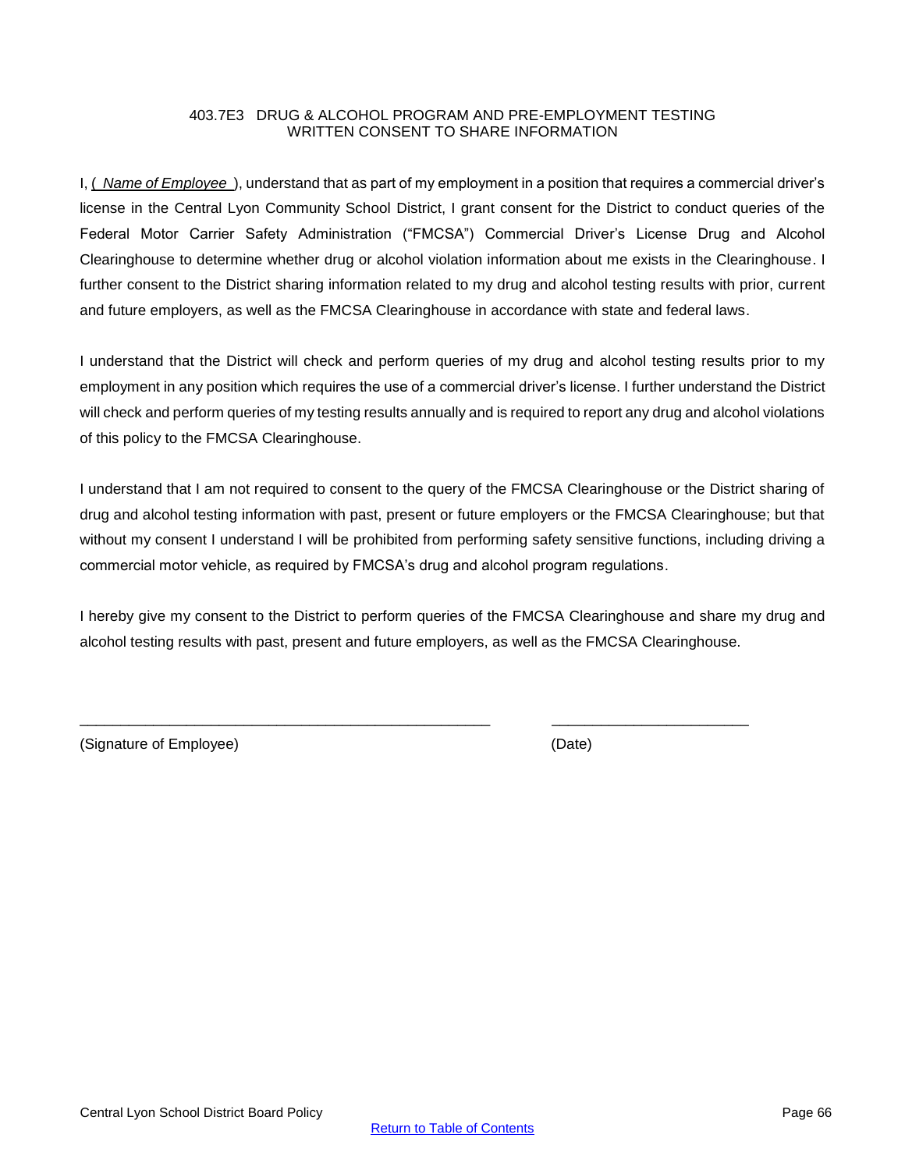# 403.7E3 DRUG & ALCOHOL PROGRAM AND PRE-EMPLOYMENT TESTING WRITTEN CONSENT TO SHARE INFORMATION

I, ( *Name of Employee* ), understand that as part of my employment in a position that requires a commercial driver's license in the Central Lyon Community School District, I grant consent for the District to conduct queries of the Federal Motor Carrier Safety Administration ("FMCSA") Commercial Driver's License Drug and Alcohol Clearinghouse to determine whether drug or alcohol violation information about me exists in the Clearinghouse. I further consent to the District sharing information related to my drug and alcohol testing results with prior, current and future employers, as well as the FMCSA Clearinghouse in accordance with state and federal laws.

I understand that the District will check and perform queries of my drug and alcohol testing results prior to my employment in any position which requires the use of a commercial driver's license. I further understand the District will check and perform queries of my testing results annually and is required to report any drug and alcohol violations of this policy to the FMCSA Clearinghouse.

I understand that I am not required to consent to the query of the FMCSA Clearinghouse or the District sharing of drug and alcohol testing information with past, present or future employers or the FMCSA Clearinghouse; but that without my consent I understand I will be prohibited from performing safety sensitive functions, including driving a commercial motor vehicle, as required by FMCSA's drug and alcohol program regulations.

I hereby give my consent to the District to perform queries of the FMCSA Clearinghouse and share my drug and alcohol testing results with past, present and future employers, as well as the FMCSA Clearinghouse.

\_\_\_\_\_\_\_\_\_\_\_\_\_\_\_\_\_\_\_\_\_\_\_\_\_\_\_\_\_\_\_\_\_\_\_\_\_\_\_\_\_\_\_\_\_\_\_\_\_\_ \_\_\_\_\_\_\_\_\_\_\_\_\_\_\_\_\_\_\_\_\_\_\_\_

(Signature of Employee) (Date)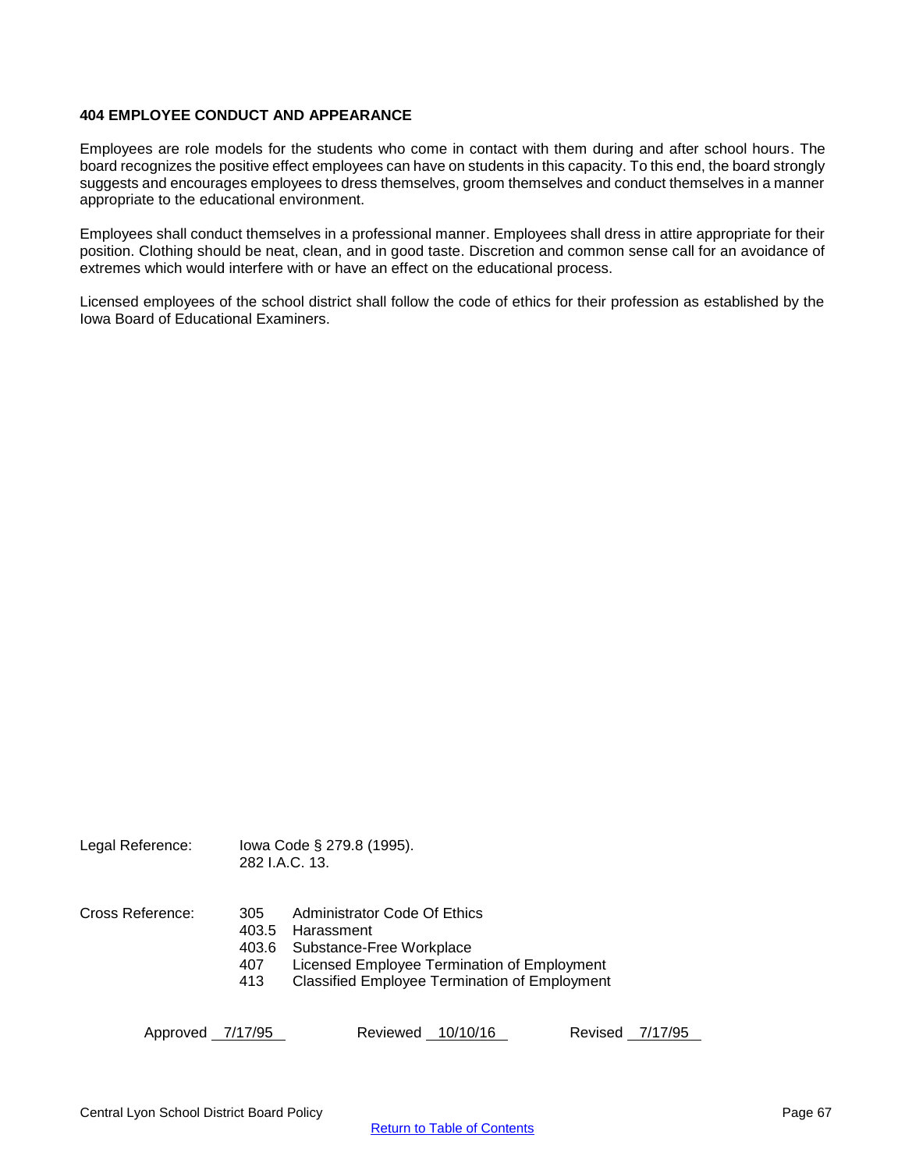# **404 EMPLOYEE CONDUCT AND APPEARANCE**

Employees are role models for the students who come in contact with them during and after school hours. The board recognizes the positive effect employees can have on students in this capacity. To this end, the board strongly suggests and encourages employees to dress themselves, groom themselves and conduct themselves in a manner appropriate to the educational environment.

Employees shall conduct themselves in a professional manner. Employees shall dress in attire appropriate for their position. Clothing should be neat, clean, and in good taste. Discretion and common sense call for an avoidance of extremes which would interfere with or have an effect on the educational process.

Licensed employees of the school district shall follow the code of ethics for their profession as established by the Iowa Board of Educational Examiners.

Legal Reference: Iowa Code § 279.8 (1995). 282 I.A.C. 13. Cross Reference: 305 Administrator Code Of Ethics 403.5 Harassment 403.6 Substance-Free Workplace 407 Licensed Employee Termination of Employment 413 Classified Employee Termination of Employment Approved 7/17/95 Reviewed 10/10/16 Revised 7/17/95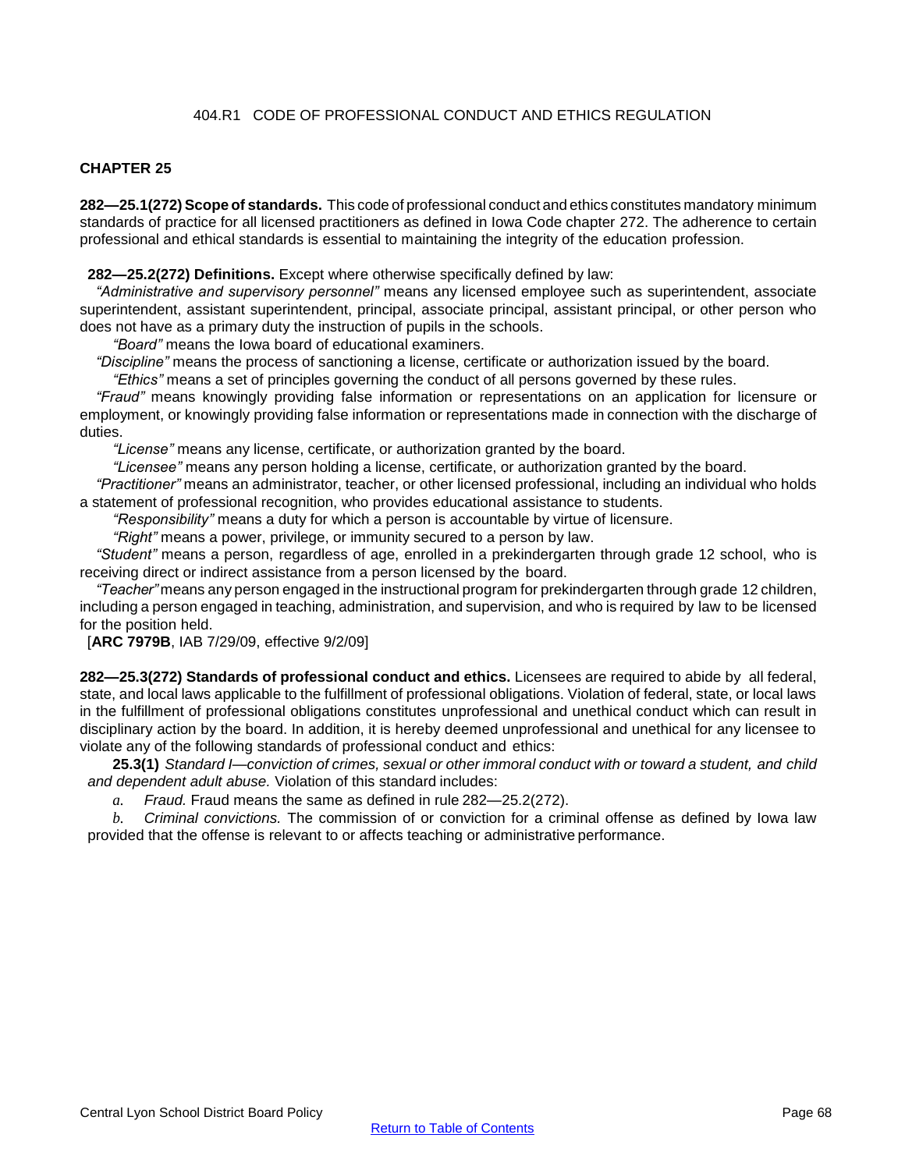# 404.R1 CODE OF PROFESSIONAL CONDUCT AND ETHICS REGULATION

### **CHAPTER 25**

**282—25.1(272) Scope of standards.** This code of professional conduct and ethics constitutes mandatory minimum standards of practice for all licensed practitioners as defined in Iowa Code chapter [272.](https://www.legis.iowa.gov/docs/ico/chapter/272.pdf) The adherence to certain professional and ethical standards is essential to maintaining the integrity of the education profession.

#### **282—25.2(272) Definitions.** Except where otherwise specifically defined by law:

*"Administrative and supervisory personnel"* means any licensed employee such as superintendent, associate superintendent, assistant superintendent, principal, associate principal, assistant principal, or other person who does not have as a primary duty the instruction of pupils in the schools.

*"Board"* means the Iowa board of educational examiners.

*"Discipline"* means the process of sanctioning a license, certificate or authorization issued by the board.

*"Ethics"* means a set of principles governing the conduct of all persons governed by these rules.

*"Fraud"* means knowingly providing false information or representations on an application for licensure or employment, or knowingly providing false information or representations made in connection with the discharge of duties.

*"License"* means any license, certificate, or authorization granted by the board.

*"Licensee"* means any person holding a license, certificate, or authorization granted by the board.

*"Practitioner"* means an administrator, teacher, or other licensed professional, including an individual who holds a statement of professional recognition, who provides educational assistance to students.

*"Responsibility"* means a duty for which a person is accountable by virtue of licensure.

*"Right"* means a power, privilege, or immunity secured to a person by law.

*"Student"* means a person, regardless of age, enrolled in a prekindergarten through grade 12 school, who is receiving direct or indirect assistance from a person licensed by the board.

*"Teacher"* means any person engaged in the instructional program for prekindergarten through grade 12 children, including a person engaged in teaching, administration, and supervision, and who is required by law to be licensed for the position held.

[**[ARC 7979B](https://www.legis.iowa.gov/docs/aco/arc/7979B.pdf)**, IAB 7/29/09, effective 9/2/09]

**282—25.3(272) Standards of professional conduct and ethics.** Licensees are required to abide by all federal, state, and local laws applicable to the fulfillment of professional obligations. Violation of federal, state, or local laws in the fulfillment of professional obligations constitutes unprofessional and unethical conduct which can result in disciplinary action by the board. In addition, it is hereby deemed unprofessional and unethical for any licensee to violate any of the following standards of professional conduct and ethics:

**25.3(1)** *Standard I—conviction of crimes, sexual or other immoral conduct with or toward a student, and child and dependent adult abuse.* Violation of this standard includes:

*a. Fraud.* Fraud means the same as defined in rule [282—25.2\(](https://www.legis.iowa.gov/docs/iac/rule/282.25.2.pdf)272).

*b. Criminal convictions.* The commission of or conviction for a criminal offense as defined by Iowa law provided that the offense is relevant to or affects teaching or administrative performance.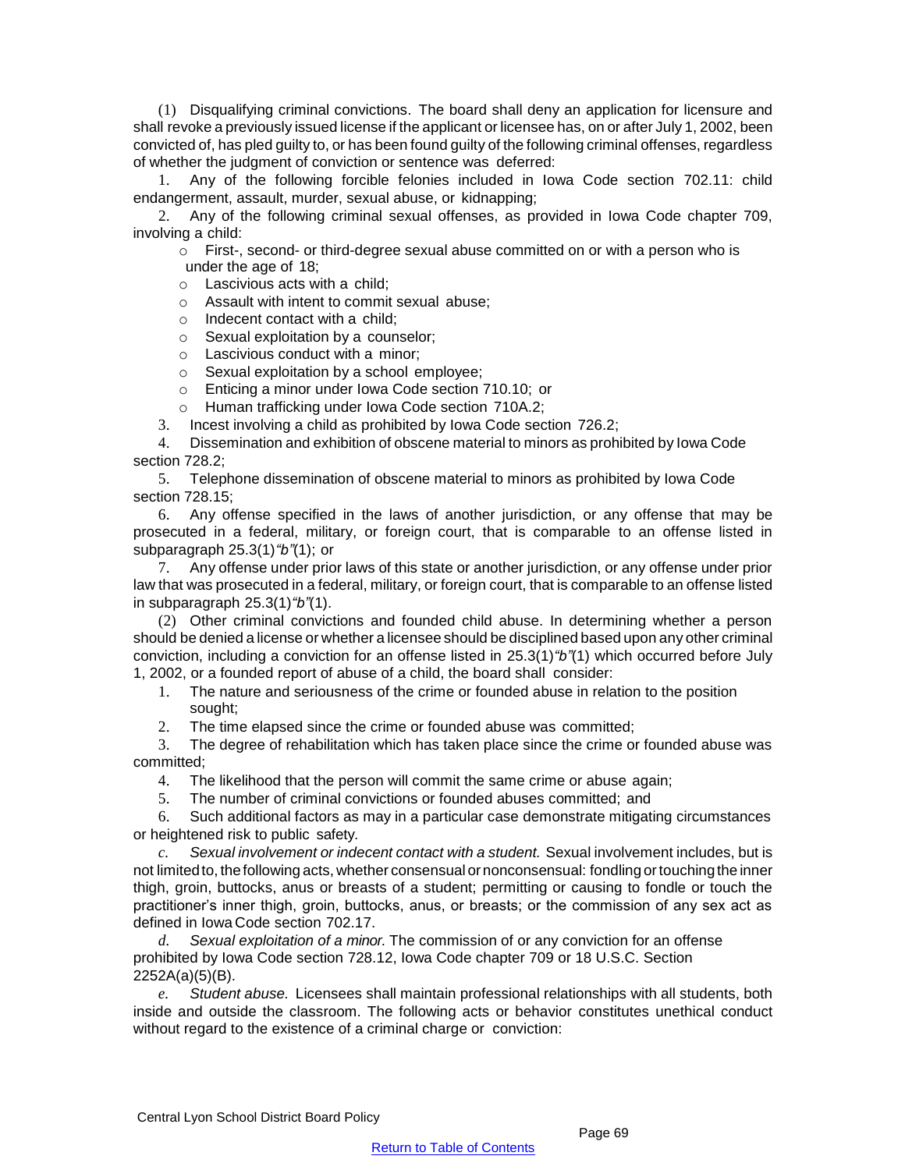(1) Disqualifying criminal convictions. The board shall deny an application for licensure and shall revoke a previously issued license if the applicant or licensee has, on or after July 1, 2002, been convicted of, has pled guilty to, or has been found guilty of the following criminal offenses, regardless of whether the judgment of conviction or sentence was deferred:

1. Any of the following forcible felonies included in Iowa Code section [702.11:](https://www.legis.iowa.gov/docs/ico/section/702.11.pdf) child endangerment, assault, murder, sexual abuse, or kidnapping;

2. Any of the following criminal sexual offenses, as provided in Iowa Code chapter [709,](https://www.legis.iowa.gov/docs/ico/chapter/709.pdf) involving a child:

 $\circ$  First-, second- or third-degree sexual abuse committed on or with a person who is under the age of 18;

o Lascivious acts with a child;

- o Assault with intent to commit sexual abuse;
- o Indecent contact with a child;
- o Sexual exploitation by a counselor;
- o Lascivious conduct with a minor;
- o Sexual exploitation by a school employee;
- o Enticing a minor under Iowa Code section [710.10;](https://www.legis.iowa.gov/docs/ico/section/710.10.pdf) or
- o Human trafficking under Iowa Code section [710A.2;](https://www.legis.iowa.gov/docs/ico/section/710A.2.pdf)
- 3. Incest involving a child as prohibited by Iowa Code section [726.2;](https://www.legis.iowa.gov/docs/ico/section/726.2.pdf)

4. Dissemination and exhibition of obscene material to minors as prohibited by Iowa Code section [728.2;](https://www.legis.iowa.gov/docs/ico/section/728.2.pdf)

5. Telephone dissemination of obscene material to minors as prohibited by Iowa Code section [728.15;](https://www.legis.iowa.gov/docs/ico/section/728.15.pdf)

6. Any offense specified in the laws of another jurisdiction, or any offense that may be prosecuted in a federal, military, or foreign court, that is comparable to an offense listed in subparagraph 25.3(1)*"b"*(1); or

7. Any offense under prior laws of this state or another jurisdiction, or any offense under prior law that was prosecuted in a federal, military, or foreign court, that is comparable to an offense listed in subparagraph 25.3(1)*"b"*(1).

(2) Other criminal convictions and founded child abuse. In determining whether a person should be denied a license or whether a licensee should be disciplined based upon any other criminal conviction, including a conviction for an offense listed in [25.3\(1\)](https://www.legis.iowa.gov/docs/iac/rule/282.25.3.pdf)*"b"*(1) which occurred before July 1, 2002, or a founded report of abuse of a child, the board shall consider:

- 1. The nature and seriousness of the crime or founded abuse in relation to the position sought;
- 2. The time elapsed since the crime or founded abuse was committed;

3. The degree of rehabilitation which has taken place since the crime or founded abuse was committed;

- 4. The likelihood that the person will commit the same crime or abuse again;
- 5. The number of criminal convictions or founded abuses committed; and

6. Such additional factors as may in a particular case demonstrate mitigating circumstances or heightened risk to public safety.

*c. Sexual involvement or indecent contact with a student.* Sexual involvement includes, but is not limitedto, thefollowing acts, whether consensual ornonconsensual: fondling ortouchingthe inner thigh, groin, buttocks, anus or breasts of a student; permitting or causing to fondle or touch the practitioner's inner thigh, groin, buttocks, anus, or breasts; or the commission of any sex act as defined in Iowa Code section [702.17.](https://www.legis.iowa.gov/docs/ico/section/702.17.pdf)

*d. Sexual exploitation of a minor.* The commission of or any conviction for an offense prohibited by Iowa Code section [728.12,](https://www.legis.iowa.gov/docs/ico/section/728.12.pdf) Iowa Code chapter [709 o](https://www.legis.iowa.gov/docs/ico/chapter/709.pdf)r 18 U.S.C. Section 2252A(a)(5)(B).

*e. Student abuse.* Licensees shall maintain professional relationships with all students, both inside and outside the classroom. The following acts or behavior constitutes unethical conduct without regard to the existence of a criminal charge or conviction: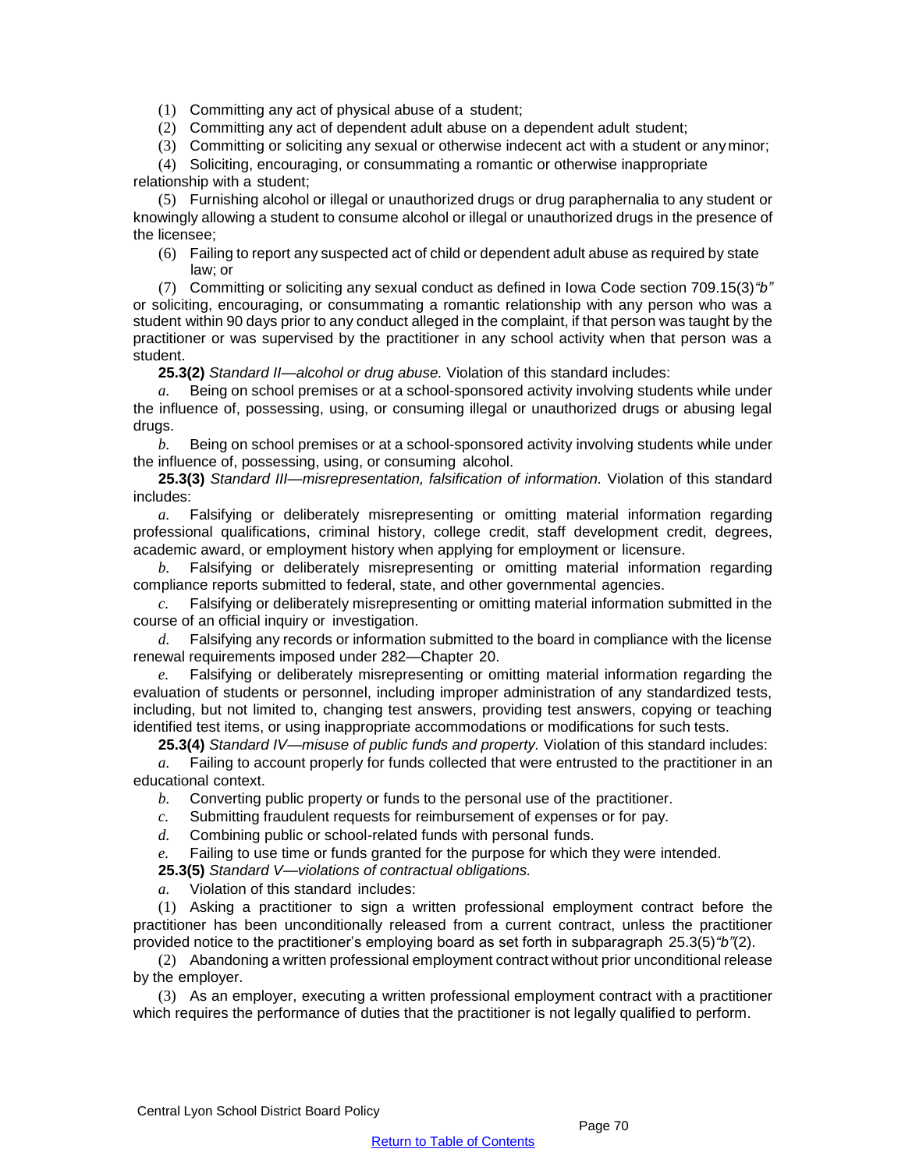(1) Committing any act of physical abuse of a student;

(2) Committing any act of dependent adult abuse on a dependent adult student;

(3) Committing or soliciting any sexual or otherwise indecent act with a student or anyminor;

(4) Soliciting, encouraging, or consummating a romantic or otherwise inappropriate relationship with a student;

(5) Furnishing alcohol or illegal or unauthorized drugs or drug paraphernalia to any student or knowingly allowing a student to consume alcohol or illegal or unauthorized drugs in the presence of the licensee;

(6) Failing to report any suspected act of child or dependent adult abuse as required by state law; or

(7) Committing or soliciting any sexual conduct as defined in Iowa Code section [709.15\(3\)](https://www.legis.iowa.gov/docs/ico/section/709.15.pdf)*"b"* or soliciting, encouraging, or consummating a romantic relationship with any person who was a student within 90 days prior to any conduct alleged in the complaint, if that person was taught by the practitioner or was supervised by the practitioner in any school activity when that person was a student.

**25.3(2)** *Standard II—alcohol or drug abuse.* Violation of this standard includes:

*a.* Being on school premises or at a school-sponsored activity involving students while under the influence of, possessing, using, or consuming illegal or unauthorized drugs or abusing legal drugs.

*b.* Being on school premises or at a school-sponsored activity involving students while under the influence of, possessing, using, or consuming alcohol.

**25.3(3)** *Standard III—misrepresentation, falsification of information.* Violation of this standard includes:

*a.* Falsifying or deliberately misrepresenting or omitting material information regarding professional qualifications, criminal history, college credit, staff development credit, degrees, academic award, or employment history when applying for employment or licensure.

*b.* Falsifying or deliberately misrepresenting or omitting material information regarding compliance reports submitted to federal, state, and other governmental agencies.

*c.* Falsifying or deliberately misrepresenting or omitting material information submitted in the course of an official inquiry or investigation.

*d.* Falsifying any records or information submitted to the board in compliance with the license renewal requirements imposed under [282—Chapter](https://www.legis.iowa.gov/docs/iac/chapter/282.20.pdf) 20.

*e.* Falsifying or deliberately misrepresenting or omitting material information regarding the evaluation of students or personnel, including improper administration of any standardized tests, including, but not limited to, changing test answers, providing test answers, copying or teaching identified test items, or using inappropriate accommodations or modifications for such tests.

**25.3(4)** *Standard IV—misuse of public funds and property.* Violation of this standard includes:

*a.* Failing to account properly for funds collected that were entrusted to the practitioner in an educational context.

*b.* Converting public property or funds to the personal use of the practitioner.

*c.* Submitting fraudulent requests for reimbursement of expenses or for pay.

*d.* Combining public or school-related funds with personal funds.

*e.* Failing to use time or funds granted for the purpose for which they were intended.

**25.3(5)** *Standard V—violations of contractual obligations.*

*a.* Violation of this standard includes:

(1) Asking a practitioner to sign a written professional employment contract before the practitioner has been unconditionally released from a current contract, unless the practitioner provided notice to the practitioner's employing board as set forth in subparagraph 25.3(5)*"b"*(2).

(2) Abandoning a written professional employment contract without prior unconditional release by the employer.

(3) As an employer, executing a written professional employment contract with a practitioner which requires the performance of duties that the practitioner is not legally qualified to perform.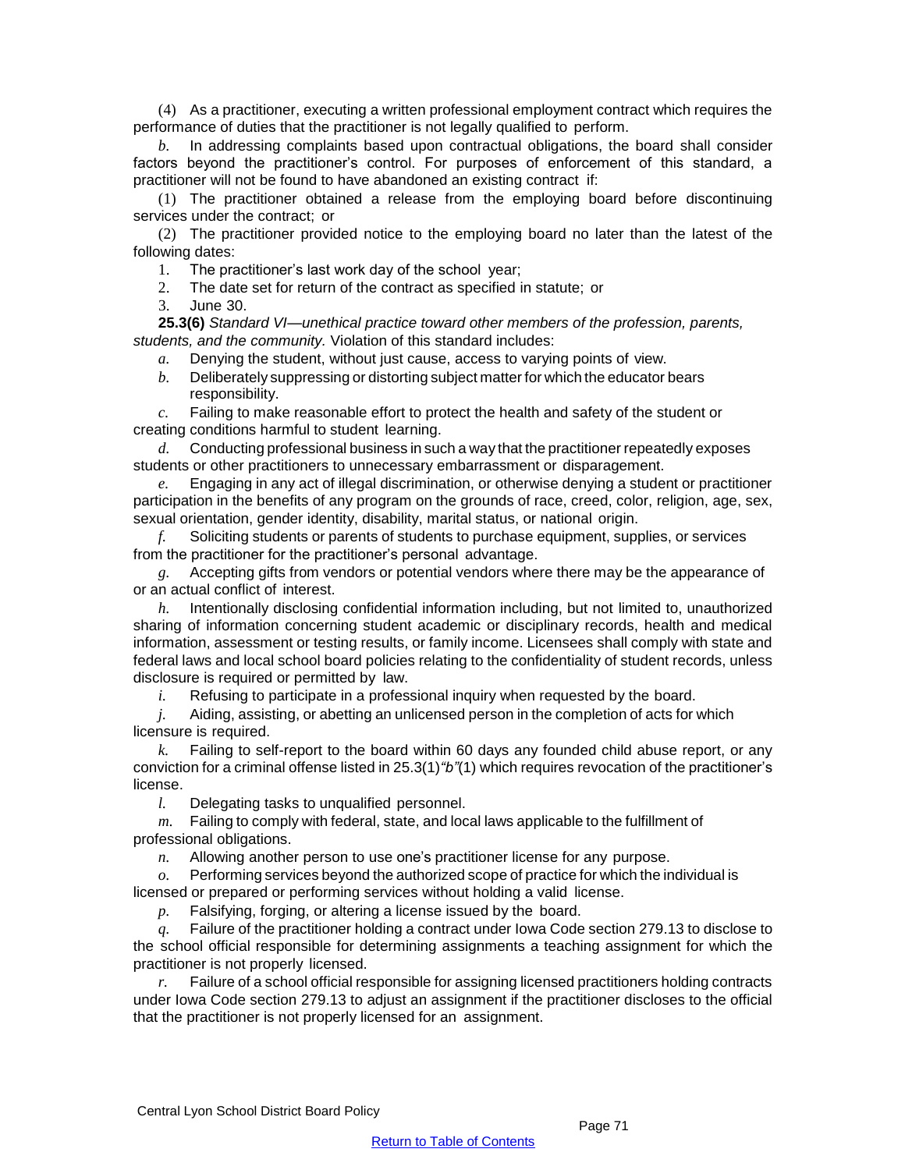(4) As a practitioner, executing a written professional employment contract which requires the performance of duties that the practitioner is not legally qualified to perform.

*b.* In addressing complaints based upon contractual obligations, the board shall consider factors beyond the practitioner's control. For purposes of enforcement of this standard, a practitioner will not be found to have abandoned an existing contract if:

(1) The practitioner obtained a release from the employing board before discontinuing services under the contract; or

(2) The practitioner provided notice to the employing board no later than the latest of the following dates:

1. The practitioner's last work day of the school year;

- 2. The date set for return of the contract as specified in statute; or
- 3. June 30.

**25.3(6)** *Standard VI—unethical practice toward other members of the profession, parents, students, and the community.* Violation of this standard includes:

- *a.* Denying the student, without just cause, access to varying points of view.
- *b.* Deliberately suppressing or distorting subject matter for which the educator bears responsibility.

*c.* Failing to make reasonable effort to protect the health and safety of the student or creating conditions harmful to student learning.

*d.* Conducting professional business in such a way that the practitioner repeatedly exposes students or other practitioners to unnecessary embarrassment or disparagement.

*e.* Engaging in any act of illegal discrimination, or otherwise denying a student or practitioner participation in the benefits of any program on the grounds of race, creed, color, religion, age, sex, sexual orientation, gender identity, disability, marital status, or national origin.

*f.* Soliciting students or parents of students to purchase equipment, supplies, or services from the practitioner for the practitioner's personal advantage.

*g.* Accepting gifts from vendors or potential vendors where there may be the appearance of or an actual conflict of interest.

*h.* Intentionally disclosing confidential information including, but not limited to, unauthorized sharing of information concerning student academic or disciplinary records, health and medical information, assessment or testing results, or family income. Licensees shall comply with state and federal laws and local school board policies relating to the confidentiality of student records, unless disclosure is required or permitted by law.

*i.* Refusing to participate in a professional inquiry when requested by the board.

*j.* Aiding, assisting, or abetting an unlicensed person in the completion of acts for which licensure is required.

*k.* Failing to self-report to the board within 60 days any founded child abuse report, or any conviction for a criminal offense listed in [25.3\(1\)](https://www.legis.iowa.gov/docs/iac/rule/282.25.3.pdf)*"b"*(1) which requires revocation of the practitioner's license.

*l.* Delegating tasks to unqualified personnel.

*m.* Failing to comply with federal, state, and local laws applicable to the fulfillment of professional obligations.

*n.* Allowing another person to use one's practitioner license for any purpose.

*o.* Performing services beyond the authorized scope of practice for which the individual is licensed or prepared or performing services without holding a valid license.

*p.* Falsifying, forging, or altering a license issued by the board.

*q.* Failure of the practitioner holding a contract under Iowa Code section [279.13](https://www.legis.iowa.gov/docs/ico/section/279.13.pdf) to disclose to the school official responsible for determining assignments a teaching assignment for which the practitioner is not properly licensed.

*r.* Failure of a school official responsible for assigning licensed practitioners holding contracts under Iowa Code section [279.13 t](https://www.legis.iowa.gov/docs/ico/section/279.13.pdf)o adjust an assignment if the practitioner discloses to the official that the practitioner is not properly licensed for an assignment.

[Return to Table of Contents](#page-0-0)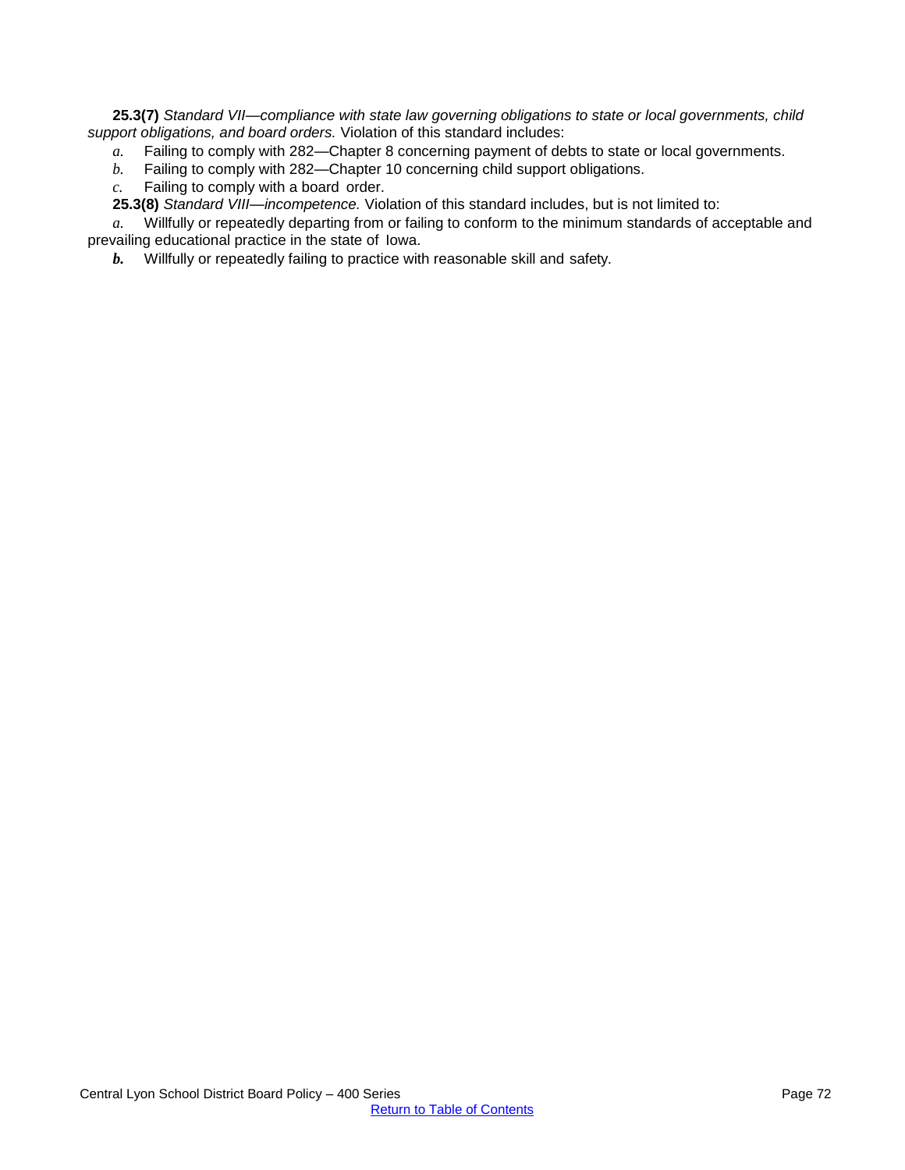**25.3(7)** *Standard VII—compliance with state law governing obligations to state or local governments, child support obligations, and board orders.* Violation of this standard includes:

*a.* Failing to comply with [282—Chapter 8](https://www.legis.iowa.gov/docs/iac/chapter/282.8.pdf) concerning payment of debts to state or local governments.

*b.* Failing to comply with [282—Chapter 10 c](https://www.legis.iowa.gov/docs/iac/chapter/282.10.pdf)oncerning child support obligations.

*c.* Failing to comply with a board order.

**25.3(8)** *Standard VIII—incompetence.* Violation of this standard includes, but is not limited to:

*a.* Willfully or repeatedly departing from or failing to conform to the minimum standards of acceptable and prevailing educational practice in the state of Iowa.

*b.* Willfully or repeatedly failing to practice with reasonable skill and safety.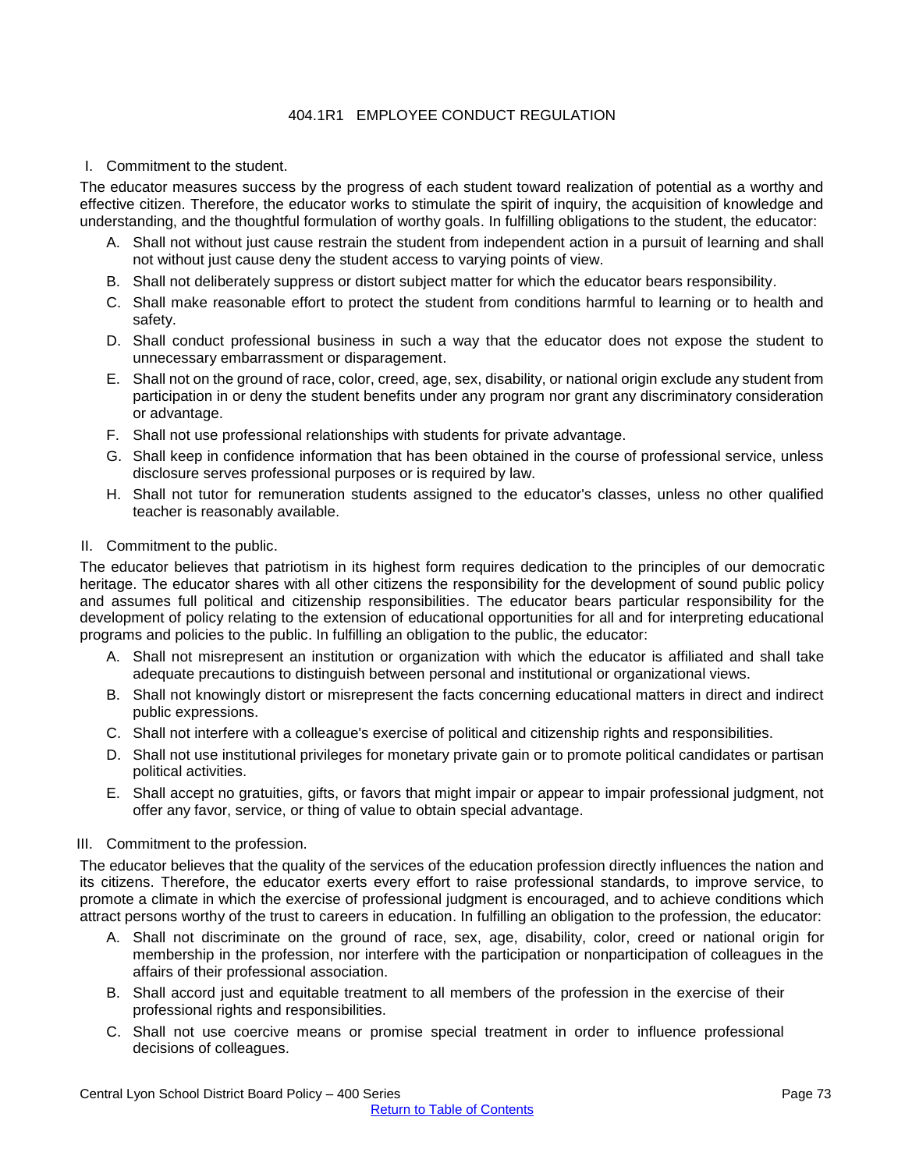## 404.1R1 EMPLOYEE CONDUCT REGULATION

#### I. Commitment to the student.

The educator measures success by the progress of each student toward realization of potential as a worthy and effective citizen. Therefore, the educator works to stimulate the spirit of inquiry, the acquisition of knowledge and understanding, and the thoughtful formulation of worthy goals. In fulfilling obligations to the student, the educator:

- A. Shall not without just cause restrain the student from independent action in a pursuit of learning and shall not without just cause deny the student access to varying points of view.
- B. Shall not deliberately suppress or distort subject matter for which the educator bears responsibility.
- C. Shall make reasonable effort to protect the student from conditions harmful to learning or to health and safety.
- D. Shall conduct professional business in such a way that the educator does not expose the student to unnecessary embarrassment or disparagement.
- E. Shall not on the ground of race, color, creed, age, sex, disability, or national origin exclude any student from participation in or deny the student benefits under any program nor grant any discriminatory consideration or advantage.
- F. Shall not use professional relationships with students for private advantage.
- G. Shall keep in confidence information that has been obtained in the course of professional service, unless disclosure serves professional purposes or is required by law.
- H. Shall not tutor for remuneration students assigned to the educator's classes, unless no other qualified teacher is reasonably available.
- II. Commitment to the public.

The educator believes that patriotism in its highest form requires dedication to the principles of our democratic heritage. The educator shares with all other citizens the responsibility for the development of sound public policy and assumes full political and citizenship responsibilities. The educator bears particular responsibility for the development of policy relating to the extension of educational opportunities for all and for interpreting educational programs and policies to the public. In fulfilling an obligation to the public, the educator:

- A. Shall not misrepresent an institution or organization with which the educator is affiliated and shall take adequate precautions to distinguish between personal and institutional or organizational views.
- B. Shall not knowingly distort or misrepresent the facts concerning educational matters in direct and indirect public expressions.
- C. Shall not interfere with a colleague's exercise of political and citizenship rights and responsibilities.
- D. Shall not use institutional privileges for monetary private gain or to promote political candidates or partisan political activities.
- E. Shall accept no gratuities, gifts, or favors that might impair or appear to impair professional judgment, not offer any favor, service, or thing of value to obtain special advantage.

#### III. Commitment to the profession.

The educator believes that the quality of the services of the education profession directly influences the nation and its citizens. Therefore, the educator exerts every effort to raise professional standards, to improve service, to promote a climate in which the exercise of professional judgment is encouraged, and to achieve conditions which attract persons worthy of the trust to careers in education. In fulfilling an obligation to the profession, the educator:

- A. Shall not discriminate on the ground of race, sex, age, disability, color, creed or national origin for membership in the profession, nor interfere with the participation or nonparticipation of colleagues in the affairs of their professional association.
- B. Shall accord just and equitable treatment to all members of the profession in the exercise of their professional rights and responsibilities.
- C. Shall not use coercive means or promise special treatment in order to influence professional decisions of colleagues.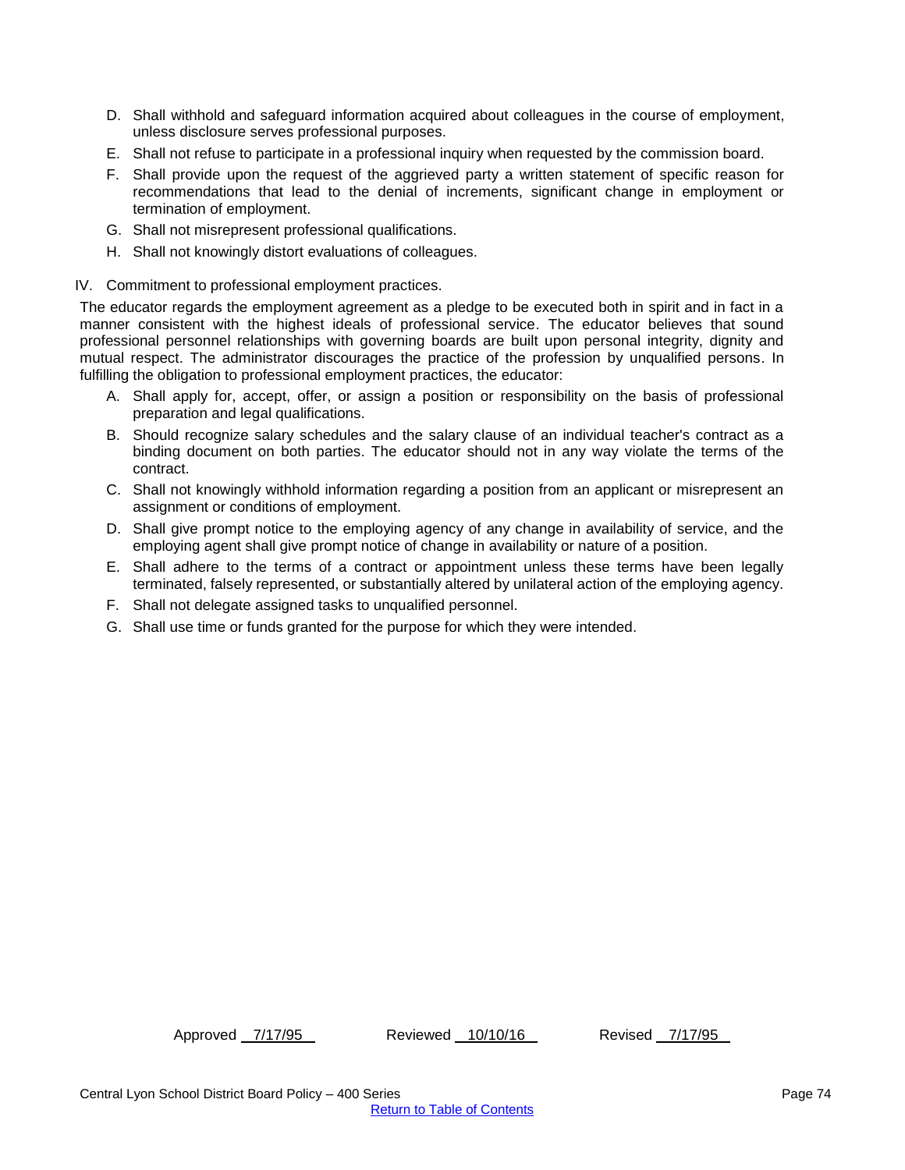- D. Shall withhold and safeguard information acquired about colleagues in the course of employment, unless disclosure serves professional purposes.
- E. Shall not refuse to participate in a professional inquiry when requested by the commission board.
- F. Shall provide upon the request of the aggrieved party a written statement of specific reason for recommendations that lead to the denial of increments, significant change in employment or termination of employment.
- G. Shall not misrepresent professional qualifications.
- H. Shall not knowingly distort evaluations of colleagues.
- IV. Commitment to professional employment practices.

The educator regards the employment agreement as a pledge to be executed both in spirit and in fact in a manner consistent with the highest ideals of professional service. The educator believes that sound professional personnel relationships with governing boards are built upon personal integrity, dignity and mutual respect. The administrator discourages the practice of the profession by unqualified persons. In fulfilling the obligation to professional employment practices, the educator:

- A. Shall apply for, accept, offer, or assign a position or responsibility on the basis of professional preparation and legal qualifications.
- B. Should recognize salary schedules and the salary clause of an individual teacher's contract as a binding document on both parties. The educator should not in any way violate the terms of the contract.
- C. Shall not knowingly withhold information regarding a position from an applicant or misrepresent an assignment or conditions of employment.
- D. Shall give prompt notice to the employing agency of any change in availability of service, and the employing agent shall give prompt notice of change in availability or nature of a position.
- E. Shall adhere to the terms of a contract or appointment unless these terms have been legally terminated, falsely represented, or substantially altered by unilateral action of the employing agency.
- F. Shall not delegate assigned tasks to unqualified personnel.
- G. Shall use time or funds granted for the purpose for which they were intended.

Approved 7/17/95 Reviewed 10/10/16 Revised 7/17/95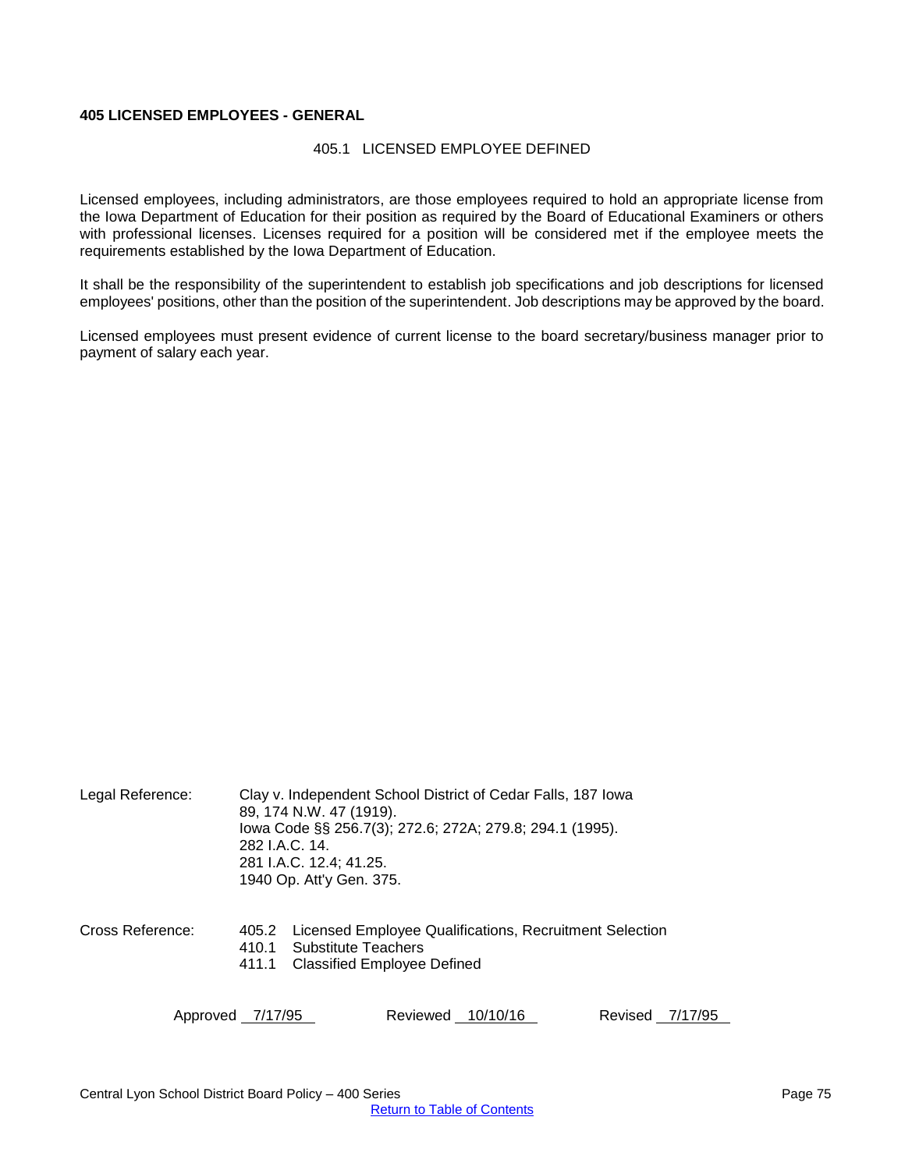### **405 LICENSED EMPLOYEES - GENERAL**

### 405.1 LICENSED EMPLOYEE DEFINED

Licensed employees, including administrators, are those employees required to hold an appropriate license from the Iowa Department of Education for their position as required by the Board of Educational Examiners or others with professional licenses. Licenses required for a position will be considered met if the employee meets the requirements established by the Iowa Department of Education.

It shall be the responsibility of the superintendent to establish job specifications and job descriptions for licensed employees' positions, other than the position of the superintendent. Job descriptions may be approved by the board.

Licensed employees must present evidence of current license to the board secretary/business manager prior to payment of salary each year.

| Legal Reference: | 282 J.A.C. 14.          | 89, 174 N.W. 47 (1919).<br>281 I.A.C. 12.4; 41.25.<br>1940 Op. Att'y Gen. 375. |                             | Clay v. Independent School District of Cedar Falls, 187 Iowa<br>lowa Code §§ 256.7(3); 272.6; 272A; 279.8; 294.1 (1995). |                                                         |         |
|------------------|-------------------------|--------------------------------------------------------------------------------|-----------------------------|--------------------------------------------------------------------------------------------------------------------------|---------------------------------------------------------|---------|
| Cross Reference: | 405.2<br>410.1<br>411.1 | <b>Substitute Teachers</b>                                                     | Classified Employee Defined |                                                                                                                          | Licensed Employee Qualifications, Recruitment Selection |         |
| Approved 7/17/95 |                         |                                                                                | Reviewed                    | 10/10/16                                                                                                                 | Revised                                                 | 7/17/95 |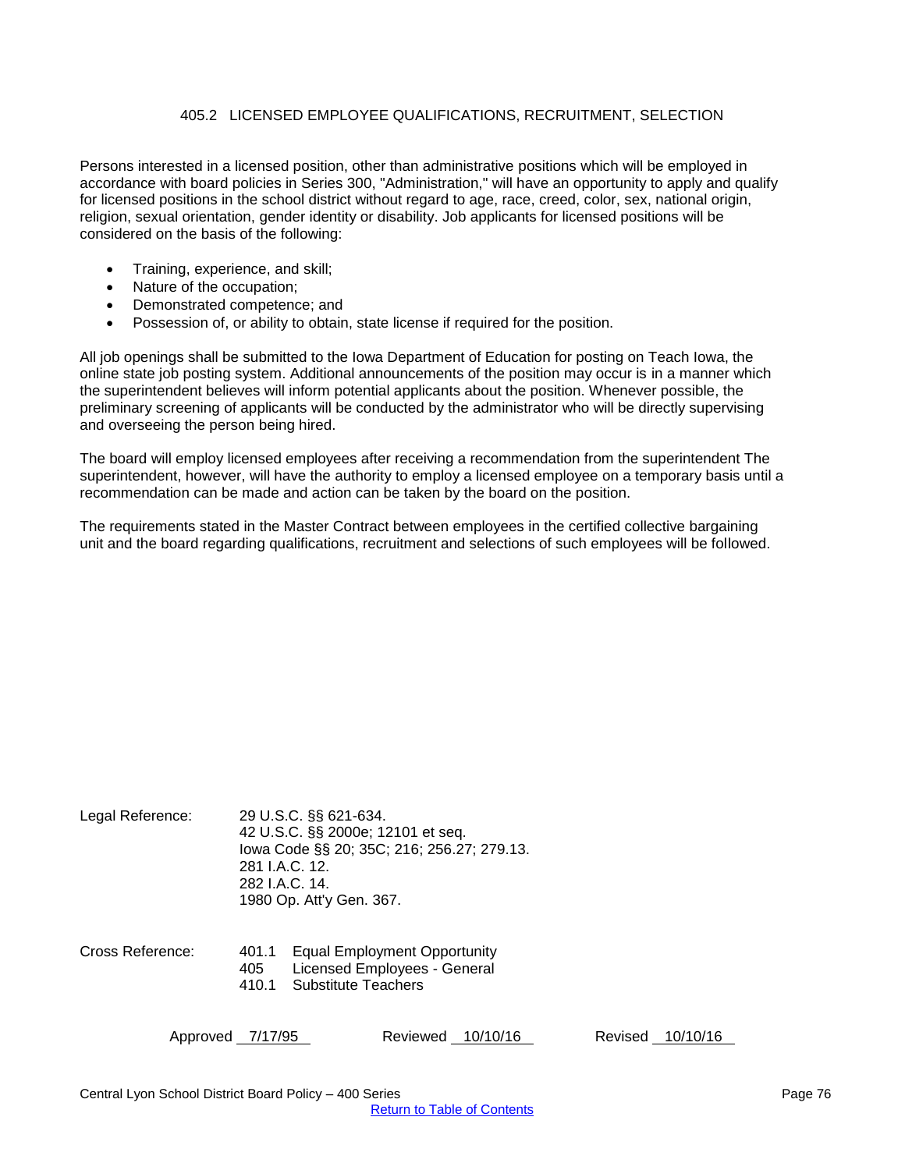# 405.2 LICENSED EMPLOYEE QUALIFICATIONS, RECRUITMENT, SELECTION

Persons interested in a licensed position, other than administrative positions which will be employed in accordance with board policies in Series 300, "Administration," will have an opportunity to apply and qualify for licensed positions in the school district without regard to age, race, creed, color, sex, national origin, religion, sexual orientation, gender identity or disability. Job applicants for licensed positions will be considered on the basis of the following:

- Training, experience, and skill;
- Nature of the occupation;
- Demonstrated competence; and
- Possession of, or ability to obtain, state license if required for the position.

All job openings shall be submitted to the Iowa Department of Education for posting on Teach Iowa, the online state job posting system. Additional announcements of the position may occur is in a manner which the superintendent believes will inform potential applicants about the position. Whenever possible, the preliminary screening of applicants will be conducted by the administrator who will be directly supervising and overseeing the person being hired.

The board will employ licensed employees after receiving a recommendation from the superintendent The superintendent, however, will have the authority to employ a licensed employee on a temporary basis until a recommendation can be made and action can be taken by the board on the position.

The requirements stated in the Master Contract between employees in the certified collective bargaining unit and the board regarding qualifications, recruitment and selections of such employees will be followed.

| Legal Reference: | 29 U.S.C. §§ 621-634.                      |
|------------------|--------------------------------------------|
|                  | 42 U.S.C. §§ 2000e; 12101 et seq.          |
|                  | lowa Code §§ 20; 35C; 216; 256.27; 279.13. |
|                  | 281 J.A.C. 12.                             |
|                  | 282 J.A.C. 14.                             |
|                  | 1980 Op. Att'y Gen. 367.                   |
|                  |                                            |

| Cross Reference: |     | 401.1 Equal Employment Opportunity |
|------------------|-----|------------------------------------|
|                  | 405 | Licensed Employees - General       |
|                  |     | 410.1 Substitute Teachers          |

| Approved 7/17/95 |  | Reviewed 10/10/16 |  |  | Revised 10/10/16 |
|------------------|--|-------------------|--|--|------------------|
|------------------|--|-------------------|--|--|------------------|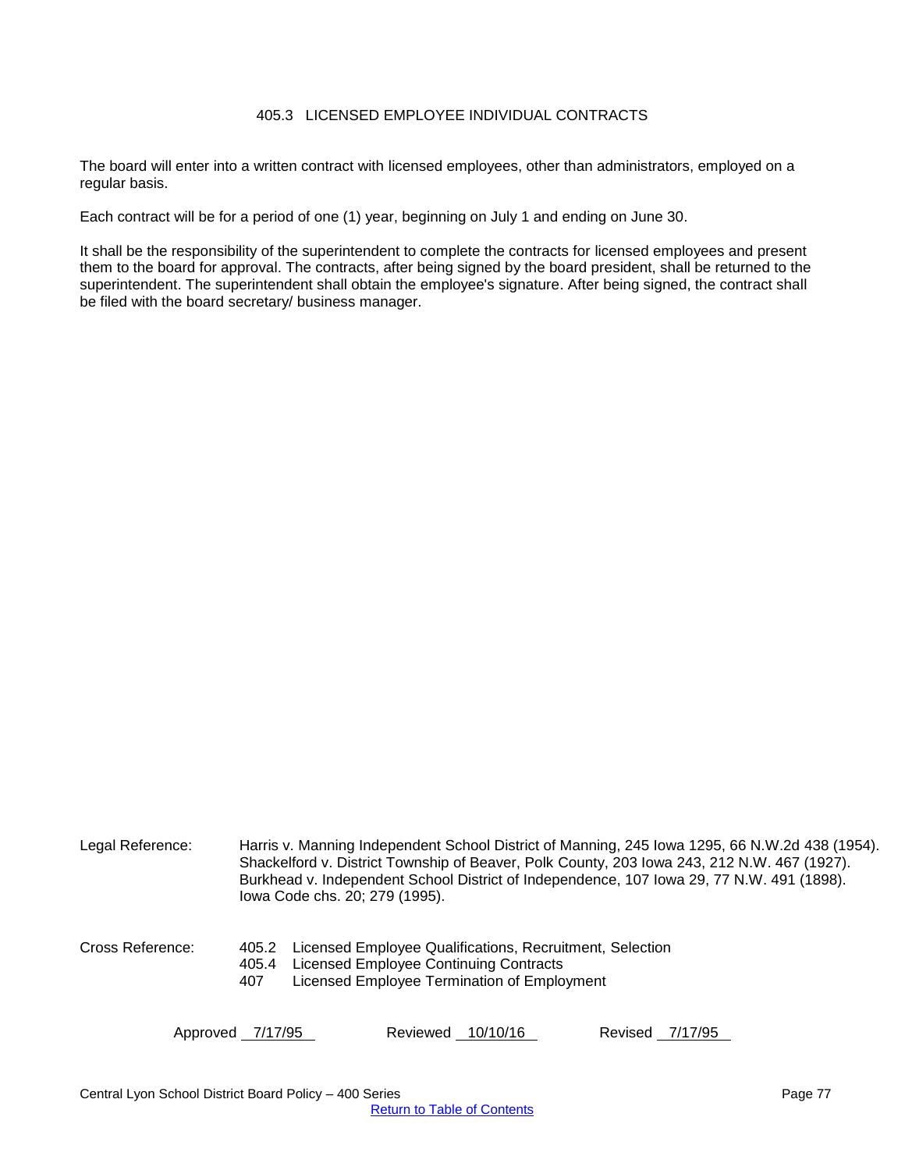# 405.3 LICENSED EMPLOYEE INDIVIDUAL CONTRACTS

The board will enter into a written contract with licensed employees, other than administrators, employed on a regular basis.

Each contract will be for a period of one (1) year, beginning on July 1 and ending on June 30.

It shall be the responsibility of the superintendent to complete the contracts for licensed employees and present them to the board for approval. The contracts, after being signed by the board president, shall be returned to the superintendent. The superintendent shall obtain the employee's signature. After being signed, the contract shall be filed with the board secretary/ business manager.

| Legal Reference: | Harris v. Manning Independent School District of Manning, 245 Iowa 1295, 66 N.W.2d 438 (1954).<br>Shackelford v. District Township of Beaver, Polk County, 203 Iowa 243, 212 N.W. 467 (1927).<br>Burkhead v. Independent School District of Independence, 107 Iowa 29, 77 N.W. 491 (1898).<br>lowa Code chs. 20; 279 (1995). |  |  |
|------------------|------------------------------------------------------------------------------------------------------------------------------------------------------------------------------------------------------------------------------------------------------------------------------------------------------------------------------|--|--|
| Cross Reference: | Licensed Employee Qualifications, Recruitment, Selection<br>405.2<br>Licensed Employee Continuing Contracts<br>405.4<br>Licensed Employee Termination of Employment<br>407                                                                                                                                                   |  |  |
|                  | Reviewed 10/10/16<br>Approved 7/17/95<br>Revised 7/17/95                                                                                                                                                                                                                                                                     |  |  |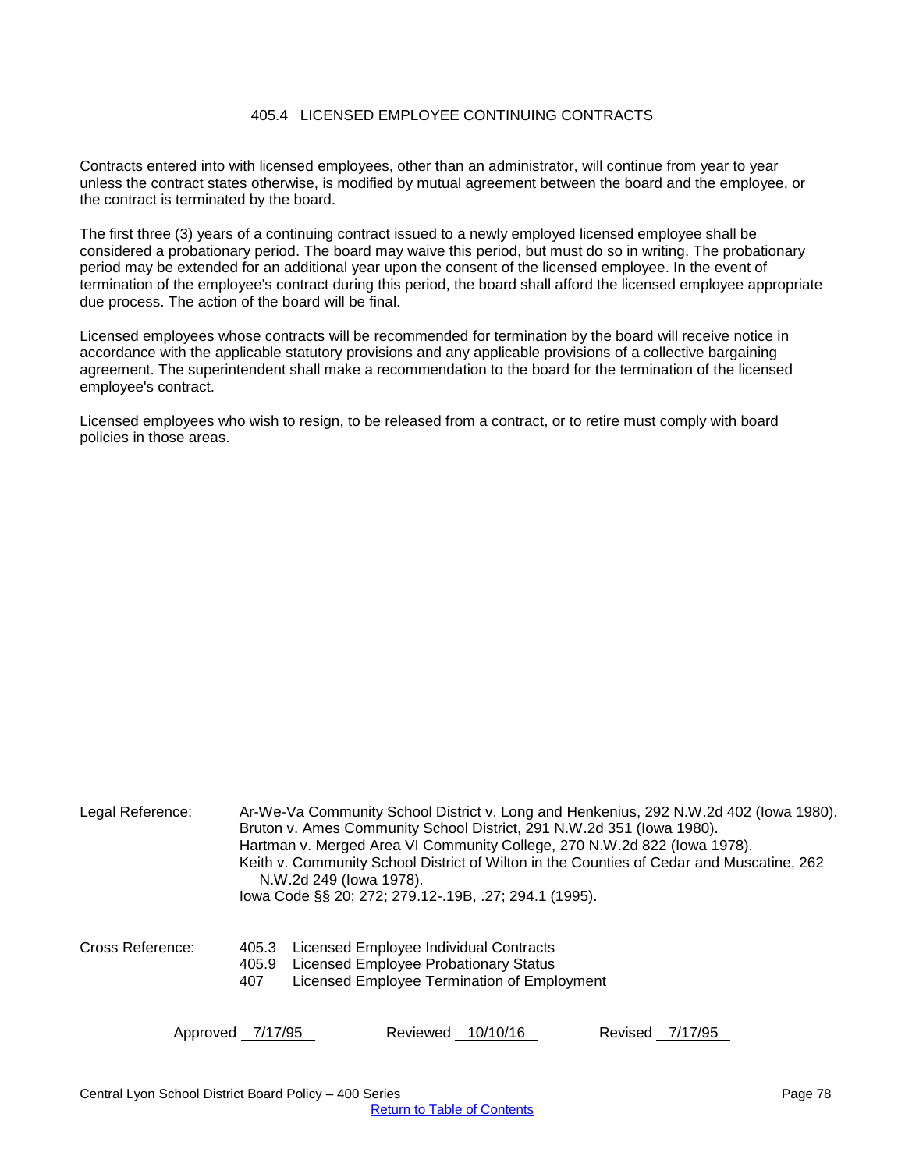## 405.4 LICENSED EMPLOYEE CONTINUING CONTRACTS

Contracts entered into with licensed employees, other than an administrator, will continue from year to year unless the contract states otherwise, is modified by mutual agreement between the board and the employee, or the contract is terminated by the board.

The first three (3) years of a continuing contract issued to a newly employed licensed employee shall be considered a probationary period. The board may waive this period, but must do so in writing. The probationary period may be extended for an additional year upon the consent of the licensed employee. In the event of termination of the employee's contract during this period, the board shall afford the licensed employee appropriate due process. The action of the board will be final.

Licensed employees whose contracts will be recommended for termination by the board will receive notice in accordance with the applicable statutory provisions and any applicable provisions of a collective bargaining agreement. The superintendent shall make a recommendation to the board for the termination of the licensed employee's contract.

Licensed employees who wish to resign, to be released from a contract, or to retire must comply with board policies in those areas.

| Legal Reference: | Ar-We-Va Community School District v. Long and Henkenius, 292 N.W.2d 402 (lowa 1980).<br>Bruton v. Ames Community School District, 291 N.W.2d 351 (lowa 1980).<br>Hartman v. Merged Area VI Community College, 270 N.W.2d 822 (lowa 1978).<br>Keith v. Community School District of Wilton in the Counties of Cedar and Muscatine, 262<br>N.W.2d 249 (lowa 1978).<br>lowa Code §§ 20; 272; 279.12-.19B, .27; 294.1 (1995). |
|------------------|----------------------------------------------------------------------------------------------------------------------------------------------------------------------------------------------------------------------------------------------------------------------------------------------------------------------------------------------------------------------------------------------------------------------------|
| Cross Reference: | Licensed Employee Individual Contracts<br>405.3<br>Licensed Employee Probationary Status<br>405.9<br>Licensed Employee Termination of Employment<br>407                                                                                                                                                                                                                                                                    |
| Approved 7/17/95 | Reviewed 10/10/16<br>Revised 7/17/95                                                                                                                                                                                                                                                                                                                                                                                       |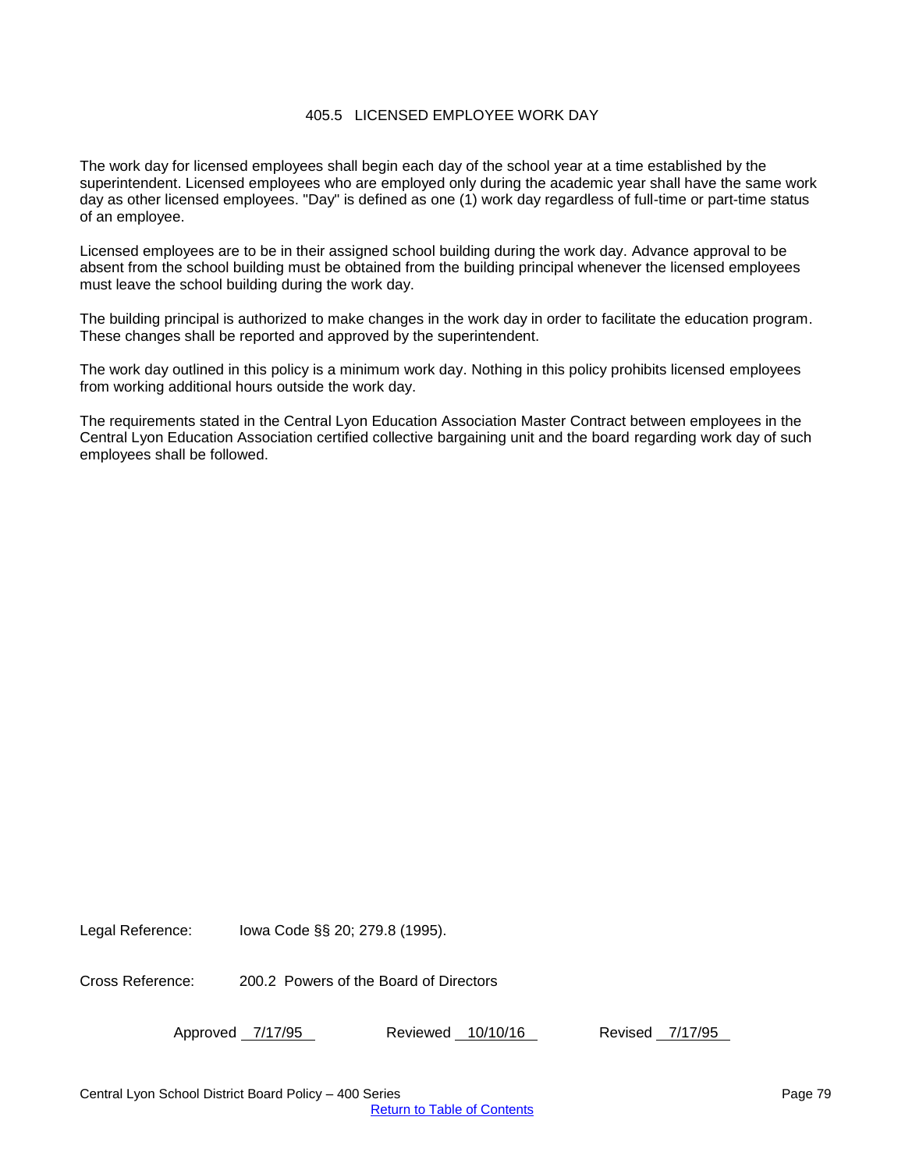### 405.5 LICENSED EMPLOYEE WORK DAY

The work day for licensed employees shall begin each day of the school year at a time established by the superintendent. Licensed employees who are employed only during the academic year shall have the same work day as other licensed employees. "Day" is defined as one (1) work day regardless of full-time or part-time status of an employee.

Licensed employees are to be in their assigned school building during the work day. Advance approval to be absent from the school building must be obtained from the building principal whenever the licensed employees must leave the school building during the work day.

The building principal is authorized to make changes in the work day in order to facilitate the education program. These changes shall be reported and approved by the superintendent.

The work day outlined in this policy is a minimum work day. Nothing in this policy prohibits licensed employees from working additional hours outside the work day.

The requirements stated in the Central Lyon Education Association Master Contract between employees in the Central Lyon Education Association certified collective bargaining unit and the board regarding work day of such employees shall be followed.

Legal Reference: Iowa Code §§ 20; 279.8 (1995).

Cross Reference: 200.2 Powers of the Board of Directors

Approved 7/17/95 Reviewed 10/10/16 Revised 7/17/95

Central Lyon School District Board Policy – 400 Series Page 79 November 2012 12:00 November 2013

[Return to Table of Contents](#page-0-0)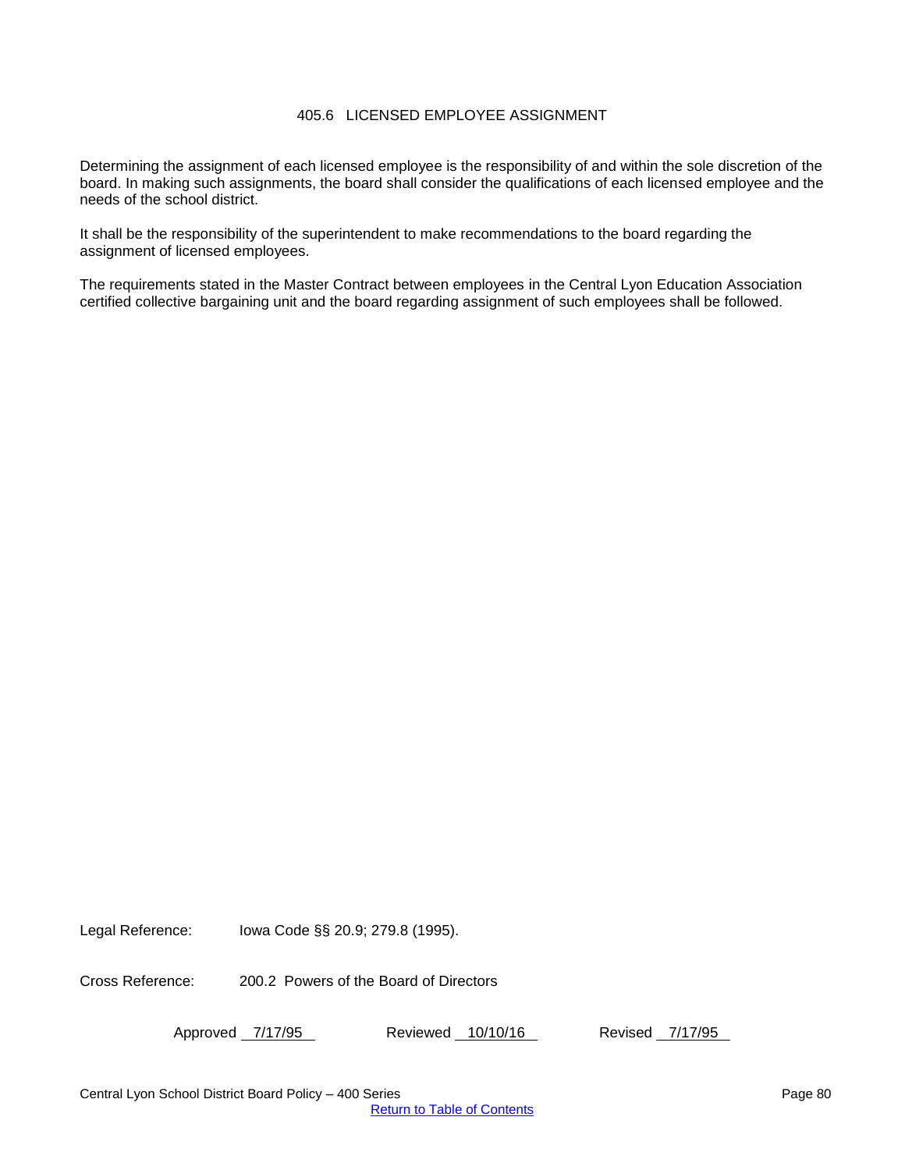# 405.6 LICENSED EMPLOYEE ASSIGNMENT

Determining the assignment of each licensed employee is the responsibility of and within the sole discretion of the board. In making such assignments, the board shall consider the qualifications of each licensed employee and the needs of the school district.

It shall be the responsibility of the superintendent to make recommendations to the board regarding the assignment of licensed employees.

The requirements stated in the Master Contract between employees in the Central Lyon Education Association certified collective bargaining unit and the board regarding assignment of such employees shall be followed.

Legal Reference: Iowa Code §§ 20.9; 279.8 (1995).

Cross Reference: 200.2 Powers of the Board of Directors

Approved 7/17/95 Reviewed 10/10/16 Revised 7/17/95

Central Lyon School District Board Policy – 400 Series Page 80 November 2012 12:00 November 2013

[Return to Table of Contents](#page-0-0)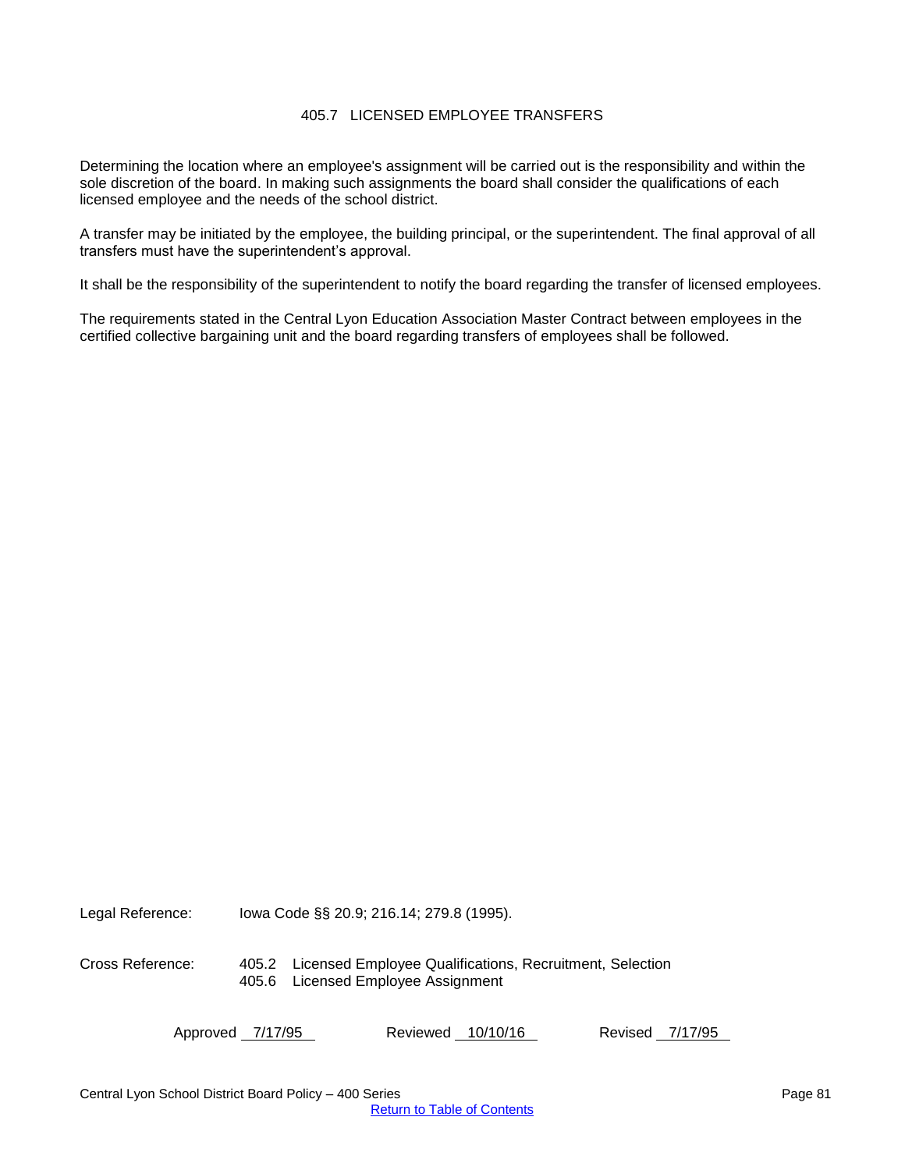### 405.7 LICENSED EMPLOYEE TRANSFERS

Determining the location where an employee's assignment will be carried out is the responsibility and within the sole discretion of the board. In making such assignments the board shall consider the qualifications of each licensed employee and the needs of the school district.

A transfer may be initiated by the employee, the building principal, or the superintendent. The final approval of all transfers must have the superintendent's approval.

It shall be the responsibility of the superintendent to notify the board regarding the transfer of licensed employees.

The requirements stated in the Central Lyon Education Association Master Contract between employees in the certified collective bargaining unit and the board regarding transfers of employees shall be followed.

Legal Reference: Iowa Code §§ 20.9; 216.14; 279.8 (1995).

Cross Reference: 405.2 Licensed Employee Qualifications, Recruitment, Selection 405.6 Licensed Employee Assignment

Approved 7/17/95 Reviewed 10/10/16 Revised 7/17/95

Central Lyon School District Board Policy – 400 Series Page 81 November 2012 12:00 Page 81 [Return to Table of Contents](#page-0-0)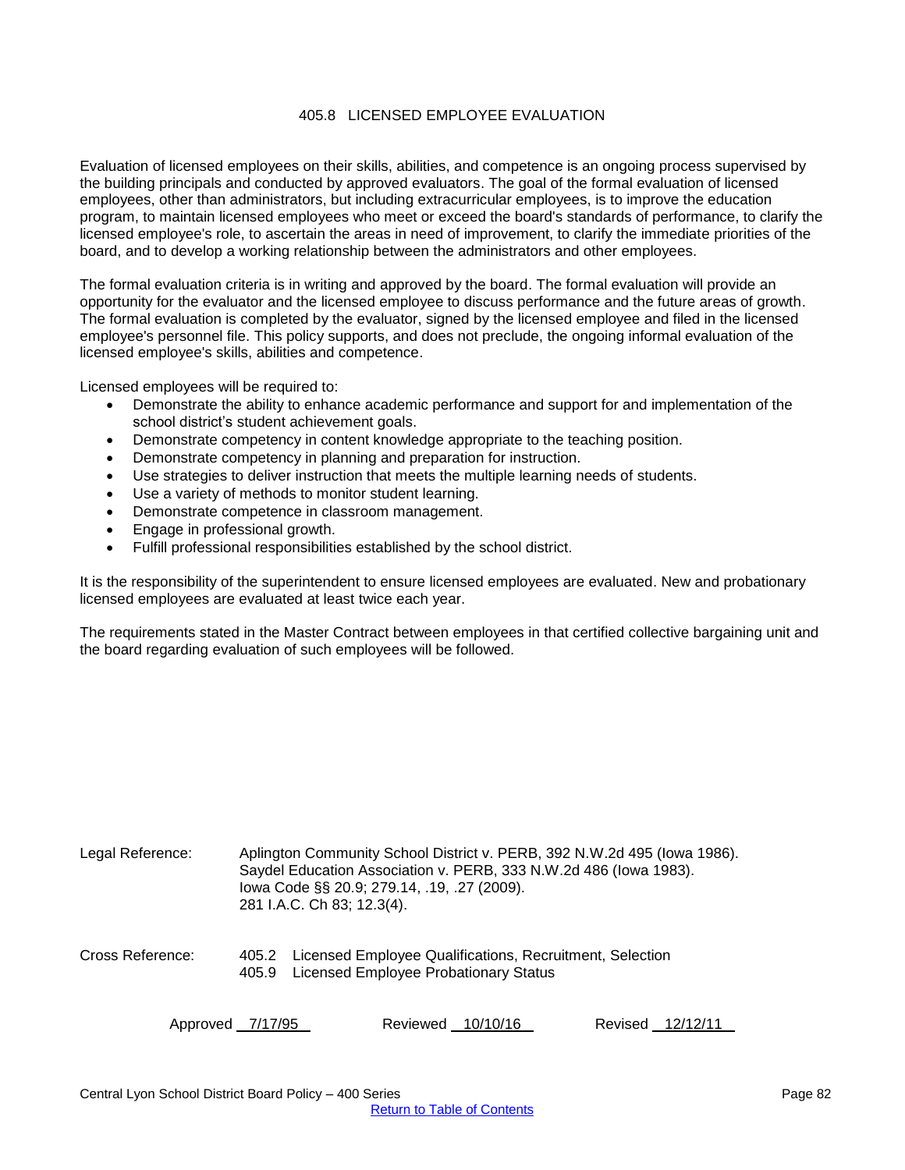### 405.8 LICENSED EMPLOYEE EVALUATION

Evaluation of licensed employees on their skills, abilities, and competence is an ongoing process supervised by the building principals and conducted by approved evaluators. The goal of the formal evaluation of licensed employees, other than administrators, but including extracurricular employees, is to improve the education program, to maintain licensed employees who meet or exceed the board's standards of performance, to clarify the licensed employee's role, to ascertain the areas in need of improvement, to clarify the immediate priorities of the board, and to develop a working relationship between the administrators and other employees.

The formal evaluation criteria is in writing and approved by the board. The formal evaluation will provide an opportunity for the evaluator and the licensed employee to discuss performance and the future areas of growth. The formal evaluation is completed by the evaluator, signed by the licensed employee and filed in the licensed employee's personnel file. This policy supports, and does not preclude, the ongoing informal evaluation of the licensed employee's skills, abilities and competence.

Licensed employees will be required to:

- Demonstrate the ability to enhance academic performance and support for and implementation of the school district's student achievement goals.
- Demonstrate competency in content knowledge appropriate to the teaching position.
- Demonstrate competency in planning and preparation for instruction.
- Use strategies to deliver instruction that meets the multiple learning needs of students.
- Use a variety of methods to monitor student learning.
- Demonstrate competence in classroom management.
- Engage in professional growth.
- Fulfill professional responsibilities established by the school district.

It is the responsibility of the superintendent to ensure licensed employees are evaluated. New and probationary licensed employees are evaluated at least twice each year.

The requirements stated in the Master Contract between employees in that certified collective bargaining unit and the board regarding evaluation of such employees will be followed.

| Legal Reference: |                | lowa Code §§ 20.9; 279.14, .19, .27 (2009).<br>281 I.A.C. Ch 83; 12.3(4). |          | Aplington Community School District v. PERB, 392 N.W.2d 495 (lowa 1986).<br>Saydel Education Association v. PERB, 333 N.W.2d 486 (lowa 1983). |         |          |
|------------------|----------------|---------------------------------------------------------------------------|----------|-----------------------------------------------------------------------------------------------------------------------------------------------|---------|----------|
| Cross Reference: | 405.2<br>405.9 |                                                                           |          | Licensed Employee Qualifications, Recruitment, Selection<br>Licensed Employee Probationary Status                                             |         |          |
| Approved 7/17/95 |                |                                                                           | Reviewed | 10/10/16                                                                                                                                      | Revised | 12/12/11 |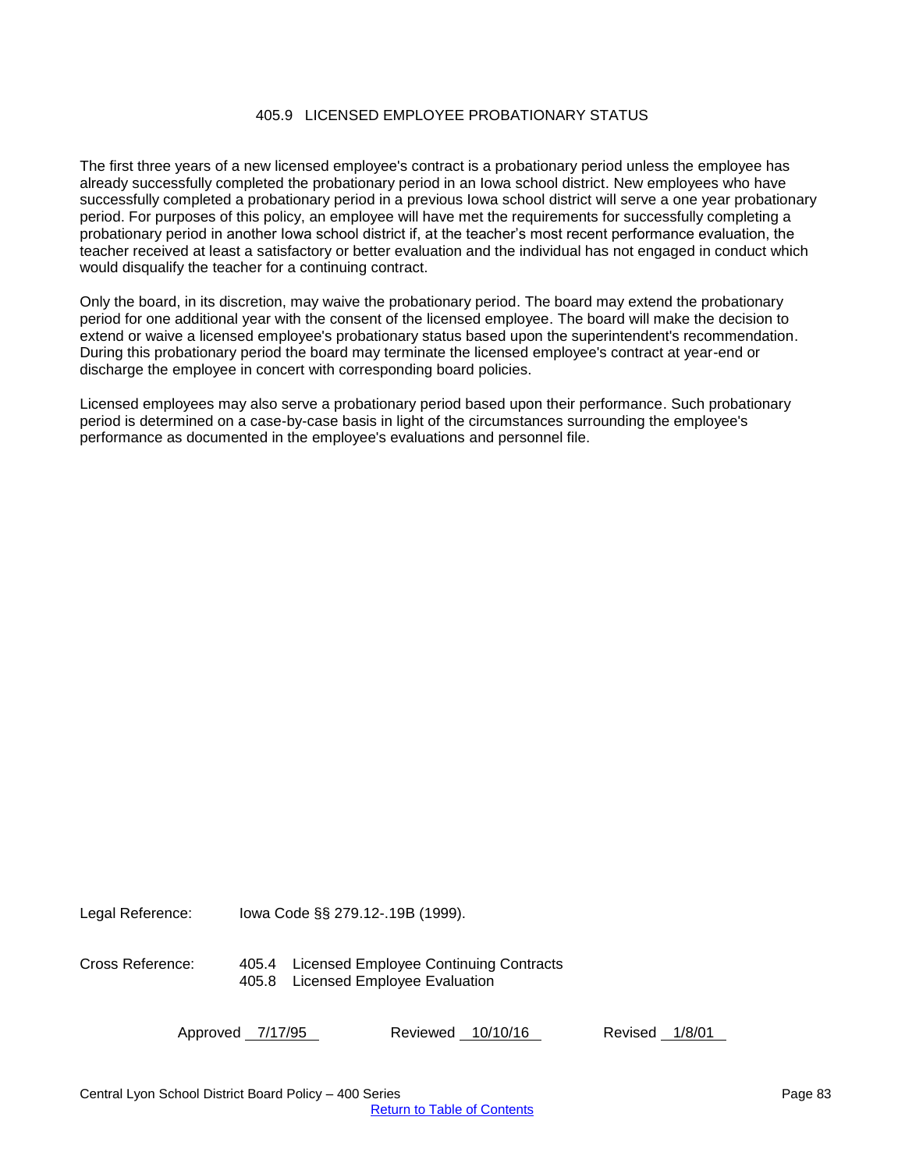# 405.9 LICENSED EMPLOYEE PROBATIONARY STATUS

The first three years of a new licensed employee's contract is a probationary period unless the employee has already successfully completed the probationary period in an Iowa school district. New employees who have successfully completed a probationary period in a previous Iowa school district will serve a one year probationary period. For purposes of this policy, an employee will have met the requirements for successfully completing a probationary period in another Iowa school district if, at the teacher's most recent performance evaluation, the teacher received at least a satisfactory or better evaluation and the individual has not engaged in conduct which would disqualify the teacher for a continuing contract.

Only the board, in its discretion, may waive the probationary period. The board may extend the probationary period for one additional year with the consent of the licensed employee. The board will make the decision to extend or waive a licensed employee's probationary status based upon the superintendent's recommendation. During this probationary period the board may terminate the licensed employee's contract at year-end or discharge the employee in concert with corresponding board policies.

Licensed employees may also serve a probationary period based upon their performance. Such probationary period is determined on a case-by-case basis in light of the circumstances surrounding the employee's performance as documented in the employee's evaluations and personnel file.

Legal Reference: Iowa Code §§ 279.12-.19B (1999).

Cross Reference: 405.4 Licensed Employee Continuing Contracts 405.8 Licensed Employee Evaluation

Approved 7/17/95 Reviewed 10/10/16 Revised 1/8/01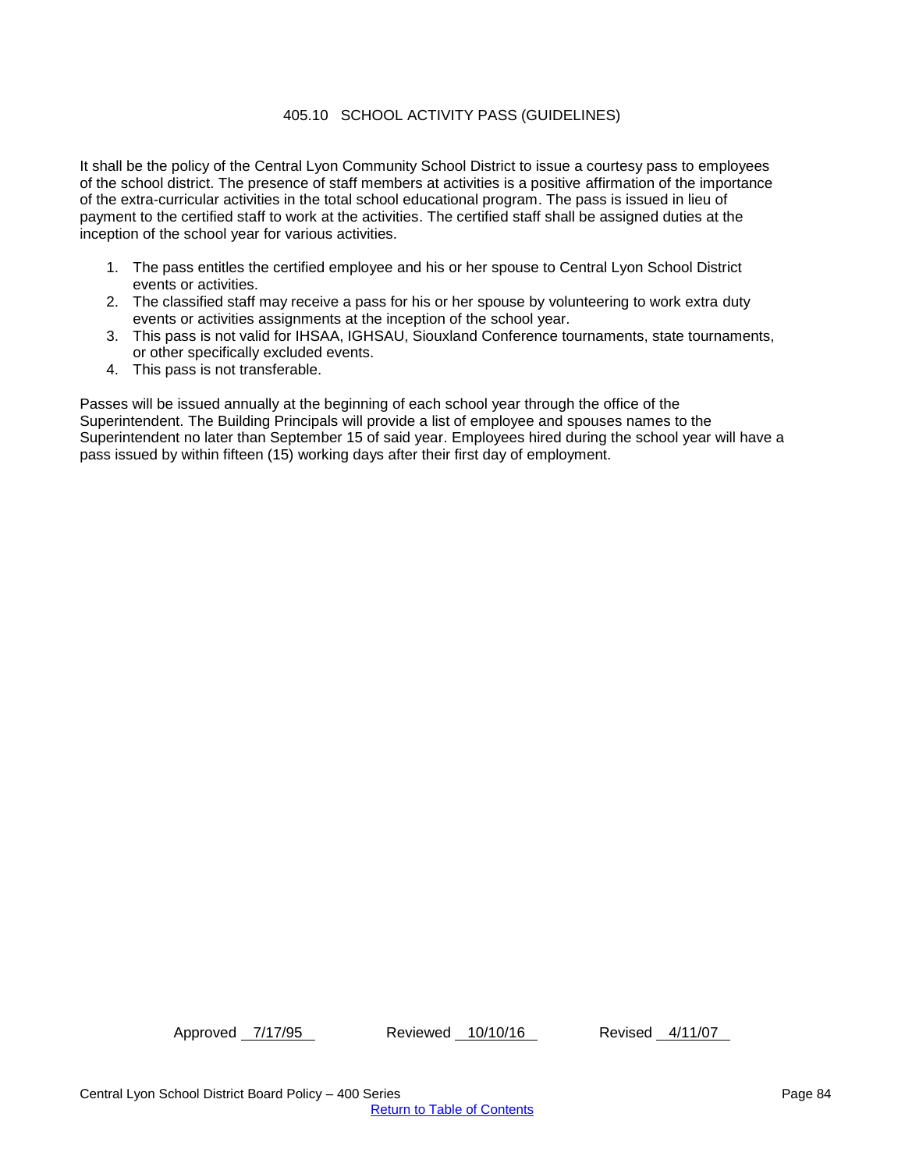#### 405.10 SCHOOL ACTIVITY PASS (GUIDELINES)

It shall be the policy of the Central Lyon Community School District to issue a courtesy pass to employees of the school district. The presence of staff members at activities is a positive affirmation of the importance of the extra-curricular activities in the total school educational program. The pass is issued in lieu of payment to the certified staff to work at the activities. The certified staff shall be assigned duties at the inception of the school year for various activities.

- 1. The pass entitles the certified employee and his or her spouse to Central Lyon School District events or activities.
- 2. The classified staff may receive a pass for his or her spouse by volunteering to work extra duty events or activities assignments at the inception of the school year.
- 3. This pass is not valid for IHSAA, IGHSAU, Siouxland Conference tournaments, state tournaments, or other specifically excluded events.
- 4. This pass is not transferable.

Passes will be issued annually at the beginning of each school year through the office of the Superintendent. The Building Principals will provide a list of employee and spouses names to the Superintendent no later than September 15 of said year. Employees hired during the school year will have a pass issued by within fifteen (15) working days after their first day of employment.

Approved 7/17/95 Reviewed 10/10/16 Revised 4/11/07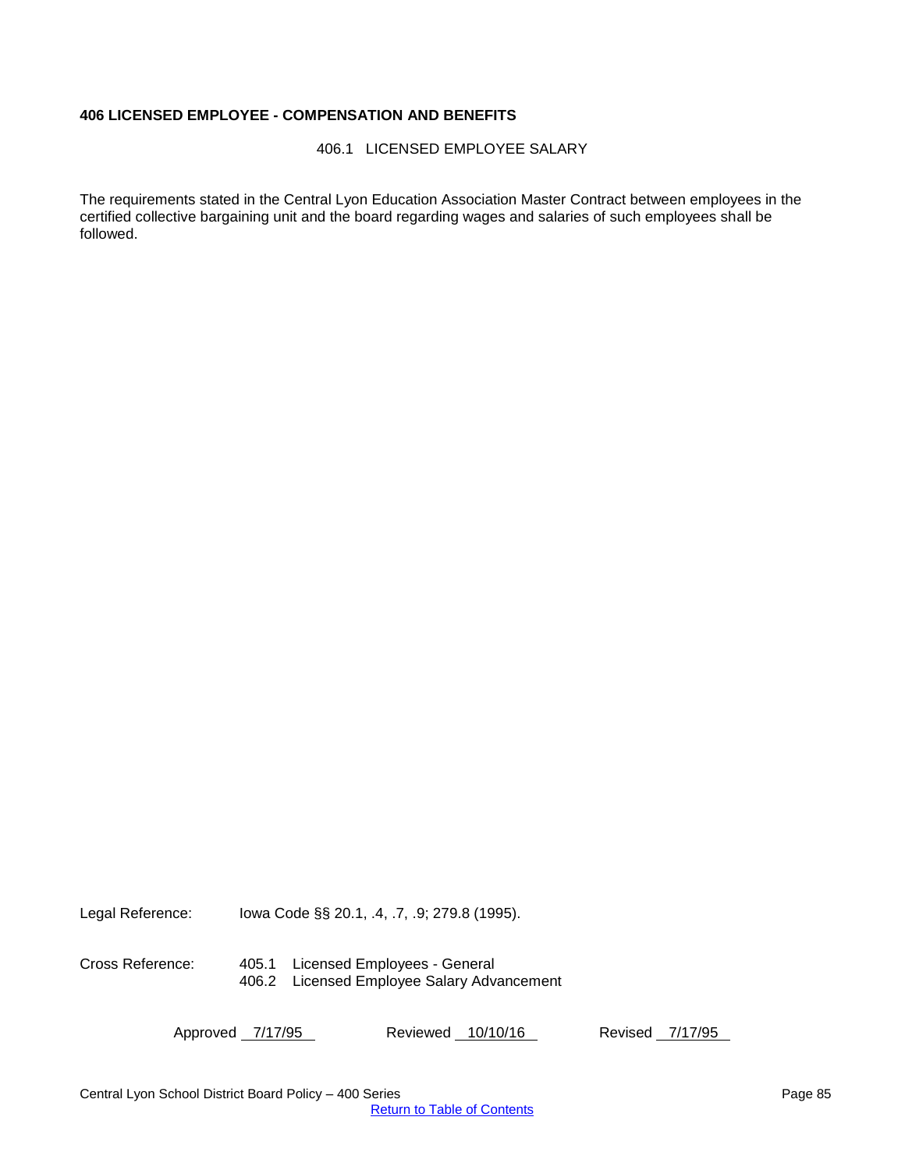# **406 LICENSED EMPLOYEE - COMPENSATION AND BENEFITS**

406.1 LICENSED EMPLOYEE SALARY

The requirements stated in the Central Lyon Education Association Master Contract between employees in the certified collective bargaining unit and the board regarding wages and salaries of such employees shall be followed.

Legal Reference: Iowa Code §§ 20.1, .4, .7, .9; 279.8 (1995).

Cross Reference: 405.1 Licensed Employees - General 406.2 Licensed Employee Salary Advancement

Approved 7/17/95 Reviewed 10/10/16 Revised 7/17/95

Central Lyon School District Board Policy – 400 Series Page 85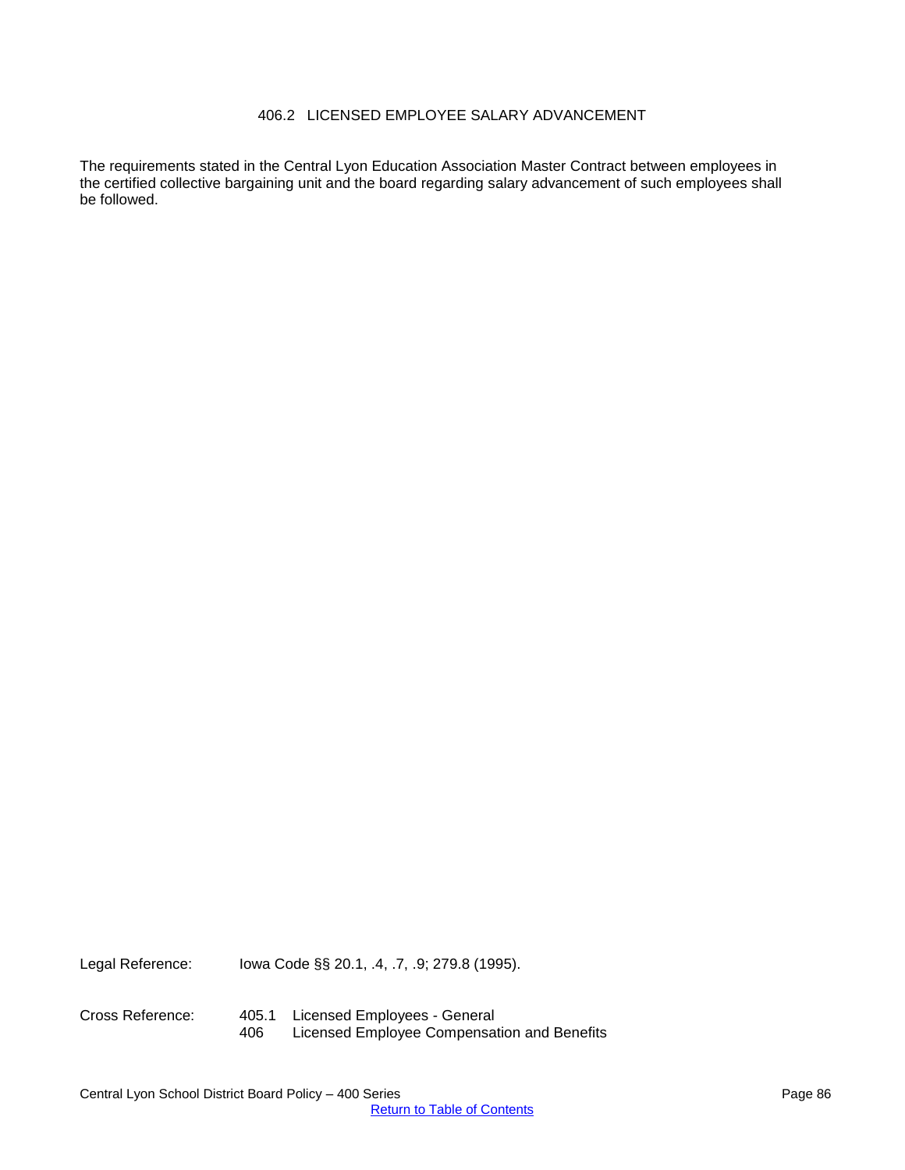# 406.2 LICENSED EMPLOYEE SALARY ADVANCEMENT

The requirements stated in the Central Lyon Education Association Master Contract between employees in the certified collective bargaining unit and the board regarding salary advancement of such employees shall be followed.

Legal Reference: Iowa Code §§ 20.1, .4, .7, .9; 279.8 (1995).

Cross Reference: 405.1 Licensed Employees - General Licensed Employee Compensation and Benefits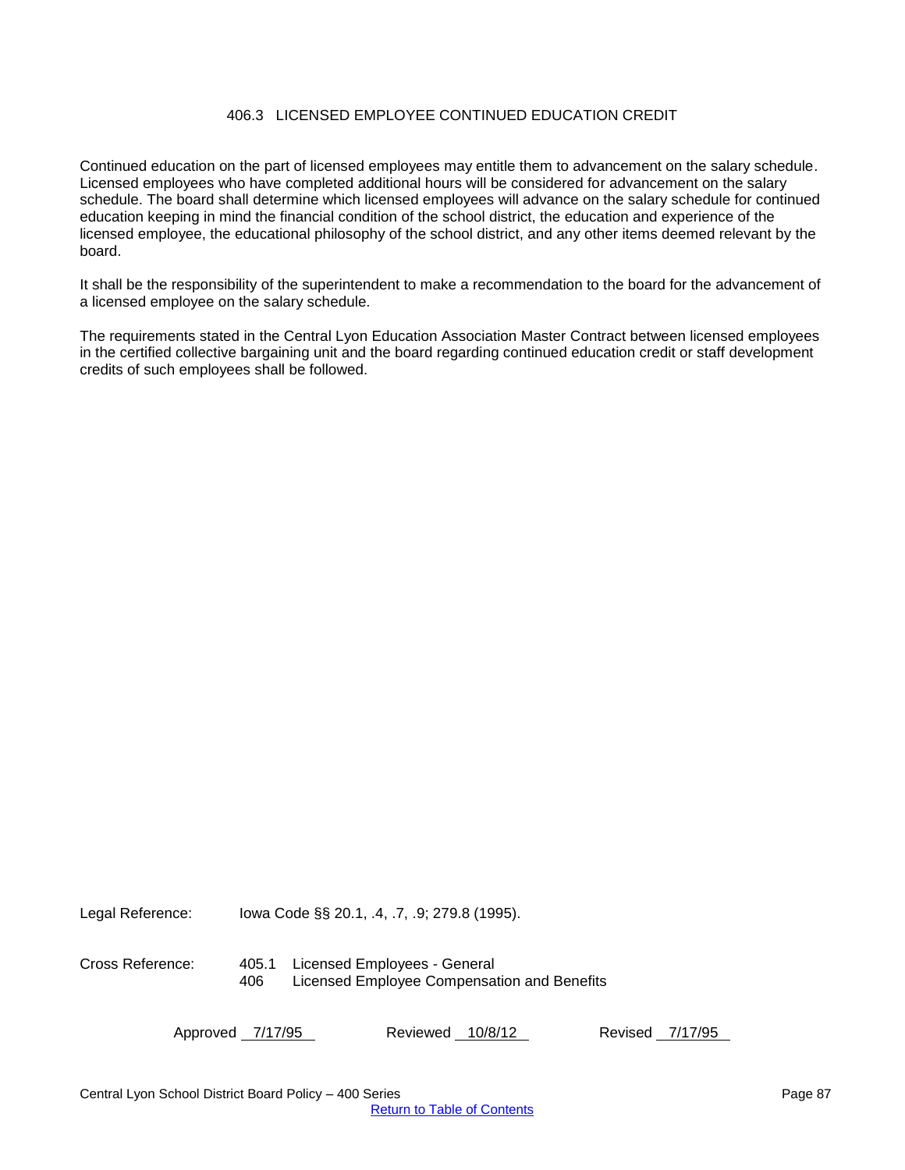# 406.3 LICENSED EMPLOYEE CONTINUED EDUCATION CREDIT

Continued education on the part of licensed employees may entitle them to advancement on the salary schedule. Licensed employees who have completed additional hours will be considered for advancement on the salary schedule. The board shall determine which licensed employees will advance on the salary schedule for continued education keeping in mind the financial condition of the school district, the education and experience of the licensed employee, the educational philosophy of the school district, and any other items deemed relevant by the board.

It shall be the responsibility of the superintendent to make a recommendation to the board for the advancement of a licensed employee on the salary schedule.

The requirements stated in the Central Lyon Education Association Master Contract between licensed employees in the certified collective bargaining unit and the board regarding continued education credit or staff development credits of such employees shall be followed.

Legal Reference: Iowa Code §§ 20.1, .4, .7, .9; 279.8 (1995).

Cross Reference: 405.1 Licensed Employees - General 406 Licensed Employee Compensation and Benefits

Approved 7/17/95 Reviewed 10/8/12 Revised 7/17/95

Central Lyon School District Board Policy – 400 Series Page 87 November 2012 12:30 November 2013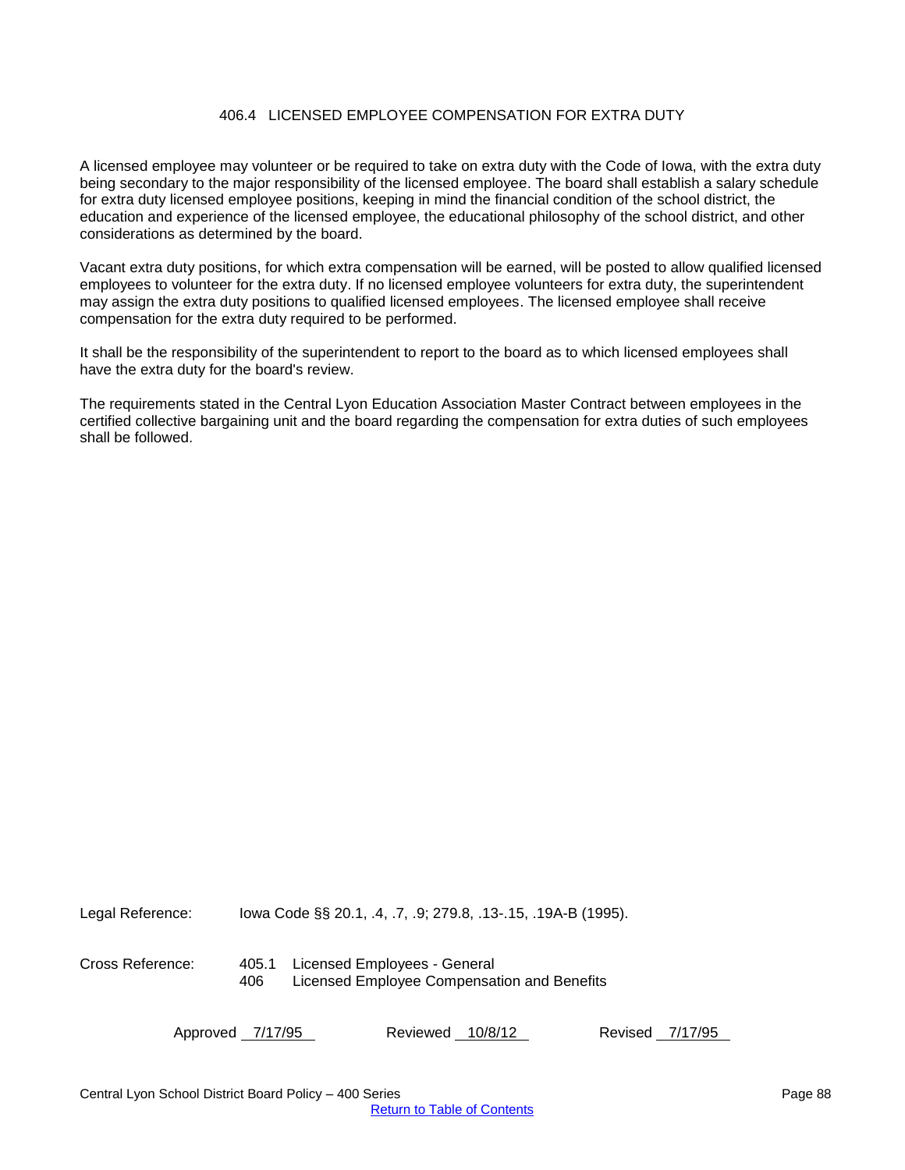### 406.4 LICENSED EMPLOYEE COMPENSATION FOR EXTRA DUTY

A licensed employee may volunteer or be required to take on extra duty with the Code of Iowa, with the extra duty being secondary to the major responsibility of the licensed employee. The board shall establish a salary schedule for extra duty licensed employee positions, keeping in mind the financial condition of the school district, the education and experience of the licensed employee, the educational philosophy of the school district, and other considerations as determined by the board.

Vacant extra duty positions, for which extra compensation will be earned, will be posted to allow qualified licensed employees to volunteer for the extra duty. If no licensed employee volunteers for extra duty, the superintendent may assign the extra duty positions to qualified licensed employees. The licensed employee shall receive compensation for the extra duty required to be performed.

It shall be the responsibility of the superintendent to report to the board as to which licensed employees shall have the extra duty for the board's review.

The requirements stated in the Central Lyon Education Association Master Contract between employees in the certified collective bargaining unit and the board regarding the compensation for extra duties of such employees shall be followed.

Legal Reference: Iowa Code §§ 20.1, .4, .7, .9; 279.8, .13-.15, .19A-B (1995). Cross Reference: 405.1 Licensed Employees - General 406 Licensed Employee Compensation and Benefits

Approved 7/17/95 Reviewed 10/8/12 Revised 7/17/95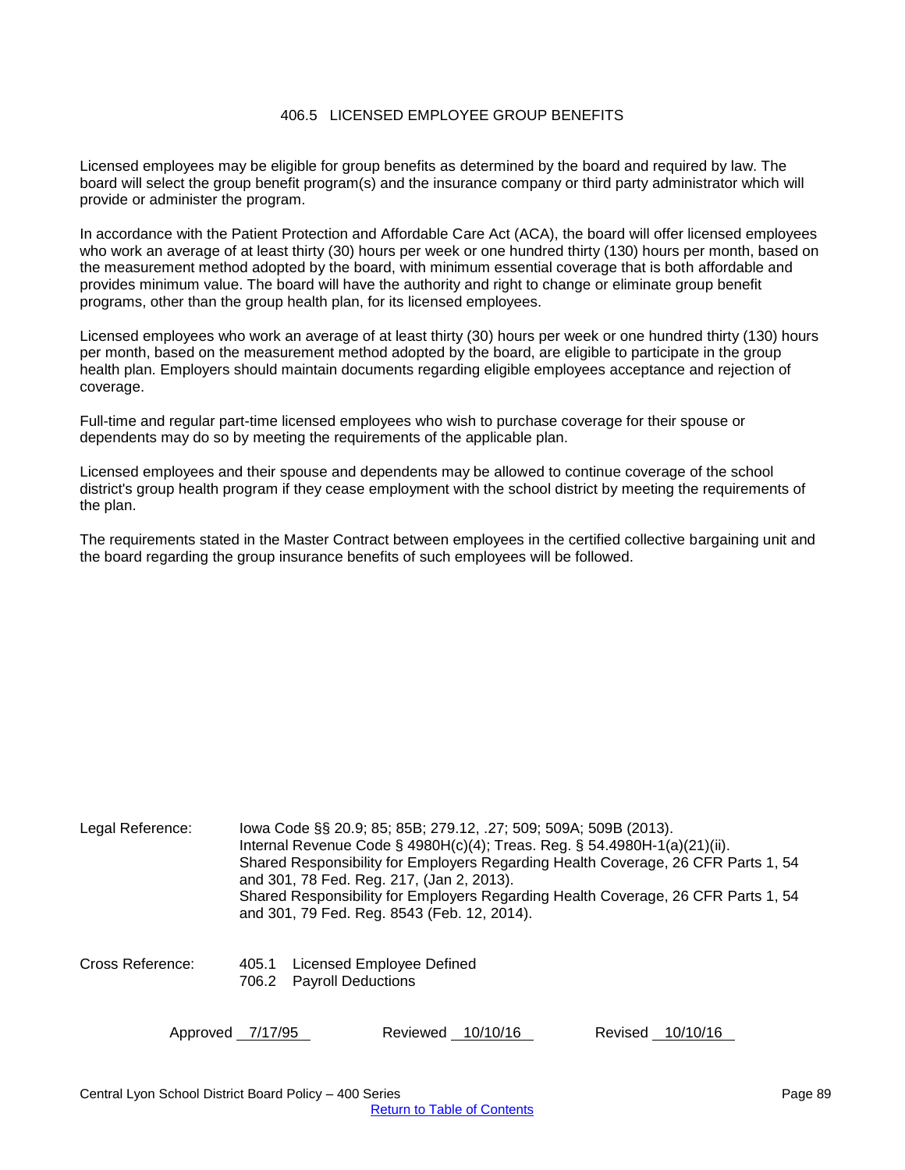### 406.5 LICENSED EMPLOYEE GROUP BENEFITS

Licensed employees may be eligible for group benefits as determined by the board and required by law. The board will select the group benefit program(s) and the insurance company or third party administrator which will provide or administer the program.

In accordance with the Patient Protection and Affordable Care Act (ACA), the board will offer licensed employees who work an average of at least thirty (30) hours per week or one hundred thirty (130) hours per month, based on the measurement method adopted by the board, with minimum essential coverage that is both affordable and provides minimum value. The board will have the authority and right to change or eliminate group benefit programs, other than the group health plan, for its licensed employees.

Licensed employees who work an average of at least thirty (30) hours per week or one hundred thirty (130) hours per month, based on the measurement method adopted by the board, are eligible to participate in the group health plan. Employers should maintain documents regarding eligible employees acceptance and rejection of coverage.

Full-time and regular part-time licensed employees who wish to purchase coverage for their spouse or dependents may do so by meeting the requirements of the applicable plan.

Licensed employees and their spouse and dependents may be allowed to continue coverage of the school district's group health program if they cease employment with the school district by meeting the requirements of the plan.

The requirements stated in the Master Contract between employees in the certified collective bargaining unit and the board regarding the group insurance benefits of such employees will be followed.

| Legal Reference: | lowa Code §§ 20.9; 85; 85B; 279.12, .27; 509; 509A; 509B (2013).<br>Internal Revenue Code § 4980H(c)(4); Treas. Reg. § 54.4980H-1(a)(21)(ii).<br>Shared Responsibility for Employers Regarding Health Coverage, 26 CFR Parts 1, 54<br>and 301, 78 Fed. Reg. 217, (Jan 2, 2013).<br>Shared Responsibility for Employers Regarding Health Coverage, 26 CFR Parts 1, 54<br>and 301, 79 Fed. Reg. 8543 (Feb. 12, 2014). |
|------------------|---------------------------------------------------------------------------------------------------------------------------------------------------------------------------------------------------------------------------------------------------------------------------------------------------------------------------------------------------------------------------------------------------------------------|
| Cross Reference: | Licensed Employee Defined<br>405.1<br><b>Payroll Deductions</b><br>706.2                                                                                                                                                                                                                                                                                                                                            |
| Approved         | Reviewed<br>7/17/95<br>10/10/16<br>Revised<br>10/10/16                                                                                                                                                                                                                                                                                                                                                              |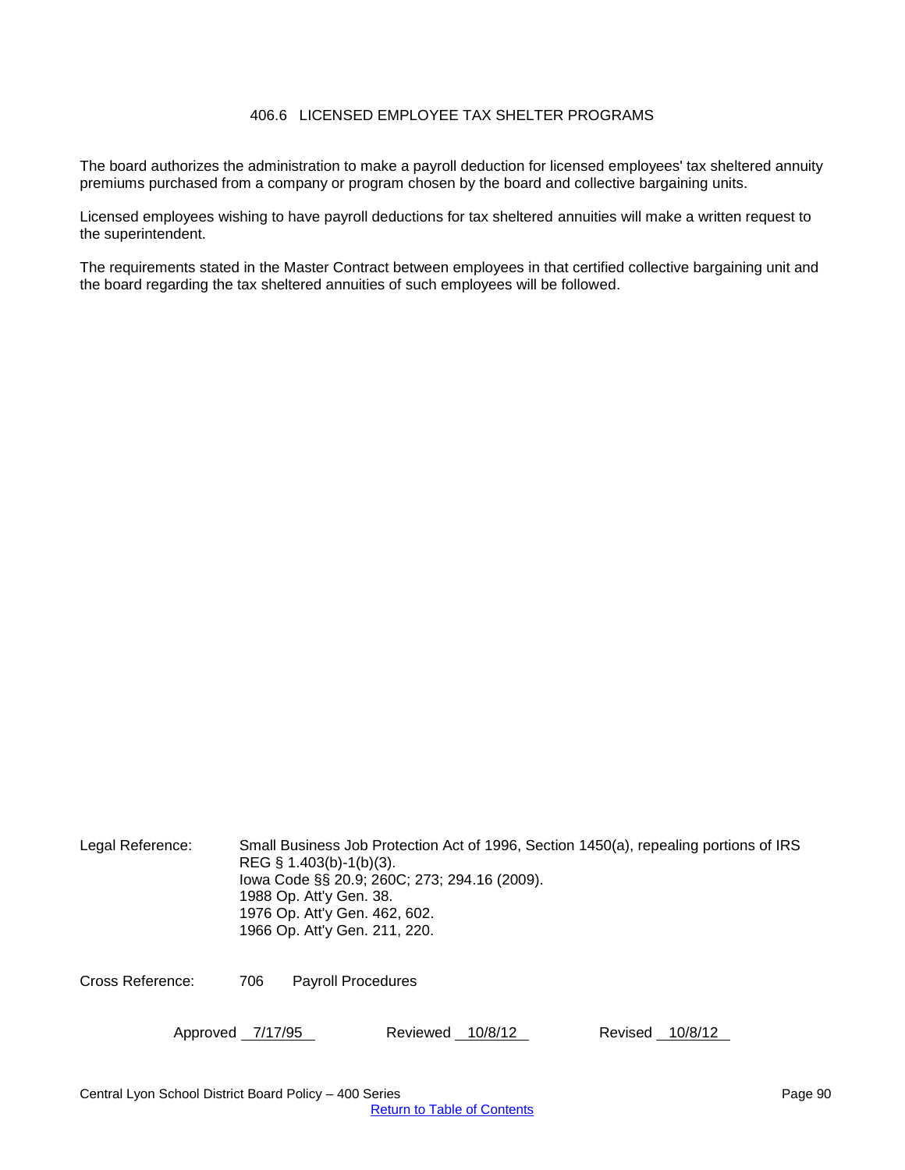# 406.6 LICENSED EMPLOYEE TAX SHELTER PROGRAMS

The board authorizes the administration to make a payroll deduction for licensed employees' tax sheltered annuity premiums purchased from a company or program chosen by the board and collective bargaining units.

Licensed employees wishing to have payroll deductions for tax sheltered annuities will make a written request to the superintendent.

The requirements stated in the Master Contract between employees in that certified collective bargaining unit and the board regarding the tax sheltered annuities of such employees will be followed.

Legal Reference: Small Business Job Protection Act of 1996, Section 1450(a), repealing portions of IRS REG § 1.403(b)-1(b)(3). Iowa Code §§ 20.9; 260C; 273; 294.16 (2009). 1988 Op. Att'y Gen. 38. 1976 Op. Att'y Gen. 462, 602. 1966 Op. Att'y Gen. 211, 220.

Cross Reference: 706 Payroll Procedures

Approved 7/17/95 Reviewed 10/8/12 Revised 10/8/12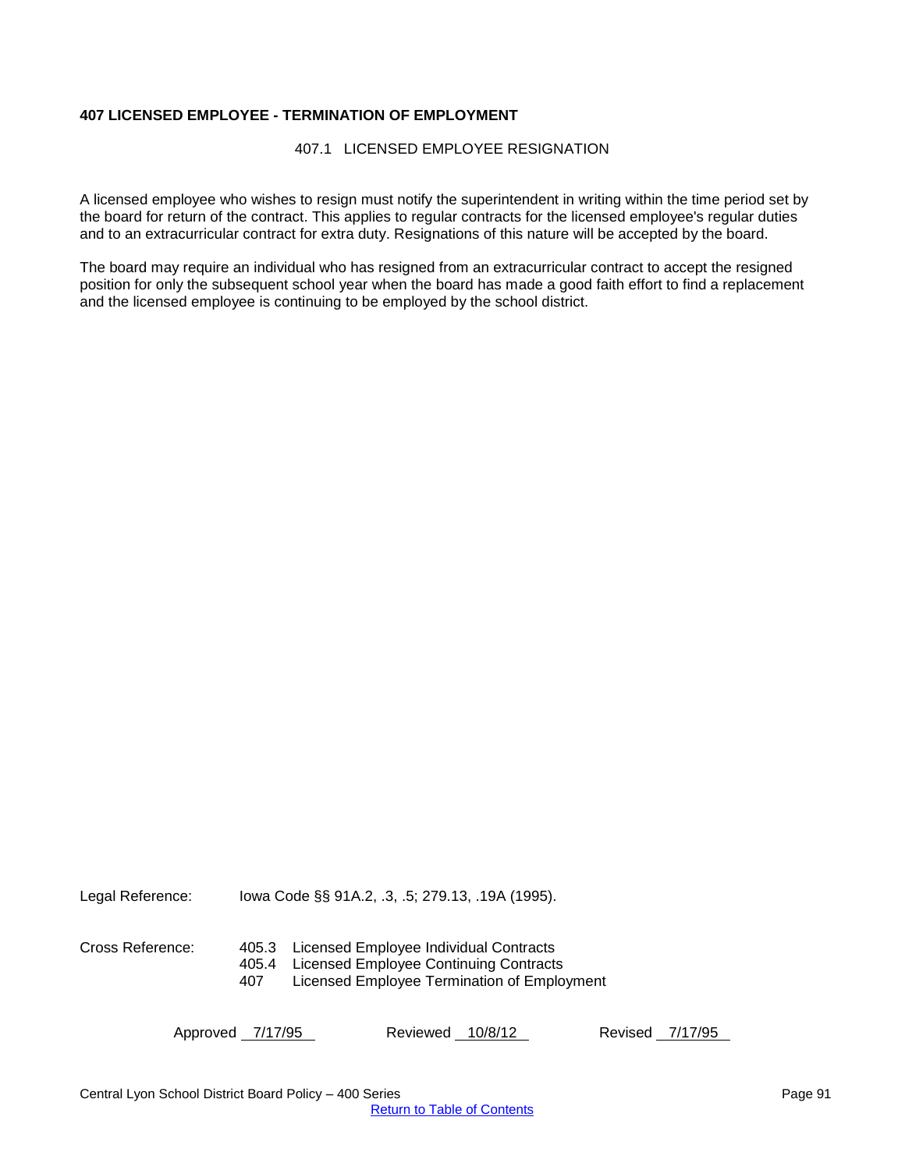### **407 LICENSED EMPLOYEE - TERMINATION OF EMPLOYMENT**

407.1 LICENSED EMPLOYEE RESIGNATION

A licensed employee who wishes to resign must notify the superintendent in writing within the time period set by the board for return of the contract. This applies to regular contracts for the licensed employee's regular duties and to an extracurricular contract for extra duty. Resignations of this nature will be accepted by the board.

The board may require an individual who has resigned from an extracurricular contract to accept the resigned position for only the subsequent school year when the board has made a good faith effort to find a replacement and the licensed employee is continuing to be employed by the school district.

Legal Reference: Iowa Code §§ 91A.2, .3, .5; 279.13, .19A (1995).

Cross Reference: 405.3 Licensed Employee Individual Contracts

405.4 Licensed Employee Continuing Contracts

Licensed Employee Termination of Employment

Approved 7/17/95 Reviewed 10/8/12 Revised 7/17/95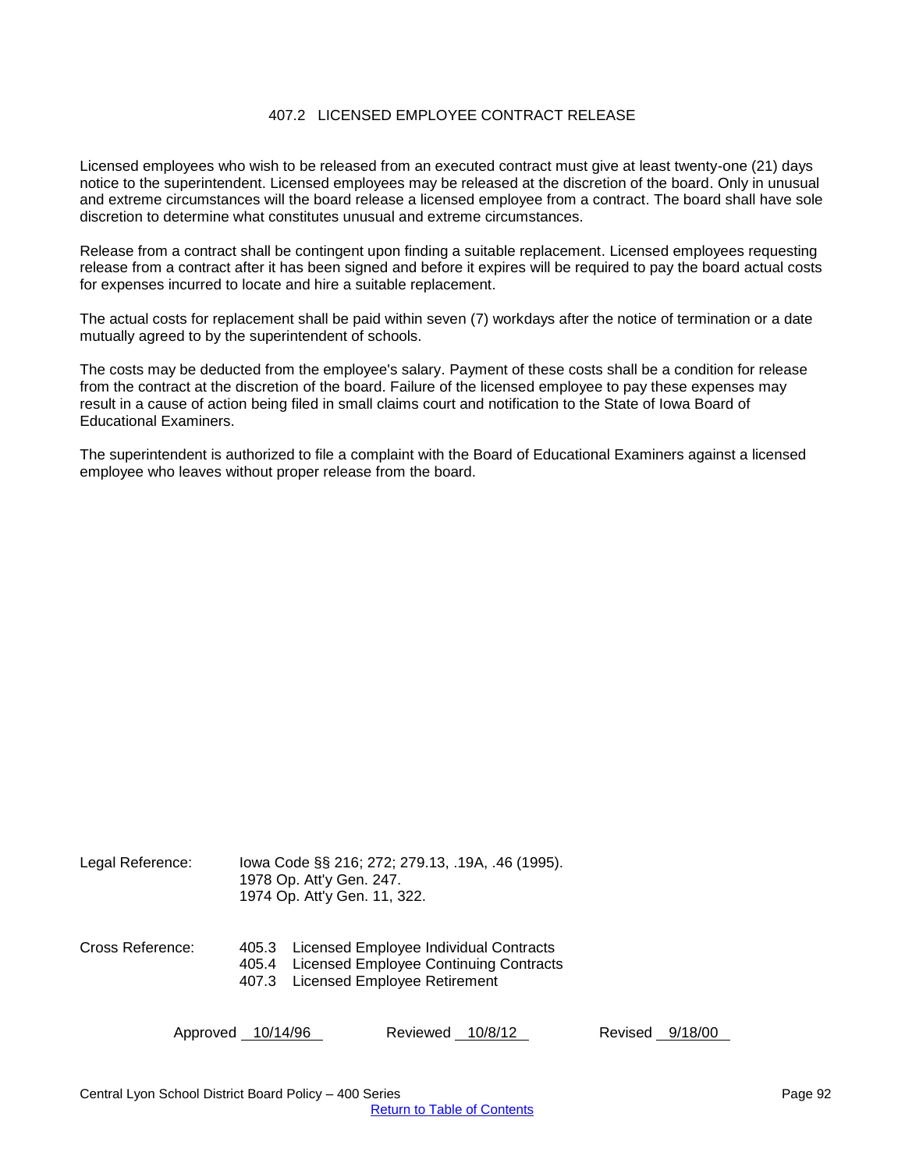## 407.2 LICENSED EMPLOYEE CONTRACT RELEASE

Licensed employees who wish to be released from an executed contract must give at least twenty-one (21) days notice to the superintendent. Licensed employees may be released at the discretion of the board. Only in unusual and extreme circumstances will the board release a licensed employee from a contract. The board shall have sole discretion to determine what constitutes unusual and extreme circumstances.

Release from a contract shall be contingent upon finding a suitable replacement. Licensed employees requesting release from a contract after it has been signed and before it expires will be required to pay the board actual costs for expenses incurred to locate and hire a suitable replacement.

The actual costs for replacement shall be paid within seven (7) workdays after the notice of termination or a date mutually agreed to by the superintendent of schools.

The costs may be deducted from the employee's salary. Payment of these costs shall be a condition for release from the contract at the discretion of the board. Failure of the licensed employee to pay these expenses may result in a cause of action being filed in small claims court and notification to the State of Iowa Board of Educational Examiners.

The superintendent is authorized to file a complaint with the Board of Educational Examiners against a licensed employee who leaves without proper release from the board.

| Legal Reference: |       | lowa Code §§ 216; 272; 279.13, .19A, .46 (1995).<br>1978 Op. Att'y Gen. 247.<br>1974 Op. Att'y Gen. 11, 322.                        |
|------------------|-------|-------------------------------------------------------------------------------------------------------------------------------------|
| Cross Reference: | 405.4 | 405.3 Licensed Employee Individual Contracts<br><b>Licensed Employee Continuing Contracts</b><br>407.3 Licensed Employee Retirement |

Approved 10/14/96 Reviewed 10/8/12 Revised 9/18/00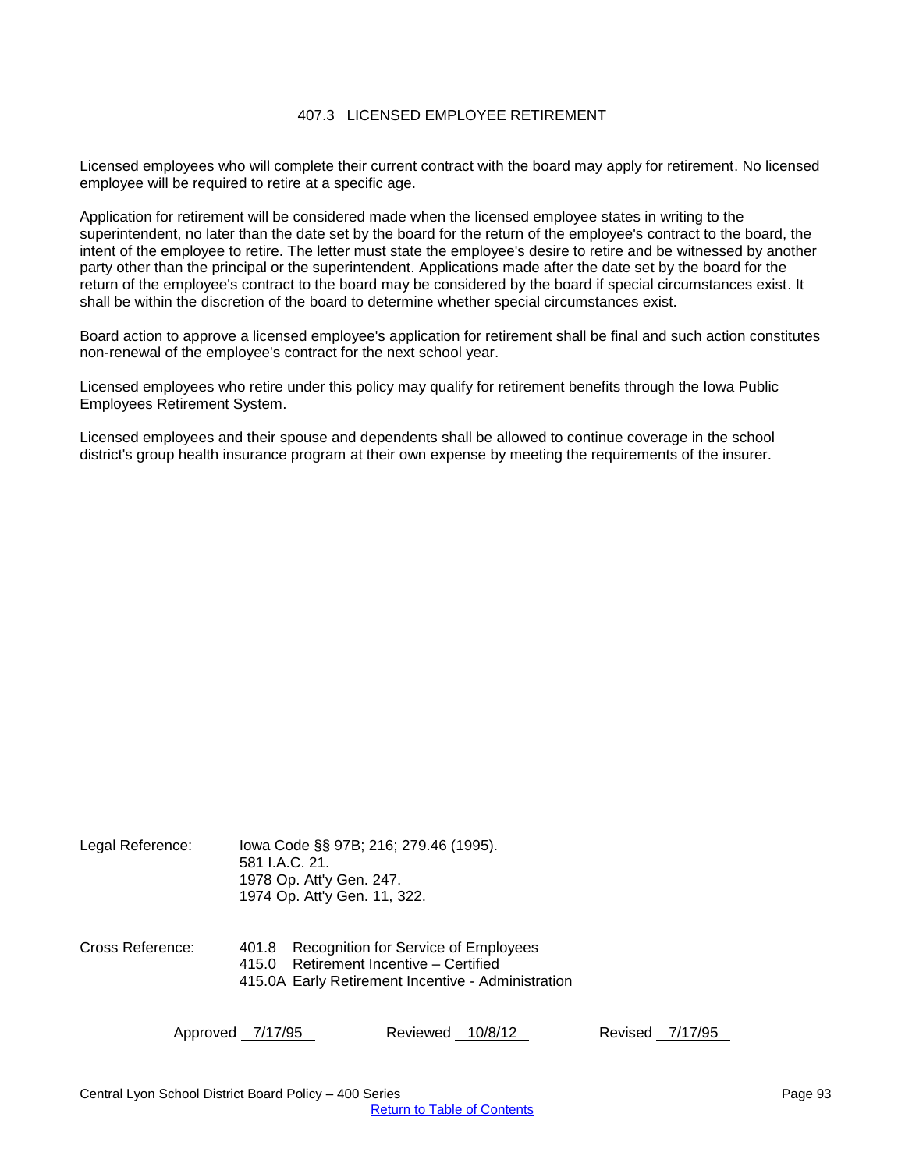#### 407.3 LICENSED EMPLOYEE RETIREMENT

Licensed employees who will complete their current contract with the board may apply for retirement. No licensed employee will be required to retire at a specific age.

Application for retirement will be considered made when the licensed employee states in writing to the superintendent, no later than the date set by the board for the return of the employee's contract to the board, the intent of the employee to retire. The letter must state the employee's desire to retire and be witnessed by another party other than the principal or the superintendent. Applications made after the date set by the board for the return of the employee's contract to the board may be considered by the board if special circumstances exist. It shall be within the discretion of the board to determine whether special circumstances exist.

Board action to approve a licensed employee's application for retirement shall be final and such action constitutes non-renewal of the employee's contract for the next school year.

Licensed employees who retire under this policy may qualify for retirement benefits through the Iowa Public Employees Retirement System.

Licensed employees and their spouse and dependents shall be allowed to continue coverage in the school district's group health insurance program at their own expense by meeting the requirements of the insurer.

| Legal Reference: | lowa Code §§ 97B; 216; 279.46 (1995).<br>581 LA.C. 21.<br>1978 Op. Att'y Gen. 247.<br>1974 Op. Att'y Gen. 11, 322.                                      |
|------------------|---------------------------------------------------------------------------------------------------------------------------------------------------------|
| Cross Reference: | Recognition for Service of Employees<br>401.8<br><b>Retirement Incentive - Certified</b><br>415.0<br>415.0A Early Retirement Incentive - Administration |

Approved 7/17/95 Reviewed 10/8/12 Revised 7/17/95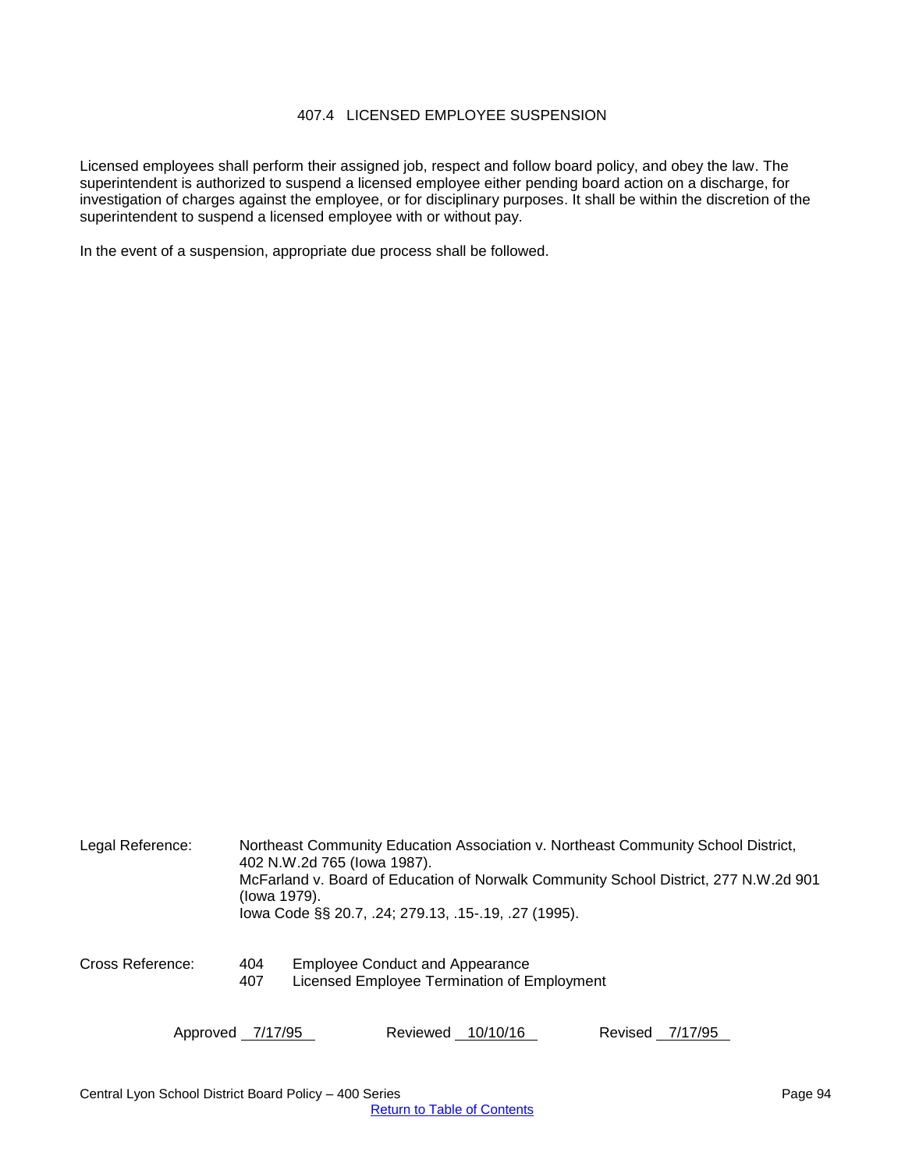# 407.4 LICENSED EMPLOYEE SUSPENSION

Licensed employees shall perform their assigned job, respect and follow board policy, and obey the law. The superintendent is authorized to suspend a licensed employee either pending board action on a discharge, for investigation of charges against the employee, or for disciplinary purposes. It shall be within the discretion of the superintendent to suspend a licensed employee with or without pay.

In the event of a suspension, appropriate due process shall be followed.

| Legal Reference: | (Iowa 1979). | Northeast Community Education Association v. Northeast Community School District,<br>402 N.W.2d 765 (lowa 1987).<br>McFarland v. Board of Education of Norwalk Community School District, 277 N.W.2d 901<br>lowa Code §§ 20.7, .24; 279.13, .15-.19, .27 (1995). |
|------------------|--------------|------------------------------------------------------------------------------------------------------------------------------------------------------------------------------------------------------------------------------------------------------------------|
| Cross Reference: | 404<br>407   | <b>Employee Conduct and Appearance</b><br>Licensed Employee Termination of Employment                                                                                                                                                                            |
| Approved         | 7/17/95      | Reviewed<br>10/10/16<br>Revised<br>7/17/95                                                                                                                                                                                                                       |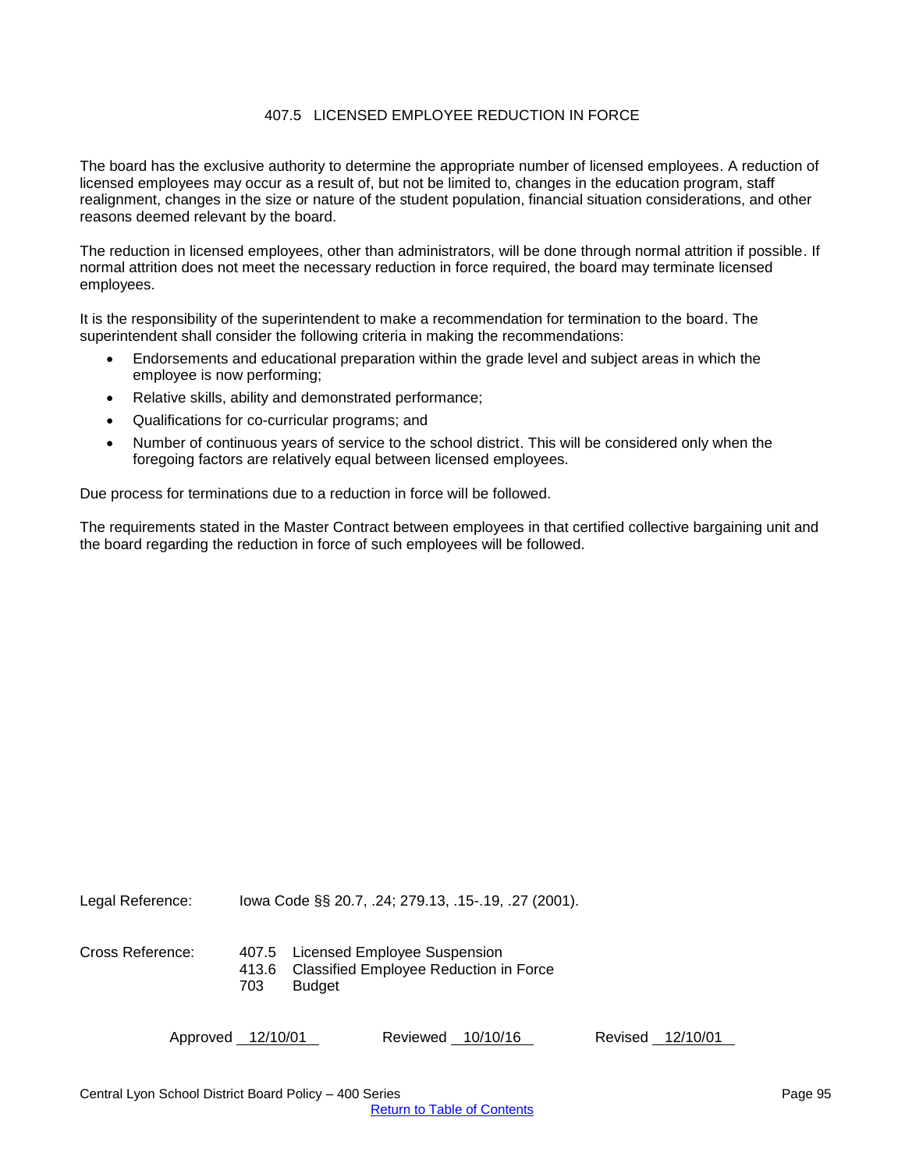# 407.5 LICENSED EMPLOYEE REDUCTION IN FORCE

The board has the exclusive authority to determine the appropriate number of licensed employees. A reduction of licensed employees may occur as a result of, but not be limited to, changes in the education program, staff realignment, changes in the size or nature of the student population, financial situation considerations, and other reasons deemed relevant by the board.

The reduction in licensed employees, other than administrators, will be done through normal attrition if possible. If normal attrition does not meet the necessary reduction in force required, the board may terminate licensed employees.

It is the responsibility of the superintendent to make a recommendation for termination to the board. The superintendent shall consider the following criteria in making the recommendations:

- Endorsements and educational preparation within the grade level and subject areas in which the employee is now performing;
- Relative skills, ability and demonstrated performance;
- Qualifications for co-curricular programs; and
- Number of continuous years of service to the school district. This will be considered only when the foregoing factors are relatively equal between licensed employees.

Due process for terminations due to a reduction in force will be followed.

The requirements stated in the Master Contract between employees in that certified collective bargaining unit and the board regarding the reduction in force of such employees will be followed.

Legal Reference: Iowa Code §§ 20.7, .24; 279.13, .15-.19, .27 (2001).

Cross Reference: 407.5 Licensed Employee Suspension 413.6 Classified Employee Reduction in Force 703 Budget

| Approved 12/10/01<br>Reviewed 10/10/16 | Revised 12/10/01 |
|----------------------------------------|------------------|
|----------------------------------------|------------------|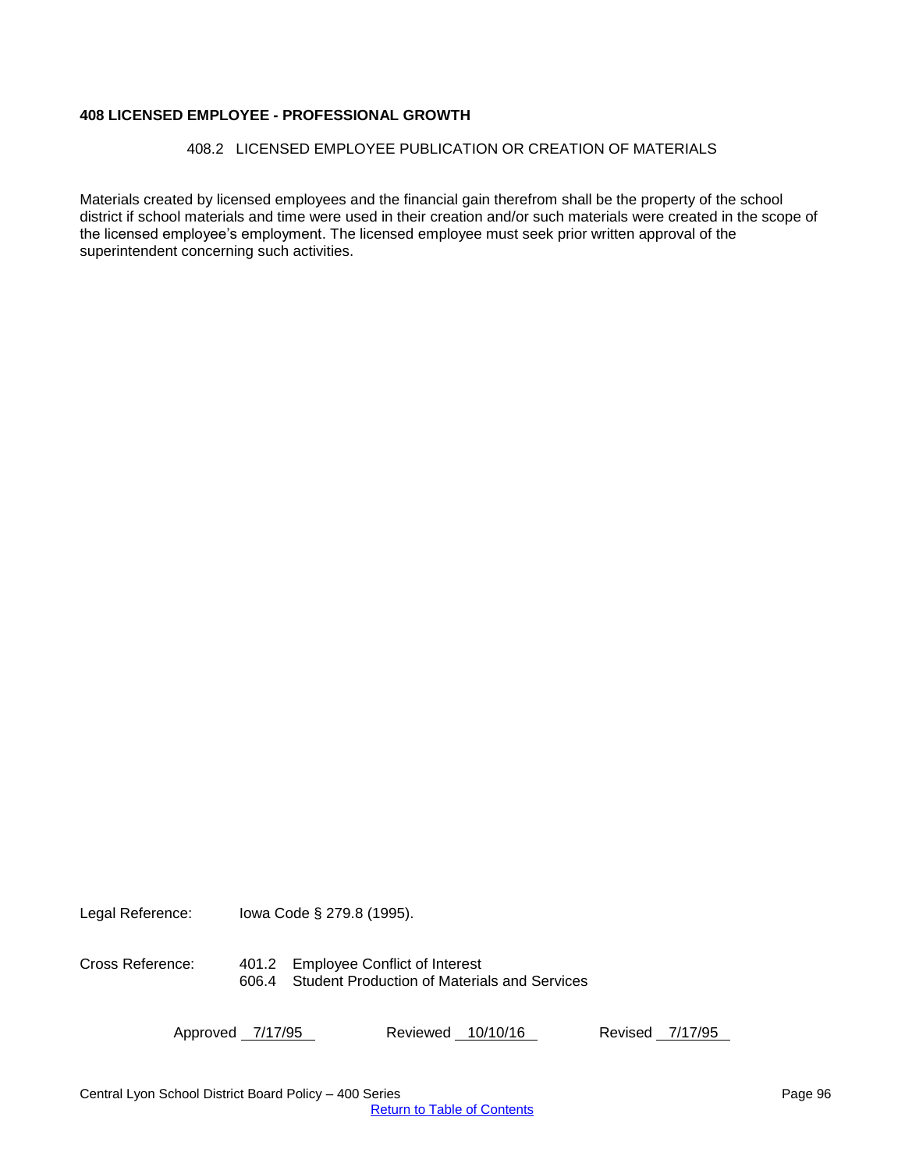# **408 LICENSED EMPLOYEE - PROFESSIONAL GROWTH**

# 408.2 LICENSED EMPLOYEE PUBLICATION OR CREATION OF MATERIALS

Materials created by licensed employees and the financial gain therefrom shall be the property of the school district if school materials and time were used in their creation and/or such materials were created in the scope of the licensed employee's employment. The licensed employee must seek prior written approval of the superintendent concerning such activities.

Legal Reference: Iowa Code § 279.8 (1995).

Cross Reference: 401.2 Employee Conflict of Interest 606.4 Student Production of Materials and Services

Approved 7/17/95 Reviewed 10/10/16 Revised 7/17/95

Central Lyon School District Board Policy – 400 Series Page 96 Page 96

[Return to Table of Contents](#page-0-0)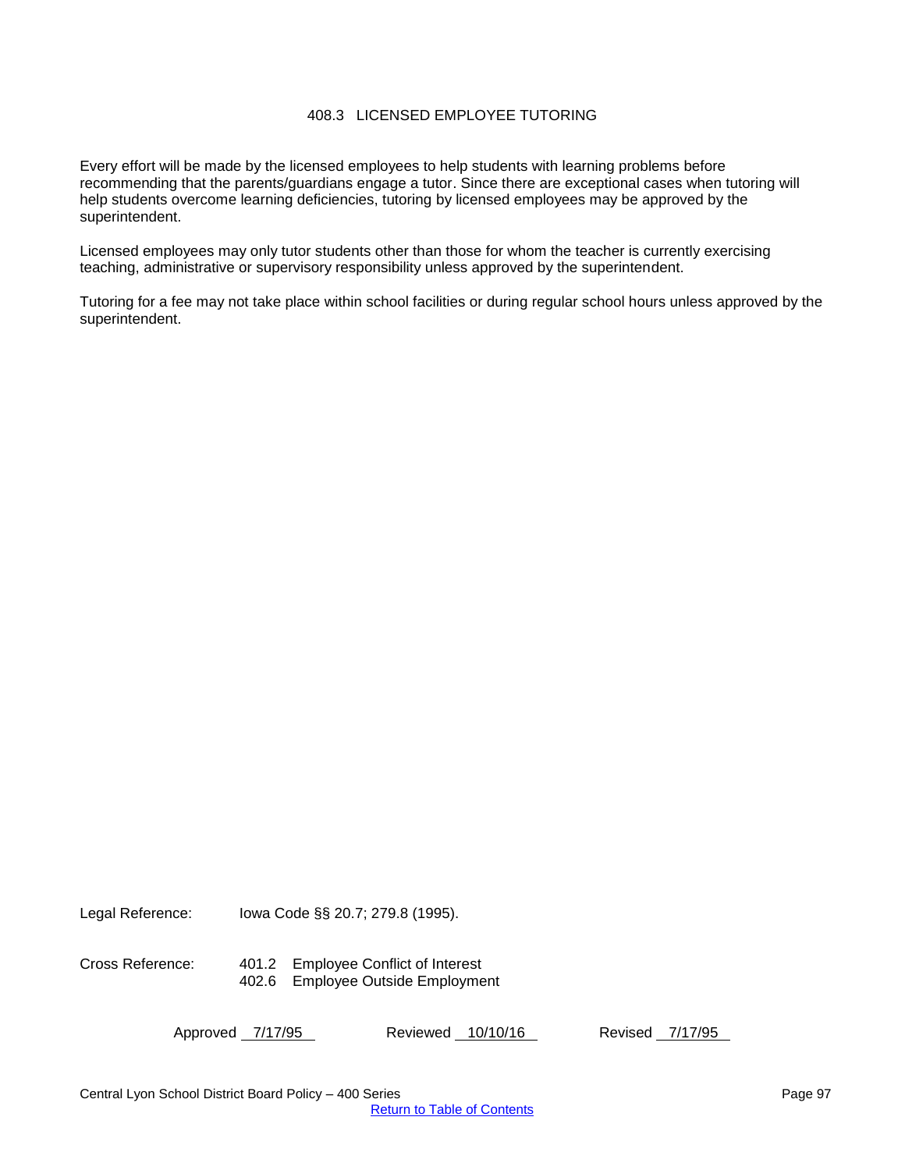#### 408.3 LICENSED EMPLOYEE TUTORING

Every effort will be made by the licensed employees to help students with learning problems before recommending that the parents/guardians engage a tutor. Since there are exceptional cases when tutoring will help students overcome learning deficiencies, tutoring by licensed employees may be approved by the superintendent.

Licensed employees may only tutor students other than those for whom the teacher is currently exercising teaching, administrative or supervisory responsibility unless approved by the superintendent.

Tutoring for a fee may not take place within school facilities or during regular school hours unless approved by the superintendent.

Legal Reference: Iowa Code §§ 20.7; 279.8 (1995).

Cross Reference: 401.2 Employee Conflict of Interest 402.6 Employee Outside Employment

Approved 7/17/95 Reviewed 10/10/16 Revised 7/17/95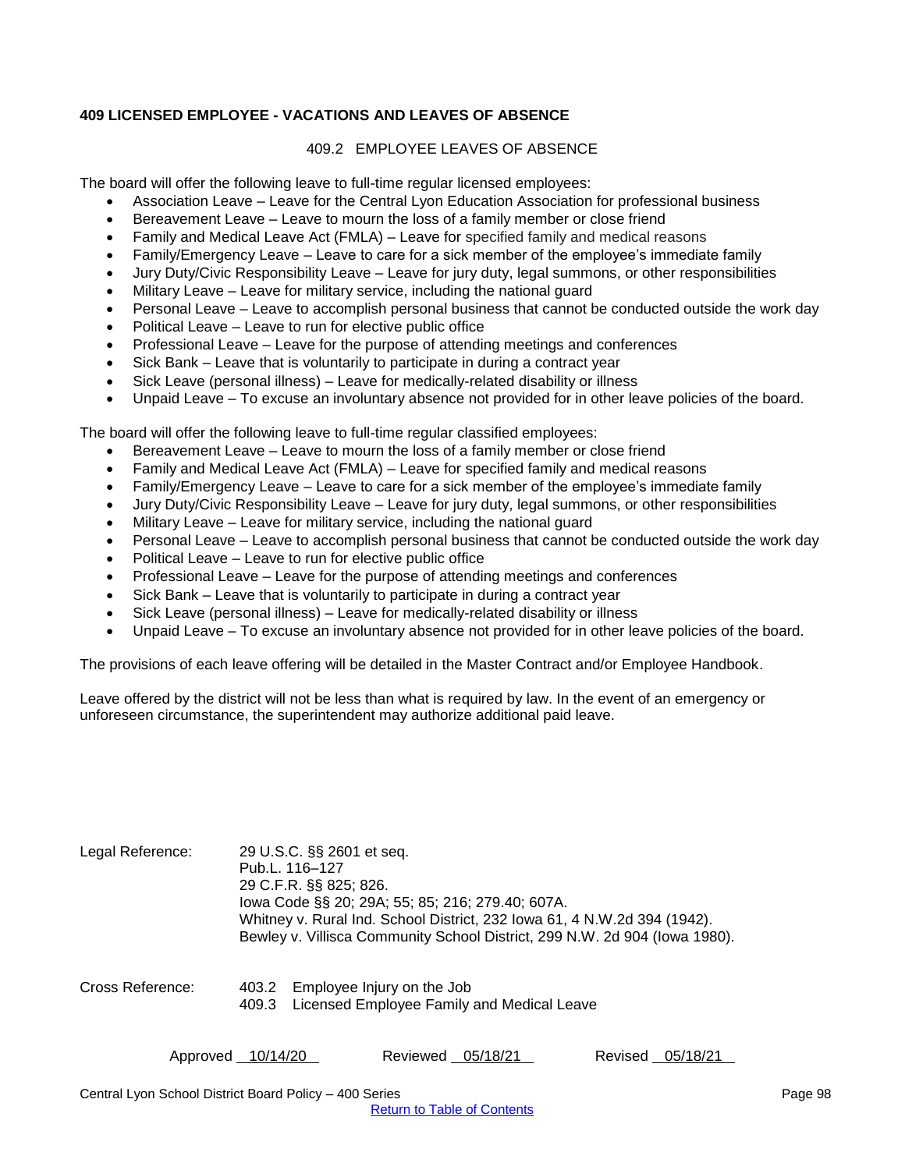# **409 LICENSED EMPLOYEE - VACATIONS AND LEAVES OF ABSENCE**

### 409.2 EMPLOYEE LEAVES OF ABSENCE

The board will offer the following leave to full-time regular licensed employees:

- Association Leave Leave for the Central Lyon Education Association for professional business
- Bereavement Leave Leave to mourn the loss of a family member or close friend
- Family and Medical Leave Act (FMLA) Leave for specified family and medical reasons
- Family/Emergency Leave Leave to care for a sick member of the employee's immediate family
- Jury Duty/Civic Responsibility Leave Leave for jury duty, legal summons, or other responsibilities
- Military Leave Leave for military service, including the national guard
- Personal Leave Leave to accomplish personal business that cannot be conducted outside the work day
- Political Leave Leave to run for elective public office
- Professional Leave Leave for the purpose of attending meetings and conferences
- Sick Bank Leave that is voluntarily to participate in during a contract year
- Sick Leave (personal illness) Leave for medically-related disability or illness
- Unpaid Leave *–* To excuse an involuntary absence not provided for in other leave policies of the board.

The board will offer the following leave to full-time regular classified employees:

- Bereavement Leave Leave to mourn the loss of a family member or close friend
- Family and Medical Leave Act (FMLA) Leave for specified family and medical reasons
- Family/Emergency Leave Leave to care for a sick member of the employee's immediate family
- Jury Duty/Civic Responsibility Leave Leave for jury duty, legal summons, or other responsibilities
- Military Leave Leave for military service, including the national guard
- Personal Leave Leave to accomplish personal business that cannot be conducted outside the work day
- Political Leave Leave to run for elective public office
- Professional Leave Leave for the purpose of attending meetings and conferences
- Sick Bank Leave that is voluntarily to participate in during a contract year
- Sick Leave (personal illness) Leave for medically-related disability or illness
- Unpaid Leave *–* To excuse an involuntary absence not provided for in other leave policies of the board.

The provisions of each leave offering will be detailed in the Master Contract and/or Employee Handbook.

Leave offered by the district will not be less than what is required by law. In the event of an emergency or unforeseen circumstance, the superintendent may authorize additional paid leave.

| Legal Reference: | Pub.L. 116-127    | 29 U.S.C. §§ 2601 et seq.<br>29 C.F.R. §§ 825; 826.<br>lowa Code §§ 20; 29A; 55; 85; 216; 279.40; 607A.<br>Whitney v. Rural Ind. School District, 232 Iowa 61, 4 N.W.2d 394 (1942).<br>Bewley v. Villisca Community School District, 299 N.W. 2d 904 (lowa 1980). |          |         |          |
|------------------|-------------------|-------------------------------------------------------------------------------------------------------------------------------------------------------------------------------------------------------------------------------------------------------------------|----------|---------|----------|
| Cross Reference: | 409.3             | 403.2 Employee Injury on the Job<br>Licensed Employee Family and Medical Leave                                                                                                                                                                                    |          |         |          |
|                  | Approved 10/14/20 | Reviewed                                                                                                                                                                                                                                                          | 05/18/21 | Revised | 05/18/21 |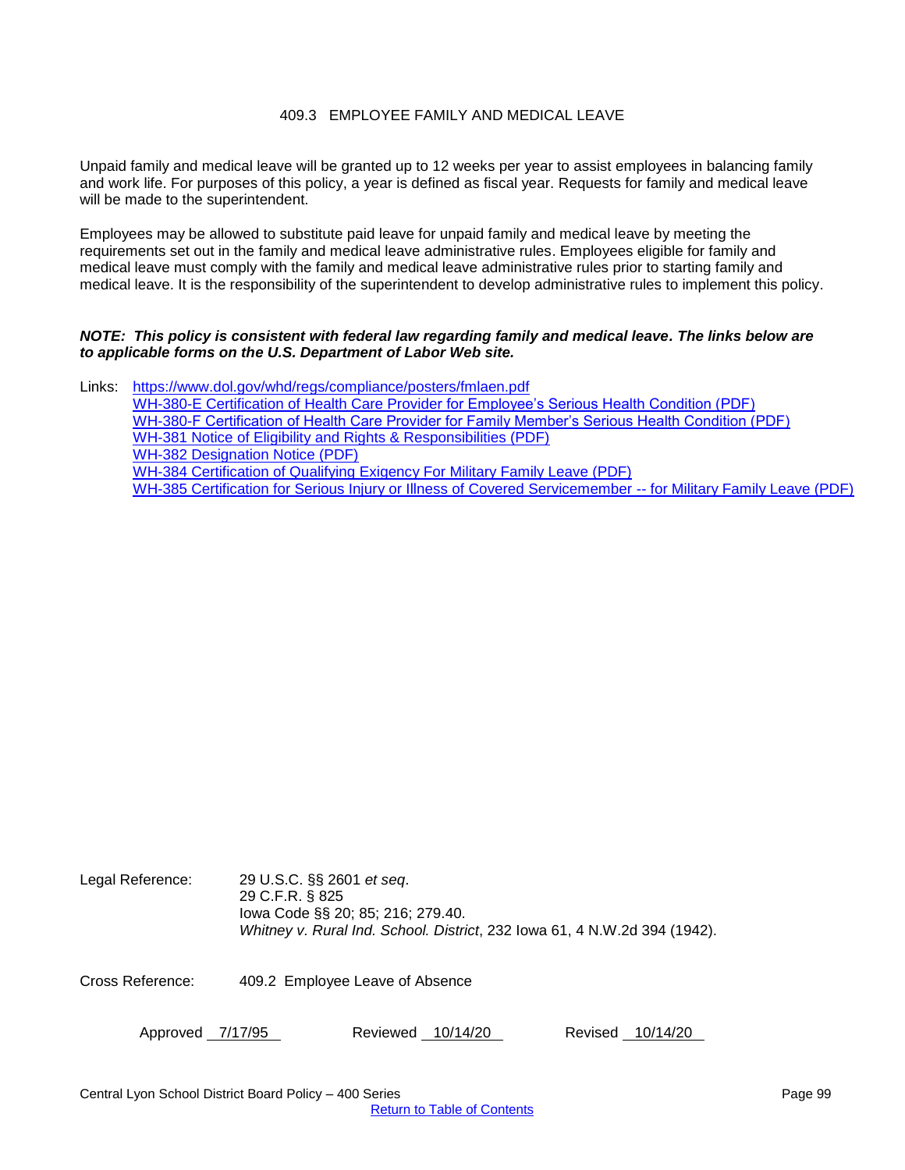### 409.3 EMPLOYEE FAMILY AND MEDICAL LEAVE

Unpaid family and medical leave will be granted up to 12 weeks per year to assist employees in balancing family and work life. For purposes of this policy, a year is defined as fiscal year. Requests for family and medical leave will be made to the superintendent.

Employees may be allowed to substitute paid leave for unpaid family and medical leave by meeting the requirements set out in the family and medical leave administrative rules. Employees eligible for family and medical leave must comply with the family and medical leave administrative rules prior to starting family and medical leave. It is the responsibility of the superintendent to develop administrative rules to implement this policy.

#### *NOTE: This policy is consistent with federal law regarding family and medical leave. The links below are to applicable forms on the U.S. Department of Labor Web site.*

Links: <https://www.dol.gov/whd/regs/compliance/posters/fmlaen.pdf> [WH-380-E Certification of Health Care Provider for Employee's Serious Health Condition \(PDF\)](http://www.dol.gov/whd/forms/WH-380-E.pdf) [WH-380-F Certification of Health Care Provider for Family Member's Serious Health Condition \(PDF\)](http://www.dol.gov/whd/forms/WH-380-F.pdf) [WH-381 Notice of Eligibility and Rights & Responsibilities \(PDF\)](http://www.dol.gov/whd/forms/WH-380-F.pdf) [WH-382 Designation Notice \(PDF\)](http://www.dol.gov/whd/forms/WH-382.pdff) [WH-384 Certification of Qualifying Exigency For Military Family Leave \(PDF\)](http://www.dol.gov/whd/forms/WH-384.pdf) [WH-385 Certification for Serious Injury or Illness of Covered Servicemember --](http://www.dol.gov/whd/forms/WH-385.pdf) for Military Family Leave (PDF)

| 29 U.S.C. §§ 2601 <i>et seq.</i>                                          |
|---------------------------------------------------------------------------|
| 29 C.F.R. § 825                                                           |
| lowa Code §§ 20; 85; 216; 279.40.                                         |
| Whitney v. Rural Ind. School. District, 232 Iowa 61, 4 N.W.2d 394 (1942). |
|                                                                           |
|                                                                           |

Cross Reference: 409.2 Employee Leave of Absence

Approved 7/17/95 Reviewed 10/14/20 Revised 10/14/20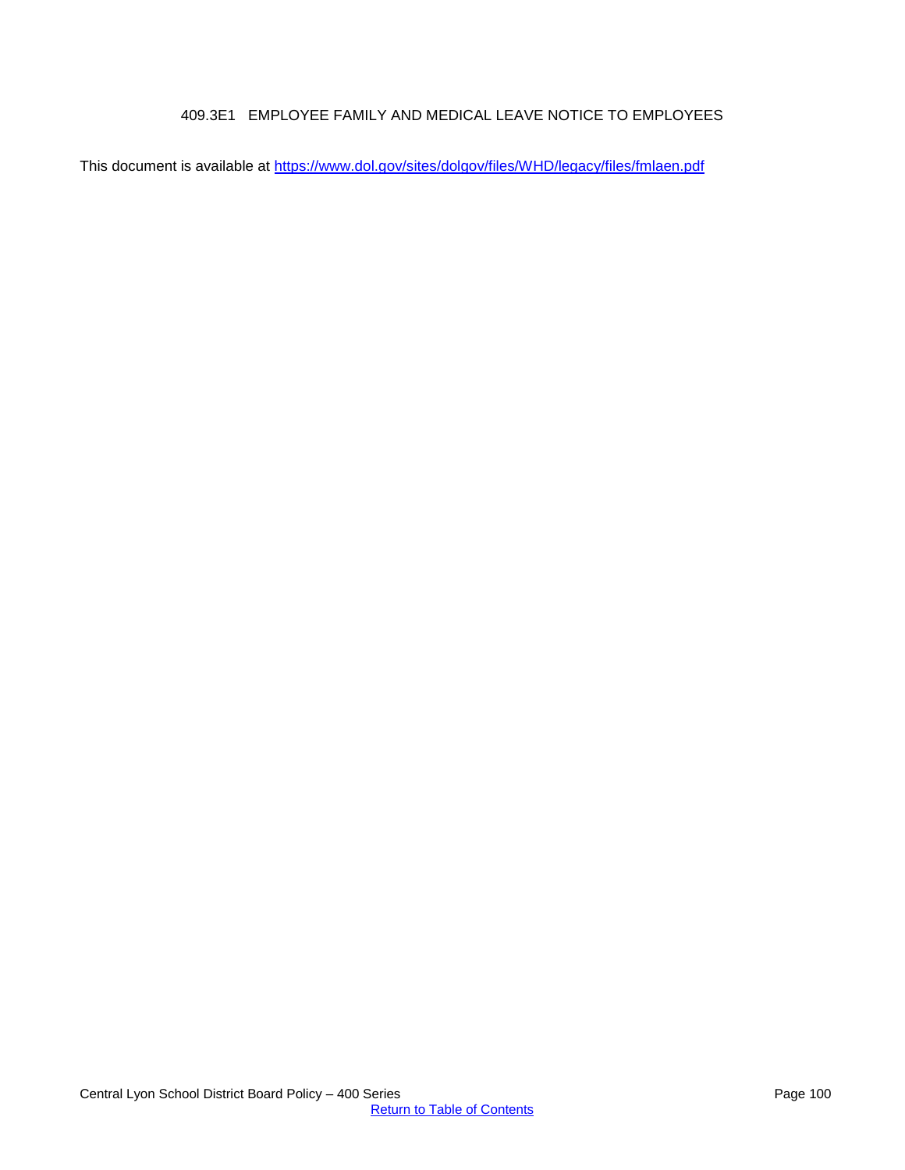# 409.3E1 EMPLOYEE FAMILY AND MEDICAL LEAVE NOTICE TO EMPLOYEES

This document is available at <https://www.dol.gov/sites/dolgov/files/WHD/legacy/files/fmlaen.pdf>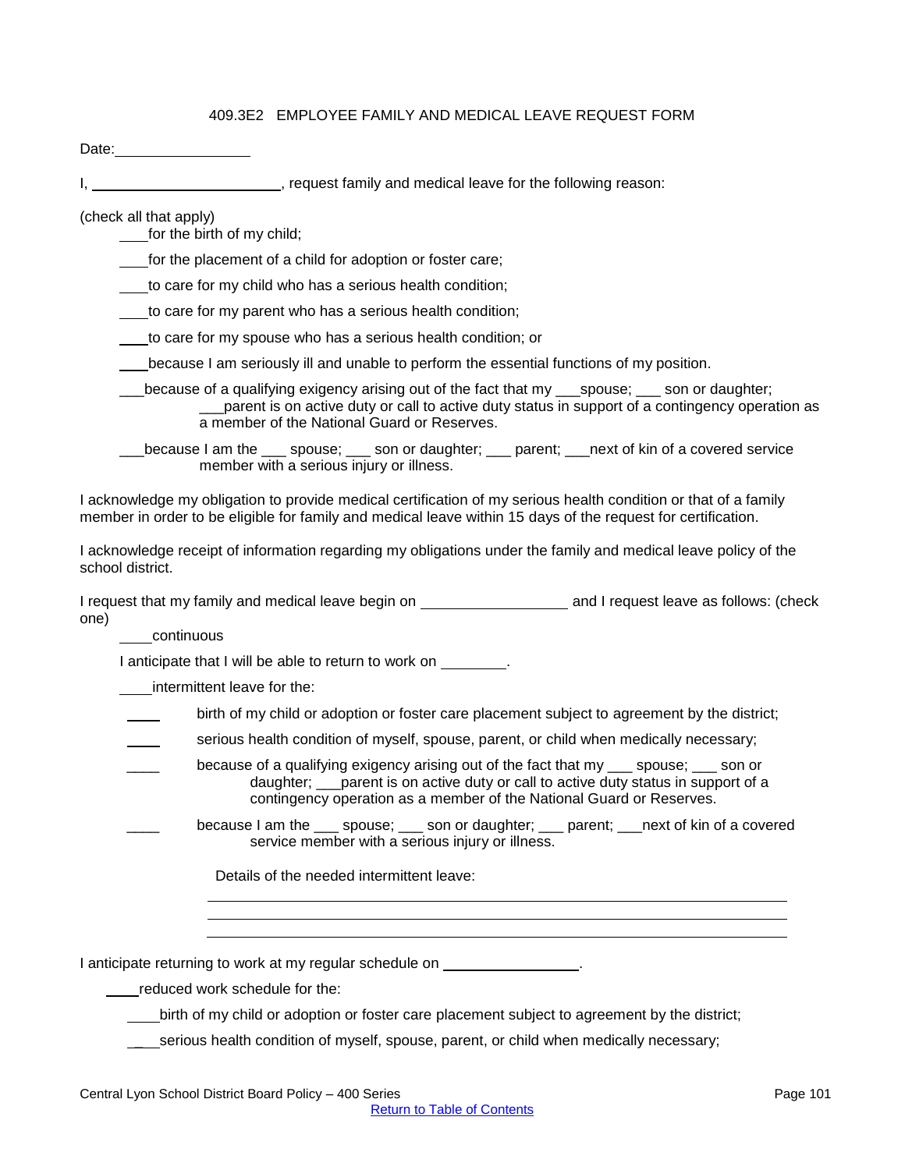## 409.3E2 EMPLOYEE FAMILY AND MEDICAL LEAVE REQUEST FORM

Date: **Date:** 

I, support tamily and medical leave for the following reason:

(check all that apply)

for the birth of my child;

for the placement of a child for adoption or foster care;

to care for my child who has a serious health condition;

to care for my parent who has a serious health condition;

to care for my spouse who has a serious health condition; or

because I am seriously ill and unable to perform the essential functions of my position.

because of a qualifying exigency arising out of the fact that my spouse; son or daughter; \_\_\_parent is on active duty or call to active duty status in support of a contingency operation as a member of the National Guard or Reserves.

Lecause I am the Let spouse; Let son or daughter; Let parent; Let next of kin of a covered service member with a serious injury or illness.

I acknowledge my obligation to provide medical certification of my serious health condition or that of a family member in order to be eligible for family and medical leave within 15 days of the request for certification.

I acknowledge receipt of information regarding my obligations under the family and medical leave policy of the school district.

I request that my family and medical leave begin on and I request leave as follows: (check one)

continuous

I anticipate that I will be able to return to work on .

intermittent leave for the:

- birth of my child or adoption or foster care placement subject to agreement by the district;
- serious health condition of myself, spouse, parent, or child when medically necessary;
	- because of a qualifying exigency arising out of the fact that my spouse; son or daughter; parent is on active duty or call to active duty status in support of a contingency operation as a member of the National Guard or Reserves.
	- because I am the  $\_\_$  spouse;  $\_\_$  son or daughter;  $\_\_$  parent;  $\_\_$ next of kin of a covered service member with a serious injury or illness.

Details of the needed intermittent leave:

I anticipate returning to work at my regular schedule on \_\_\_\_\_\_\_\_\_\_\_\_\_\_\_\_.

reduced work schedule for the:

birth of my child or adoption or foster care placement subject to agreement by the district;

serious health condition of myself, spouse, parent, or child when medically necessary;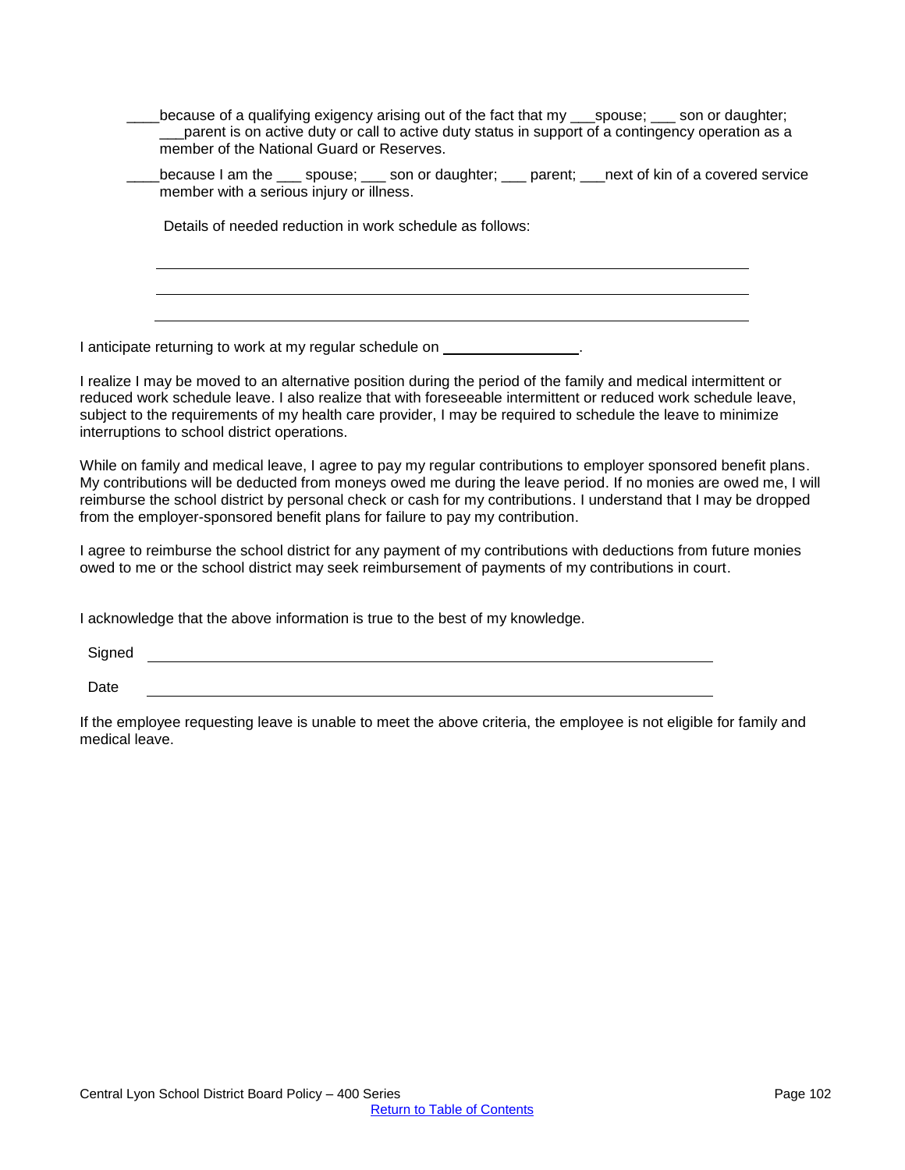because of a qualifying exigency arising out of the fact that my spouse; son or daughter; parent is on active duty or call to active duty status in support of a contingency operation as a member of the National Guard or Reserves.

because I am the spouse; son or daughter; parent; next of kin of a covered service member with a serious injury or illness.

Details of needed reduction in work schedule as follows:

I anticipate returning to work at my regular schedule on  $\blacksquare$ 

I realize I may be moved to an alternative position during the period of the family and medical intermittent or reduced work schedule leave. I also realize that with foreseeable intermittent or reduced work schedule leave, subject to the requirements of my health care provider, I may be required to schedule the leave to minimize interruptions to school district operations.

While on family and medical leave, I agree to pay my regular contributions to employer sponsored benefit plans. My contributions will be deducted from moneys owed me during the leave period. If no monies are owed me, I will reimburse the school district by personal check or cash for my contributions. I understand that I may be dropped from the employer-sponsored benefit plans for failure to pay my contribution.

I agree to reimburse the school district for any payment of my contributions with deductions from future monies owed to me or the school district may seek reimbursement of payments of my contributions in court.

I acknowledge that the above information is true to the best of my knowledge.

**Signed** 

**Date** 

If the employee requesting leave is unable to meet the above criteria, the employee is not eligible for family and medical leave.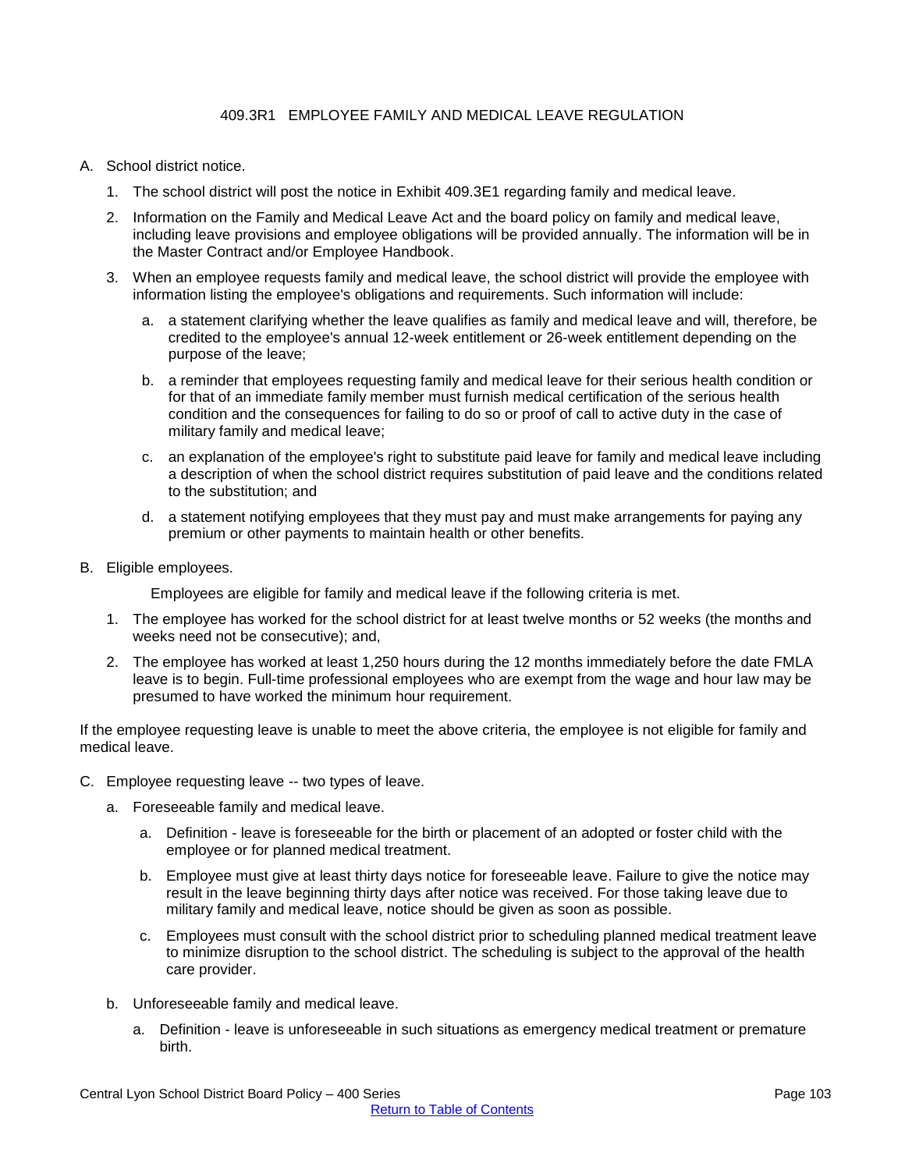# 409.3R1 EMPLOYEE FAMILY AND MEDICAL LEAVE REGULATION

- A. School district notice.
	- 1. The school district will post the notice in Exhibit 409.3E1 regarding family and medical leave.
	- 2. Information on the Family and Medical Leave Act and the board policy on family and medical leave, including leave provisions and employee obligations will be provided annually. The information will be in the Master Contract and/or Employee Handbook.
	- 3. When an employee requests family and medical leave, the school district will provide the employee with information listing the employee's obligations and requirements. Such information will include:
		- a. a statement clarifying whether the leave qualifies as family and medical leave and will, therefore, be credited to the employee's annual 12-week entitlement or 26-week entitlement depending on the purpose of the leave;
		- b. a reminder that employees requesting family and medical leave for their serious health condition or for that of an immediate family member must furnish medical certification of the serious health condition and the consequences for failing to do so or proof of call to active duty in the case of military family and medical leave;
		- c. an explanation of the employee's right to substitute paid leave for family and medical leave including a description of when the school district requires substitution of paid leave and the conditions related to the substitution; and
		- d. a statement notifying employees that they must pay and must make arrangements for paying any premium or other payments to maintain health or other benefits.
- B. Eligible employees.

Employees are eligible for family and medical leave if the following criteria is met.

- 1. The employee has worked for the school district for at least twelve months or 52 weeks (the months and weeks need not be consecutive); and,
- 2. The employee has worked at least 1,250 hours during the 12 months immediately before the date FMLA leave is to begin. Full-time professional employees who are exempt from the wage and hour law may be presumed to have worked the minimum hour requirement.

If the employee requesting leave is unable to meet the above criteria, the employee is not eligible for family and medical leave.

- C. Employee requesting leave -- two types of leave.
	- a. Foreseeable family and medical leave.
		- a. Definition leave is foreseeable for the birth or placement of an adopted or foster child with the employee or for planned medical treatment.
		- b. Employee must give at least thirty days notice for foreseeable leave. Failure to give the notice may result in the leave beginning thirty days after notice was received. For those taking leave due to military family and medical leave, notice should be given as soon as possible.
		- c. Employees must consult with the school district prior to scheduling planned medical treatment leave to minimize disruption to the school district. The scheduling is subject to the approval of the health care provider.
	- b. Unforeseeable family and medical leave.
		- a. Definition leave is unforeseeable in such situations as emergency medical treatment or premature birth.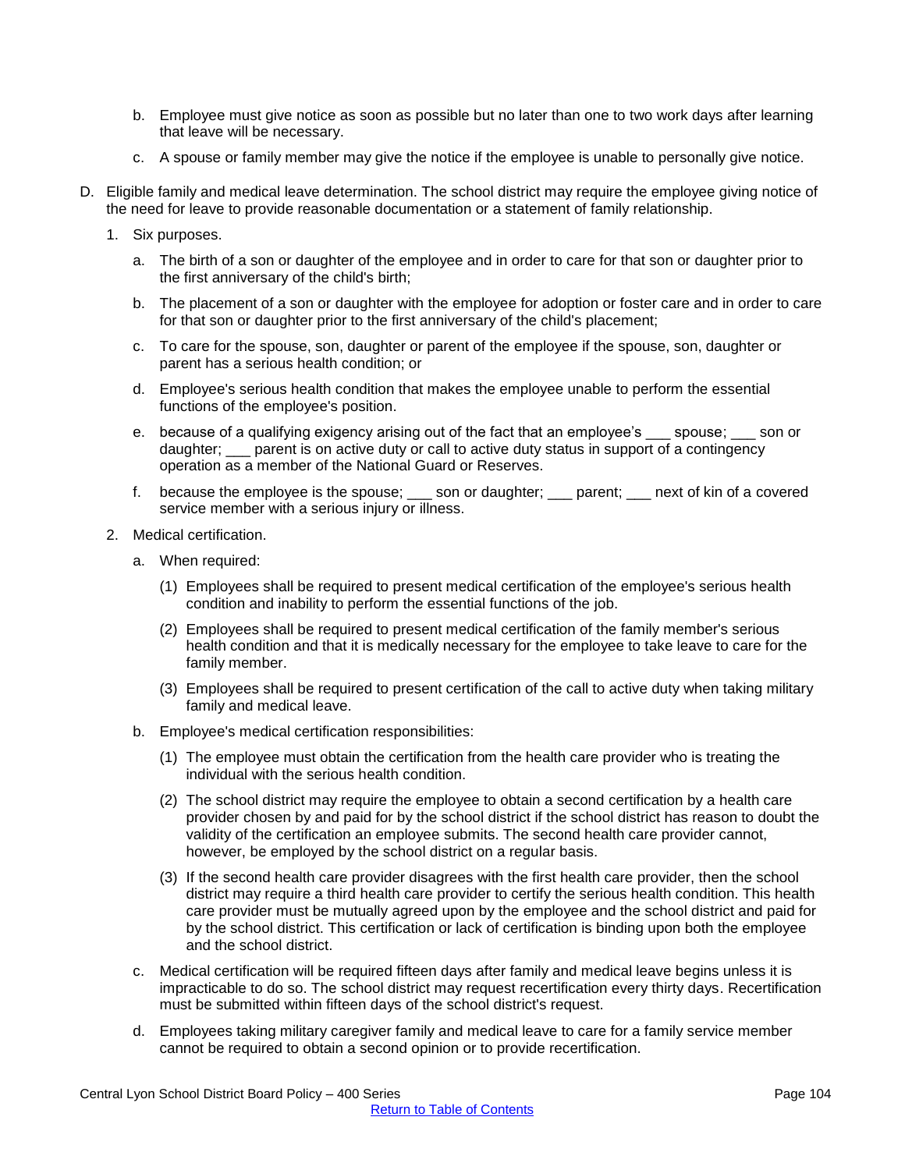- b. Employee must give notice as soon as possible but no later than one to two work days after learning that leave will be necessary.
- c. A spouse or family member may give the notice if the employee is unable to personally give notice.
- D. Eligible family and medical leave determination. The school district may require the employee giving notice of the need for leave to provide reasonable documentation or a statement of family relationship.
	- 1. Six purposes.
		- a. The birth of a son or daughter of the employee and in order to care for that son or daughter prior to the first anniversary of the child's birth;
		- b. The placement of a son or daughter with the employee for adoption or foster care and in order to care for that son or daughter prior to the first anniversary of the child's placement;
		- c. To care for the spouse, son, daughter or parent of the employee if the spouse, son, daughter or parent has a serious health condition; or
		- d. Employee's serious health condition that makes the employee unable to perform the essential functions of the employee's position.
		- e. because of a qualifying exigency arising out of the fact that an employee's spouse; son or daughter; \_\_\_ parent is on active duty or call to active duty status in support of a contingency operation as a member of the National Guard or Reserves.
		- f. because the employee is the spouse; \_\_\_ son or daughter; \_\_\_ parent; \_\_\_ next of kin of a covered service member with a serious injury or illness.
	- 2. Medical certification.
		- a. When required:
			- (1) Employees shall be required to present medical certification of the employee's serious health condition and inability to perform the essential functions of the job.
			- (2) Employees shall be required to present medical certification of the family member's serious health condition and that it is medically necessary for the employee to take leave to care for the family member.
			- (3) Employees shall be required to present certification of the call to active duty when taking military family and medical leave.
		- b. Employee's medical certification responsibilities:
			- (1) The employee must obtain the certification from the health care provider who is treating the individual with the serious health condition.
			- (2) The school district may require the employee to obtain a second certification by a health care provider chosen by and paid for by the school district if the school district has reason to doubt the validity of the certification an employee submits. The second health care provider cannot, however, be employed by the school district on a regular basis.
			- (3) If the second health care provider disagrees with the first health care provider, then the school district may require a third health care provider to certify the serious health condition. This health care provider must be mutually agreed upon by the employee and the school district and paid for by the school district. This certification or lack of certification is binding upon both the employee and the school district.
		- c. Medical certification will be required fifteen days after family and medical leave begins unless it is impracticable to do so. The school district may request recertification every thirty days. Recertification must be submitted within fifteen days of the school district's request.
		- d. Employees taking military caregiver family and medical leave to care for a family service member cannot be required to obtain a second opinion or to provide recertification.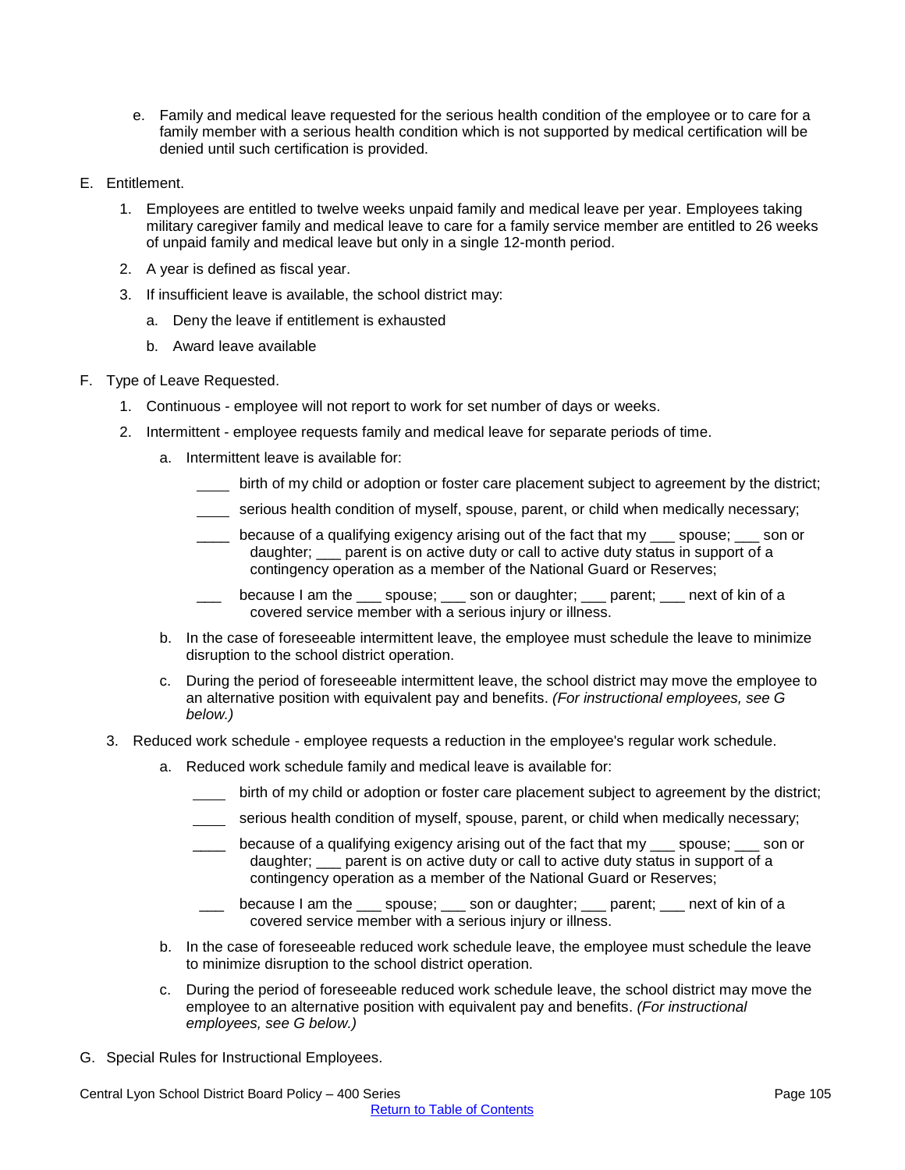- e. Family and medical leave requested for the serious health condition of the employee or to care for a family member with a serious health condition which is not supported by medical certification will be denied until such certification is provided.
- E. Entitlement.
	- 1. Employees are entitled to twelve weeks unpaid family and medical leave per year. Employees taking military caregiver family and medical leave to care for a family service member are entitled to 26 weeks of unpaid family and medical leave but only in a single 12-month period.
	- 2. A year is defined as fiscal year.
	- 3. If insufficient leave is available, the school district may:
		- a. Deny the leave if entitlement is exhausted
		- b. Award leave available
- F. Type of Leave Requested.
	- 1. Continuous employee will not report to work for set number of days or weeks.
	- 2. Intermittent employee requests family and medical leave for separate periods of time.
		- a. Intermittent leave is available for:
			- birth of my child or adoption or foster care placement subject to agreement by the district;
			- serious health condition of myself, spouse, parent, or child when medically necessary;
			- \_\_\_\_ because of a qualifying exigency arising out of the fact that my \_\_\_ spouse; \_\_\_ son or daughter; parent is on active duty or call to active duty status in support of a contingency operation as a member of the National Guard or Reserves;
			- because I am the spouse; son or daughter; see parent; see next of kin of a covered service member with a serious injury or illness.
		- b. In the case of foreseeable intermittent leave, the employee must schedule the leave to minimize disruption to the school district operation.
		- c. During the period of foreseeable intermittent leave, the school district may move the employee to an alternative position with equivalent pay and benefits. *(For instructional employees, see G below.)*
	- 3. Reduced work schedule employee requests a reduction in the employee's regular work schedule.
		- a. Reduced work schedule family and medical leave is available for:
			- **Solution** birth of my child or adoption or foster care placement subject to agreement by the district;
			- serious health condition of myself, spouse, parent, or child when medically necessary;
			- because of a qualifying exigency arising out of the fact that my \_\_\_ spouse; \_\_ son or daughter; \_\_\_ parent is on active duty or call to active duty status in support of a contingency operation as a member of the National Guard or Reserves;
			- because I am the spouse; son or daughter; sparent; sext of kin of a covered service member with a serious injury or illness.
		- b. In the case of foreseeable reduced work schedule leave, the employee must schedule the leave to minimize disruption to the school district operation.
		- c. During the period of foreseeable reduced work schedule leave, the school district may move the employee to an alternative position with equivalent pay and benefits. *(For instructional employees, see G below.)*
- G. Special Rules for Instructional Employees.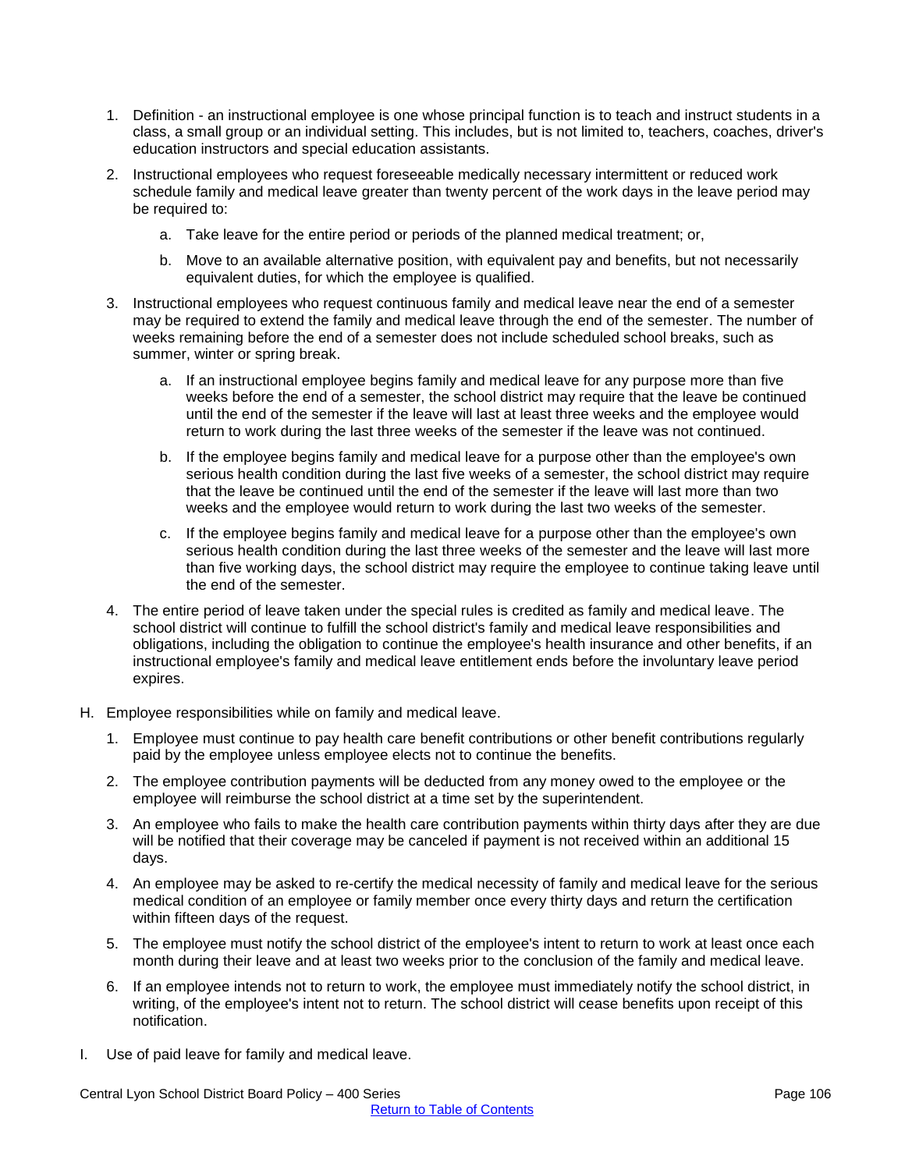- 1. Definition an instructional employee is one whose principal function is to teach and instruct students in a class, a small group or an individual setting. This includes, but is not limited to, teachers, coaches, driver's education instructors and special education assistants.
- 2. Instructional employees who request foreseeable medically necessary intermittent or reduced work schedule family and medical leave greater than twenty percent of the work days in the leave period may be required to:
	- a. Take leave for the entire period or periods of the planned medical treatment; or,
	- b. Move to an available alternative position, with equivalent pay and benefits, but not necessarily equivalent duties, for which the employee is qualified.
- 3. Instructional employees who request continuous family and medical leave near the end of a semester may be required to extend the family and medical leave through the end of the semester. The number of weeks remaining before the end of a semester does not include scheduled school breaks, such as summer, winter or spring break.
	- a. If an instructional employee begins family and medical leave for any purpose more than five weeks before the end of a semester, the school district may require that the leave be continued until the end of the semester if the leave will last at least three weeks and the employee would return to work during the last three weeks of the semester if the leave was not continued.
	- b. If the employee begins family and medical leave for a purpose other than the employee's own serious health condition during the last five weeks of a semester, the school district may require that the leave be continued until the end of the semester if the leave will last more than two weeks and the employee would return to work during the last two weeks of the semester.
	- c. If the employee begins family and medical leave for a purpose other than the employee's own serious health condition during the last three weeks of the semester and the leave will last more than five working days, the school district may require the employee to continue taking leave until the end of the semester.
- 4. The entire period of leave taken under the special rules is credited as family and medical leave. The school district will continue to fulfill the school district's family and medical leave responsibilities and obligations, including the obligation to continue the employee's health insurance and other benefits, if an instructional employee's family and medical leave entitlement ends before the involuntary leave period expires.
- H. Employee responsibilities while on family and medical leave.
	- 1. Employee must continue to pay health care benefit contributions or other benefit contributions regularly paid by the employee unless employee elects not to continue the benefits.
	- 2. The employee contribution payments will be deducted from any money owed to the employee or the employee will reimburse the school district at a time set by the superintendent.
	- 3. An employee who fails to make the health care contribution payments within thirty days after they are due will be notified that their coverage may be canceled if payment is not received within an additional 15 days.
	- 4. An employee may be asked to re-certify the medical necessity of family and medical leave for the serious medical condition of an employee or family member once every thirty days and return the certification within fifteen days of the request.
	- 5. The employee must notify the school district of the employee's intent to return to work at least once each month during their leave and at least two weeks prior to the conclusion of the family and medical leave.
	- 6. If an employee intends not to return to work, the employee must immediately notify the school district, in writing, of the employee's intent not to return. The school district will cease benefits upon receipt of this notification.
- I. Use of paid leave for family and medical leave.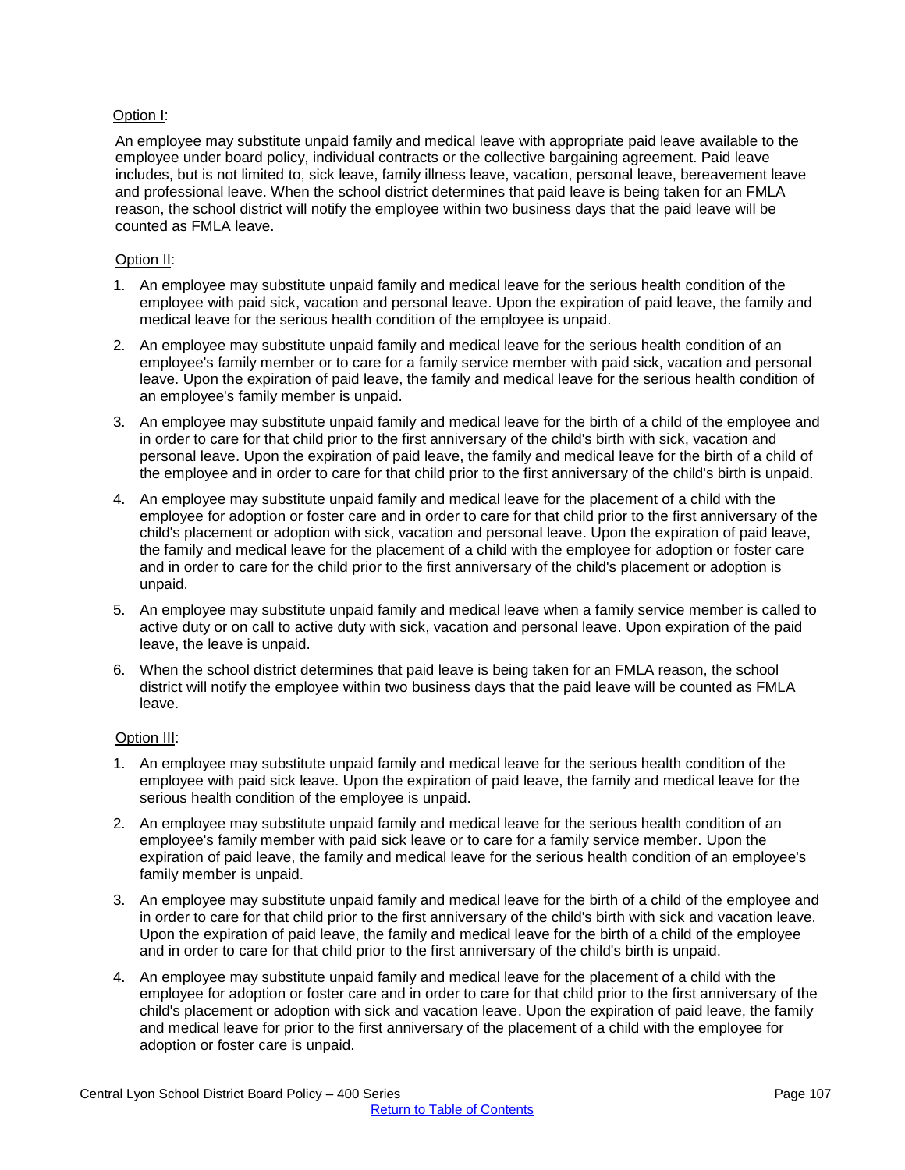### Option I:

An employee may substitute unpaid family and medical leave with appropriate paid leave available to the employee under board policy, individual contracts or the collective bargaining agreement. Paid leave includes, but is not limited to, sick leave, family illness leave, vacation, personal leave, bereavement leave and professional leave. When the school district determines that paid leave is being taken for an FMLA reason, the school district will notify the employee within two business days that the paid leave will be counted as FMLA leave.

### Option II:

- 1. An employee may substitute unpaid family and medical leave for the serious health condition of the employee with paid sick, vacation and personal leave. Upon the expiration of paid leave, the family and medical leave for the serious health condition of the employee is unpaid.
- 2. An employee may substitute unpaid family and medical leave for the serious health condition of an employee's family member or to care for a family service member with paid sick, vacation and personal leave. Upon the expiration of paid leave, the family and medical leave for the serious health condition of an employee's family member is unpaid.
- 3. An employee may substitute unpaid family and medical leave for the birth of a child of the employee and in order to care for that child prior to the first anniversary of the child's birth with sick, vacation and personal leave. Upon the expiration of paid leave, the family and medical leave for the birth of a child of the employee and in order to care for that child prior to the first anniversary of the child's birth is unpaid.
- 4. An employee may substitute unpaid family and medical leave for the placement of a child with the employee for adoption or foster care and in order to care for that child prior to the first anniversary of the child's placement or adoption with sick, vacation and personal leave. Upon the expiration of paid leave, the family and medical leave for the placement of a child with the employee for adoption or foster care and in order to care for the child prior to the first anniversary of the child's placement or adoption is unpaid.
- 5. An employee may substitute unpaid family and medical leave when a family service member is called to active duty or on call to active duty with sick, vacation and personal leave. Upon expiration of the paid leave, the leave is unpaid.
- 6. When the school district determines that paid leave is being taken for an FMLA reason, the school district will notify the employee within two business days that the paid leave will be counted as FMLA leave.

#### Option III:

- 1. An employee may substitute unpaid family and medical leave for the serious health condition of the employee with paid sick leave. Upon the expiration of paid leave, the family and medical leave for the serious health condition of the employee is unpaid.
- 2. An employee may substitute unpaid family and medical leave for the serious health condition of an employee's family member with paid sick leave or to care for a family service member. Upon the expiration of paid leave, the family and medical leave for the serious health condition of an employee's family member is unpaid.
- 3. An employee may substitute unpaid family and medical leave for the birth of a child of the employee and in order to care for that child prior to the first anniversary of the child's birth with sick and vacation leave. Upon the expiration of paid leave, the family and medical leave for the birth of a child of the employee and in order to care for that child prior to the first anniversary of the child's birth is unpaid.
- 4. An employee may substitute unpaid family and medical leave for the placement of a child with the employee for adoption or foster care and in order to care for that child prior to the first anniversary of the child's placement or adoption with sick and vacation leave. Upon the expiration of paid leave, the family and medical leave for prior to the first anniversary of the placement of a child with the employee for adoption or foster care is unpaid.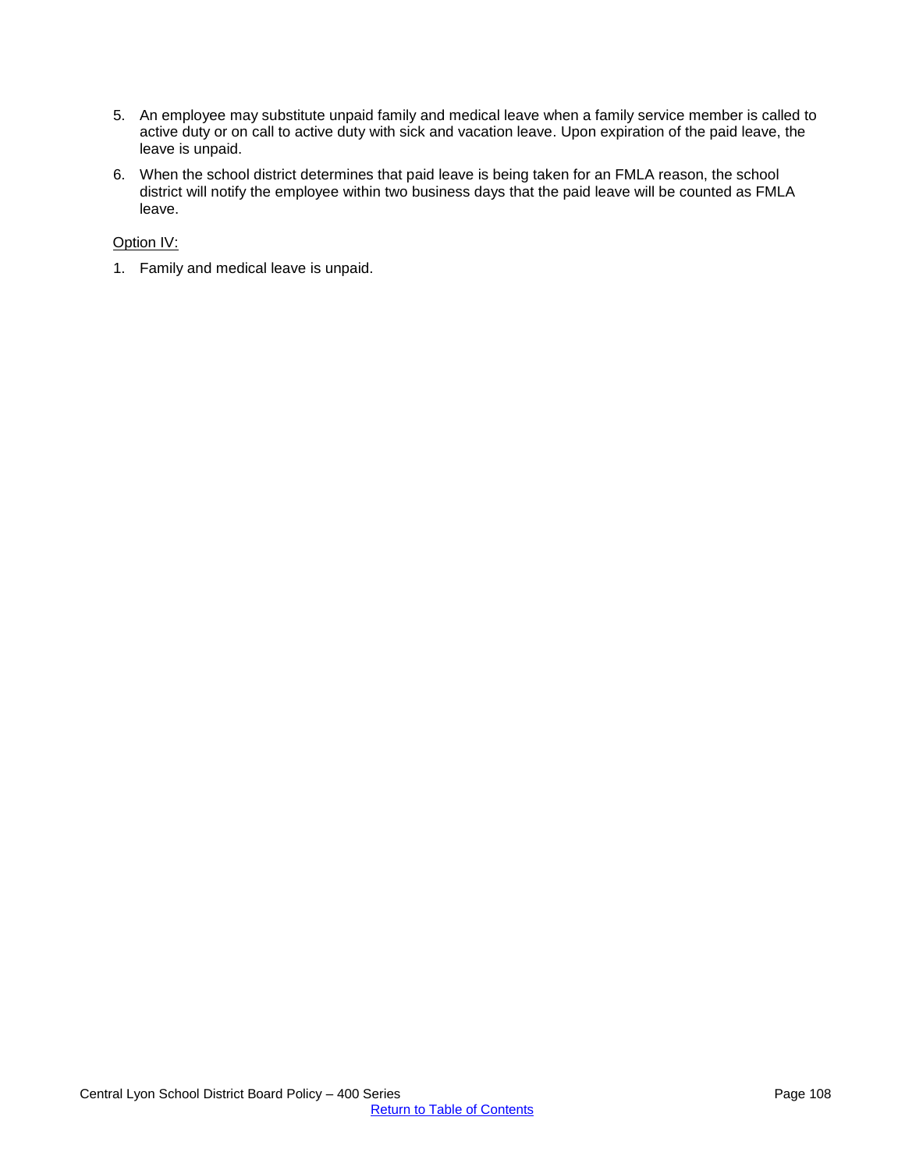- 5. An employee may substitute unpaid family and medical leave when a family service member is called to active duty or on call to active duty with sick and vacation leave. Upon expiration of the paid leave, the leave is unpaid.
- 6. When the school district determines that paid leave is being taken for an FMLA reason, the school district will notify the employee within two business days that the paid leave will be counted as FMLA leave.

# Option IV:

1. Family and medical leave is unpaid.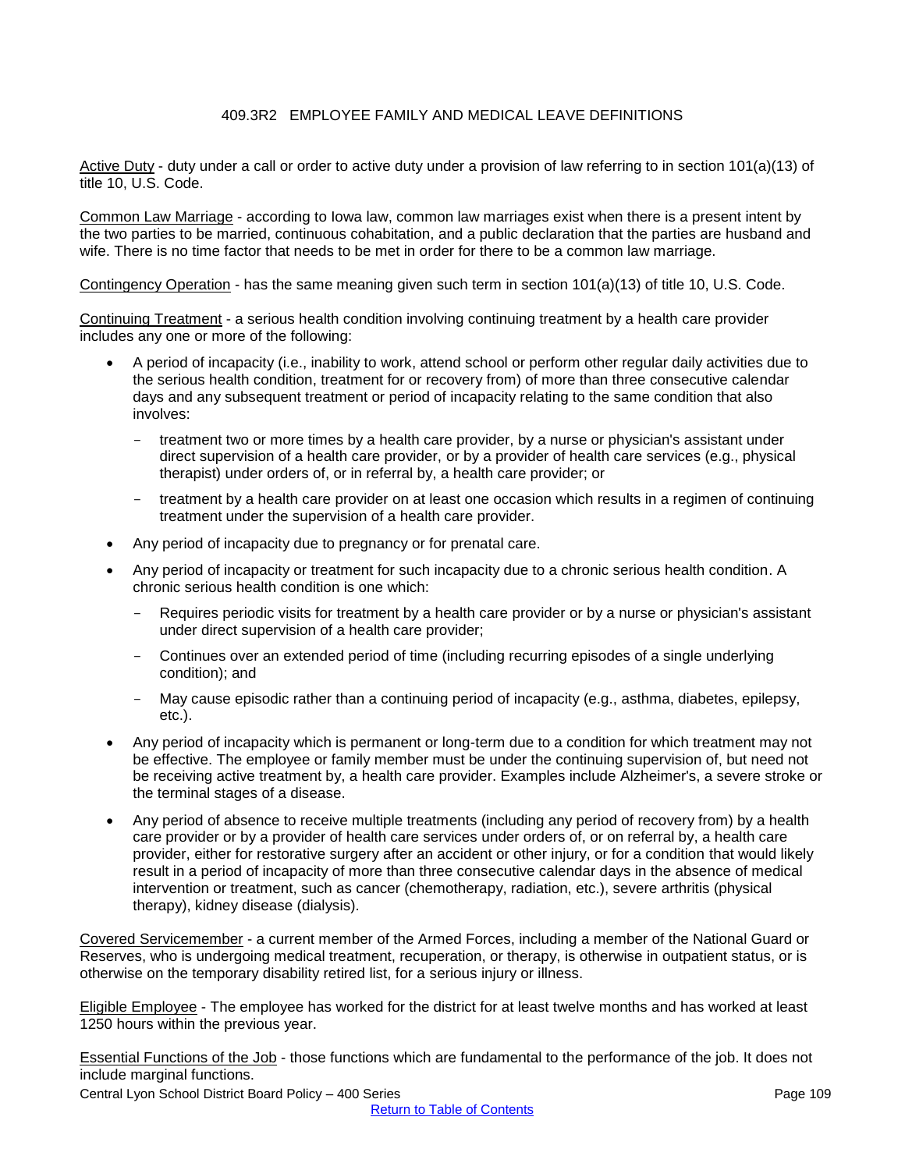### 409.3R2 EMPLOYEE FAMILY AND MEDICAL LEAVE DEFINITIONS

Active Duty - duty under a call or order to active duty under a provision of law referring to in section 101(a)(13) of title 10, U.S. Code.

Common Law Marriage - according to Iowa law, common law marriages exist when there is a present intent by the two parties to be married, continuous cohabitation, and a public declaration that the parties are husband and wife. There is no time factor that needs to be met in order for there to be a common law marriage.

Contingency Operation - has the same meaning given such term in section 101(a)(13) of title 10, U.S. Code.

Continuing Treatment - a serious health condition involving continuing treatment by a health care provider includes any one or more of the following:

- A period of incapacity (i.e., inability to work, attend school or perform other regular daily activities due to the serious health condition, treatment for or recovery from) of more than three consecutive calendar days and any subsequent treatment or period of incapacity relating to the same condition that also involves:
	- treatment two or more times by a health care provider, by a nurse or physician's assistant under direct supervision of a health care provider, or by a provider of health care services (e.g., physical therapist) under orders of, or in referral by, a health care provider; or
	- treatment by a health care provider on at least one occasion which results in a regimen of continuing treatment under the supervision of a health care provider.
- Any period of incapacity due to pregnancy or for prenatal care.
- Any period of incapacity or treatment for such incapacity due to a chronic serious health condition. A chronic serious health condition is one which:
	- Requires periodic visits for treatment by a health care provider or by a nurse or physician's assistant under direct supervision of a health care provider;
	- Continues over an extended period of time (including recurring episodes of a single underlying condition); and
	- May cause episodic rather than a continuing period of incapacity (e.g., asthma, diabetes, epilepsy, etc.).
- Any period of incapacity which is permanent or long-term due to a condition for which treatment may not be effective. The employee or family member must be under the continuing supervision of, but need not be receiving active treatment by, a health care provider. Examples include Alzheimer's, a severe stroke or the terminal stages of a disease.
- Any period of absence to receive multiple treatments (including any period of recovery from) by a health care provider or by a provider of health care services under orders of, or on referral by, a health care provider, either for restorative surgery after an accident or other injury, or for a condition that would likely result in a period of incapacity of more than three consecutive calendar days in the absence of medical intervention or treatment, such as cancer (chemotherapy, radiation, etc.), severe arthritis (physical therapy), kidney disease (dialysis).

Covered Servicemember - a current member of the Armed Forces, including a member of the National Guard or Reserves, who is undergoing medical treatment, recuperation, or therapy, is otherwise in outpatient status, or is otherwise on the temporary disability retired list, for a serious injury or illness.

Eligible Employee - The employee has worked for the district for at least twelve months and has worked at least 1250 hours within the previous year.

Essential Functions of the Job - those functions which are fundamental to the performance of the job. It does not include marginal functions.

Central Lyon School District Board Policy – 400 Series Page 109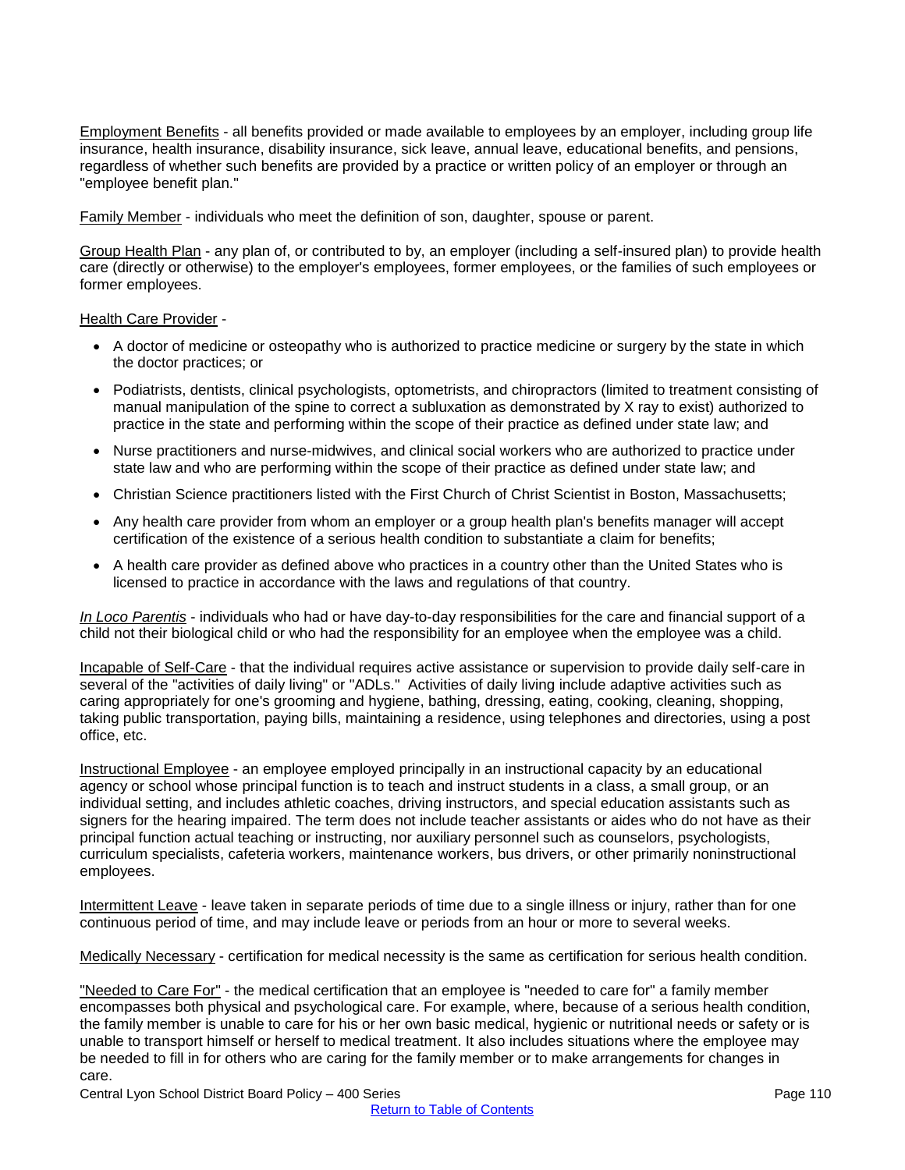Employment Benefits - all benefits provided or made available to employees by an employer, including group life insurance, health insurance, disability insurance, sick leave, annual leave, educational benefits, and pensions, regardless of whether such benefits are provided by a practice or written policy of an employer or through an "employee benefit plan."

Family Member - individuals who meet the definition of son, daughter, spouse or parent.

Group Health Plan - any plan of, or contributed to by, an employer (including a self-insured plan) to provide health care (directly or otherwise) to the employer's employees, former employees, or the families of such employees or former employees.

#### Health Care Provider -

- A doctor of medicine or osteopathy who is authorized to practice medicine or surgery by the state in which the doctor practices; or
- Podiatrists, dentists, clinical psychologists, optometrists, and chiropractors (limited to treatment consisting of manual manipulation of the spine to correct a subluxation as demonstrated by X ray to exist) authorized to practice in the state and performing within the scope of their practice as defined under state law; and
- Nurse practitioners and nurse-midwives, and clinical social workers who are authorized to practice under state law and who are performing within the scope of their practice as defined under state law; and
- Christian Science practitioners listed with the First Church of Christ Scientist in Boston, Massachusetts;
- Any health care provider from whom an employer or a group health plan's benefits manager will accept certification of the existence of a serious health condition to substantiate a claim for benefits;
- A health care provider as defined above who practices in a country other than the United States who is licensed to practice in accordance with the laws and regulations of that country.

*In Loco Parentis* - individuals who had or have day-to-day responsibilities for the care and financial support of a child not their biological child or who had the responsibility for an employee when the employee was a child.

Incapable of Self-Care - that the individual requires active assistance or supervision to provide daily self-care in several of the "activities of daily living" or "ADLs." Activities of daily living include adaptive activities such as caring appropriately for one's grooming and hygiene, bathing, dressing, eating, cooking, cleaning, shopping, taking public transportation, paying bills, maintaining a residence, using telephones and directories, using a post office, etc.

Instructional Employee - an employee employed principally in an instructional capacity by an educational agency or school whose principal function is to teach and instruct students in a class, a small group, or an individual setting, and includes athletic coaches, driving instructors, and special education assistants such as signers for the hearing impaired. The term does not include teacher assistants or aides who do not have as their principal function actual teaching or instructing, nor auxiliary personnel such as counselors, psychologists, curriculum specialists, cafeteria workers, maintenance workers, bus drivers, or other primarily noninstructional employees.

Intermittent Leave - leave taken in separate periods of time due to a single illness or injury, rather than for one continuous period of time, and may include leave or periods from an hour or more to several weeks.

Medically Necessary - certification for medical necessity is the same as certification for serious health condition.

"Needed to Care For" - the medical certification that an employee is "needed to care for" a family member encompasses both physical and psychological care. For example, where, because of a serious health condition, the family member is unable to care for his or her own basic medical, hygienic or nutritional needs or safety or is unable to transport himself or herself to medical treatment. It also includes situations where the employee may be needed to fill in for others who are caring for the family member or to make arrangements for changes in care.

Central Lyon School District Board Policy – 400 Series Page 110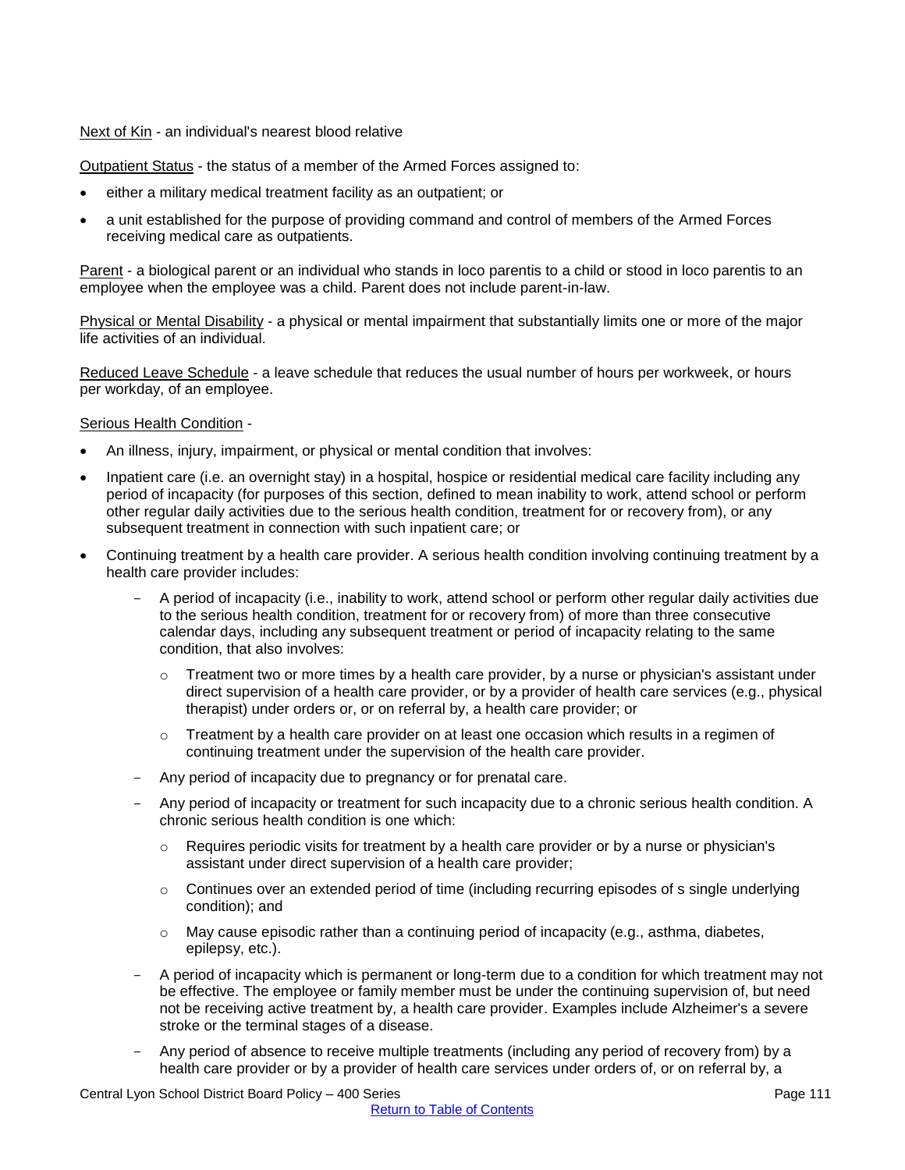#### Next of Kin - an individual's nearest blood relative

Outpatient Status - the status of a member of the Armed Forces assigned to:

- either a military medical treatment facility as an outpatient; or
- a unit established for the purpose of providing command and control of members of the Armed Forces receiving medical care as outpatients.

Parent - a biological parent or an individual who stands in loco parentis to a child or stood in loco parentis to an employee when the employee was a child. Parent does not include parent-in-law.

Physical or Mental Disability - a physical or mental impairment that substantially limits one or more of the major life activities of an individual.

Reduced Leave Schedule - a leave schedule that reduces the usual number of hours per workweek, or hours per workday, of an employee.

### Serious Health Condition -

- An illness, injury, impairment, or physical or mental condition that involves:
- Inpatient care (i.e. an overnight stay) in a hospital, hospice or residential medical care facility including any period of incapacity (for purposes of this section, defined to mean inability to work, attend school or perform other regular daily activities due to the serious health condition, treatment for or recovery from), or any subsequent treatment in connection with such inpatient care; or
- Continuing treatment by a health care provider. A serious health condition involving continuing treatment by a health care provider includes:
	- A period of incapacity (i.e., inability to work, attend school or perform other regular daily activities due to the serious health condition, treatment for or recovery from) of more than three consecutive calendar days, including any subsequent treatment or period of incapacity relating to the same condition, that also involves:
		- Treatment two or more times by a health care provider, by a nurse or physician's assistant under direct supervision of a health care provider, or by a provider of health care services (e.g., physical therapist) under orders or, or on referral by, a health care provider; or
		- $\circ$  Treatment by a health care provider on at least one occasion which results in a regimen of continuing treatment under the supervision of the health care provider.
	- Any period of incapacity due to pregnancy or for prenatal care.
	- Any period of incapacity or treatment for such incapacity due to a chronic serious health condition. A chronic serious health condition is one which:
		- $\circ$  Requires periodic visits for treatment by a health care provider or by a nurse or physician's assistant under direct supervision of a health care provider;
		- $\circ$  Continues over an extended period of time (including recurring episodes of s single underlying condition); and
		- $\circ$  May cause episodic rather than a continuing period of incapacity (e.g., asthma, diabetes, epilepsy, etc.).
	- A period of incapacity which is permanent or long-term due to a condition for which treatment may not be effective. The employee or family member must be under the continuing supervision of, but need not be receiving active treatment by, a health care provider. Examples include Alzheimer's a severe stroke or the terminal stages of a disease.
	- Any period of absence to receive multiple treatments (including any period of recovery from) by a health care provider or by a provider of health care services under orders of, or on referral by, a

Central Lyon School District Board Policy – 400 Series Page 111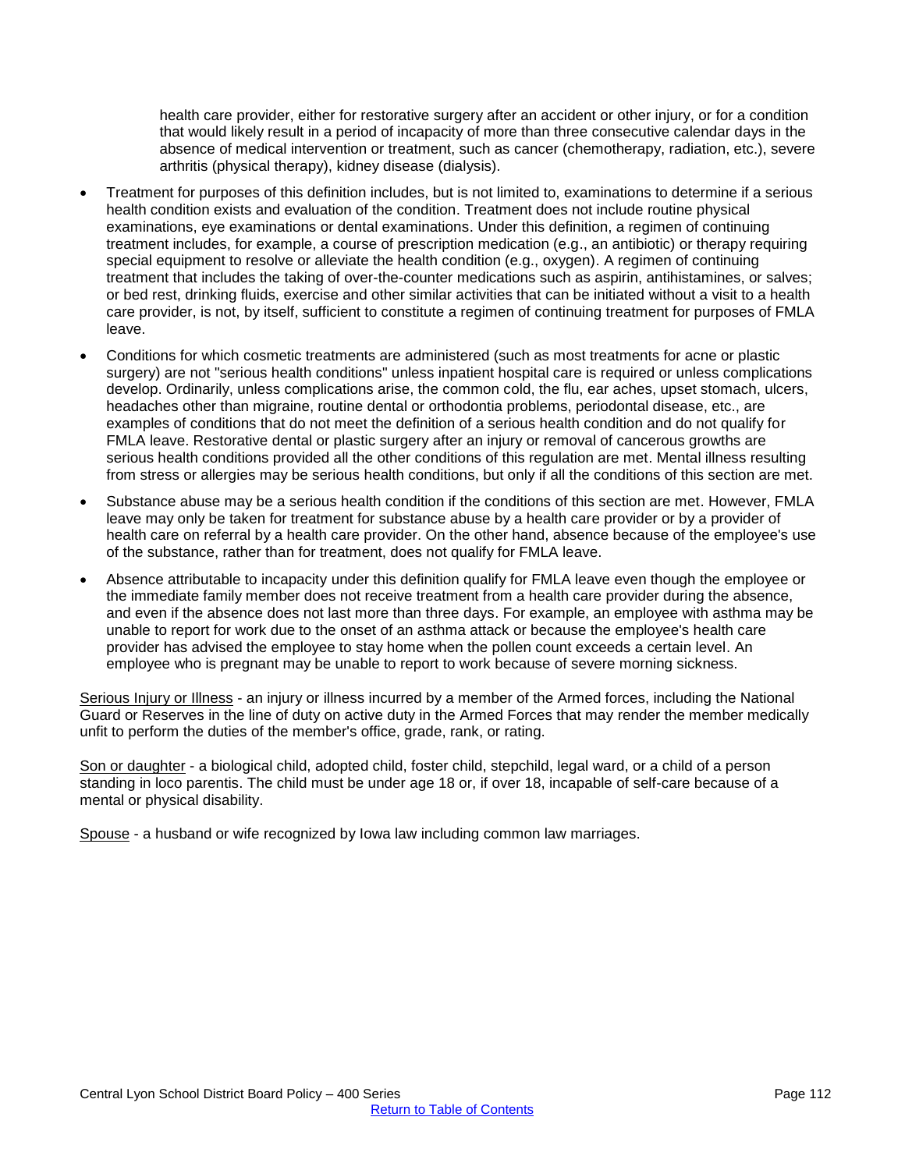health care provider, either for restorative surgery after an accident or other injury, or for a condition that would likely result in a period of incapacity of more than three consecutive calendar days in the absence of medical intervention or treatment, such as cancer (chemotherapy, radiation, etc.), severe arthritis (physical therapy), kidney disease (dialysis).

- Treatment for purposes of this definition includes, but is not limited to, examinations to determine if a serious health condition exists and evaluation of the condition. Treatment does not include routine physical examinations, eye examinations or dental examinations. Under this definition, a regimen of continuing treatment includes, for example, a course of prescription medication (e.g., an antibiotic) or therapy requiring special equipment to resolve or alleviate the health condition (e.g., oxygen). A regimen of continuing treatment that includes the taking of over-the-counter medications such as aspirin, antihistamines, or salves; or bed rest, drinking fluids, exercise and other similar activities that can be initiated without a visit to a health care provider, is not, by itself, sufficient to constitute a regimen of continuing treatment for purposes of FMLA leave.
- Conditions for which cosmetic treatments are administered (such as most treatments for acne or plastic surgery) are not "serious health conditions" unless inpatient hospital care is required or unless complications develop. Ordinarily, unless complications arise, the common cold, the flu, ear aches, upset stomach, ulcers, headaches other than migraine, routine dental or orthodontia problems, periodontal disease, etc., are examples of conditions that do not meet the definition of a serious health condition and do not qualify for FMLA leave. Restorative dental or plastic surgery after an injury or removal of cancerous growths are serious health conditions provided all the other conditions of this regulation are met. Mental illness resulting from stress or allergies may be serious health conditions, but only if all the conditions of this section are met.
- Substance abuse may be a serious health condition if the conditions of this section are met. However, FMLA leave may only be taken for treatment for substance abuse by a health care provider or by a provider of health care on referral by a health care provider. On the other hand, absence because of the employee's use of the substance, rather than for treatment, does not qualify for FMLA leave.
- Absence attributable to incapacity under this definition qualify for FMLA leave even though the employee or the immediate family member does not receive treatment from a health care provider during the absence, and even if the absence does not last more than three days. For example, an employee with asthma may be unable to report for work due to the onset of an asthma attack or because the employee's health care provider has advised the employee to stay home when the pollen count exceeds a certain level. An employee who is pregnant may be unable to report to work because of severe morning sickness.

Serious Injury or Illness - an injury or illness incurred by a member of the Armed forces, including the National Guard or Reserves in the line of duty on active duty in the Armed Forces that may render the member medically unfit to perform the duties of the member's office, grade, rank, or rating.

Son or daughter - a biological child, adopted child, foster child, stepchild, legal ward, or a child of a person standing in loco parentis. The child must be under age 18 or, if over 18, incapable of self-care because of a mental or physical disability.

Spouse - a husband or wife recognized by Iowa law including common law marriages.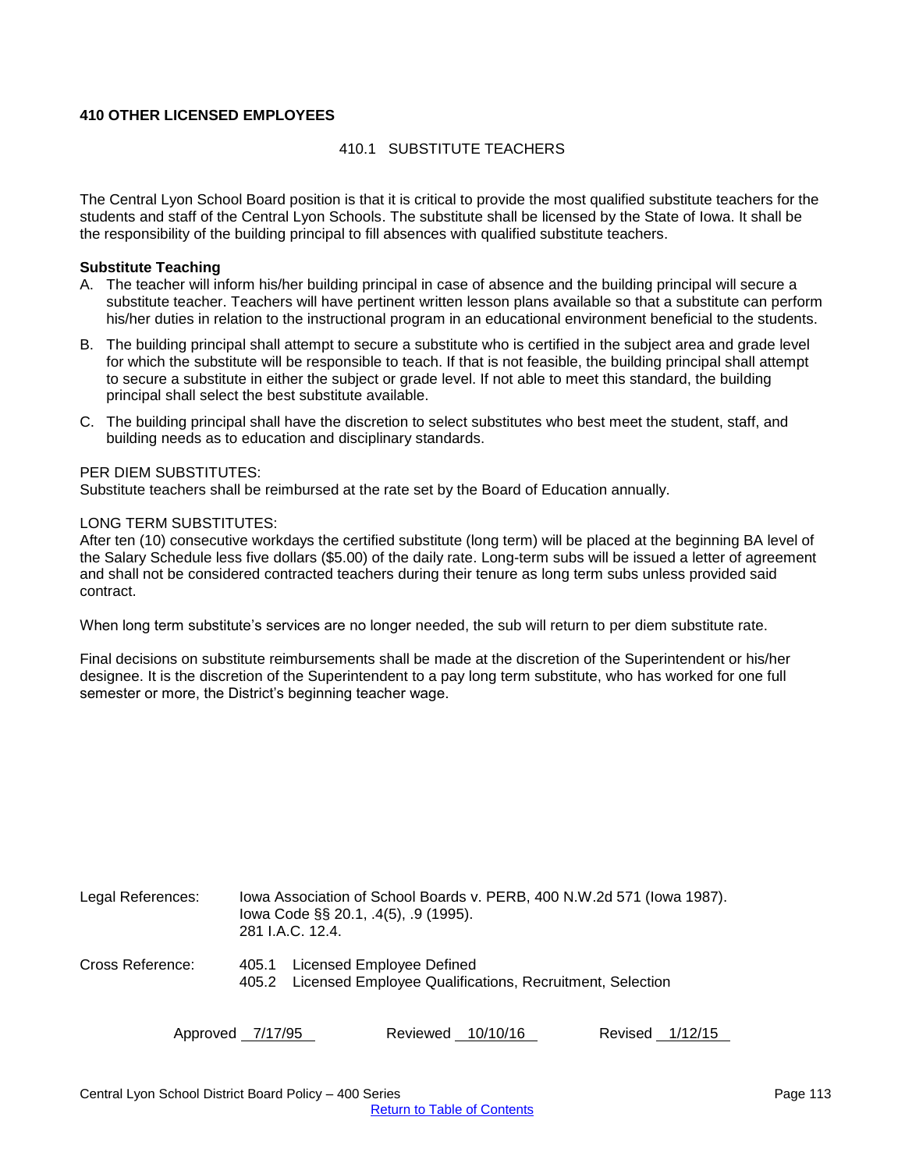#### **410 OTHER LICENSED EMPLOYEES**

### 410.1 SUBSTITUTE TEACHERS

The Central Lyon School Board position is that it is critical to provide the most qualified substitute teachers for the students and staff of the Central Lyon Schools. The substitute shall be licensed by the State of Iowa. It shall be the responsibility of the building principal to fill absences with qualified substitute teachers.

#### **Substitute Teaching**

- A. The teacher will inform his/her building principal in case of absence and the building principal will secure a substitute teacher. Teachers will have pertinent written lesson plans available so that a substitute can perform his/her duties in relation to the instructional program in an educational environment beneficial to the students.
- B. The building principal shall attempt to secure a substitute who is certified in the subject area and grade level for which the substitute will be responsible to teach. If that is not feasible, the building principal shall attempt to secure a substitute in either the subject or grade level. If not able to meet this standard, the building principal shall select the best substitute available.
- C. The building principal shall have the discretion to select substitutes who best meet the student, staff, and building needs as to education and disciplinary standards.

#### PER DIEM SUBSTITUTES:

Substitute teachers shall be reimbursed at the rate set by the Board of Education annually.

#### LONG TERM SUBSTITUTES:

After ten (10) consecutive workdays the certified substitute (long term) will be placed at the beginning BA level of the Salary Schedule less five dollars (\$5.00) of the daily rate. Long-term subs will be issued a letter of agreement and shall not be considered contracted teachers during their tenure as long term subs unless provided said contract.

When long term substitute's services are no longer needed, the sub will return to per diem substitute rate.

Final decisions on substitute reimbursements shall be made at the discretion of the Superintendent or his/her designee. It is the discretion of the Superintendent to a pay long term substitute, who has worked for one full semester or more, the District's beginning teacher wage.

| Legal References: | lowa Association of School Boards v. PERB, 400 N.W.2d 571 (lowa 1987).<br>lowa Code §§ 20.1, .4(5), .9 (1995).<br>281 J.A.C. 12.4. |                                 |                   |  |                                                                |  |
|-------------------|------------------------------------------------------------------------------------------------------------------------------------|---------------------------------|-------------------|--|----------------------------------------------------------------|--|
| Cross Reference:  |                                                                                                                                    | 405.1 Licensed Employee Defined |                   |  | 405.2 Licensed Employee Qualifications, Recruitment, Selection |  |
| Approved 7/17/95  |                                                                                                                                    |                                 | Reviewed 10/10/16 |  | Revised 1/12/15                                                |  |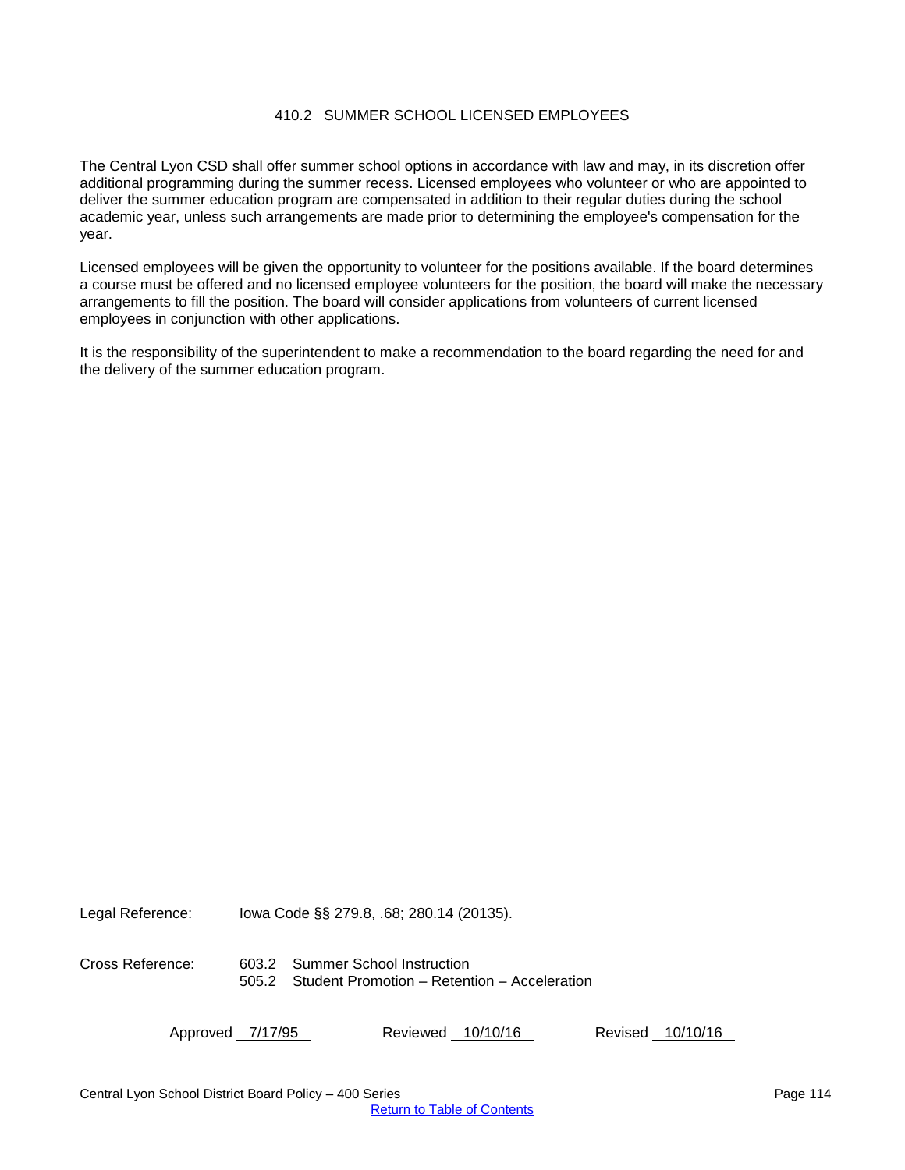### 410.2 SUMMER SCHOOL LICENSED EMPLOYEES

The Central Lyon CSD shall offer summer school options in accordance with law and may, in its discretion offer additional programming during the summer recess. Licensed employees who volunteer or who are appointed to deliver the summer education program are compensated in addition to their regular duties during the school academic year, unless such arrangements are made prior to determining the employee's compensation for the year.

Licensed employees will be given the opportunity to volunteer for the positions available. If the board determines a course must be offered and no licensed employee volunteers for the position, the board will make the necessary arrangements to fill the position. The board will consider applications from volunteers of current licensed employees in conjunction with other applications.

It is the responsibility of the superintendent to make a recommendation to the board regarding the need for and the delivery of the summer education program.

Legal Reference: Iowa Code §§ 279.8, .68; 280.14 (20135).

Cross Reference: 603.2 Summer School Instruction 505.2 Student Promotion – Retention – Acceleration

Approved 7/17/95 Reviewed 10/10/16 Revised 10/10/16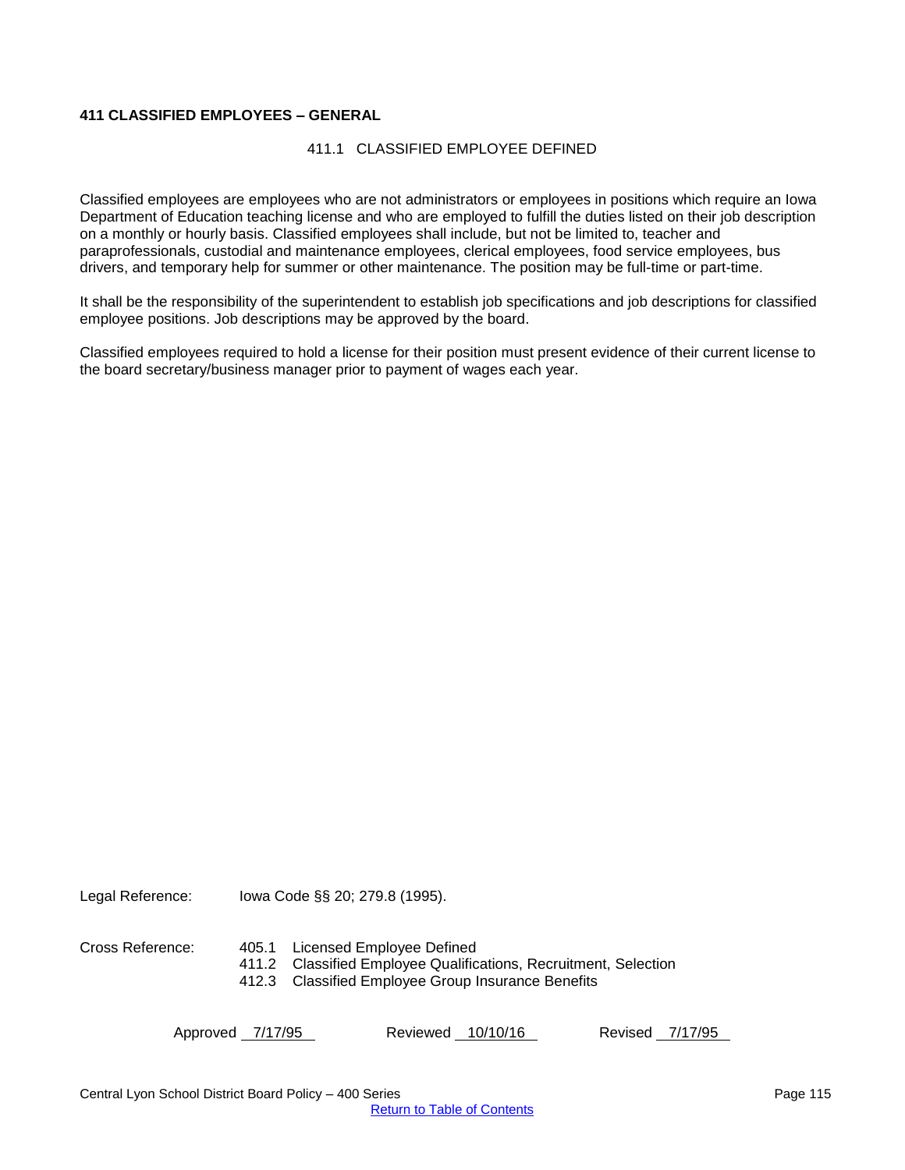### **411 CLASSIFIED EMPLOYEES – GENERAL**

#### 411.1 CLASSIFIED EMPLOYEE DEFINED

Classified employees are employees who are not administrators or employees in positions which require an Iowa Department of Education teaching license and who are employed to fulfill the duties listed on their job description on a monthly or hourly basis. Classified employees shall include, but not be limited to, teacher and paraprofessionals, custodial and maintenance employees, clerical employees, food service employees, bus drivers, and temporary help for summer or other maintenance. The position may be full-time or part-time.

It shall be the responsibility of the superintendent to establish job specifications and job descriptions for classified employee positions. Job descriptions may be approved by the board.

Classified employees required to hold a license for their position must present evidence of their current license to the board secretary/business manager prior to payment of wages each year.

Legal Reference: Iowa Code §§ 20; 279.8 (1995).

Cross Reference: 405.1 Licensed Employee Defined

- 411.2 Classified Employee Qualifications, Recruitment, Selection
- 412.3 Classified Employee Group Insurance Benefits

Approved 7/17/95 Reviewed 10/10/16 Revised 7/17/95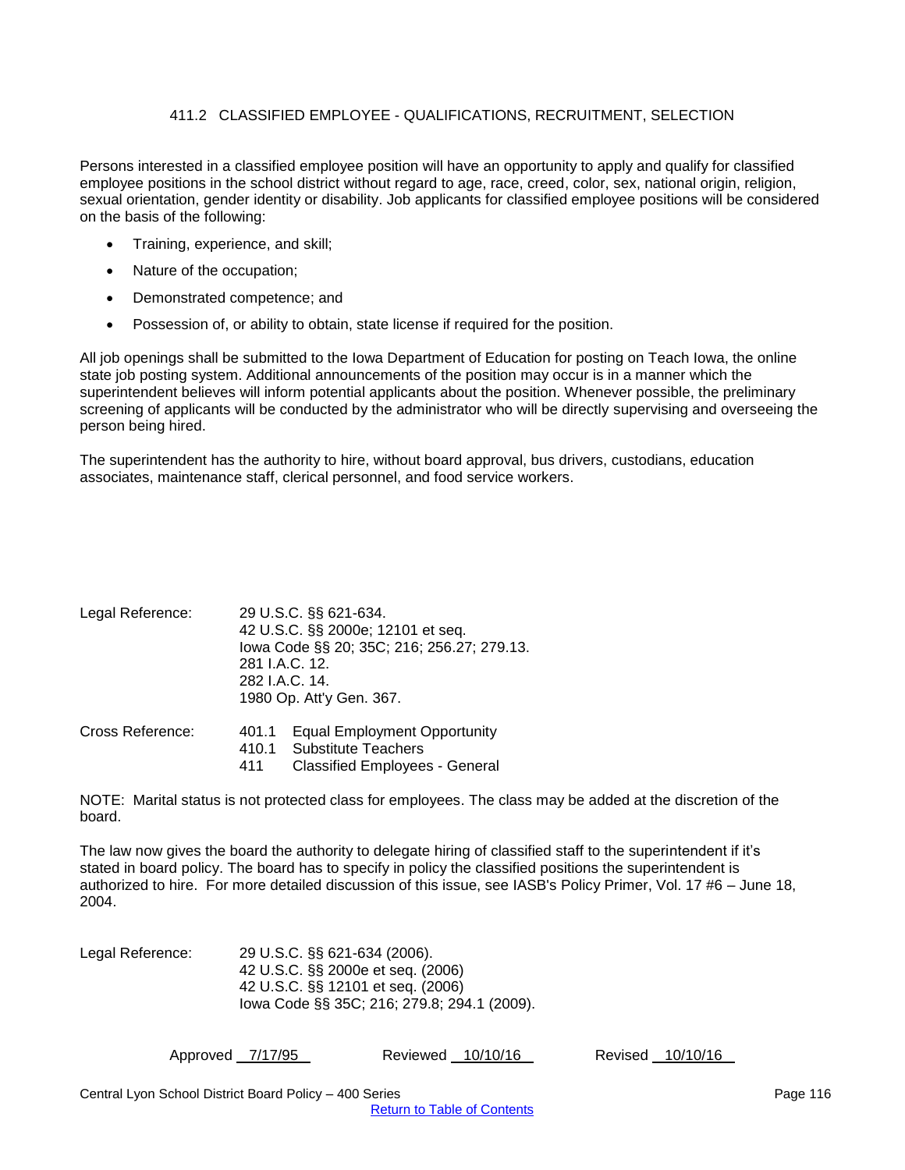### 411.2 CLASSIFIED EMPLOYEE - QUALIFICATIONS, RECRUITMENT, SELECTION

Persons interested in a classified employee position will have an opportunity to apply and qualify for classified employee positions in the school district without regard to age, race, creed, color, sex, national origin, religion, sexual orientation, gender identity or disability. Job applicants for classified employee positions will be considered on the basis of the following:

- Training, experience, and skill;
- Nature of the occupation;
- Demonstrated competence; and
- Possession of, or ability to obtain, state license if required for the position.

All job openings shall be submitted to the Iowa Department of Education for posting on Teach Iowa, the online state job posting system. Additional announcements of the position may occur is in a manner which the superintendent believes will inform potential applicants about the position. Whenever possible, the preliminary screening of applicants will be conducted by the administrator who will be directly supervising and overseeing the person being hired.

The superintendent has the authority to hire, without board approval, bus drivers, custodians, education associates, maintenance staff, clerical personnel, and food service workers.

| Legal Reference: |                       | 29 U.S.C. §§ 621-634.<br>42 U.S.C. §§ 2000e; 12101 et seq.<br>lowa Code §§ 20; 35C; 216; 256.27; 279.13.<br>281 I.A.C. 12.<br>282 J.A.C. 14.<br>1980 Op. Att'y Gen. 367. |
|------------------|-----------------------|--------------------------------------------------------------------------------------------------------------------------------------------------------------------------|
| Cross Reference: | 401.1<br>410.1<br>411 | <b>Equal Employment Opportunity</b><br><b>Substitute Teachers</b><br><b>Classified Employees - General</b>                                                               |

NOTE: Marital status is not protected class for employees. The class may be added at the discretion of the board.

The law now gives the board the authority to delegate hiring of classified staff to the superintendent if it's stated in board policy. The board has to specify in policy the classified positions the superintendent is authorized to hire. For more detailed discussion of this issue, see IASB's Policy Primer, Vol. 17 #6 – June 18, 2004.

| Legal Reference: | 29 U.S.C. §§ 621-634 (2006).                |
|------------------|---------------------------------------------|
|                  | 42 U.S.C. §§ 2000e et seq. (2006)           |
|                  | 42 U.S.C. §§ 12101 et seq. (2006)           |
|                  | lowa Code §§ 35C; 216; 279.8; 294.1 (2009). |
|                  |                                             |

| Reviewed 10/10/16<br>Approved 7/17/95 | Revised 10/10/16 |
|---------------------------------------|------------------|
|---------------------------------------|------------------|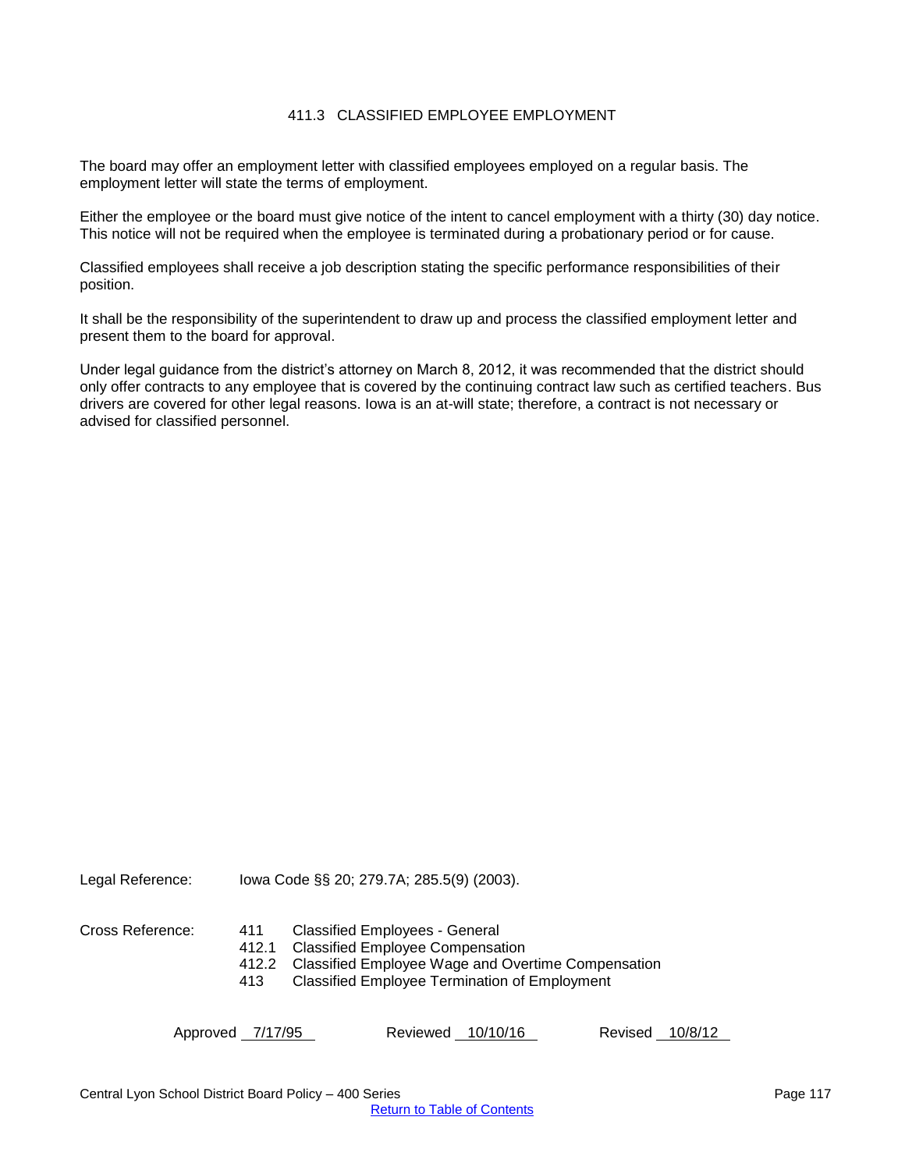### 411.3 CLASSIFIED EMPLOYEE EMPLOYMENT

The board may offer an employment letter with classified employees employed on a regular basis. The employment letter will state the terms of employment.

Either the employee or the board must give notice of the intent to cancel employment with a thirty (30) day notice. This notice will not be required when the employee is terminated during a probationary period or for cause.

Classified employees shall receive a job description stating the specific performance responsibilities of their position.

It shall be the responsibility of the superintendent to draw up and process the classified employment letter and present them to the board for approval.

Under legal guidance from the district's attorney on March 8, 2012, it was recommended that the district should only offer contracts to any employee that is covered by the continuing contract law such as certified teachers. Bus drivers are covered for other legal reasons. Iowa is an at-will state; therefore, a contract is not necessary or advised for classified personnel.

Legal Reference: Iowa Code §§ 20; 279.7A; 285.5(9) (2003).

- 
- Cross Reference: 411 Classified Employees General
	- 412.1 Classified Employee Compensation
	- 412.2 Classified Employee Wage and Overtime Compensation<br>413 Classified Employee Termination of Employment
	- Classified Employee Termination of Employment

Approved 7/17/95 Reviewed 10/10/16 Revised 10/8/12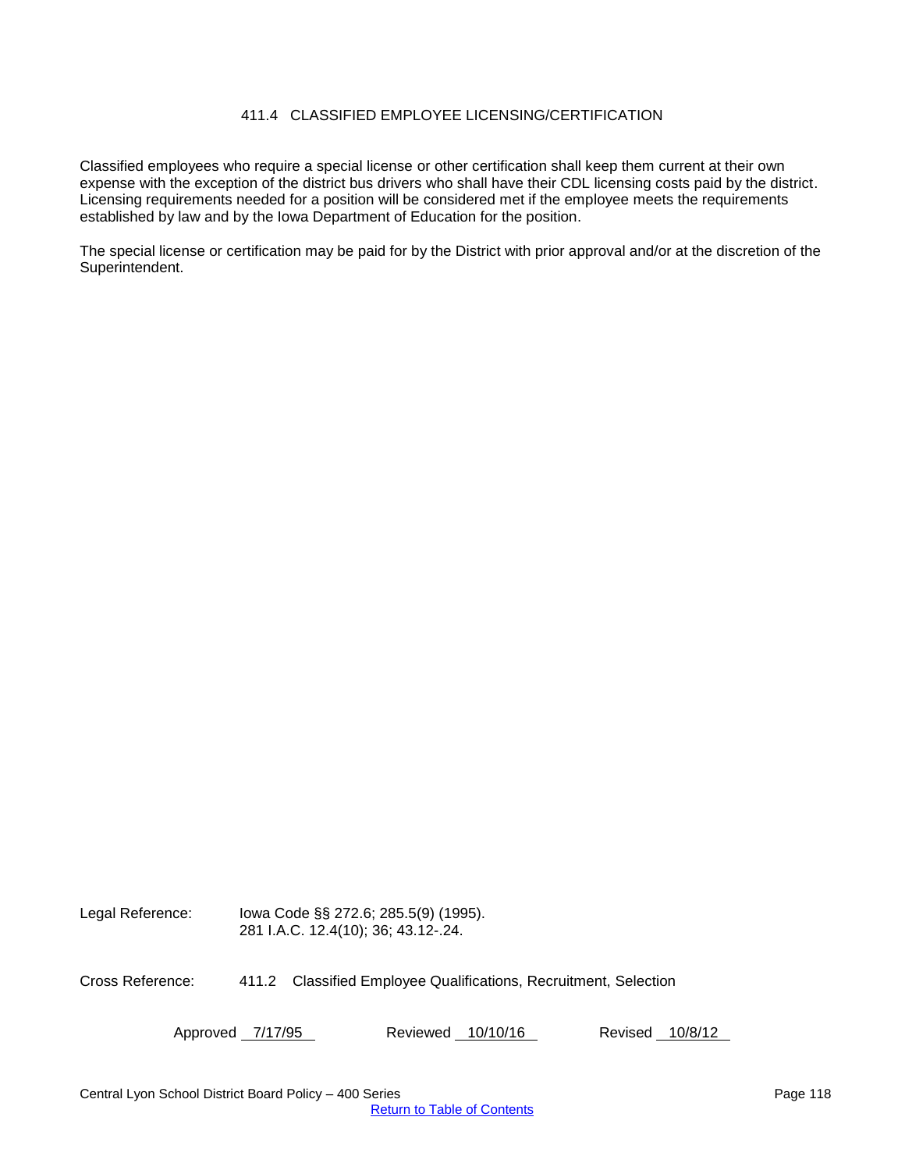### 411.4 CLASSIFIED EMPLOYEE LICENSING/CERTIFICATION

Classified employees who require a special license or other certification shall keep them current at their own expense with the exception of the district bus drivers who shall have their CDL licensing costs paid by the district. Licensing requirements needed for a position will be considered met if the employee meets the requirements established by law and by the Iowa Department of Education for the position.

The special license or certification may be paid for by the District with prior approval and/or at the discretion of the Superintendent.

Legal Reference: Iowa Code §§ 272.6; 285.5(9) (1995). 281 I.A.C. 12.4(10); 36; 43.12-.24.

Cross Reference: 411.2 Classified Employee Qualifications, Recruitment, Selection

Approved 7/17/95 Reviewed 10/10/16 Revised 10/8/12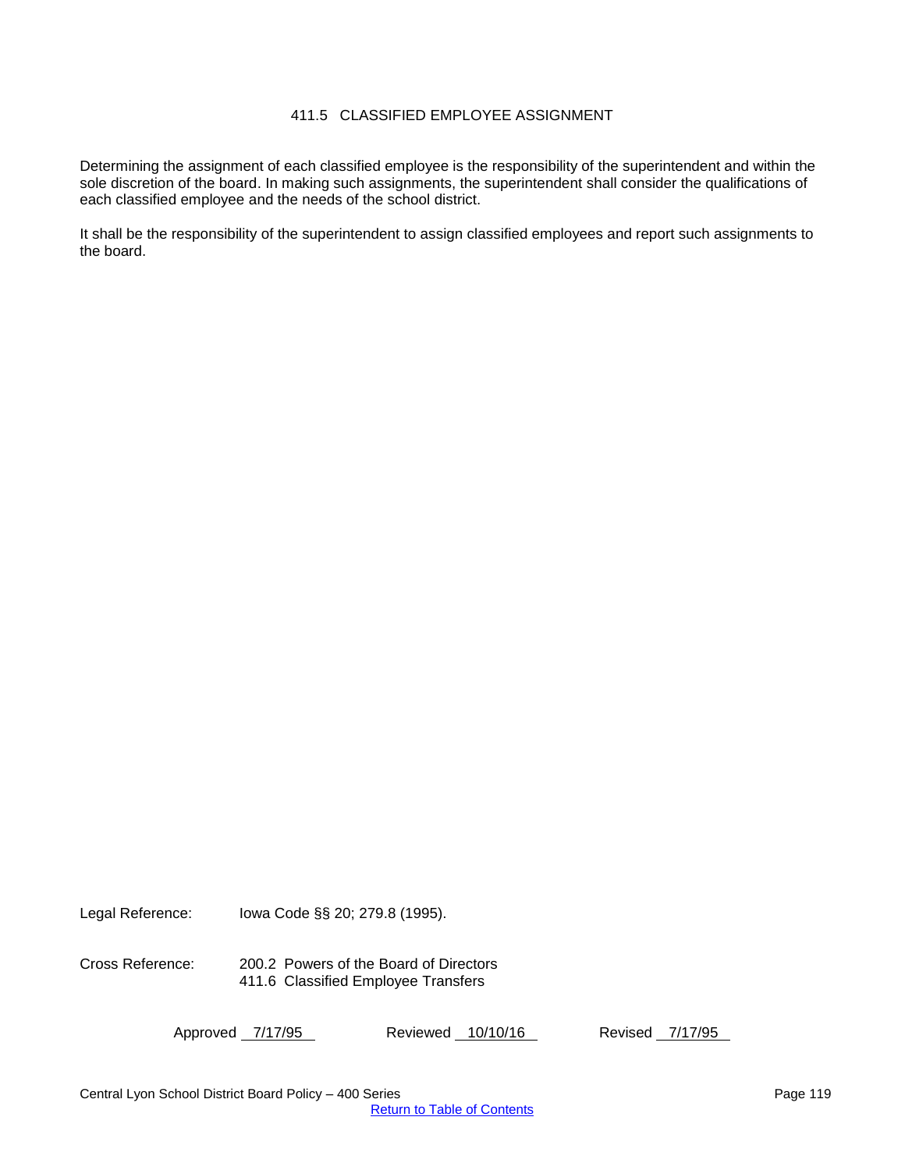## 411.5 CLASSIFIED EMPLOYEE ASSIGNMENT

Determining the assignment of each classified employee is the responsibility of the superintendent and within the sole discretion of the board. In making such assignments, the superintendent shall consider the qualifications of each classified employee and the needs of the school district.

It shall be the responsibility of the superintendent to assign classified employees and report such assignments to the board.

Legal Reference: Iowa Code §§ 20; 279.8 (1995).

Cross Reference: 200.2 Powers of the Board of Directors 411.6 Classified Employee Transfers

Approved 7/17/95 Reviewed 10/10/16 Revised 7/17/95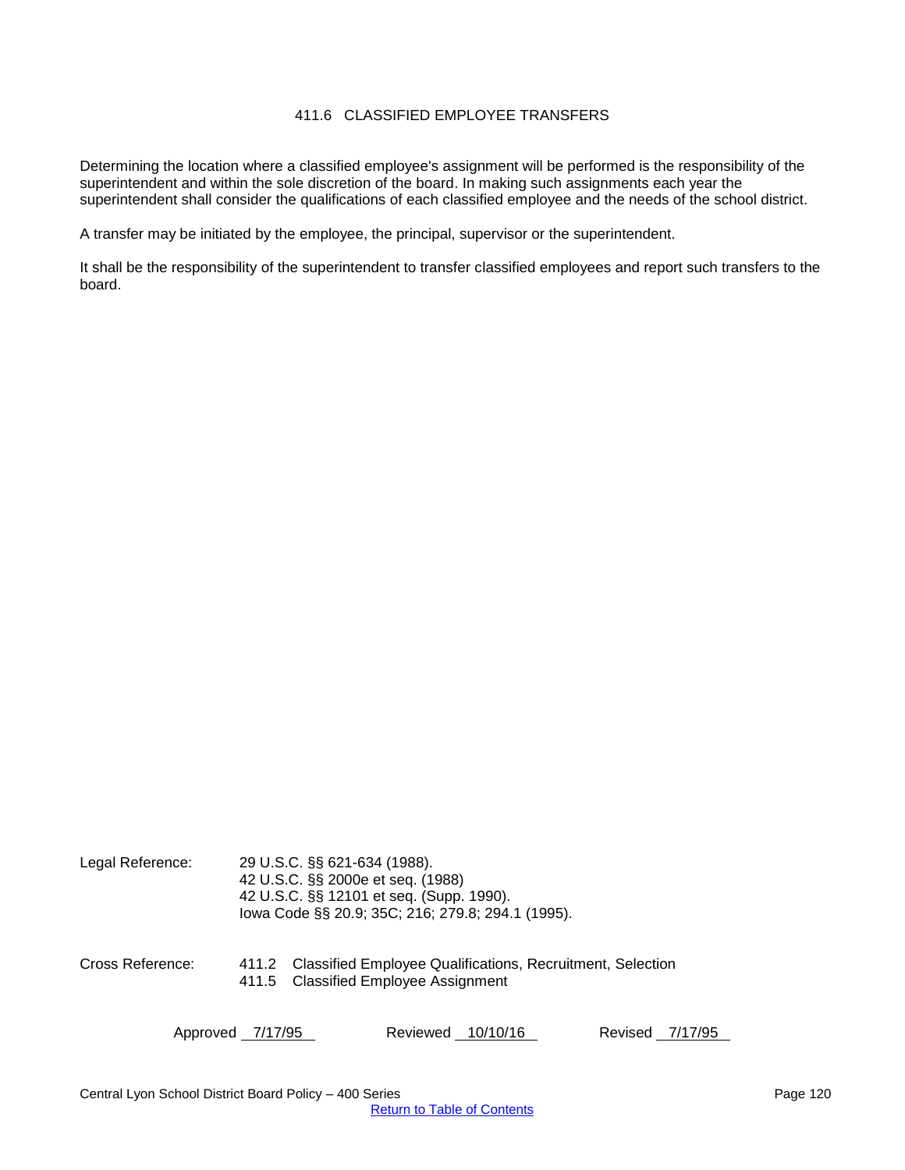## 411.6 CLASSIFIED EMPLOYEE TRANSFERS

Determining the location where a classified employee's assignment will be performed is the responsibility of the superintendent and within the sole discretion of the board. In making such assignments each year the superintendent shall consider the qualifications of each classified employee and the needs of the school district.

A transfer may be initiated by the employee, the principal, supervisor or the superintendent.

It shall be the responsibility of the superintendent to transfer classified employees and report such transfers to the board.

| Legal Reference: | 29 U.S.C. §§ 621-634 (1988).<br>42 U.S.C. §§ 2000e et seq. (1988)<br>42 U.S.C. §§ 12101 et seq. (Supp. 1990).<br>lowa Code §§ 20.9; 35C; 216; 279.8; 294.1 (1995). |  |                                      |                                                                  |                 |  |
|------------------|--------------------------------------------------------------------------------------------------------------------------------------------------------------------|--|--------------------------------------|------------------------------------------------------------------|-----------------|--|
| Cross Reference: |                                                                                                                                                                    |  | 411.5 Classified Employee Assignment | 411.2 Classified Employee Qualifications, Recruitment, Selection |                 |  |
|                  | Approved 7/17/95                                                                                                                                                   |  | Reviewed 10/10/16                    |                                                                  | Revised 7/17/95 |  |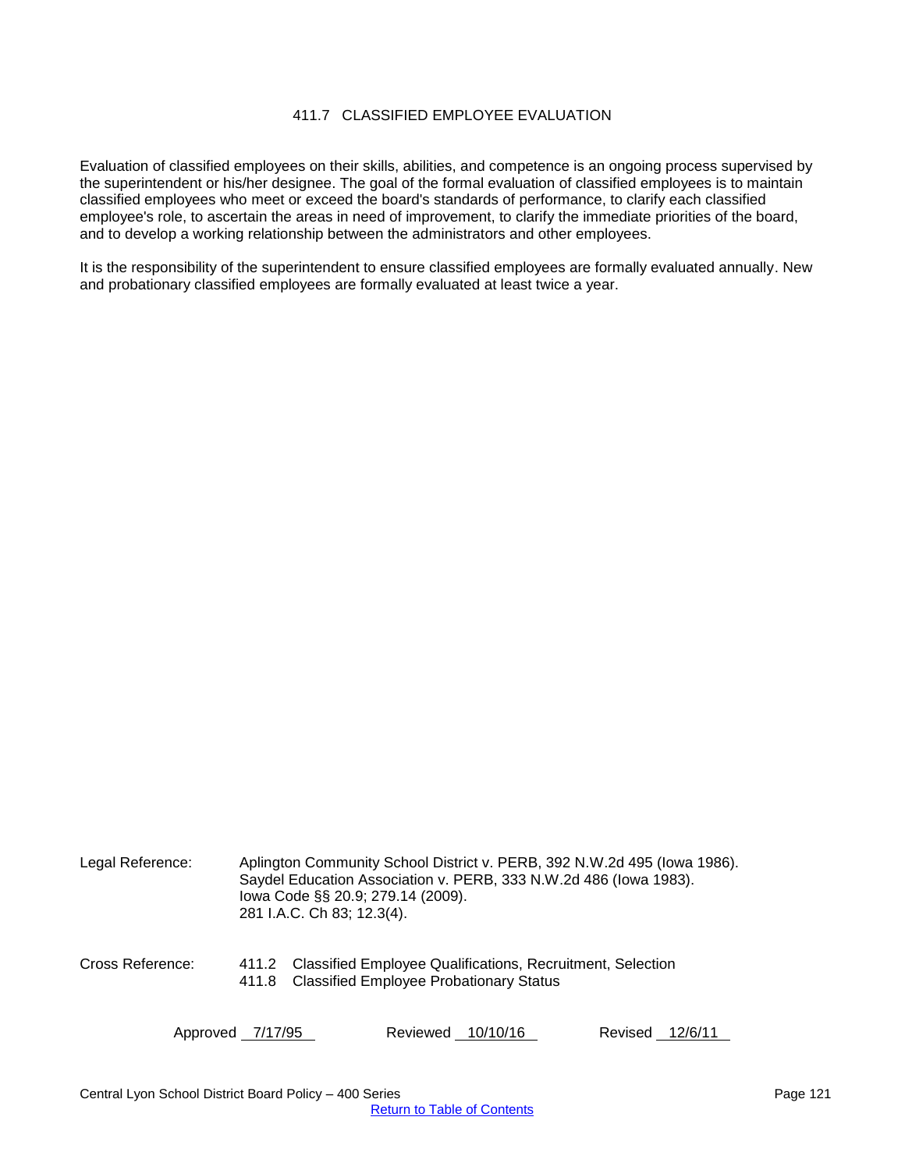# 411.7 CLASSIFIED EMPLOYEE EVALUATION

Evaluation of classified employees on their skills, abilities, and competence is an ongoing process supervised by the superintendent or his/her designee. The goal of the formal evaluation of classified employees is to maintain classified employees who meet or exceed the board's standards of performance, to clarify each classified employee's role, to ascertain the areas in need of improvement, to clarify the immediate priorities of the board, and to develop a working relationship between the administrators and other employees.

It is the responsibility of the superintendent to ensure classified employees are formally evaluated annually. New and probationary classified employees are formally evaluated at least twice a year.

| Legal Reference: | Aplington Community School District v. PERB, 392 N.W.2d 495 (lowa 1986).<br>Saydel Education Association v. PERB, 333 N.W.2d 486 (lowa 1983).<br>lowa Code §§ 20.9; 279.14 (2009).<br>281 I.A.C. Ch 83; 12.3(4). |  |                   |                                                                                                                   |         |         |
|------------------|------------------------------------------------------------------------------------------------------------------------------------------------------------------------------------------------------------------|--|-------------------|-------------------------------------------------------------------------------------------------------------------|---------|---------|
| Cross Reference: |                                                                                                                                                                                                                  |  |                   | 411.2 Classified Employee Qualifications, Recruitment, Selection<br>411.8 Classified Employee Probationary Status |         |         |
| Approved 7/17/95 |                                                                                                                                                                                                                  |  | Reviewed 10/10/16 |                                                                                                                   | Revised | 12/6/11 |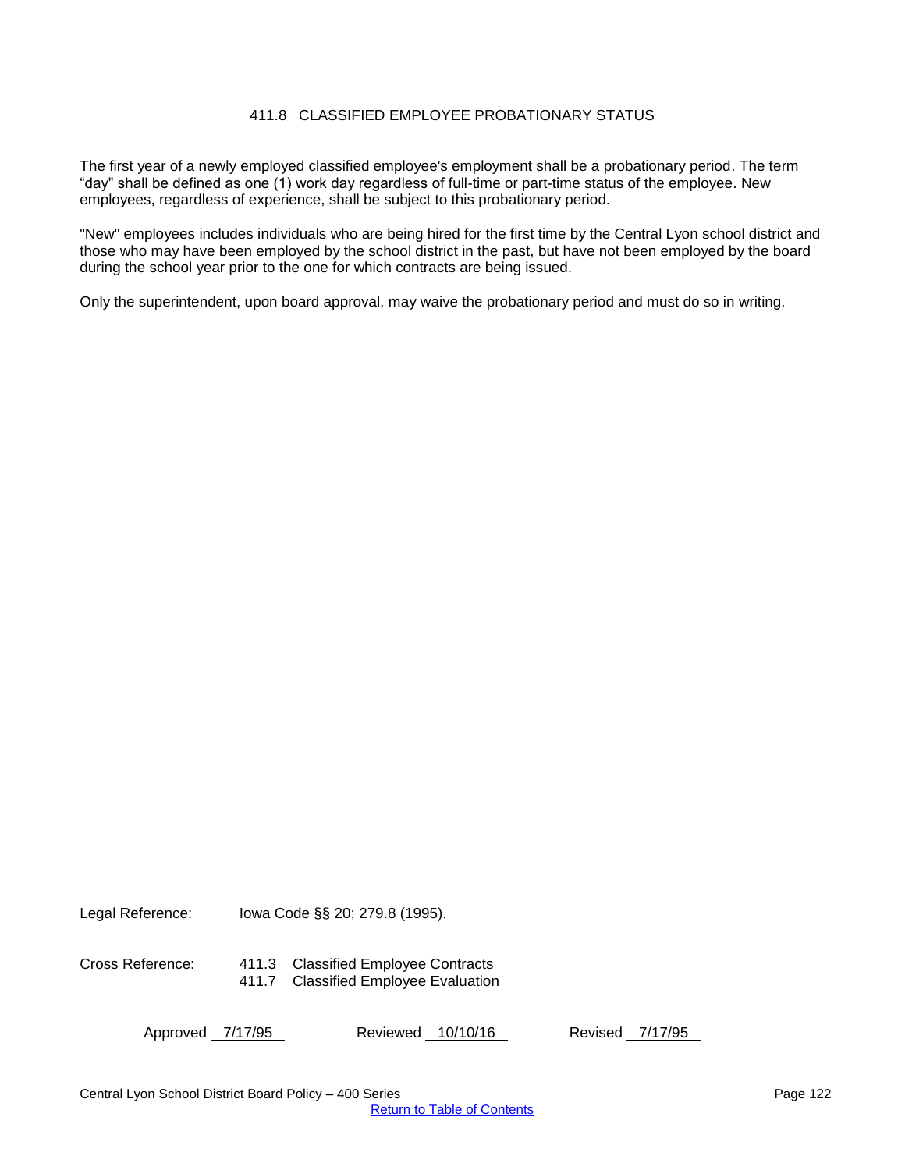### 411.8 CLASSIFIED EMPLOYEE PROBATIONARY STATUS

The first year of a newly employed classified employee's employment shall be a probationary period. The term "day" shall be defined as one (1) work day regardless of full-time or part-time status of the employee. New employees, regardless of experience, shall be subject to this probationary period.

"New" employees includes individuals who are being hired for the first time by the Central Lyon school district and those who may have been employed by the school district in the past, but have not been employed by the board during the school year prior to the one for which contracts are being issued.

Only the superintendent, upon board approval, may waive the probationary period and must do so in writing.

Legal Reference: Iowa Code §§ 20; 279.8 (1995).

Cross Reference: 411.3 Classified Employee Contracts 411.7 Classified Employee Evaluation

Approved 7/17/95 Reviewed 10/10/16 Revised 7/17/95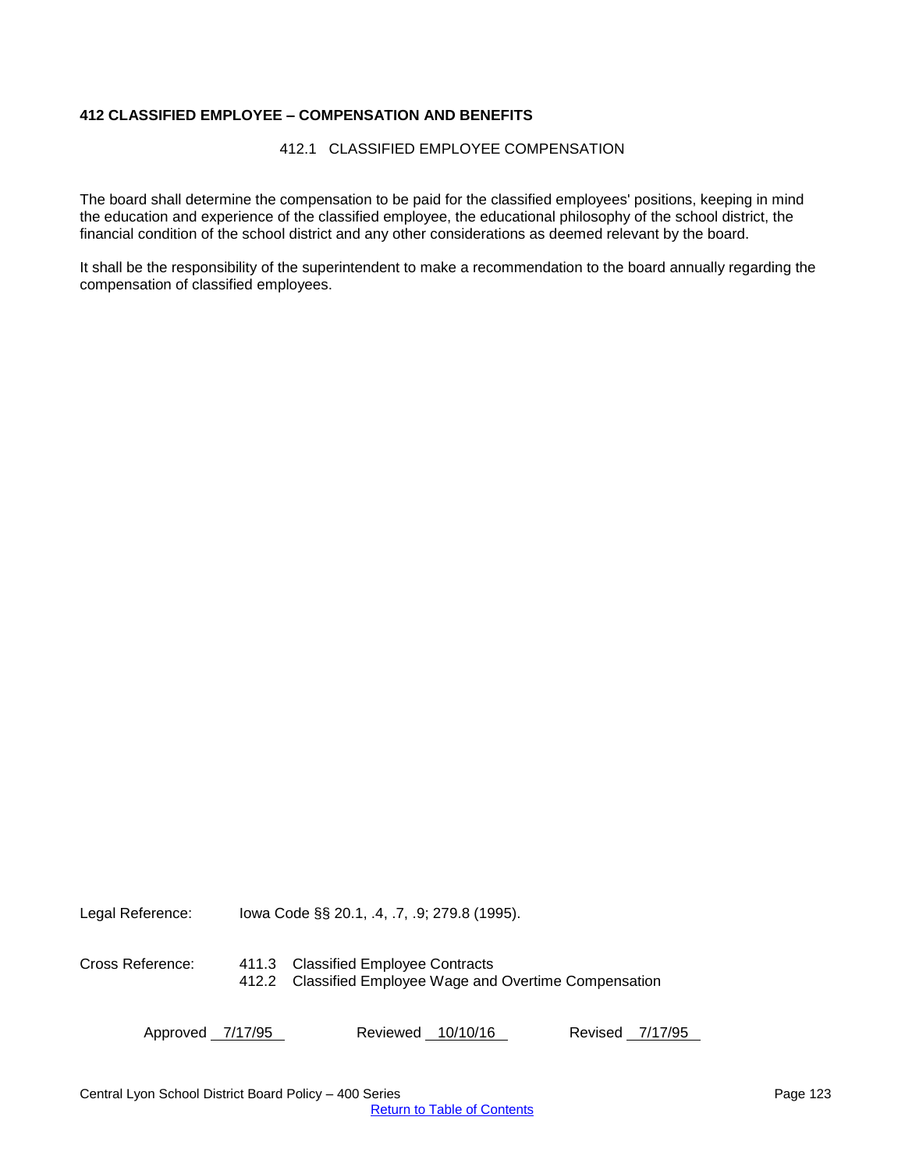# **412 CLASSIFIED EMPLOYEE – COMPENSATION AND BENEFITS**

### 412.1 CLASSIFIED EMPLOYEE COMPENSATION

The board shall determine the compensation to be paid for the classified employees' positions, keeping in mind the education and experience of the classified employee, the educational philosophy of the school district, the financial condition of the school district and any other considerations as deemed relevant by the board.

It shall be the responsibility of the superintendent to make a recommendation to the board annually regarding the compensation of classified employees.

Legal Reference: Iowa Code §§ 20.1, .4, .7, .9; 279.8 (1995). Cross Reference: 411.3 Classified Employee Contracts 412.2 Classified Employee Wage and Overtime Compensation

Approved 7/17/95 Reviewed 10/10/16 Revised 7/17/95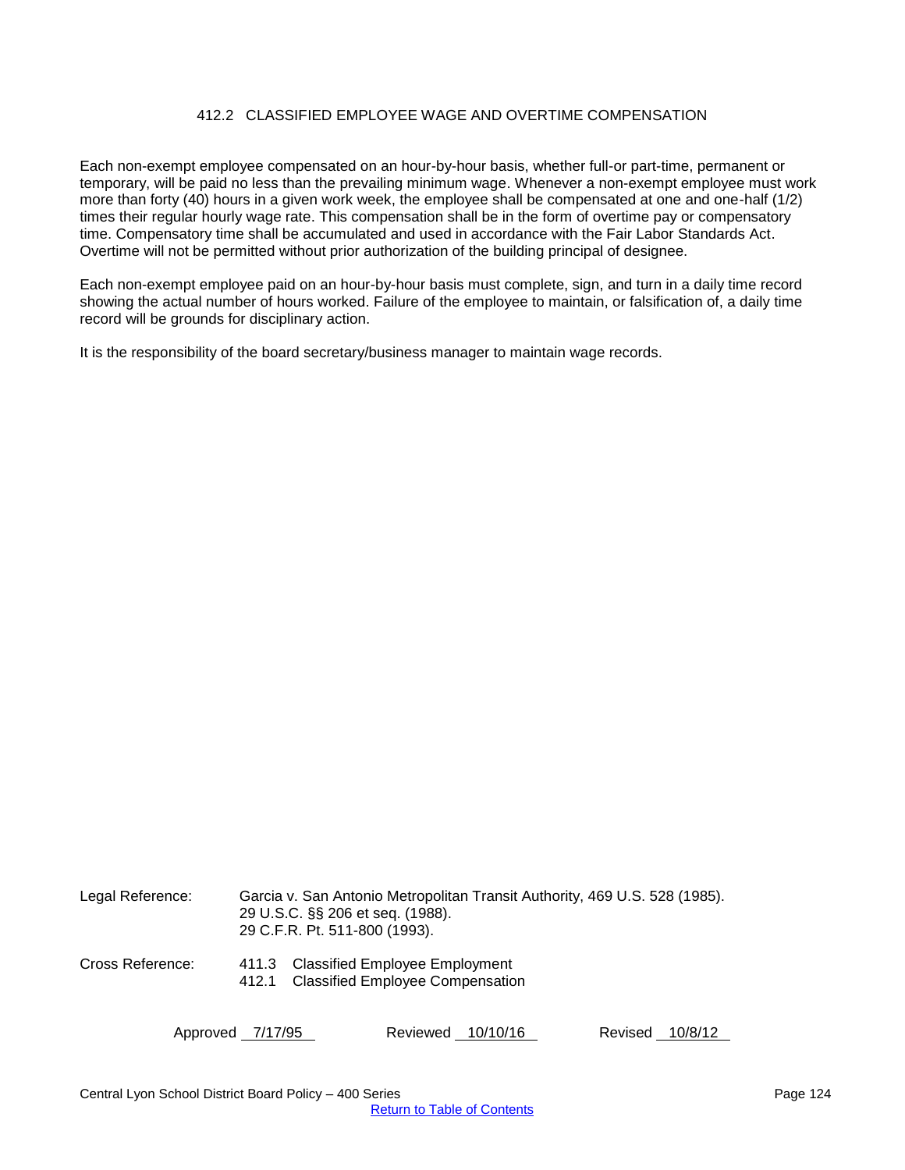# 412.2 CLASSIFIED EMPLOYEE WAGE AND OVERTIME COMPENSATION

Each non-exempt employee compensated on an hour-by-hour basis, whether full-or part-time, permanent or temporary, will be paid no less than the prevailing minimum wage. Whenever a non-exempt employee must work more than forty (40) hours in a given work week, the employee shall be compensated at one and one-half (1/2) times their regular hourly wage rate. This compensation shall be in the form of overtime pay or compensatory time. Compensatory time shall be accumulated and used in accordance with the Fair Labor Standards Act. Overtime will not be permitted without prior authorization of the building principal of designee.

Each non-exempt employee paid on an hour-by-hour basis must complete, sign, and turn in a daily time record showing the actual number of hours worked. Failure of the employee to maintain, or falsification of, a daily time record will be grounds for disciplinary action.

It is the responsibility of the board secretary/business manager to maintain wage records.

| Legal Reference: | Garcia v. San Antonio Metropolitan Transit Authority, 469 U.S. 528 (1985).<br>29 U.S.C. §§ 206 et seq. (1988).<br>29 C.F.R. Pt. 511-800 (1993). |                                                                                 |                 |  |
|------------------|-------------------------------------------------------------------------------------------------------------------------------------------------|---------------------------------------------------------------------------------|-----------------|--|
| Cross Reference: | 412.1                                                                                                                                           | 411.3 Classified Employee Employment<br><b>Classified Employee Compensation</b> |                 |  |
|                  | Approved 7/17/95                                                                                                                                | Reviewed 10/10/16                                                               | Revised 10/8/12 |  |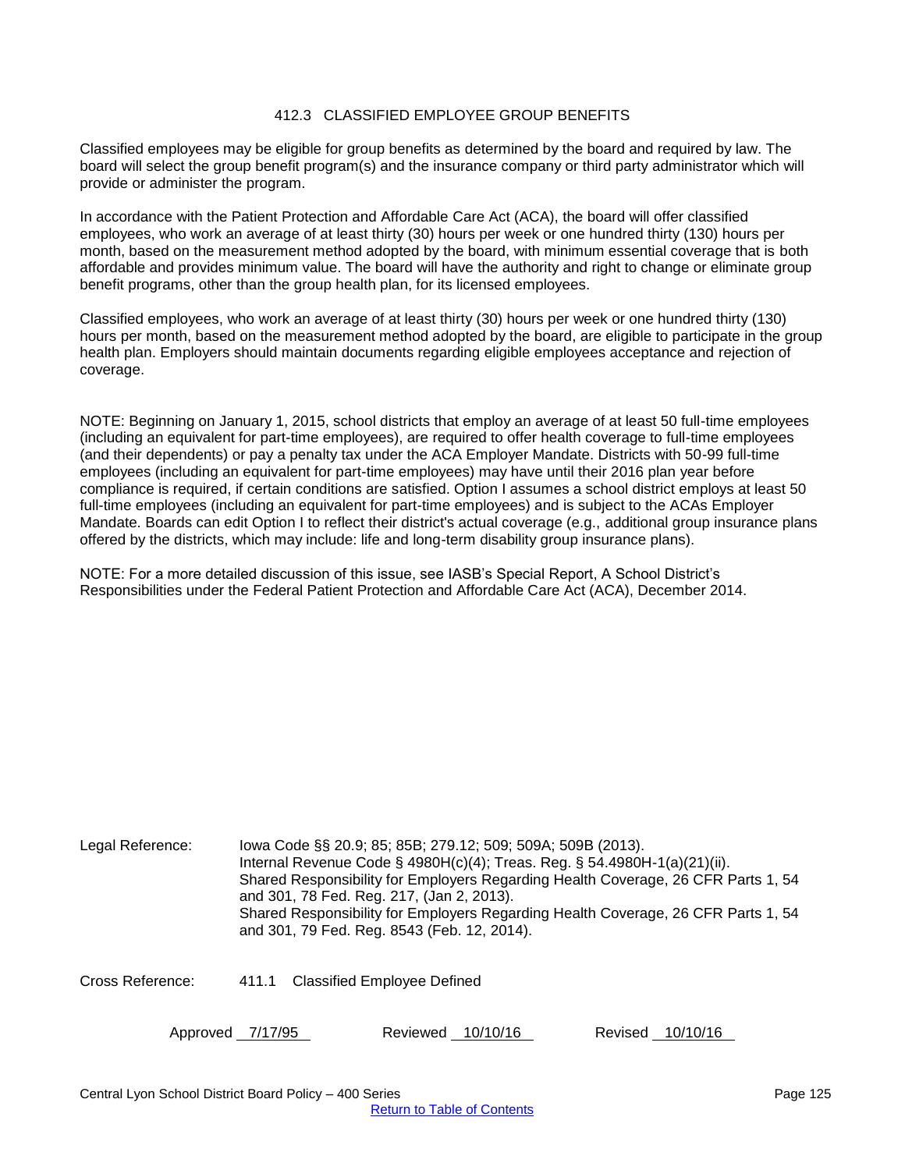### 412.3 CLASSIFIED EMPLOYEE GROUP BENEFITS

Classified employees may be eligible for group benefits as determined by the board and required by law. The board will select the group benefit program(s) and the insurance company or third party administrator which will provide or administer the program.

In accordance with the Patient Protection and Affordable Care Act (ACA), the board will offer classified employees, who work an average of at least thirty (30) hours per week or one hundred thirty (130) hours per month, based on the measurement method adopted by the board, with minimum essential coverage that is both affordable and provides minimum value. The board will have the authority and right to change or eliminate group benefit programs, other than the group health plan, for its licensed employees.

Classified employees, who work an average of at least thirty (30) hours per week or one hundred thirty (130) hours per month, based on the measurement method adopted by the board, are eligible to participate in the group health plan. Employers should maintain documents regarding eligible employees acceptance and rejection of coverage.

NOTE: Beginning on January 1, 2015, school districts that employ an average of at least 50 full-time employees (including an equivalent for part-time employees), are required to offer health coverage to full-time employees (and their dependents) or pay a penalty tax under the ACA Employer Mandate. Districts with 50-99 full-time employees (including an equivalent for part-time employees) may have until their 2016 plan year before compliance is required, if certain conditions are satisfied. Option I assumes a school district employs at least 50 full-time employees (including an equivalent for part-time employees) and is subject to the ACAs Employer Mandate. Boards can edit Option I to reflect their district's actual coverage (e.g., additional group insurance plans offered by the districts, which may include: life and long-term disability group insurance plans).

NOTE: For a more detailed discussion of this issue, see IASB's Special Report, A School District's Responsibilities under the Federal Patient Protection and Affordable Care Act (ACA), December 2014.

| Legal Reference: | lowa Code §§ 20.9; 85; 85B; 279.12; 509; 509A; 509B (2013).<br>Internal Revenue Code § 4980H(c)(4); Treas. Reg. § 54.4980H-1(a)(21)(ii).<br>Shared Responsibility for Employers Regarding Health Coverage, 26 CFR Parts 1, 54<br>and 301, 78 Fed. Reg. 217, (Jan 2, 2013).<br>Shared Responsibility for Employers Regarding Health Coverage, 26 CFR Parts 1, 54<br>and 301, 79 Fed. Reg. 8543 (Feb. 12, 2014). |
|------------------|----------------------------------------------------------------------------------------------------------------------------------------------------------------------------------------------------------------------------------------------------------------------------------------------------------------------------------------------------------------------------------------------------------------|
| Cross Reference: | <b>Classified Employee Defined</b><br>411.1                                                                                                                                                                                                                                                                                                                                                                    |

Approved 7/17/95 Reviewed 10/10/16 Revised 10/10/16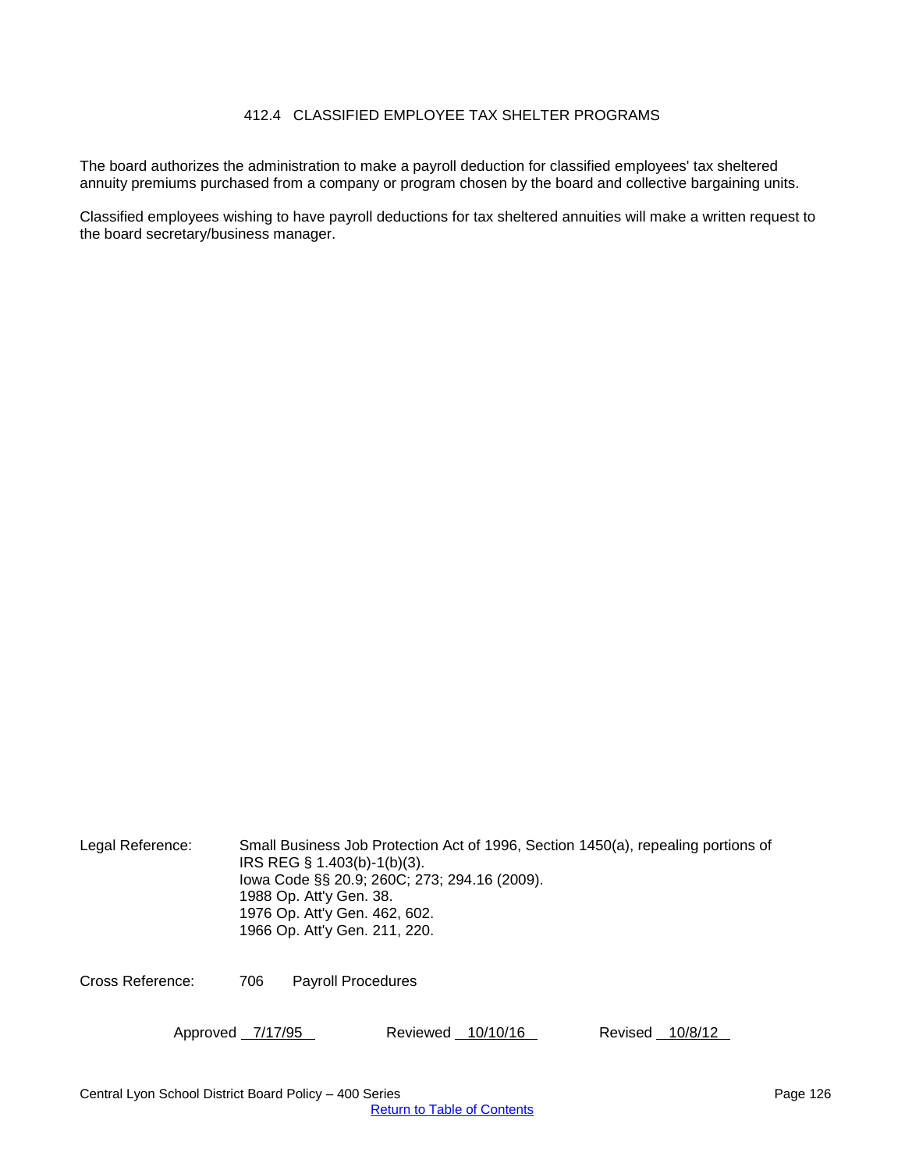# 412.4 CLASSIFIED EMPLOYEE TAX SHELTER PROGRAMS

The board authorizes the administration to make a payroll deduction for classified employees' tax sheltered annuity premiums purchased from a company or program chosen by the board and collective bargaining units.

Classified employees wishing to have payroll deductions for tax sheltered annuities will make a written request to the board secretary/business manager.

Legal Reference: Small Business Job Protection Act of 1996, Section 1450(a), repealing portions of IRS REG § 1.403(b)-1(b)(3). Iowa Code §§ 20.9; 260C; 273; 294.16 (2009). 1988 Op. Att'y Gen. 38. 1976 Op. Att'y Gen. 462, 602. 1966 Op. Att'y Gen. 211, 220.

Cross Reference: 706 Payroll Procedures

Approved 7/17/95 Reviewed 10/10/16 Revised 10/8/12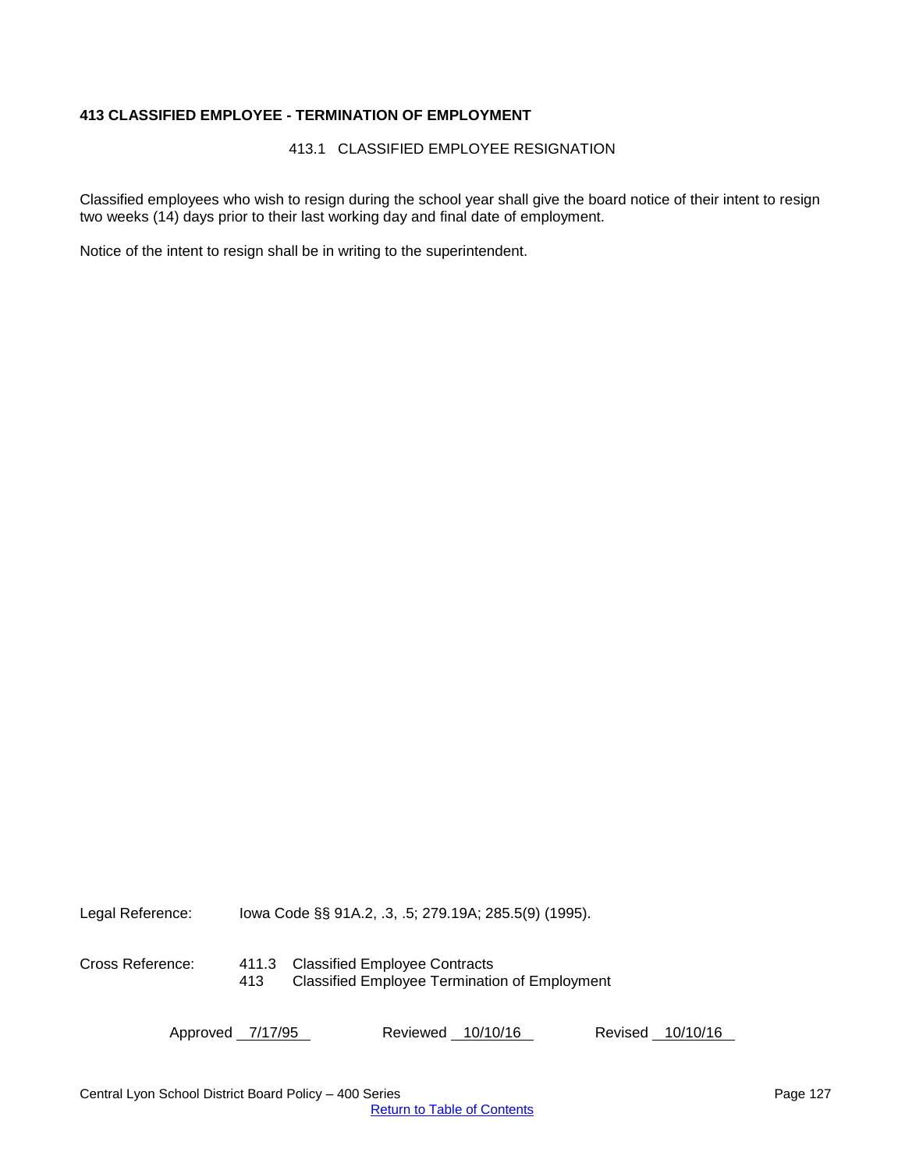## **413 CLASSIFIED EMPLOYEE - TERMINATION OF EMPLOYMENT**

413.1 CLASSIFIED EMPLOYEE RESIGNATION

Classified employees who wish to resign during the school year shall give the board notice of their intent to resign two weeks (14) days prior to their last working day and final date of employment.

Notice of the intent to resign shall be in writing to the superintendent.

Legal Reference: Iowa Code §§ 91A.2, .3, .5; 279.19A; 285.5(9) (1995).

Cross Reference: 411.3 Classified Employee Contracts Classified Employee Termination of Employment

Approved 7/17/95 Reviewed 10/10/16 Revised 10/10/16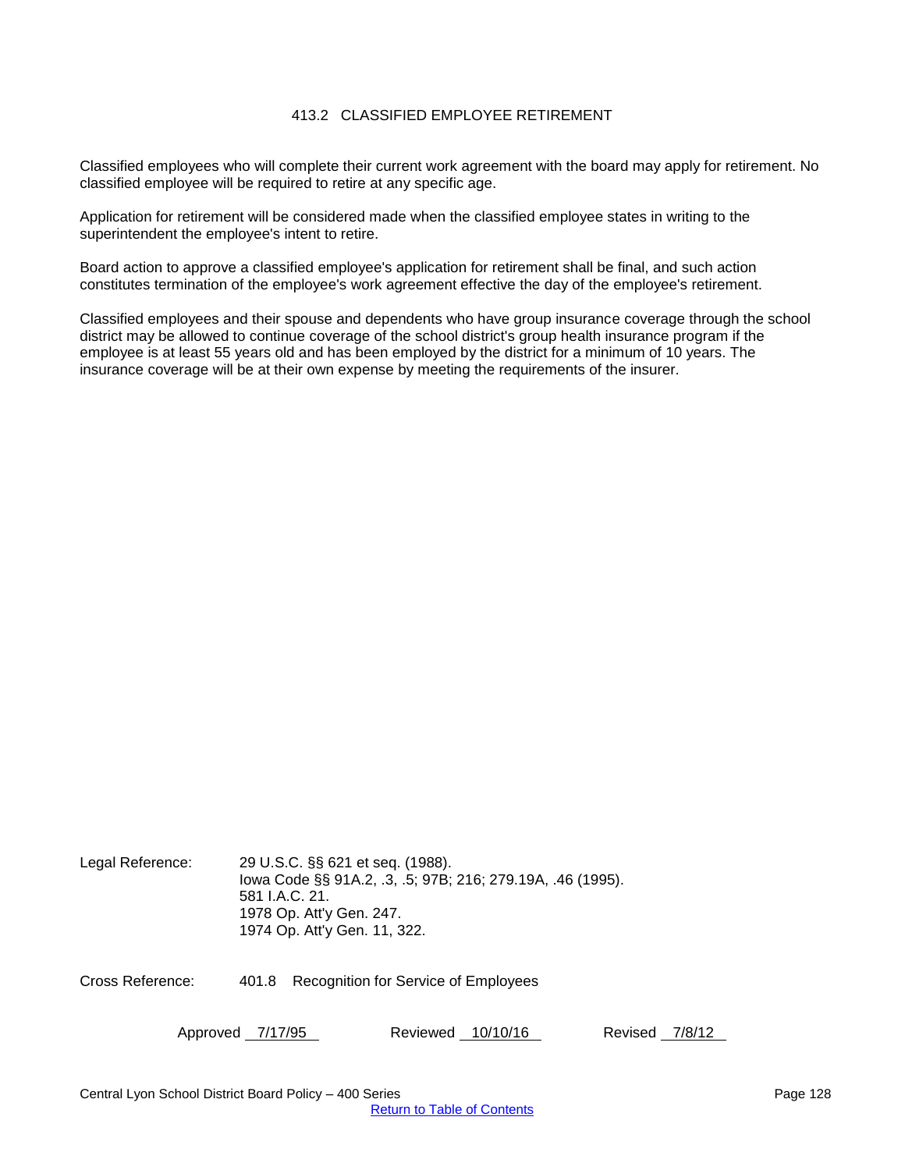### 413.2 CLASSIFIED EMPLOYEE RETIREMENT

Classified employees who will complete their current work agreement with the board may apply for retirement. No classified employee will be required to retire at any specific age.

Application for retirement will be considered made when the classified employee states in writing to the superintendent the employee's intent to retire.

Board action to approve a classified employee's application for retirement shall be final, and such action constitutes termination of the employee's work agreement effective the day of the employee's retirement.

Classified employees and their spouse and dependents who have group insurance coverage through the school district may be allowed to continue coverage of the school district's group health insurance program if the employee is at least 55 years old and has been employed by the district for a minimum of 10 years. The insurance coverage will be at their own expense by meeting the requirements of the insurer.

Legal Reference: 29 U.S.C. §§ 621 et seq. (1988). Iowa Code §§ 91A.2, .3, .5; 97B; 216; 279.19A, .46 (1995). 581 I.A.C. 21. 1978 Op. Att'y Gen. 247. 1974 Op. Att'y Gen. 11, 322.

Cross Reference: 401.8 Recognition for Service of Employees

Approved 7/17/95 Reviewed 10/10/16 Revised 7/8/12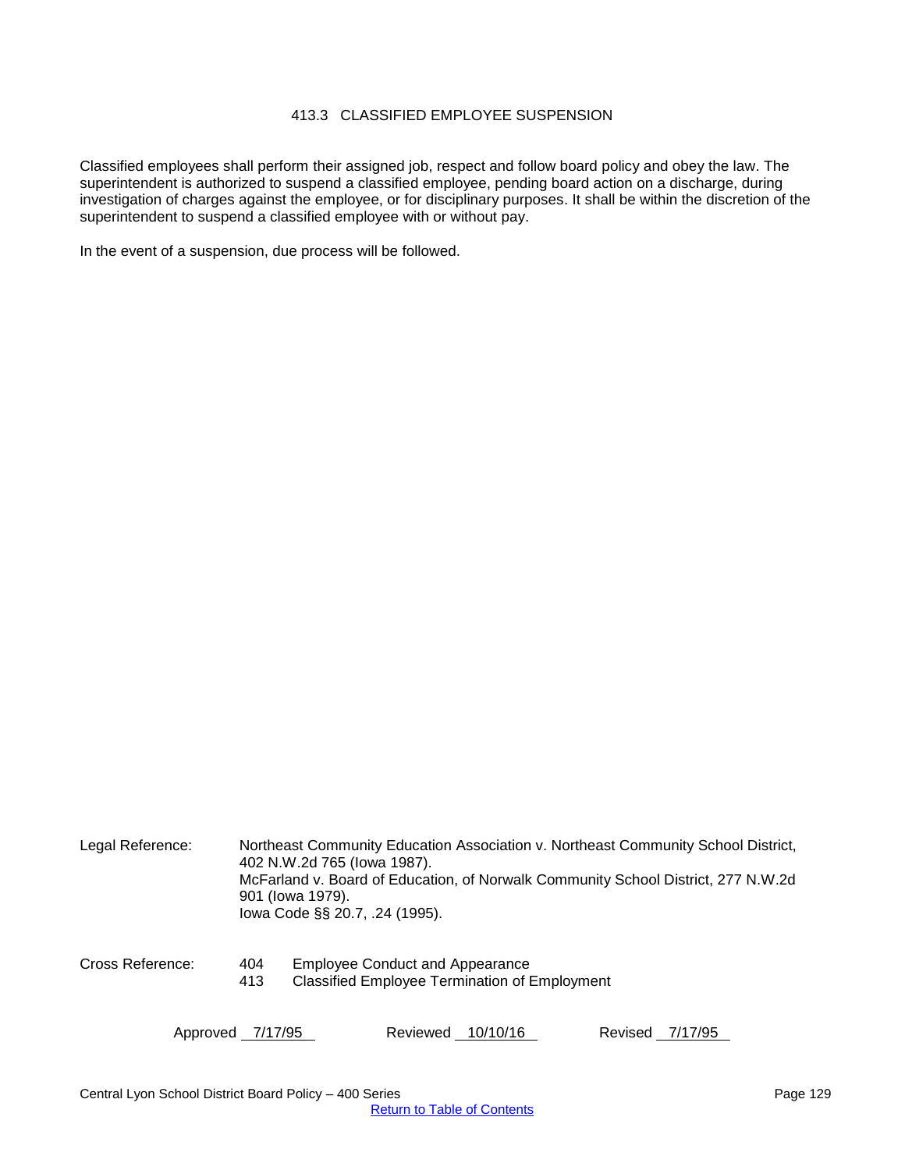# 413.3 CLASSIFIED EMPLOYEE SUSPENSION

Classified employees shall perform their assigned job, respect and follow board policy and obey the law. The superintendent is authorized to suspend a classified employee, pending board action on a discharge, during investigation of charges against the employee, or for disciplinary purposes. It shall be within the discretion of the superintendent to suspend a classified employee with or without pay.

In the event of a suspension, due process will be followed.

| Legal Reference: |            | Northeast Community Education Association v. Northeast Community School District,<br>402 N.W.2d 765 (lowa 1987).<br>McFarland v. Board of Education, of Norwalk Community School District, 277 N.W.2d<br>901 (lowa 1979).<br>lowa Code §§ 20.7, .24 (1995). |
|------------------|------------|-------------------------------------------------------------------------------------------------------------------------------------------------------------------------------------------------------------------------------------------------------------|
| Cross Reference: | 404<br>413 | <b>Employee Conduct and Appearance</b><br><b>Classified Employee Termination of Employment</b>                                                                                                                                                              |
| Approved         | 7/17/95    | Reviewed<br>10/10/16<br>Revised<br>7/17/95                                                                                                                                                                                                                  |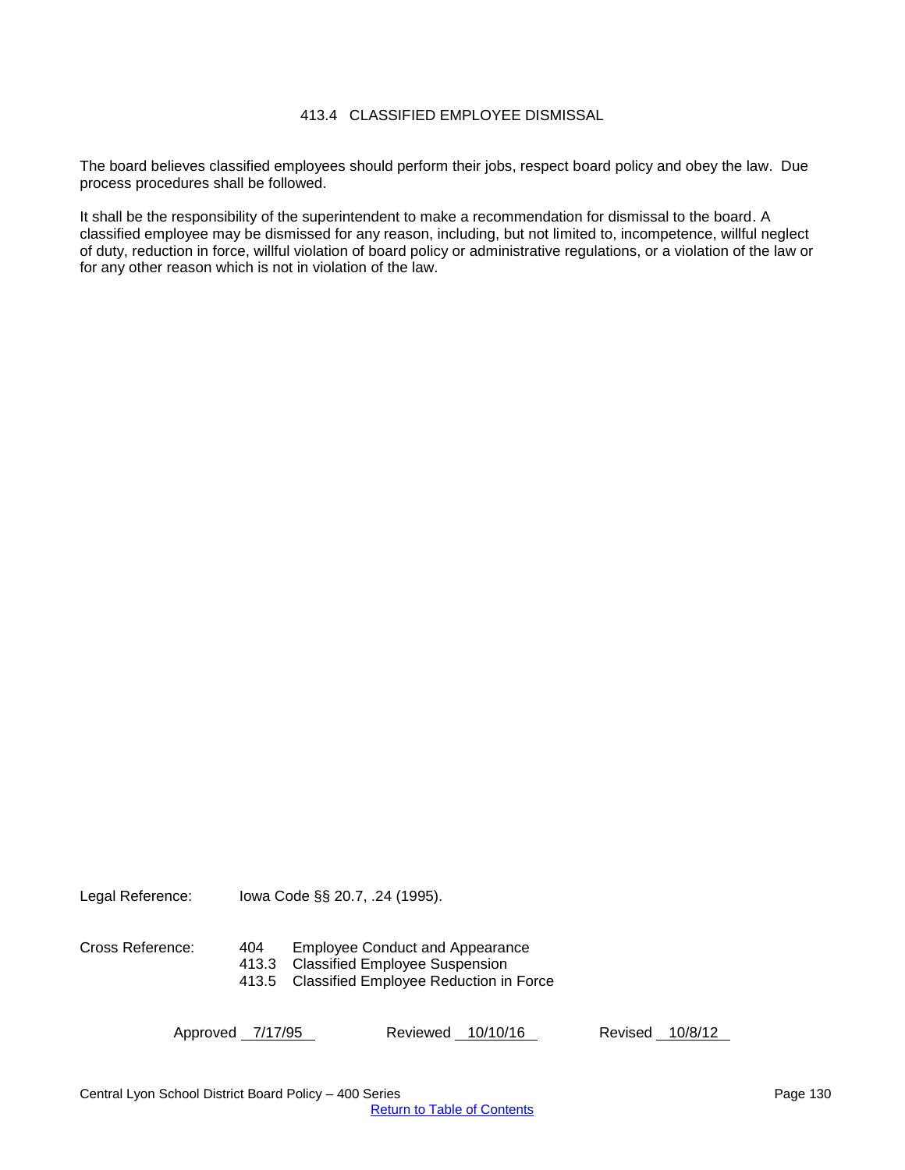## 413.4 CLASSIFIED EMPLOYEE DISMISSAL

The board believes classified employees should perform their jobs, respect board policy and obey the law. Due process procedures shall be followed.

It shall be the responsibility of the superintendent to make a recommendation for dismissal to the board. A classified employee may be dismissed for any reason, including, but not limited to, incompetence, willful neglect of duty, reduction in force, willful violation of board policy or administrative regulations, or a violation of the law or for any other reason which is not in violation of the law.

Legal Reference: Iowa Code §§ 20.7, .24 (1995).

Cross Reference: 404 Employee Conduct and Appearance

- 413.3 Classified Employee Suspension
	- 413.5 Classified Employee Reduction in Force

| Approved 7/17/95 |  | Reviewed 10/10/16 | Revised 10/8/12 |  |
|------------------|--|-------------------|-----------------|--|
|------------------|--|-------------------|-----------------|--|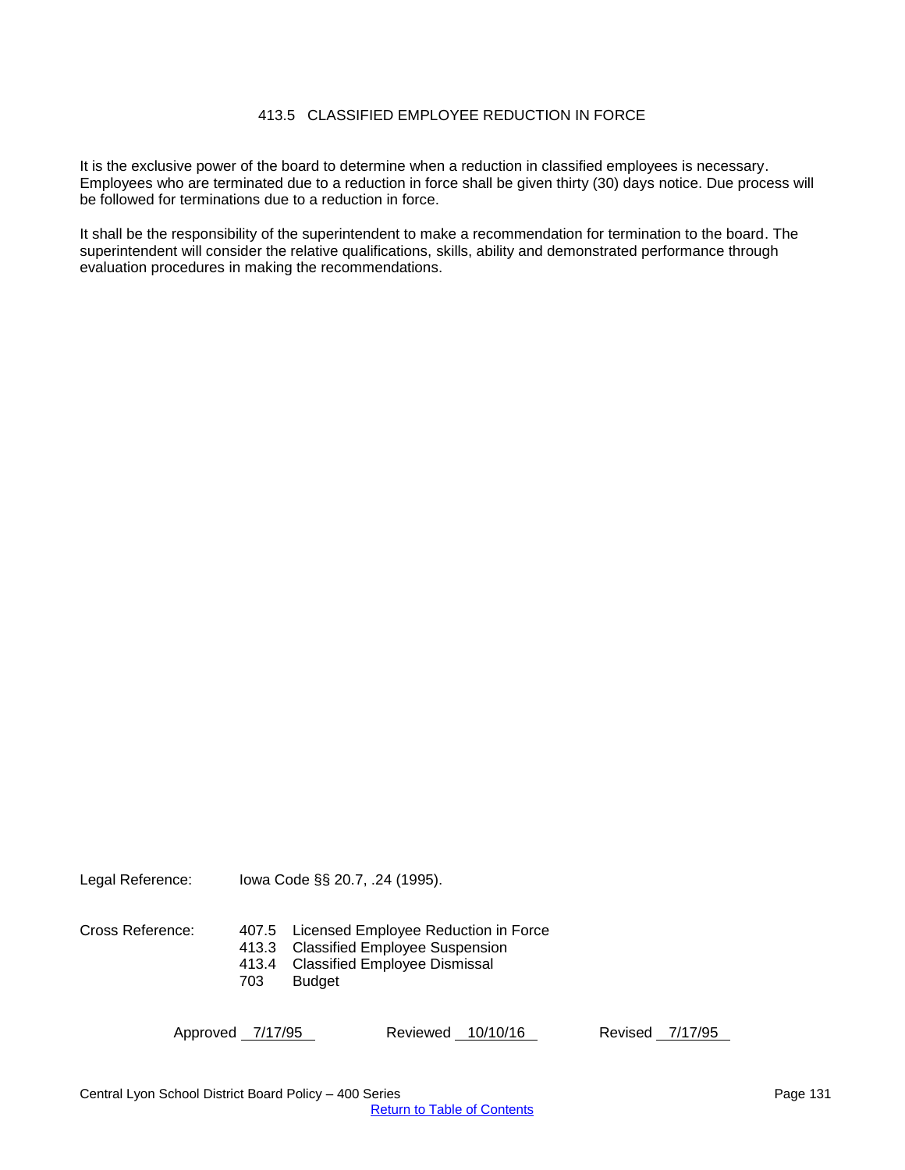# 413.5 CLASSIFIED EMPLOYEE REDUCTION IN FORCE

It is the exclusive power of the board to determine when a reduction in classified employees is necessary. Employees who are terminated due to a reduction in force shall be given thirty (30) days notice. Due process will be followed for terminations due to a reduction in force.

It shall be the responsibility of the superintendent to make a recommendation for termination to the board. The superintendent will consider the relative qualifications, skills, ability and demonstrated performance through evaluation procedures in making the recommendations.

Legal Reference: Iowa Code §§ 20.7, .24 (1995).

Cross Reference: 407.5 Licensed Employee Reduction in Force

- 413.3 Classified Employee Suspension<br>413.4 Classified Employee Dismissal
- 413.4 Classified Employee Dismissal
- **Budget**

| Approved 7/17/95 |  | Reviewed 10/10/16 |  | Revised 7/17/95 |  |
|------------------|--|-------------------|--|-----------------|--|
|------------------|--|-------------------|--|-----------------|--|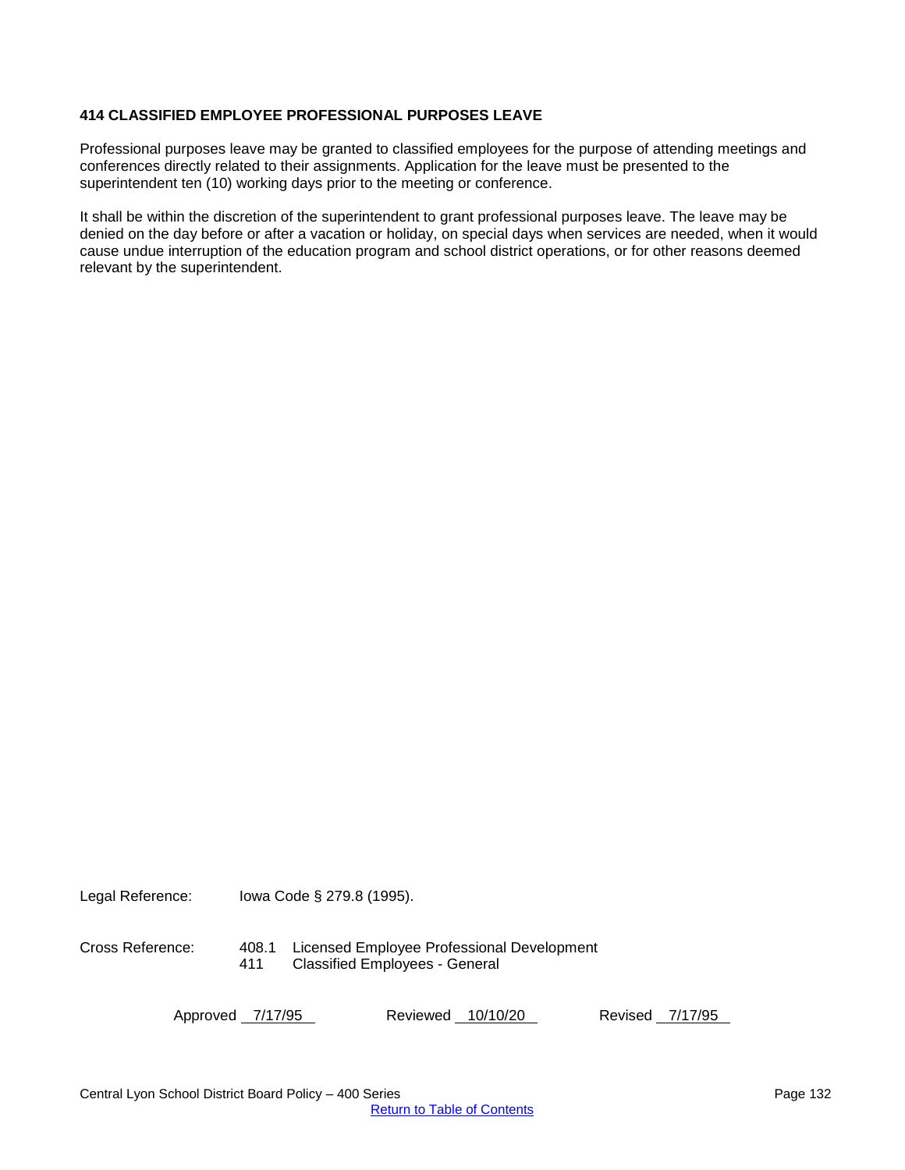## **414 CLASSIFIED EMPLOYEE PROFESSIONAL PURPOSES LEAVE**

Professional purposes leave may be granted to classified employees for the purpose of attending meetings and conferences directly related to their assignments. Application for the leave must be presented to the superintendent ten (10) working days prior to the meeting or conference.

It shall be within the discretion of the superintendent to grant professional purposes leave. The leave may be denied on the day before or after a vacation or holiday, on special days when services are needed, when it would cause undue interruption of the education program and school district operations, or for other reasons deemed relevant by the superintendent.

Cross Reference: 408.1 Licensed Employee Professional Development

**Classified Employees - General** 

Approved 7/17/95 Reviewed 10/10/20 Revised 7/17/95

Legal Reference: Iowa Code § 279.8 (1995).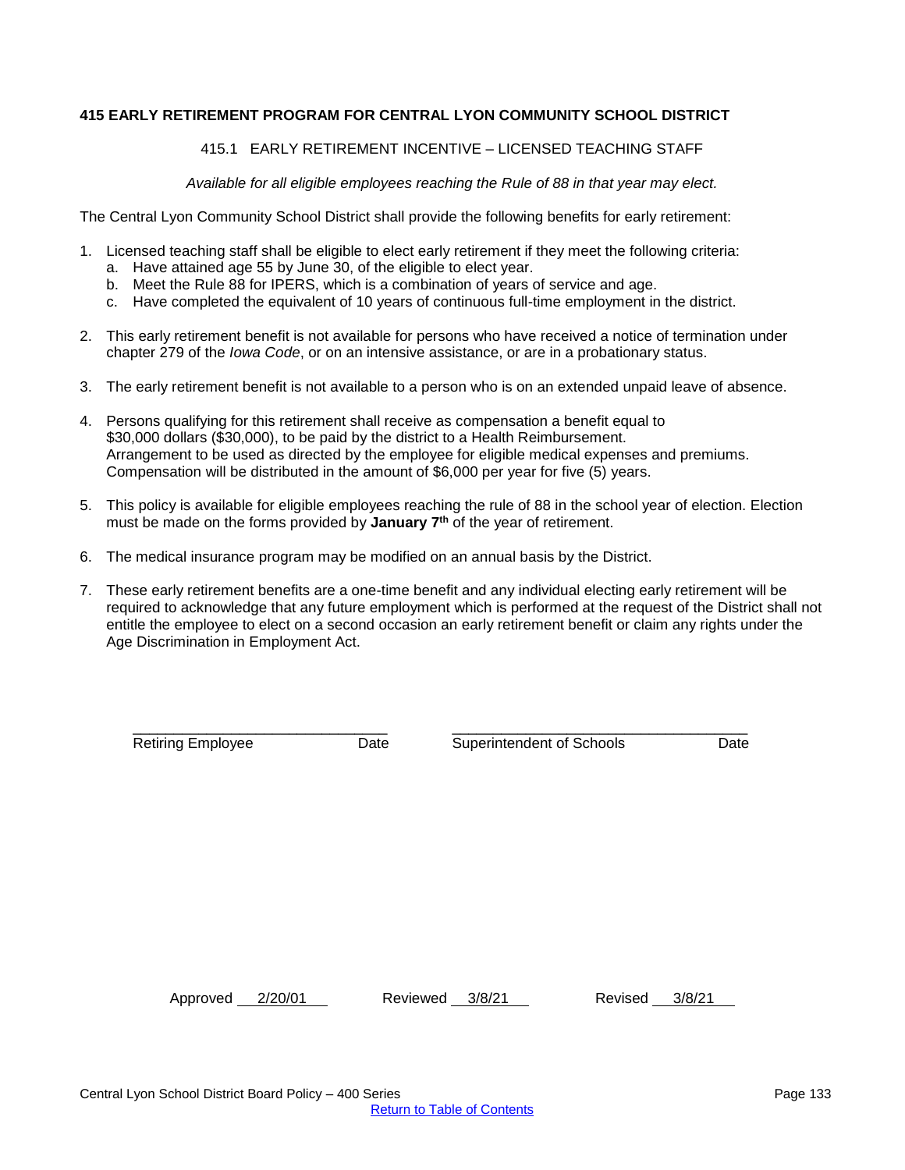### **415 EARLY RETIREMENT PROGRAM FOR CENTRAL LYON COMMUNITY SCHOOL DISTRICT**

#### 415.1 EARLY RETIREMENT INCENTIVE – LICENSED TEACHING STAFF

*Available for all eligible employees reaching the Rule of 88 in that year may elect.*

The Central Lyon Community School District shall provide the following benefits for early retirement:

- 1. Licensed teaching staff shall be eligible to elect early retirement if they meet the following criteria:
	- a. Have attained age 55 by June 30, of the eligible to elect year.
	- b. Meet the Rule 88 for IPERS, which is a combination of years of service and age.
	- c. Have completed the equivalent of 10 years of continuous full-time employment in the district.
- 2. This early retirement benefit is not available for persons who have received a notice of termination under chapter 279 of the *Iowa Code*, or on an intensive assistance, or are in a probationary status.
- 3. The early retirement benefit is not available to a person who is on an extended unpaid leave of absence.
- 4. Persons qualifying for this retirement shall receive as compensation a benefit equal to \$30,000 dollars (\$30,000), to be paid by the district to a Health Reimbursement. Arrangement to be used as directed by the employee for eligible medical expenses and premiums. Compensation will be distributed in the amount of \$6,000 per year for five (5) years.
- 5. This policy is available for eligible employees reaching the rule of 88 in the school year of election. Election must be made on the forms provided by **January 7th** of the year of retirement.
- 6. The medical insurance program may be modified on an annual basis by the District.
- 7. These early retirement benefits are a one-time benefit and any individual electing early retirement will be required to acknowledge that any future employment which is performed at the request of the District shall not entitle the employee to elect on a second occasion an early retirement benefit or claim any rights under the Age Discrimination in Employment Act.

\_\_\_\_\_\_\_\_\_\_\_\_\_\_\_\_\_\_\_\_\_\_\_\_\_\_\_\_\_\_\_ \_\_\_\_\_\_\_\_\_\_\_\_\_\_\_\_\_\_\_\_\_\_\_\_\_\_\_\_\_\_\_\_\_\_\_\_

Retiring Employee **Date** Date Superintendent of Schools Date

Approved 2/20/01 Reviewed 3/8/21 Revised 3/8/21